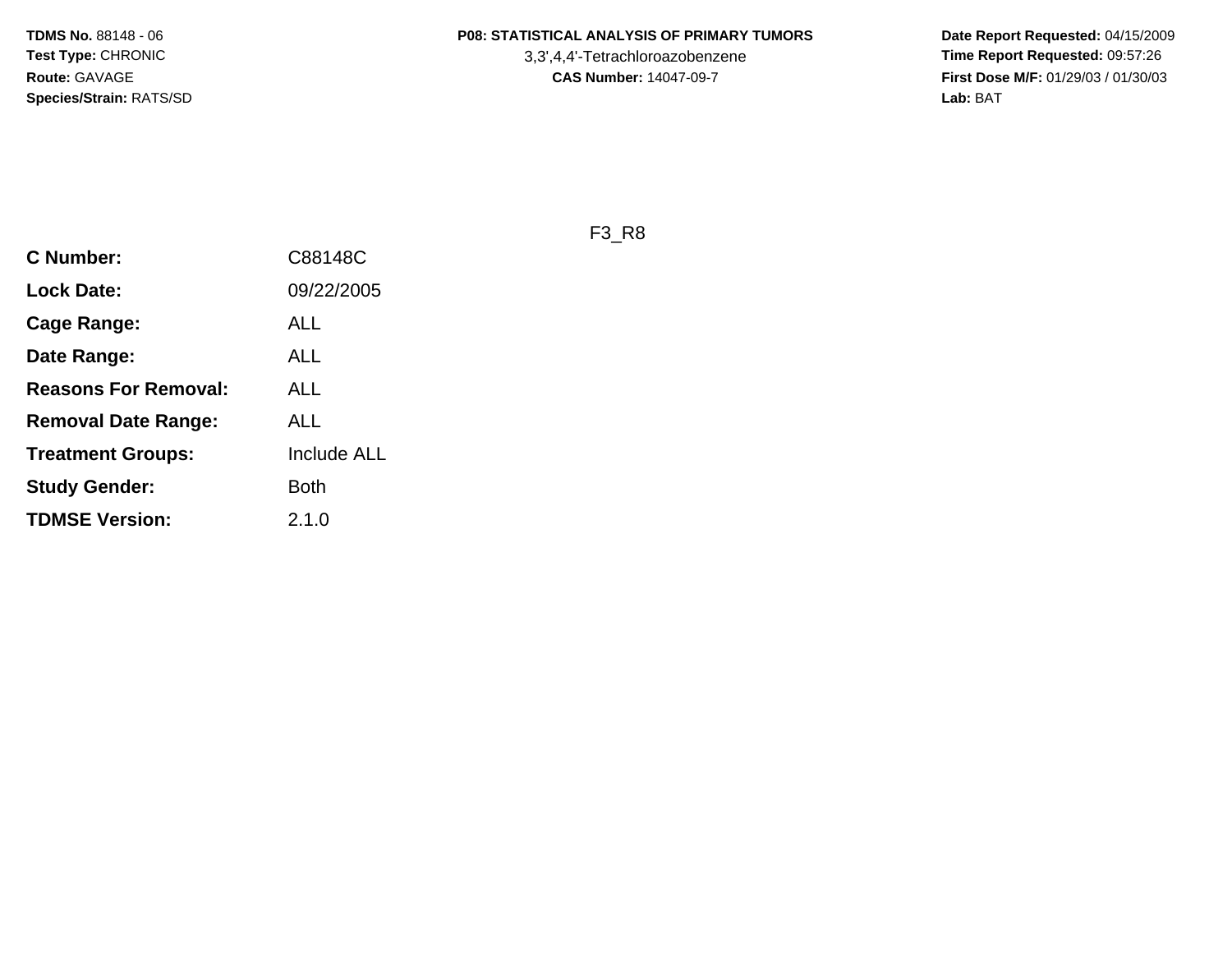3,3',4,4'-Tetrachloroazobenzene

 **Date Report Requested:** 04/15/2009 **Time Report Requested:** 09:57:26 **First Dose M/F:** 01/29/03 / 01/30/03<br>Lab: BAT **Lab:** BAT

F3\_R8

| <b>C Number:</b>            | C88148C            |
|-----------------------------|--------------------|
| <b>Lock Date:</b>           | 09/22/2005         |
| Cage Range:                 | ALL                |
| Date Range:                 | <b>ALL</b>         |
| <b>Reasons For Removal:</b> | ALL                |
| <b>Removal Date Range:</b>  | ALL                |
| <b>Treatment Groups:</b>    | <b>Include ALL</b> |
| <b>Study Gender:</b>        | <b>Both</b>        |
| <b>TDMSE Version:</b>       | 2.1.0              |
|                             |                    |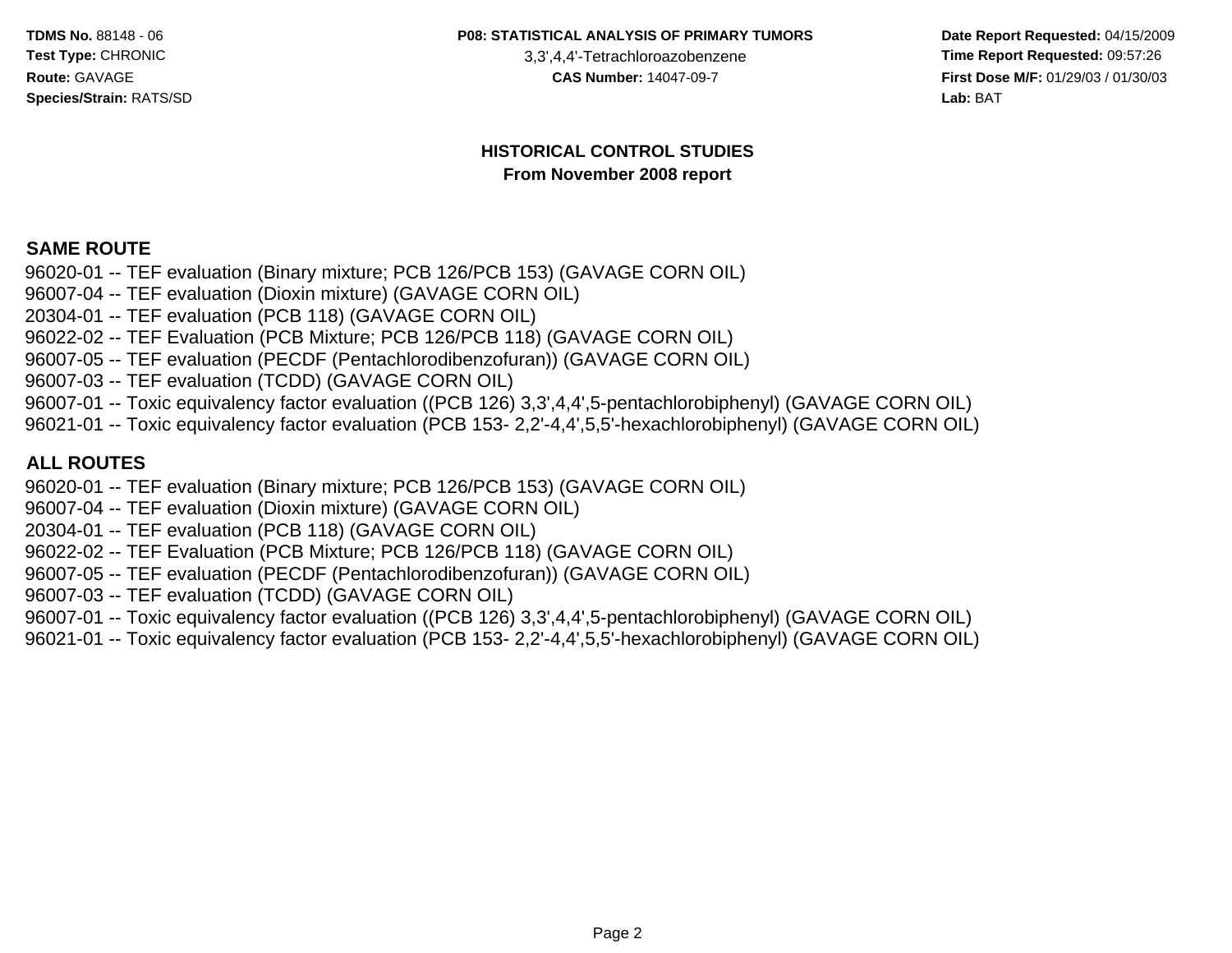**P08: STATISTICAL ANALYSIS OF PRIMARY TUMORS**

3,3',4,4'-Tetrachloroazobenzene

 **Date Report Requested:** 04/15/2009 **Time Report Requested:** 09:57:26 **First Dose M/F:** 01/29/03 / 01/30/03<br>Lab: BAT **Lab:** BAT

#### **HISTORICAL CONTROL STUDIESFrom November 2008 report**

#### **SAME ROUTE**

 96020-01 -- TEF evaluation (Binary mixture; PCB 126/PCB 153) (GAVAGE CORN OIL)96007-04 -- TEF evaluation (Dioxin mixture) (GAVAGE CORN OIL)20304-01 -- TEF evaluation (PCB 118) (GAVAGE CORN OIL) 96022-02 -- TEF Evaluation (PCB Mixture; PCB 126/PCB 118) (GAVAGE CORN OIL) 96007-05 -- TEF evaluation (PECDF (Pentachlorodibenzofuran)) (GAVAGE CORN OIL)96007-03 -- TEF evaluation (TCDD) (GAVAGE CORN OIL) 96007-01 -- Toxic equivalency factor evaluation ((PCB 126) 3,3',4,4',5-pentachlorobiphenyl) (GAVAGE CORN OIL)96021-01 -- Toxic equivalency factor evaluation (PCB 153- 2,2'-4,4',5,5'-hexachlorobiphenyl) (GAVAGE CORN OIL)

#### **ALL ROUTES**

96020-01 -- TEF evaluation (Binary mixture; PCB 126/PCB 153) (GAVAGE CORN OIL)

96007-04 -- TEF evaluation (Dioxin mixture) (GAVAGE CORN OIL)

20304-01 -- TEF evaluation (PCB 118) (GAVAGE CORN OIL)

96022-02 -- TEF Evaluation (PCB Mixture; PCB 126/PCB 118) (GAVAGE CORN OIL)

96007-05 -- TEF evaluation (PECDF (Pentachlorodibenzofuran)) (GAVAGE CORN OIL)

96007-03 -- TEF evaluation (TCDD) (GAVAGE CORN OIL)

96007-01 -- Toxic equivalency factor evaluation ((PCB 126) 3,3',4,4',5-pentachlorobiphenyl) (GAVAGE CORN OIL)

96021-01 -- Toxic equivalency factor evaluation (PCB 153- 2,2'-4,4',5,5'-hexachlorobiphenyl) (GAVAGE CORN OIL)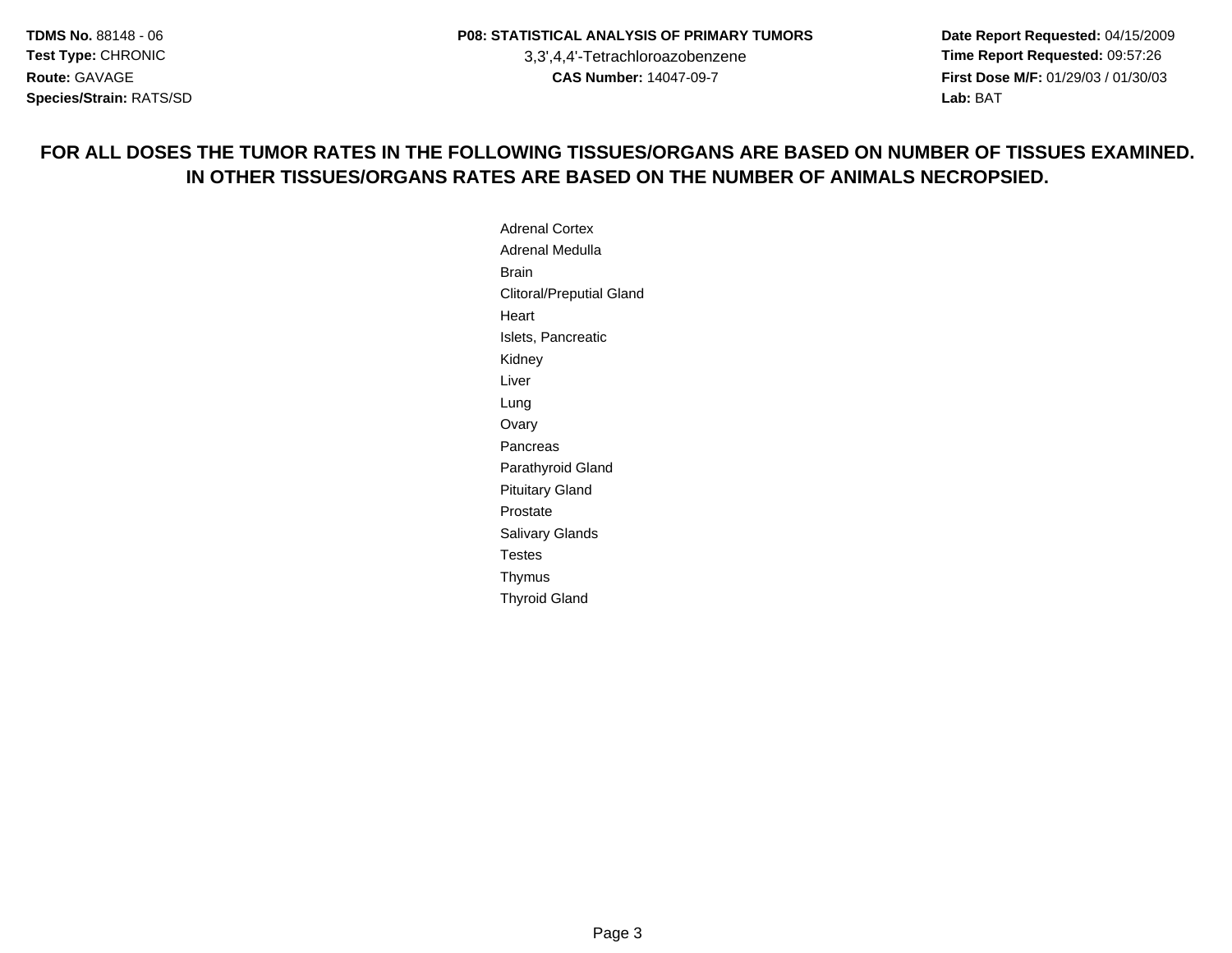**Date Report Requested:** 04/15/2009 **Time Report Requested:** 09:57:26 **First Dose M/F:** 01/29/03 / 01/30/03 Lab: BAT **Lab:** BAT

#### **FOR ALL DOSES THE TUMOR RATES IN THE FOLLOWING TISSUES/ORGANS ARE BASED ON NUMBER OF TISSUES EXAMINED.IN OTHER TISSUES/ORGANS RATES ARE BASED ON THE NUMBER OF ANIMALS NECROPSIED.**

Adrenal Cortex Adrenal MedullaBrain Clitoral/Preputial GlandHeartIslets, PancreaticKidneyLiverLung OvaryPancreas Parathyroid GlandPituitary GlandProstate Salivary GlandsTestesThymusThyroid Gland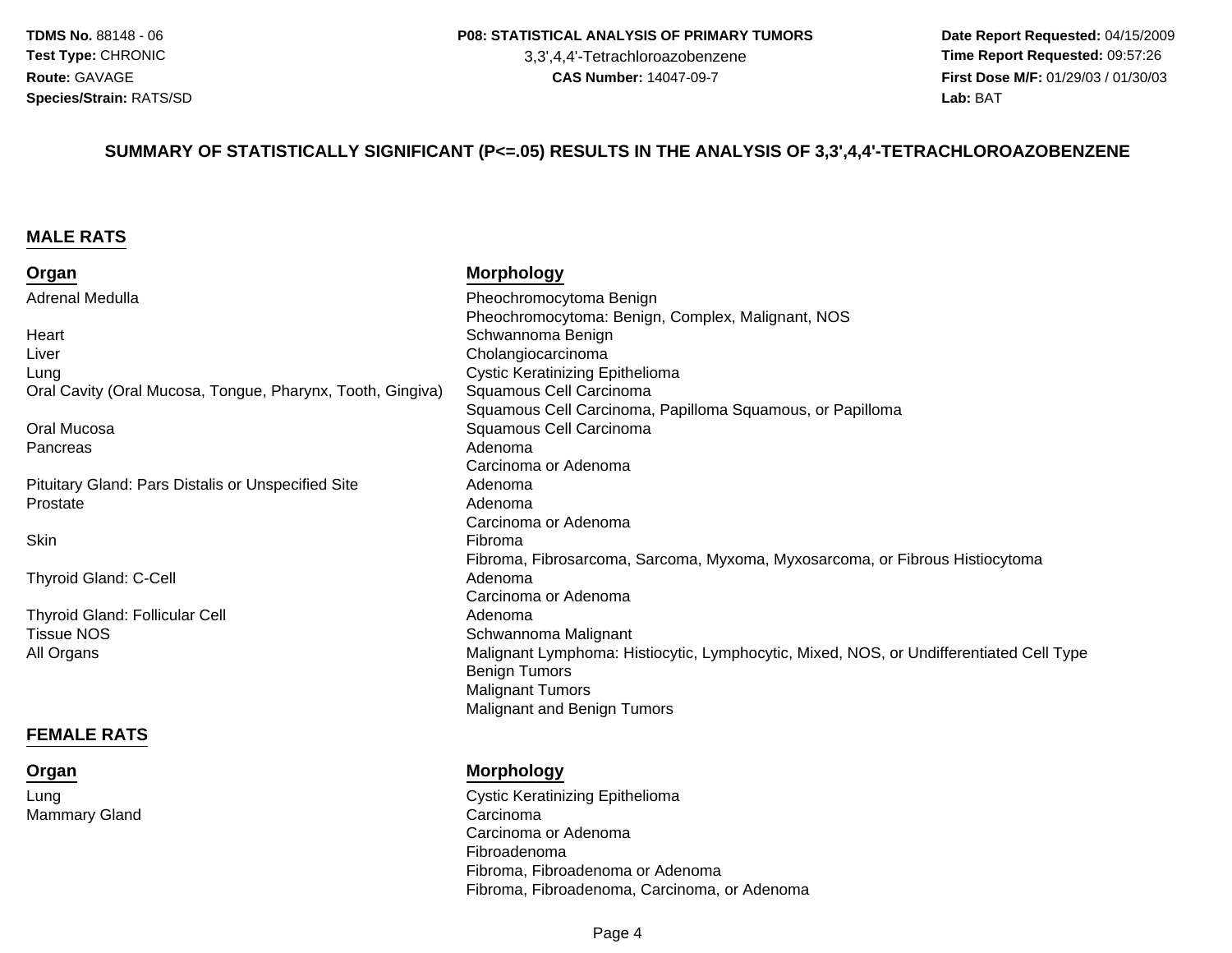3,3',4,4'-Tetrachloroazobenzene

 **Date Report Requested:** 04/15/2009 **Time Report Requested:** 09:57:26 **First Dose M/F:** 01/29/03 / 01/30/03 Lab: BAT **Lab:** BAT

#### **SUMMARY OF STATISTICALLY SIGNIFICANT (P<=.05) RESULTS IN THE ANALYSIS OF 3,3',4,4'-TETRACHLOROAZOBENZENE**

#### **MALE RATS**

**Organ**

Mammary Gland

Lung

| Organ                                                      | <b>Morphology</b>                                                                       |
|------------------------------------------------------------|-----------------------------------------------------------------------------------------|
| <b>Adrenal Medulla</b>                                     | Pheochromocytoma Benign                                                                 |
|                                                            | Pheochromocytoma: Benign, Complex, Malignant, NOS                                       |
| Heart                                                      | Schwannoma Benign                                                                       |
| Liver                                                      | Cholangiocarcinoma                                                                      |
| Lung                                                       | <b>Cystic Keratinizing Epithelioma</b>                                                  |
| Oral Cavity (Oral Mucosa, Tongue, Pharynx, Tooth, Gingiva) | Squamous Cell Carcinoma                                                                 |
|                                                            | Squamous Cell Carcinoma, Papilloma Squamous, or Papilloma                               |
| Oral Mucosa                                                | Squamous Cell Carcinoma                                                                 |
| Pancreas                                                   | Adenoma                                                                                 |
|                                                            | Carcinoma or Adenoma                                                                    |
| Pituitary Gland: Pars Distalis or Unspecified Site         | Adenoma                                                                                 |
| Prostate                                                   | Adenoma                                                                                 |
|                                                            | Carcinoma or Adenoma                                                                    |
| Skin                                                       | Fibroma                                                                                 |
|                                                            | Fibroma, Fibrosarcoma, Sarcoma, Myxoma, Myxosarcoma, or Fibrous Histiocytoma            |
| <b>Thyroid Gland: C-Cell</b>                               | Adenoma                                                                                 |
|                                                            | Carcinoma or Adenoma                                                                    |
| <b>Thyroid Gland: Follicular Cell</b>                      | Adenoma                                                                                 |
| <b>Tissue NOS</b>                                          | Schwannoma Malignant                                                                    |
| All Organs                                                 | Malignant Lymphoma: Histiocytic, Lymphocytic, Mixed, NOS, or Undifferentiated Cell Type |
|                                                            | <b>Benign Tumors</b>                                                                    |
|                                                            | <b>Malignant Tumors</b>                                                                 |
|                                                            | <b>Malignant and Benign Tumors</b>                                                      |
| <b>FEMALE RATS</b>                                         |                                                                                         |
|                                                            |                                                                                         |

#### **Morphology**

 Cystic Keratinizing Epithelioma Carcinoma Carcinoma or AdenomaFibroadenoma Fibroma, Fibroadenoma or AdenomaFibroma, Fibroadenoma, Carcinoma, or Adenoma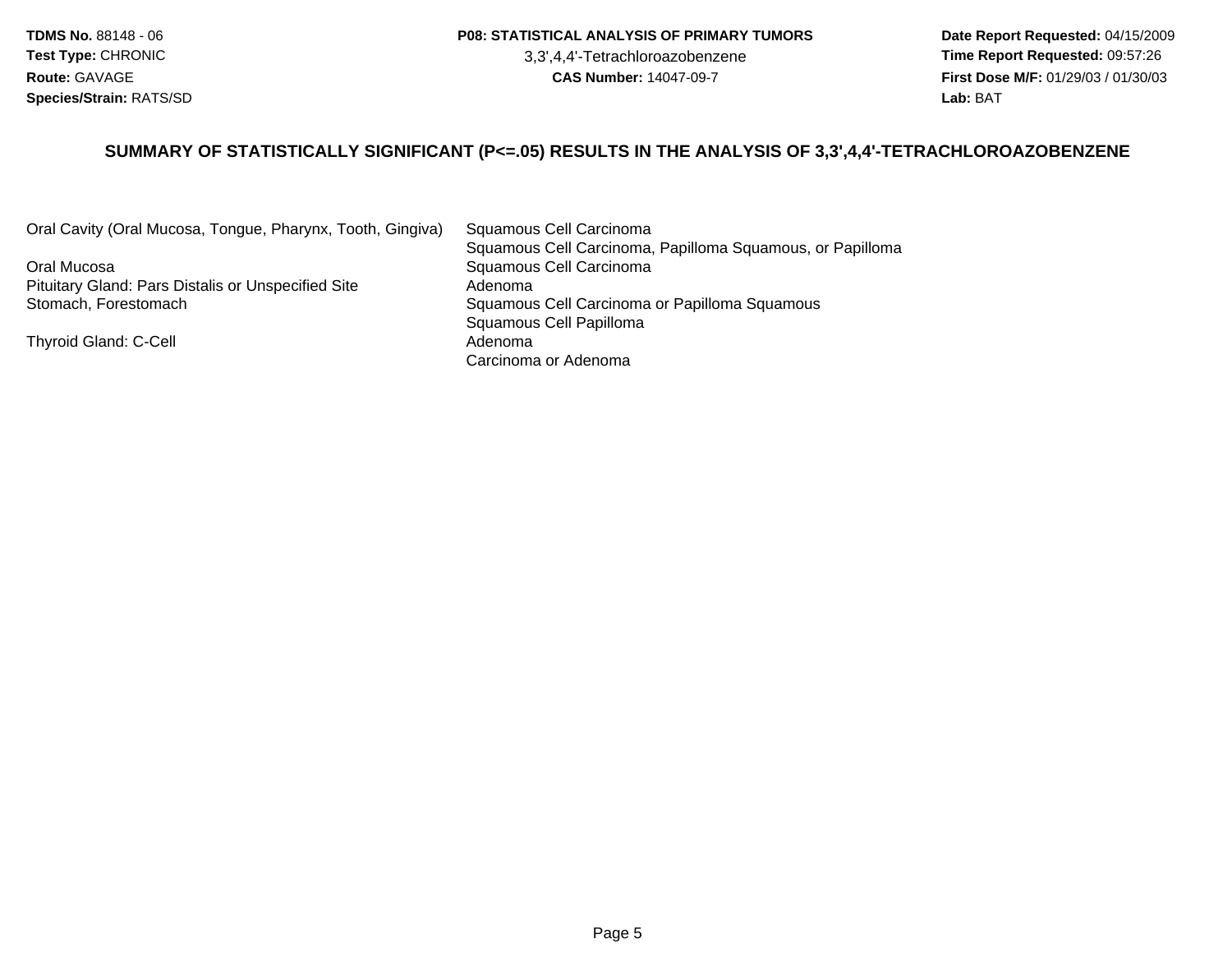#### **P08: STATISTICAL ANALYSIS OF PRIMARY TUMORS**

3,3',4,4'-Tetrachloroazobenzene

 **Date Report Requested:** 04/15/2009 **Time Report Requested:** 09:57:26 **First Dose M/F:** 01/29/03 / 01/30/03<br>Lab: BAT **Lab:** BAT

#### **SUMMARY OF STATISTICALLY SIGNIFICANT (P<=.05) RESULTS IN THE ANALYSIS OF 3,3',4,4'-TETRACHLOROAZOBENZENE**

Oral Cavity (Oral Mucosa, Tongue, Pharynx, Tooth, Gingiva)

Oral MucosaPituitary Gland: Pars Distalis or Unspecified SiteStomach, Forestomach

Thyroid Gland: C-Cell

 Squamous Cell Carcinoma Squamous Cell Carcinoma, Papilloma Squamous, or Papilloma Squamous Cell Carcinoma Adenoma Squamous Cell Carcinoma or Papilloma Squamous Squamous Cell Papilloma AdenomaCarcinoma or Adenoma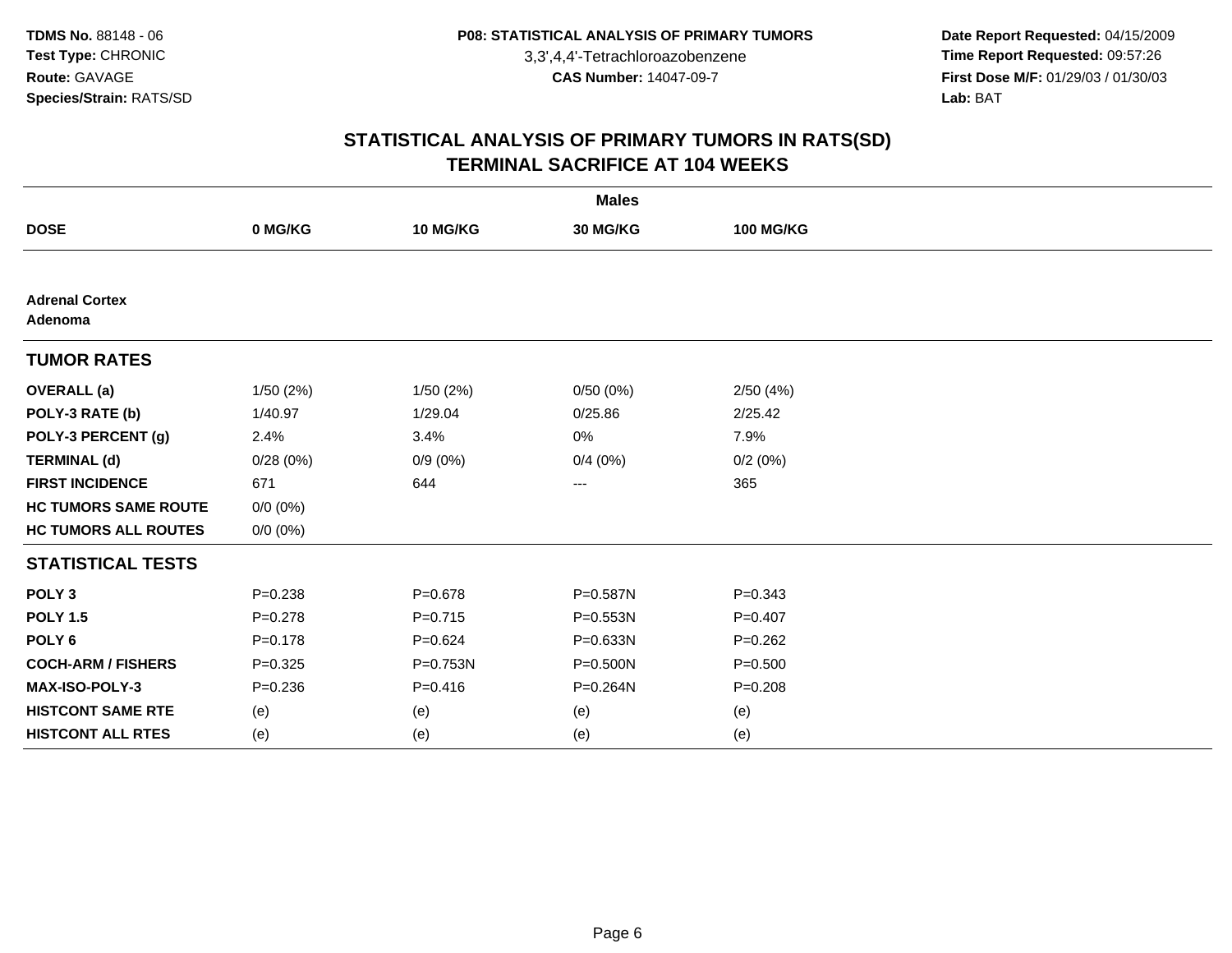**Date Report Requested:** 04/15/2009 **Time Report Requested:** 09:57:26 **First Dose M/F:** 01/29/03 / 01/30/03<br>Lab: BAT **Lab:** BAT

| <b>Males</b>                     |             |             |              |                  |  |
|----------------------------------|-------------|-------------|--------------|------------------|--|
| <b>DOSE</b>                      | 0 MG/KG     | 10 MG/KG    | 30 MG/KG     | <b>100 MG/KG</b> |  |
|                                  |             |             |              |                  |  |
| <b>Adrenal Cortex</b><br>Adenoma |             |             |              |                  |  |
| <b>TUMOR RATES</b>               |             |             |              |                  |  |
| <b>OVERALL</b> (a)               | 1/50(2%)    | 1/50 (2%)   | 0/50(0%)     | 2/50(4%)         |  |
| POLY-3 RATE (b)                  | 1/40.97     | 1/29.04     | 0/25.86      | 2/25.42          |  |
| POLY-3 PERCENT (g)               | 2.4%        | 3.4%        | 0%           | 7.9%             |  |
| <b>TERMINAL (d)</b>              | 0/28(0%)    | $0/9(0\%)$  | 0/4(0%)      | 0/2(0%)          |  |
| <b>FIRST INCIDENCE</b>           | 671         | 644         | ---          | 365              |  |
| <b>HC TUMORS SAME ROUTE</b>      | $0/0 (0\%)$ |             |              |                  |  |
| <b>HC TUMORS ALL ROUTES</b>      | $0/0 (0\%)$ |             |              |                  |  |
| <b>STATISTICAL TESTS</b>         |             |             |              |                  |  |
| POLY <sub>3</sub>                | $P = 0.238$ | $P = 0.678$ | P=0.587N     | $P = 0.343$      |  |
| <b>POLY 1.5</b>                  | $P=0.278$   | $P=0.715$   | $P = 0.553N$ | $P=0.407$        |  |
| POLY <sub>6</sub>                | $P = 0.178$ | $P=0.624$   | P=0.633N     | $P=0.262$        |  |
| <b>COCH-ARM / FISHERS</b>        | $P = 0.325$ | P=0.753N    | $P = 0.500N$ | $P = 0.500$      |  |
| MAX-ISO-POLY-3                   | $P = 0.236$ | $P=0.416$   | P=0.264N     | $P = 0.208$      |  |
| <b>HISTCONT SAME RTE</b>         | (e)         | (e)         | (e)          | (e)              |  |
| <b>HISTCONT ALL RTES</b>         | (e)         | (e)         | (e)          | (e)              |  |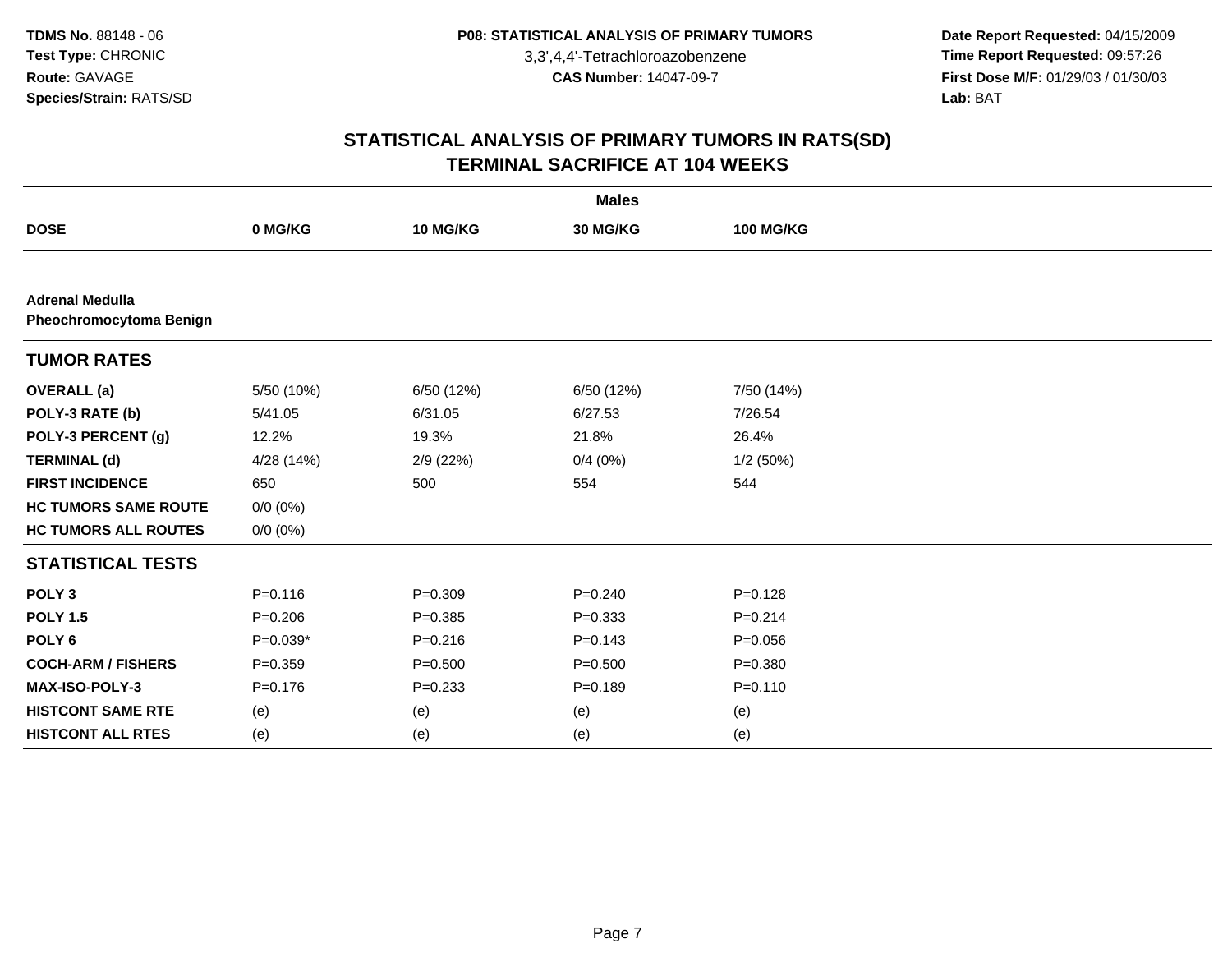**Date Report Requested:** 04/15/2009 **Time Report Requested:** 09:57:26 **First Dose M/F:** 01/29/03 / 01/30/03<br>Lab: BAT **Lab:** BAT

| <b>Males</b>                                      |             |             |             |                  |  |
|---------------------------------------------------|-------------|-------------|-------------|------------------|--|
| <b>DOSE</b>                                       | 0 MG/KG     | 10 MG/KG    | 30 MG/KG    | <b>100 MG/KG</b> |  |
|                                                   |             |             |             |                  |  |
| <b>Adrenal Medulla</b><br>Pheochromocytoma Benign |             |             |             |                  |  |
| <b>TUMOR RATES</b>                                |             |             |             |                  |  |
| <b>OVERALL</b> (a)                                | 5/50 (10%)  | 6/50 (12%)  | 6/50(12%)   | 7/50 (14%)       |  |
| POLY-3 RATE (b)                                   | 5/41.05     | 6/31.05     | 6/27.53     | 7/26.54          |  |
| POLY-3 PERCENT (g)                                | 12.2%       | 19.3%       | 21.8%       | 26.4%            |  |
| <b>TERMINAL (d)</b>                               | 4/28 (14%)  | 2/9 (22%)   | 0/4(0%)     | 1/2(50%)         |  |
| <b>FIRST INCIDENCE</b>                            | 650         | 500         | 554         | 544              |  |
| <b>HC TUMORS SAME ROUTE</b>                       | $0/0 (0\%)$ |             |             |                  |  |
| <b>HC TUMORS ALL ROUTES</b>                       | $0/0 (0\%)$ |             |             |                  |  |
| <b>STATISTICAL TESTS</b>                          |             |             |             |                  |  |
| POLY <sub>3</sub>                                 | $P = 0.116$ | $P = 0.309$ | $P = 0.240$ | $P = 0.128$      |  |
| <b>POLY 1.5</b>                                   | $P = 0.206$ | $P = 0.385$ | $P = 0.333$ | $P=0.214$        |  |
| POLY <sub>6</sub>                                 | $P=0.039*$  | $P = 0.216$ | $P = 0.143$ | $P = 0.056$      |  |
| <b>COCH-ARM / FISHERS</b>                         | $P = 0.359$ | $P = 0.500$ | $P = 0.500$ | $P = 0.380$      |  |
| MAX-ISO-POLY-3                                    | $P = 0.176$ | $P = 0.233$ | $P = 0.189$ | $P = 0.110$      |  |
| <b>HISTCONT SAME RTE</b>                          | (e)         | (e)         | (e)         | (e)              |  |
| <b>HISTCONT ALL RTES</b>                          | (e)         | (e)         | (e)         | (e)              |  |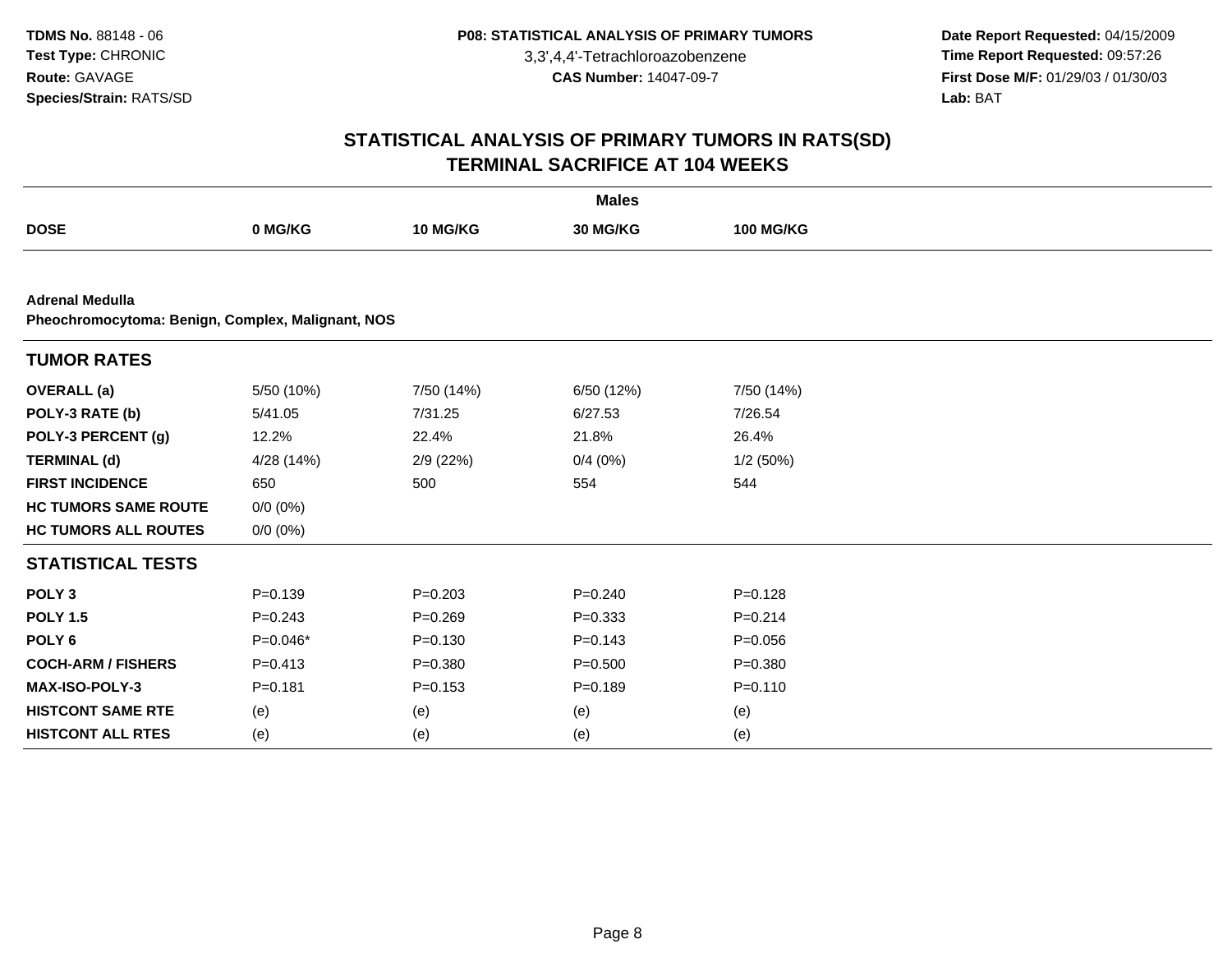**Date Report Requested:** 04/15/2009 **Time Report Requested:** 09:57:26 **First Dose M/F:** 01/29/03 / 01/30/03<br>Lab: BAT **Lab:** BAT

|                                                                             |             |             | <b>Males</b> |                  |  |
|-----------------------------------------------------------------------------|-------------|-------------|--------------|------------------|--|
| <b>DOSE</b>                                                                 | 0 MG/KG     | 10 MG/KG    | 30 MG/KG     | <b>100 MG/KG</b> |  |
|                                                                             |             |             |              |                  |  |
| <b>Adrenal Medulla</b><br>Pheochromocytoma: Benign, Complex, Malignant, NOS |             |             |              |                  |  |
| <b>TUMOR RATES</b>                                                          |             |             |              |                  |  |
| <b>OVERALL</b> (a)                                                          | 5/50 (10%)  | 7/50 (14%)  | 6/50 (12%)   | 7/50 (14%)       |  |
| POLY-3 RATE (b)                                                             | 5/41.05     | 7/31.25     | 6/27.53      | 7/26.54          |  |
| POLY-3 PERCENT (g)                                                          | 12.2%       | 22.4%       | 21.8%        | 26.4%            |  |
| <b>TERMINAL (d)</b>                                                         | 4/28 (14%)  | 2/9(22%)    | 0/4(0%)      | 1/2(50%)         |  |
| <b>FIRST INCIDENCE</b>                                                      | 650         | 500         | 554          | 544              |  |
| <b>HC TUMORS SAME ROUTE</b>                                                 | $0/0 (0\%)$ |             |              |                  |  |
| <b>HC TUMORS ALL ROUTES</b>                                                 | $0/0 (0\%)$ |             |              |                  |  |
| <b>STATISTICAL TESTS</b>                                                    |             |             |              |                  |  |
| POLY <sub>3</sub>                                                           | $P = 0.139$ | $P = 0.203$ | $P=0.240$    | $P=0.128$        |  |
| <b>POLY 1.5</b>                                                             | $P = 0.243$ | $P = 0.269$ | $P = 0.333$  | $P = 0.214$      |  |
| POLY <sub>6</sub>                                                           | $P=0.046*$  | $P = 0.130$ | $P=0.143$    | $P = 0.056$      |  |
| <b>COCH-ARM / FISHERS</b>                                                   | $P = 0.413$ | $P = 0.380$ | $P = 0.500$  | $P = 0.380$      |  |
| <b>MAX-ISO-POLY-3</b>                                                       | $P = 0.181$ | $P = 0.153$ | $P=0.189$    | $P = 0.110$      |  |
| <b>HISTCONT SAME RTE</b>                                                    | (e)         | (e)         | (e)          | (e)              |  |
| <b>HISTCONT ALL RTES</b>                                                    | (e)         | (e)         | (e)          | (e)              |  |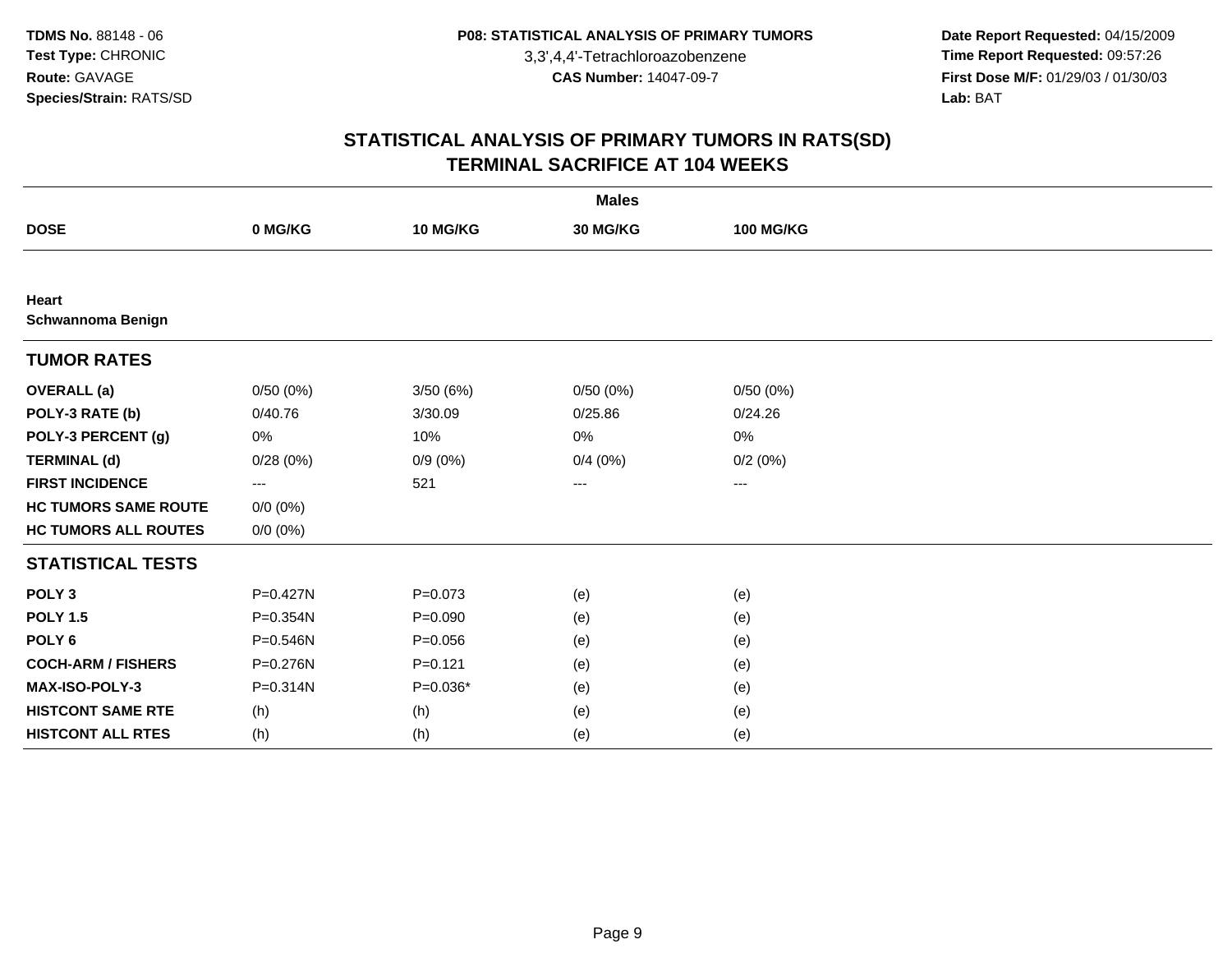**Date Report Requested:** 04/15/2009 **Time Report Requested:** 09:57:26 **First Dose M/F:** 01/29/03 / 01/30/03<br>Lab: BAT **Lab:** BAT

| <b>Males</b>                      |              |             |                   |                   |  |
|-----------------------------------|--------------|-------------|-------------------|-------------------|--|
| <b>DOSE</b>                       | 0 MG/KG      | 10 MG/KG    | 30 MG/KG          | <b>100 MG/KG</b>  |  |
|                                   |              |             |                   |                   |  |
| Heart<br><b>Schwannoma Benign</b> |              |             |                   |                   |  |
| <b>TUMOR RATES</b>                |              |             |                   |                   |  |
| <b>OVERALL</b> (a)                | 0/50(0%)     | 3/50(6%)    | 0/50(0%)          | 0/50(0%)          |  |
| POLY-3 RATE (b)                   | 0/40.76      | 3/30.09     | 0/25.86           | 0/24.26           |  |
| POLY-3 PERCENT (g)                | 0%           | 10%         | 0%                | 0%                |  |
| <b>TERMINAL (d)</b>               | 0/28(0%)     | $0/9(0\%)$  | 0/4(0%)           | 0/2(0%)           |  |
| <b>FIRST INCIDENCE</b>            | $\cdots$     | 521         | $\qquad \qquad -$ | $\qquad \qquad -$ |  |
| <b>HC TUMORS SAME ROUTE</b>       | $0/0 (0\%)$  |             |                   |                   |  |
| <b>HC TUMORS ALL ROUTES</b>       | $0/0 (0\%)$  |             |                   |                   |  |
| <b>STATISTICAL TESTS</b>          |              |             |                   |                   |  |
| POLY <sub>3</sub>                 | $P = 0.427N$ | $P = 0.073$ | (e)               | (e)               |  |
| <b>POLY 1.5</b>                   | P=0.354N     | $P = 0.090$ | (e)               | (e)               |  |
| POLY <sub>6</sub>                 | P=0.546N     | $P = 0.056$ | (e)               | (e)               |  |
| <b>COCH-ARM / FISHERS</b>         | P=0.276N     | $P = 0.121$ | (e)               | (e)               |  |
| <b>MAX-ISO-POLY-3</b>             | P=0.314N     | $P=0.036*$  | (e)               | (e)               |  |
| <b>HISTCONT SAME RTE</b>          | (h)          | (h)         | (e)               | (e)               |  |
| <b>HISTCONT ALL RTES</b>          | (h)          | (h)         | (e)               | (e)               |  |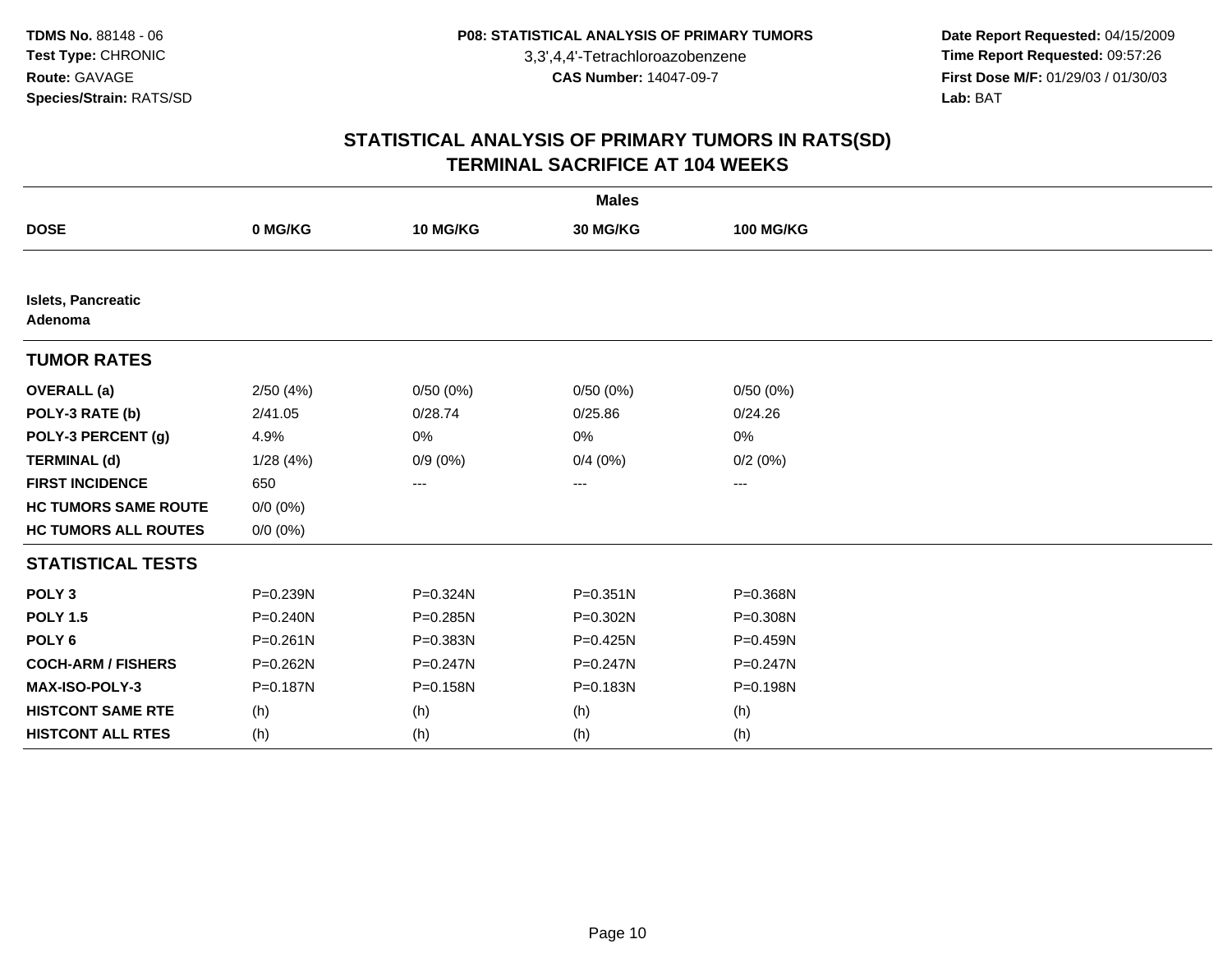**Date Report Requested:** 04/15/2009 **Time Report Requested:** 09:57:26 **First Dose M/F:** 01/29/03 / 01/30/03<br>Lab: BAT **Lab:** BAT

| <b>Males</b>                         |              |            |              |                  |  |
|--------------------------------------|--------------|------------|--------------|------------------|--|
| <b>DOSE</b>                          | 0 MG/KG      | 10 MG/KG   | 30 MG/KG     | <b>100 MG/KG</b> |  |
|                                      |              |            |              |                  |  |
| <b>Islets, Pancreatic</b><br>Adenoma |              |            |              |                  |  |
| <b>TUMOR RATES</b>                   |              |            |              |                  |  |
| <b>OVERALL</b> (a)                   | 2/50(4%)     | 0/50(0%)   | 0/50(0%)     | 0/50(0%)         |  |
| POLY-3 RATE (b)                      | 2/41.05      | 0/28.74    | 0/25.86      | 0/24.26          |  |
| POLY-3 PERCENT (g)                   | 4.9%         | 0%         | 0%           | 0%               |  |
| <b>TERMINAL (d)</b>                  | 1/28(4%)     | $0/9(0\%)$ | 0/4(0%)      | 0/2(0%)          |  |
| <b>FIRST INCIDENCE</b>               | 650          | $---$      | ---          | ---              |  |
| <b>HC TUMORS SAME ROUTE</b>          | $0/0 (0\%)$  |            |              |                  |  |
| <b>HC TUMORS ALL ROUTES</b>          | $0/0 (0\%)$  |            |              |                  |  |
| <b>STATISTICAL TESTS</b>             |              |            |              |                  |  |
| POLY <sub>3</sub>                    | P=0.239N     | P=0.324N   | $P = 0.351N$ | P=0.368N         |  |
| <b>POLY 1.5</b>                      | $P = 0.240N$ | P=0.285N   | P=0.302N     | P=0.308N         |  |
| POLY <sub>6</sub>                    | $P = 0.261N$ | P=0.383N   | $P = 0.425N$ | P=0.459N         |  |
| <b>COCH-ARM / FISHERS</b>            | $P = 0.262N$ | P=0.247N   | $P = 0.247N$ | $P = 0.247N$     |  |
| MAX-ISO-POLY-3                       | P=0.187N     | P=0.158N   | $P = 0.183N$ | P=0.198N         |  |
| <b>HISTCONT SAME RTE</b>             | (h)          | (h)        | (h)          | (h)              |  |
| <b>HISTCONT ALL RTES</b>             | (h)          | (h)        | (h)          | (h)              |  |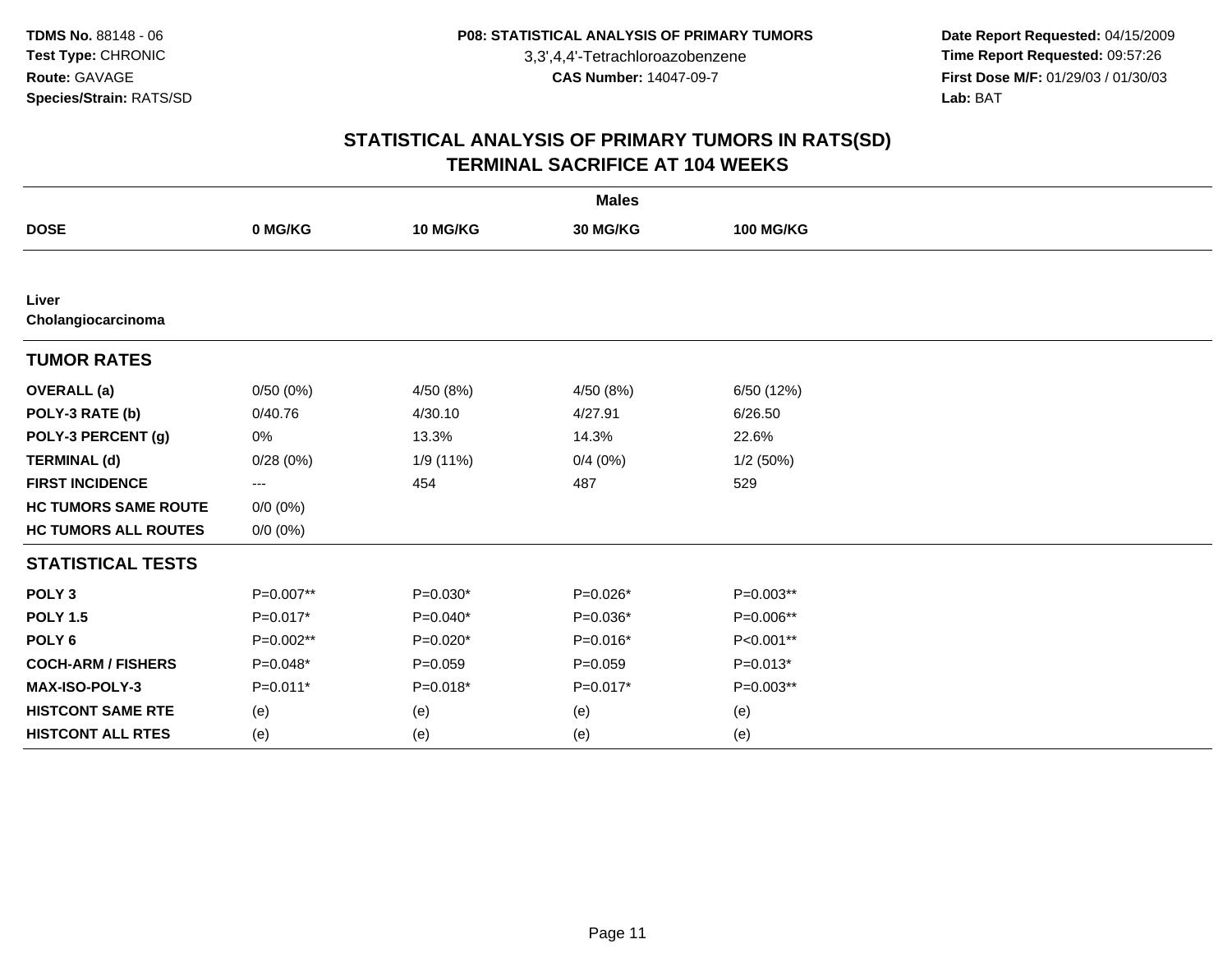**Date Report Requested:** 04/15/2009 **Time Report Requested:** 09:57:26 **First Dose M/F:** 01/29/03 / 01/30/03<br>Lab: BAT **Lab:** BAT

| <b>Males</b>                |                          |             |            |                  |  |
|-----------------------------|--------------------------|-------------|------------|------------------|--|
| <b>DOSE</b>                 | 0 MG/KG                  | 10 MG/KG    | 30 MG/KG   | <b>100 MG/KG</b> |  |
|                             |                          |             |            |                  |  |
| Liver<br>Cholangiocarcinoma |                          |             |            |                  |  |
| <b>TUMOR RATES</b>          |                          |             |            |                  |  |
| <b>OVERALL</b> (a)          | 0/50(0%)                 | 4/50 (8%)   | 4/50 (8%)  | 6/50 (12%)       |  |
| POLY-3 RATE (b)             | 0/40.76                  | 4/30.10     | 4/27.91    | 6/26.50          |  |
| POLY-3 PERCENT (g)          | 0%                       | 13.3%       | 14.3%      | 22.6%            |  |
| <b>TERMINAL (d)</b>         | 0/28(0%)                 | 1/9(11%)    | 0/4(0%)    | 1/2(50%)         |  |
| <b>FIRST INCIDENCE</b>      | $\hspace{0.05cm} \ldots$ | 454         | 487        | 529              |  |
| <b>HC TUMORS SAME ROUTE</b> | $0/0 (0\%)$              |             |            |                  |  |
| <b>HC TUMORS ALL ROUTES</b> | $0/0 (0\%)$              |             |            |                  |  |
| <b>STATISTICAL TESTS</b>    |                          |             |            |                  |  |
| POLY <sub>3</sub>           | P=0.007**                | $P=0.030*$  | $P=0.026*$ | $P=0.003**$      |  |
| <b>POLY 1.5</b>             | $P=0.017*$               | $P=0.040*$  | $P=0.036*$ | P=0.006**        |  |
| POLY <sub>6</sub>           | P=0.002**                | $P=0.020*$  | $P=0.016*$ | P<0.001**        |  |
| <b>COCH-ARM / FISHERS</b>   | $P=0.048*$               | $P = 0.059$ | $P=0.059$  | $P=0.013*$       |  |
| MAX-ISO-POLY-3              | $P=0.011*$               | $P=0.018*$  | $P=0.017*$ | $P=0.003**$      |  |
| <b>HISTCONT SAME RTE</b>    | (e)                      | (e)         | (e)        | (e)              |  |
| <b>HISTCONT ALL RTES</b>    | (e)                      | (e)         | (e)        | (e)              |  |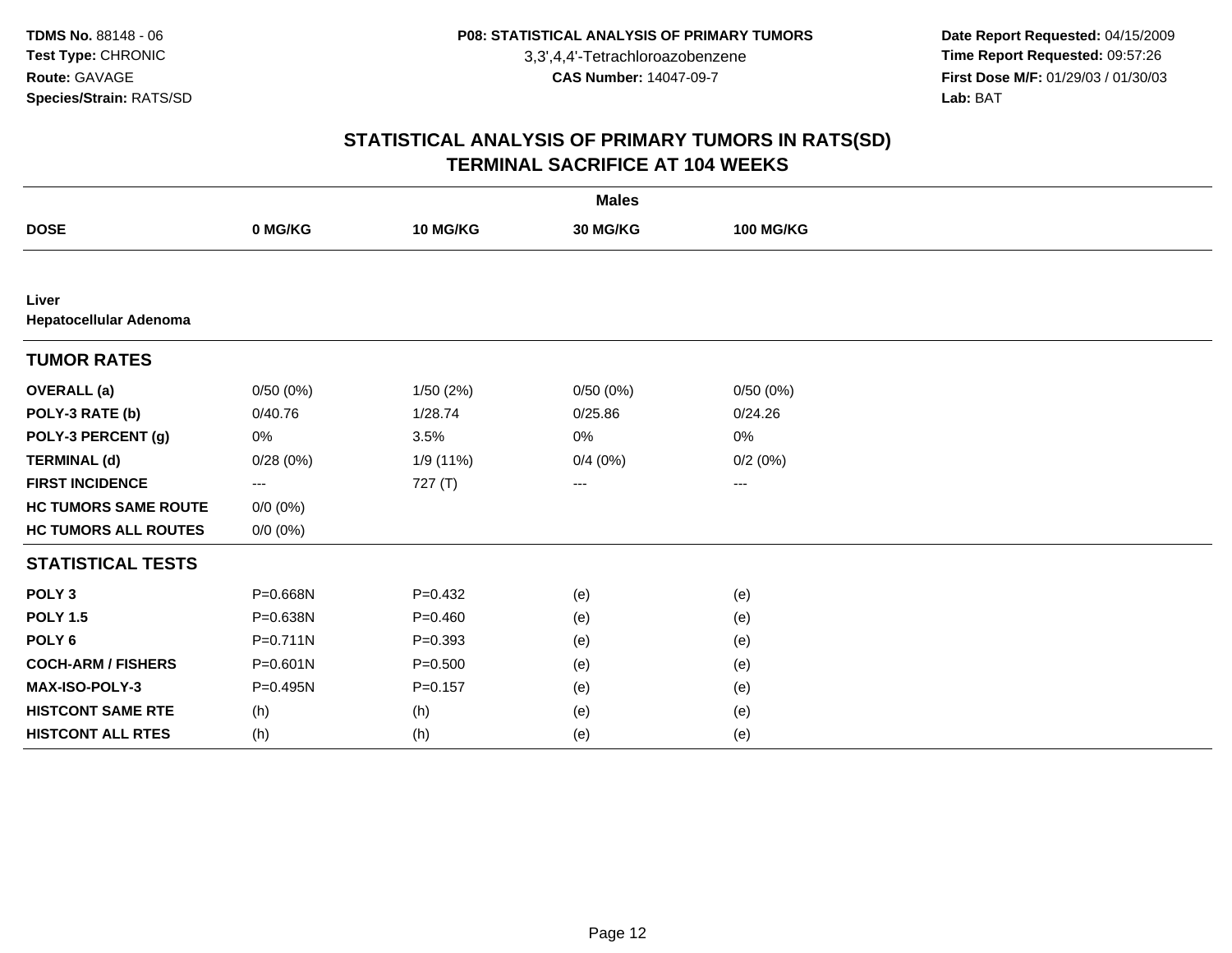**Date Report Requested:** 04/15/2009 **Time Report Requested:** 09:57:26 **First Dose M/F:** 01/29/03 / 01/30/03<br>Lab: BAT **Lab:** BAT

| <b>Males</b>                    |              |             |          |                  |  |
|---------------------------------|--------------|-------------|----------|------------------|--|
| <b>DOSE</b>                     | 0 MG/KG      | 10 MG/KG    | 30 MG/KG | <b>100 MG/KG</b> |  |
|                                 |              |             |          |                  |  |
| Liver<br>Hepatocellular Adenoma |              |             |          |                  |  |
| <b>TUMOR RATES</b>              |              |             |          |                  |  |
| <b>OVERALL (a)</b>              | 0/50(0%)     | 1/50(2%)    | 0/50(0%) | 0/50(0%)         |  |
| POLY-3 RATE (b)                 | 0/40.76      | 1/28.74     | 0/25.86  | 0/24.26          |  |
| POLY-3 PERCENT (g)              | 0%           | 3.5%        | 0%       | 0%               |  |
| <b>TERMINAL (d)</b>             | 0/28(0%)     | 1/9 (11%)   | 0/4(0%)  | 0/2(0%)          |  |
| <b>FIRST INCIDENCE</b>          | ---          | 727 (T)     | ---      | ---              |  |
| <b>HC TUMORS SAME ROUTE</b>     | $0/0 (0\%)$  |             |          |                  |  |
| <b>HC TUMORS ALL ROUTES</b>     | $0/0 (0\%)$  |             |          |                  |  |
| <b>STATISTICAL TESTS</b>        |              |             |          |                  |  |
| POLY <sub>3</sub>               | P=0.668N     | $P=0.432$   | (e)      | (e)              |  |
| <b>POLY 1.5</b>                 | P=0.638N     | $P = 0.460$ | (e)      | (e)              |  |
| POLY <sub>6</sub>               | $P = 0.711N$ | $P = 0.393$ | (e)      | (e)              |  |
| <b>COCH-ARM / FISHERS</b>       | $P = 0.601N$ | $P = 0.500$ | (e)      | (e)              |  |
| <b>MAX-ISO-POLY-3</b>           | P=0.495N     | $P=0.157$   | (e)      | (e)              |  |
| <b>HISTCONT SAME RTE</b>        | (h)          | (h)         | (e)      | (e)              |  |
| <b>HISTCONT ALL RTES</b>        | (h)          | (h)         | (e)      | (e)              |  |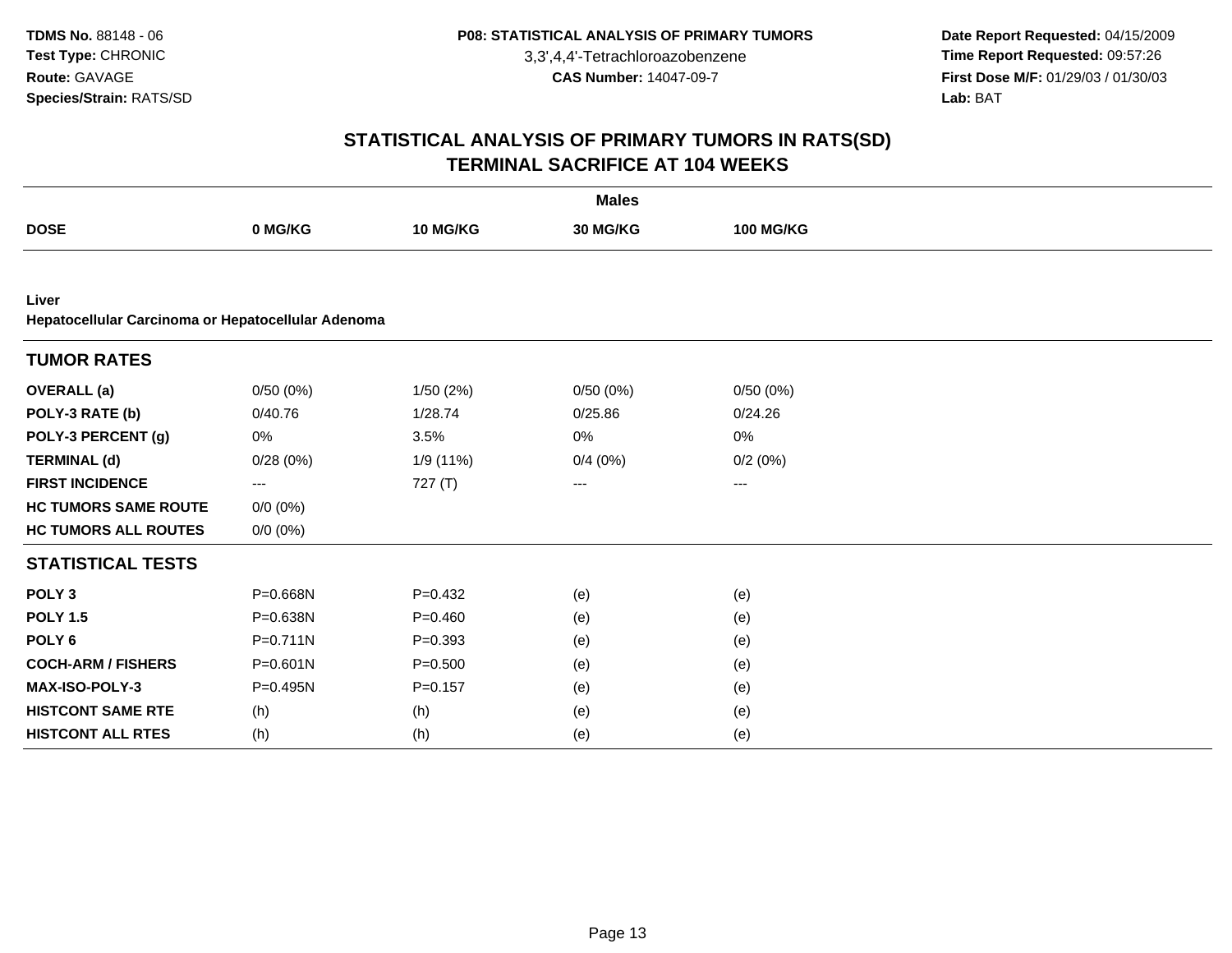**Date Report Requested:** 04/15/2009 **Time Report Requested:** 09:57:26 **First Dose M/F:** 01/29/03 / 01/30/03<br>Lab: BAT **Lab:** BAT

| <b>Males</b>                                                |              |             |          |                  |  |
|-------------------------------------------------------------|--------------|-------------|----------|------------------|--|
| <b>DOSE</b>                                                 | 0 MG/KG      | 10 MG/KG    | 30 MG/KG | <b>100 MG/KG</b> |  |
|                                                             |              |             |          |                  |  |
| Liver<br>Hepatocellular Carcinoma or Hepatocellular Adenoma |              |             |          |                  |  |
| <b>TUMOR RATES</b>                                          |              |             |          |                  |  |
| <b>OVERALL</b> (a)                                          | 0/50(0%)     | 1/50(2%)    | 0/50(0%) | 0/50(0%)         |  |
| POLY-3 RATE (b)                                             | 0/40.76      | 1/28.74     | 0/25.86  | 0/24.26          |  |
| POLY-3 PERCENT (g)                                          | 0%           | 3.5%        | 0%       | 0%               |  |
| <b>TERMINAL (d)</b>                                         | 0/28(0%)     | 1/9 (11%)   | 0/4(0%)  | 0/2(0%)          |  |
| <b>FIRST INCIDENCE</b>                                      | ---          | 727(T)      | ---      | ---              |  |
| <b>HC TUMORS SAME ROUTE</b>                                 | $0/0 (0\%)$  |             |          |                  |  |
| <b>HC TUMORS ALL ROUTES</b>                                 | $0/0 (0\%)$  |             |          |                  |  |
| <b>STATISTICAL TESTS</b>                                    |              |             |          |                  |  |
| POLY <sub>3</sub>                                           | P=0.668N     | $P=0.432$   | (e)      | (e)              |  |
| <b>POLY 1.5</b>                                             | P=0.638N     | $P=0.460$   | (e)      | (e)              |  |
| POLY <sub>6</sub>                                           | $P = 0.711N$ | $P = 0.393$ | (e)      | (e)              |  |
| <b>COCH-ARM / FISHERS</b>                                   | $P = 0.601N$ | $P = 0.500$ | (e)      | (e)              |  |
| <b>MAX-ISO-POLY-3</b>                                       | P=0.495N     | $P = 0.157$ | (e)      | (e)              |  |
| <b>HISTCONT SAME RTE</b>                                    | (h)          | (h)         | (e)      | (e)              |  |
| <b>HISTCONT ALL RTES</b>                                    | (h)          | (h)         | (e)      | (e)              |  |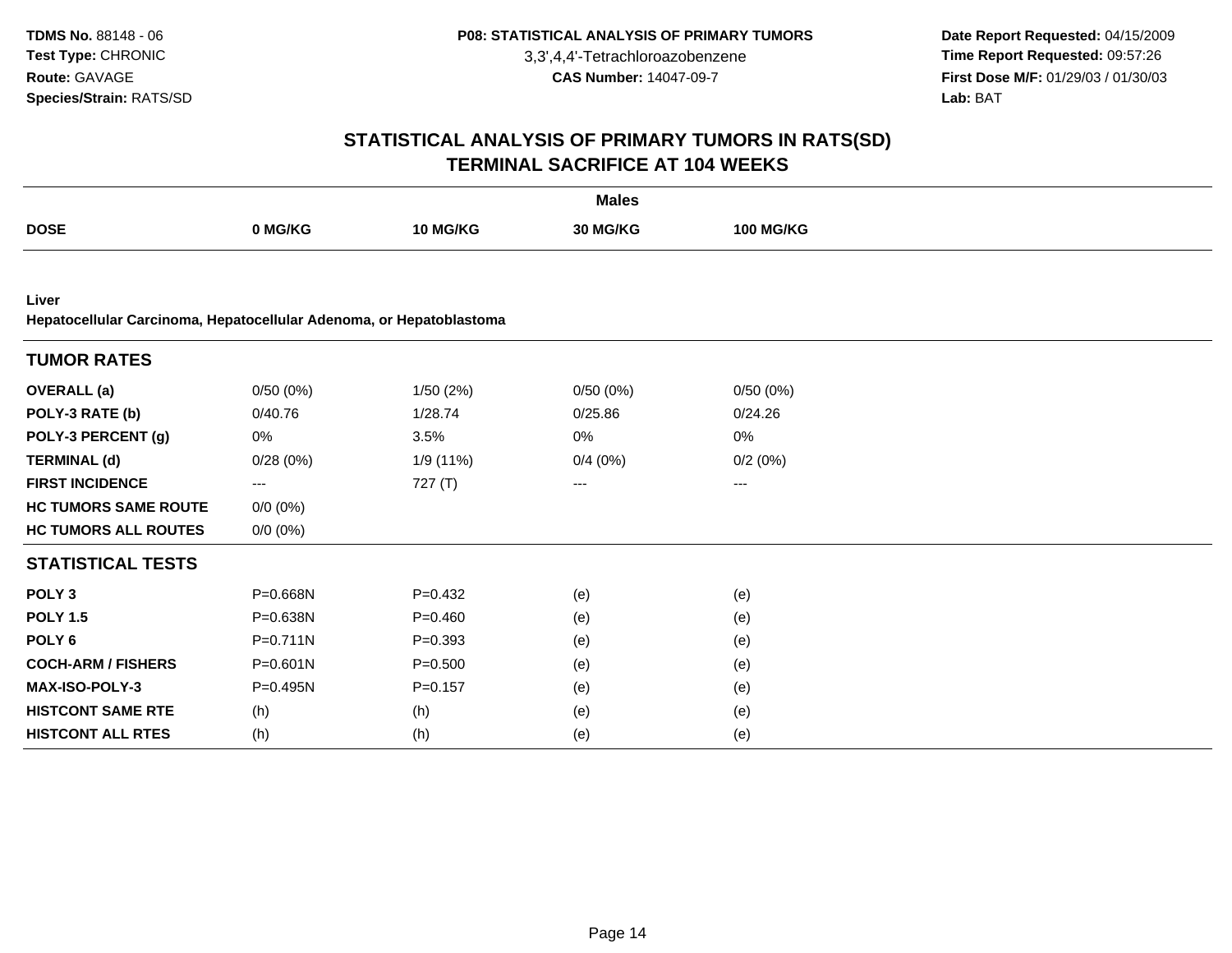**Date Report Requested:** 04/15/2009 **Time Report Requested:** 09:57:26 **First Dose M/F:** 01/29/03 / 01/30/03<br>Lab: BAT **Lab:** BAT

| <b>Males</b>                                                        |              |             |          |                  |  |
|---------------------------------------------------------------------|--------------|-------------|----------|------------------|--|
| <b>DOSE</b>                                                         | 0 MG/KG      | 10 MG/KG    | 30 MG/KG | <b>100 MG/KG</b> |  |
|                                                                     |              |             |          |                  |  |
| Liver                                                               |              |             |          |                  |  |
| Hepatocellular Carcinoma, Hepatocellular Adenoma, or Hepatoblastoma |              |             |          |                  |  |
| <b>TUMOR RATES</b>                                                  |              |             |          |                  |  |
| <b>OVERALL</b> (a)                                                  | 0/50(0%)     | 1/50(2%)    | 0/50(0%) | 0/50(0%)         |  |
| POLY-3 RATE (b)                                                     | 0/40.76      | 1/28.74     | 0/25.86  | 0/24.26          |  |
| POLY-3 PERCENT (g)                                                  | 0%           | 3.5%        | 0%       | 0%               |  |
| <b>TERMINAL (d)</b>                                                 | 0/28(0%)     | 1/9 (11%)   | 0/4(0%)  | 0/2(0%)          |  |
| <b>FIRST INCIDENCE</b>                                              | ---          | 727(T)      | ---      | ---              |  |
| <b>HC TUMORS SAME ROUTE</b>                                         | $0/0 (0\%)$  |             |          |                  |  |
| <b>HC TUMORS ALL ROUTES</b>                                         | $0/0 (0\%)$  |             |          |                  |  |
| <b>STATISTICAL TESTS</b>                                            |              |             |          |                  |  |
| POLY <sub>3</sub>                                                   | P=0.668N     | $P=0.432$   | (e)      | (e)              |  |
| <b>POLY 1.5</b>                                                     | P=0.638N     | $P = 0.460$ | (e)      | (e)              |  |
| POLY <sub>6</sub>                                                   | $P = 0.711N$ | $P = 0.393$ | (e)      | (e)              |  |
| <b>COCH-ARM / FISHERS</b>                                           | $P = 0.601N$ | $P = 0.500$ | (e)      | (e)              |  |
| <b>MAX-ISO-POLY-3</b>                                               | P=0.495N     | $P = 0.157$ | (e)      | (e)              |  |
| <b>HISTCONT SAME RTE</b>                                            | (h)          | (h)         | (e)      | (e)              |  |
| <b>HISTCONT ALL RTES</b>                                            | (h)          | (h)         | (e)      | (e)              |  |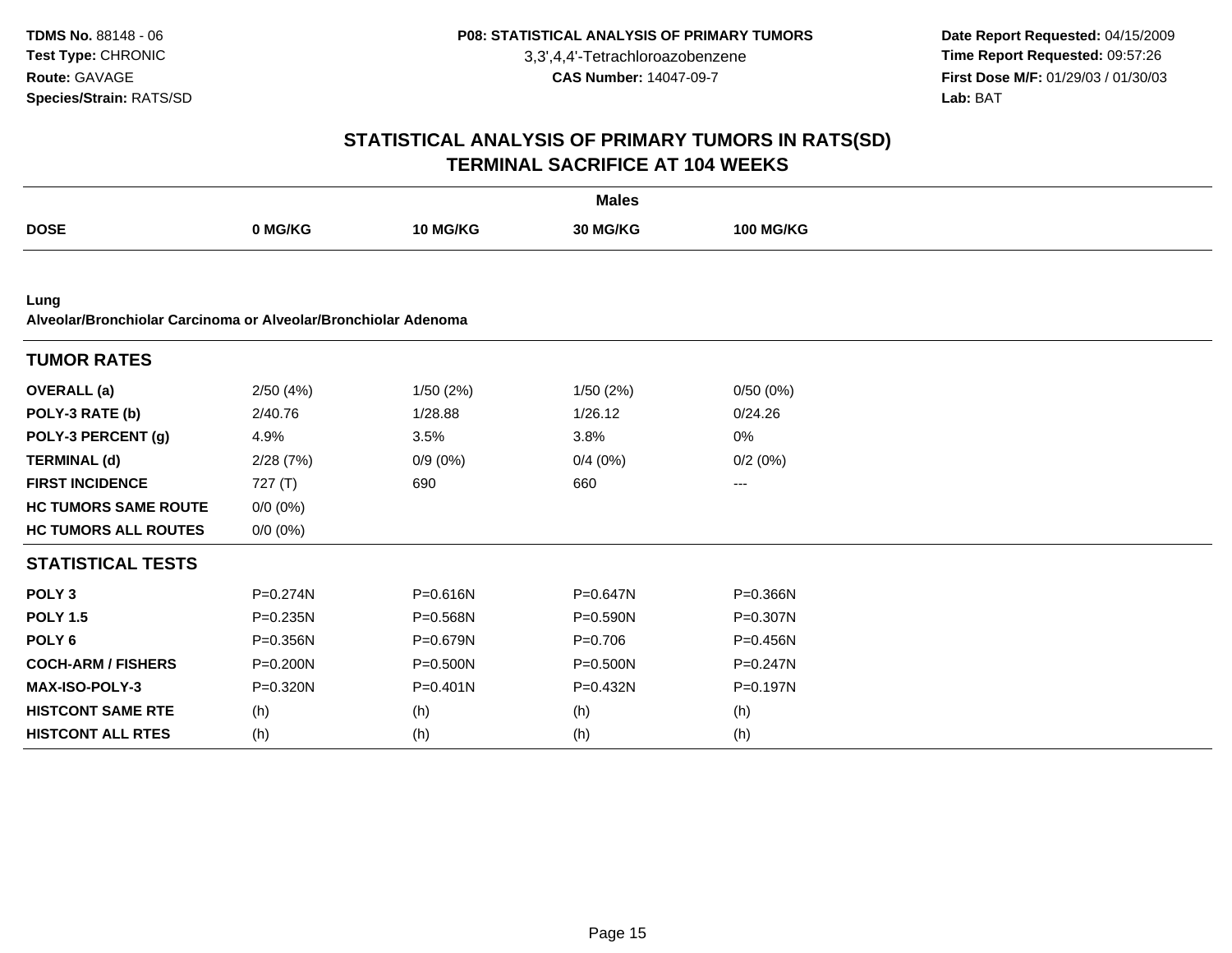**Date Report Requested:** 04/15/2009 **Time Report Requested:** 09:57:26 **First Dose M/F:** 01/29/03 / 01/30/03<br>Lab: BAT **Lab:** BAT

| <b>Males</b>                                                           |              |              |              |                  |  |
|------------------------------------------------------------------------|--------------|--------------|--------------|------------------|--|
| <b>DOSE</b>                                                            | 0 MG/KG      | 10 MG/KG     | 30 MG/KG     | <b>100 MG/KG</b> |  |
|                                                                        |              |              |              |                  |  |
| Lung<br>Alveolar/Bronchiolar Carcinoma or Alveolar/Bronchiolar Adenoma |              |              |              |                  |  |
| <b>TUMOR RATES</b>                                                     |              |              |              |                  |  |
| <b>OVERALL</b> (a)                                                     | 2/50(4%)     | 1/50(2%)     | 1/50 (2%)    | 0/50(0%)         |  |
| POLY-3 RATE (b)                                                        | 2/40.76      | 1/28.88      | 1/26.12      | 0/24.26          |  |
| POLY-3 PERCENT (g)                                                     | 4.9%         | 3.5%         | 3.8%         | 0%               |  |
| <b>TERMINAL (d)</b>                                                    | 2/28(7%)     | $0/9(0\%)$   | 0/4(0%)      | 0/2(0%)          |  |
| <b>FIRST INCIDENCE</b>                                                 | 727(T)       | 690          | 660          | ---              |  |
| <b>HC TUMORS SAME ROUTE</b>                                            | $0/0$ $(0%)$ |              |              |                  |  |
| <b>HC TUMORS ALL ROUTES</b>                                            | $0/0 (0\%)$  |              |              |                  |  |
| <b>STATISTICAL TESTS</b>                                               |              |              |              |                  |  |
| POLY <sub>3</sub>                                                      | $P = 0.274N$ | $P = 0.616N$ | $P = 0.647N$ | $P = 0.366N$     |  |
| <b>POLY 1.5</b>                                                        | P=0.235N     | P=0.568N     | P=0.590N     | P=0.307N         |  |
| POLY <sub>6</sub>                                                      | P=0.356N     | P=0.679N     | $P=0.706$    | P=0.456N         |  |
| <b>COCH-ARM / FISHERS</b>                                              | P=0.200N     | $P = 0.500N$ | P=0.500N     | $P = 0.247N$     |  |
| MAX-ISO-POLY-3                                                         | P=0.320N     | $P = 0.401N$ | P=0.432N     | P=0.197N         |  |
| <b>HISTCONT SAME RTE</b>                                               | (h)          | (h)          | (h)          | (h)              |  |
| <b>HISTCONT ALL RTES</b>                                               | (h)          | (h)          | (h)          | (h)              |  |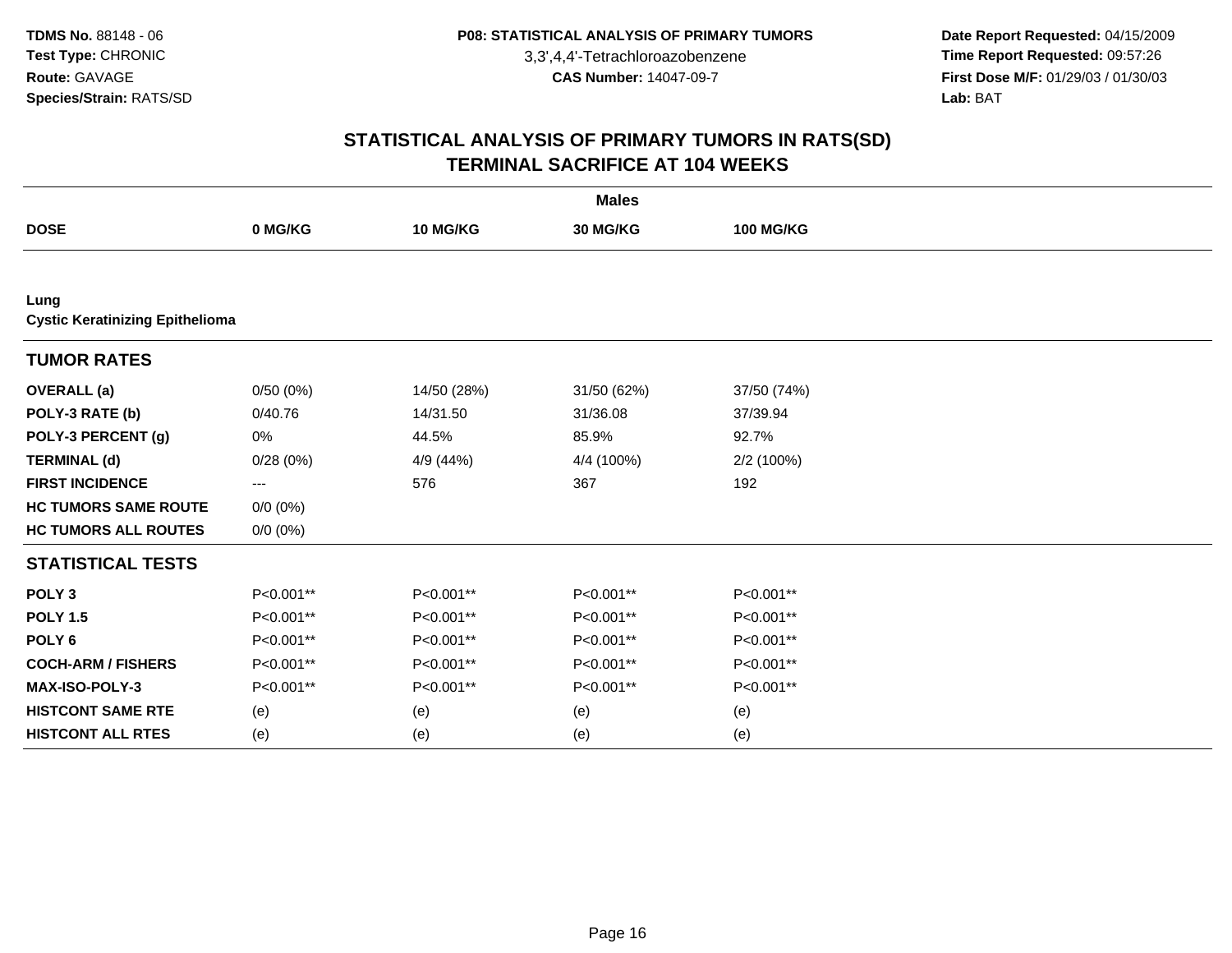**Date Report Requested:** 04/15/2009 **Time Report Requested:** 09:57:26 **First Dose M/F:** 01/29/03 / 01/30/03<br>Lab: BAT **Lab:** BAT

| <b>Males</b>                                   |             |             |             |                  |  |  |  |
|------------------------------------------------|-------------|-------------|-------------|------------------|--|--|--|
| <b>DOSE</b>                                    | 0 MG/KG     | 10 MG/KG    | 30 MG/KG    | <b>100 MG/KG</b> |  |  |  |
|                                                |             |             |             |                  |  |  |  |
| Lung<br><b>Cystic Keratinizing Epithelioma</b> |             |             |             |                  |  |  |  |
| <b>TUMOR RATES</b>                             |             |             |             |                  |  |  |  |
| <b>OVERALL</b> (a)                             | 0/50(0%)    | 14/50 (28%) | 31/50 (62%) | 37/50 (74%)      |  |  |  |
| POLY-3 RATE (b)                                | 0/40.76     | 14/31.50    | 31/36.08    | 37/39.94         |  |  |  |
| POLY-3 PERCENT (g)                             | 0%          | 44.5%       | 85.9%       | 92.7%            |  |  |  |
| <b>TERMINAL (d)</b>                            | 0/28(0%)    | 4/9 (44%)   | 4/4 (100%)  | 2/2 (100%)       |  |  |  |
| <b>FIRST INCIDENCE</b>                         | $--$        | 576         | 367         | 192              |  |  |  |
| <b>HC TUMORS SAME ROUTE</b>                    | $0/0 (0\%)$ |             |             |                  |  |  |  |
| <b>HC TUMORS ALL ROUTES</b>                    | $0/0 (0\%)$ |             |             |                  |  |  |  |
| <b>STATISTICAL TESTS</b>                       |             |             |             |                  |  |  |  |
| POLY <sub>3</sub>                              | P<0.001**   | P<0.001**   | P<0.001**   | P<0.001**        |  |  |  |
| <b>POLY 1.5</b>                                | P<0.001**   | P<0.001**   | P<0.001**   | P<0.001**        |  |  |  |
| POLY <sub>6</sub>                              | P<0.001**   | P<0.001**   | P<0.001**   | P<0.001**        |  |  |  |
| <b>COCH-ARM / FISHERS</b>                      | P<0.001**   | P<0.001**   | P<0.001**   | P<0.001**        |  |  |  |
| MAX-ISO-POLY-3                                 | P<0.001**   | P<0.001**   | P<0.001**   | P<0.001**        |  |  |  |
| <b>HISTCONT SAME RTE</b>                       | (e)         | (e)         | (e)         | (e)              |  |  |  |
| <b>HISTCONT ALL RTES</b>                       | (e)         | (e)         | (e)         | (e)              |  |  |  |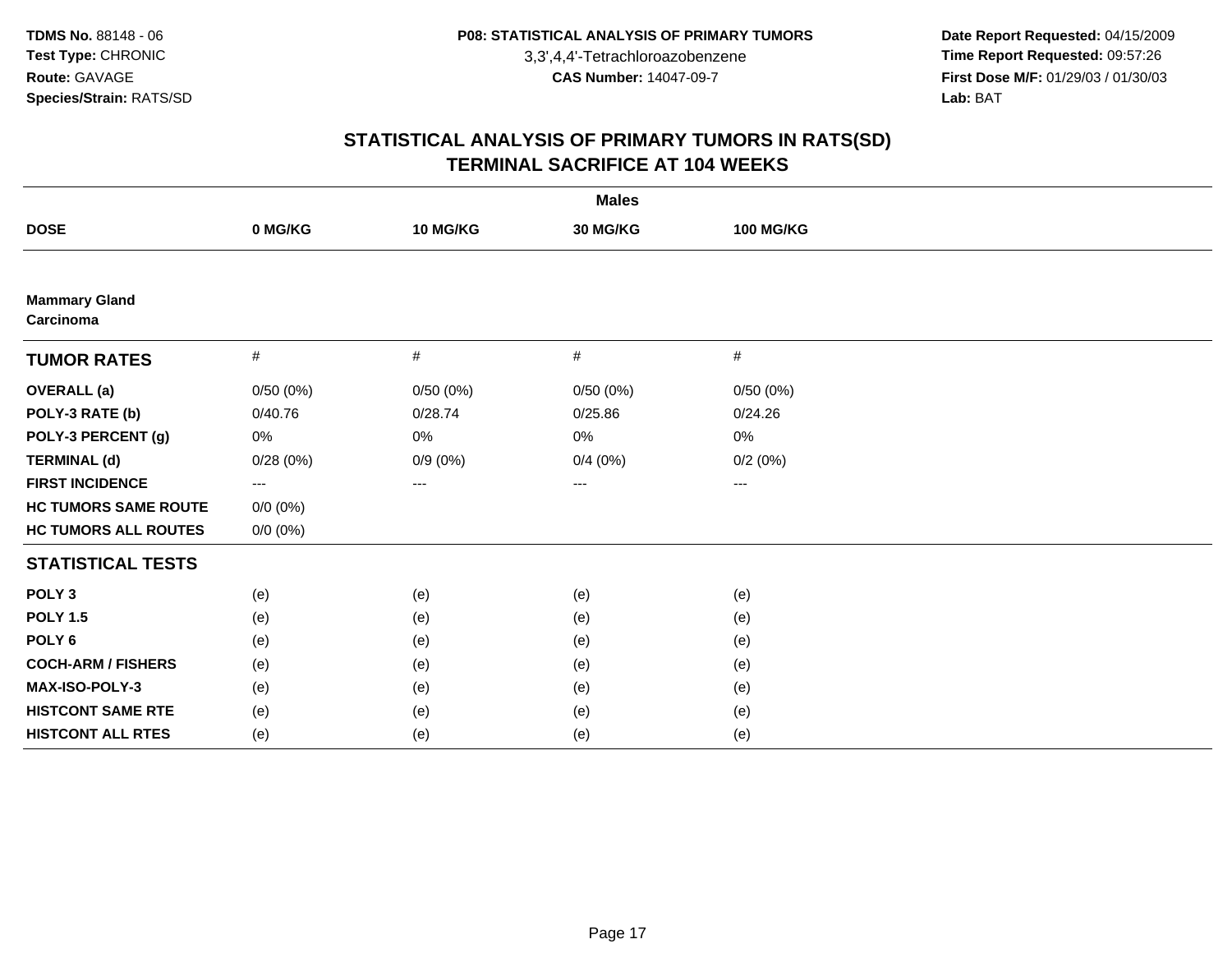**Date Report Requested:** 04/15/2009 **Time Report Requested:** 09:57:26 **First Dose M/F:** 01/29/03 / 01/30/03<br>Lab: BAT **Lab:** BAT

| <b>Males</b>                      |                     |                     |          |                  |  |  |  |
|-----------------------------------|---------------------|---------------------|----------|------------------|--|--|--|
| <b>DOSE</b>                       | 0 MG/KG             | 10 MG/KG            | 30 MG/KG | <b>100 MG/KG</b> |  |  |  |
|                                   |                     |                     |          |                  |  |  |  |
| <b>Mammary Gland</b><br>Carcinoma |                     |                     |          |                  |  |  |  |
| <b>TUMOR RATES</b>                | $\#$                | $\#$                | #        | $\#$             |  |  |  |
| <b>OVERALL</b> (a)                | 0/50(0%)            | 0/50(0%)            | 0/50(0%) | 0/50(0%)         |  |  |  |
| POLY-3 RATE (b)                   | 0/40.76             | 0/28.74             | 0/25.86  | 0/24.26          |  |  |  |
| POLY-3 PERCENT (g)                | 0%                  | 0%                  | 0%       | 0%               |  |  |  |
| <b>TERMINAL (d)</b>               | 0/28(0%)            | $0/9(0\%)$          | 0/4(0%)  | 0/2(0%)          |  |  |  |
| <b>FIRST INCIDENCE</b>            | $\qquad \qquad - -$ | $\qquad \qquad - -$ | ---      | ---              |  |  |  |
| <b>HC TUMORS SAME ROUTE</b>       | $0/0 (0\%)$         |                     |          |                  |  |  |  |
| <b>HC TUMORS ALL ROUTES</b>       | $0/0 (0\%)$         |                     |          |                  |  |  |  |
| <b>STATISTICAL TESTS</b>          |                     |                     |          |                  |  |  |  |
| POLY <sub>3</sub>                 | (e)                 | (e)                 | (e)      | (e)              |  |  |  |
| <b>POLY 1.5</b>                   | (e)                 | (e)                 | (e)      | (e)              |  |  |  |
| POLY <sub>6</sub>                 | (e)                 | (e)                 | (e)      | (e)              |  |  |  |
| <b>COCH-ARM / FISHERS</b>         | (e)                 | (e)                 | (e)      | (e)              |  |  |  |
| MAX-ISO-POLY-3                    | (e)                 | (e)                 | (e)      | (e)              |  |  |  |
| <b>HISTCONT SAME RTE</b>          | (e)                 | (e)                 | (e)      | (e)              |  |  |  |
| <b>HISTCONT ALL RTES</b>          | (e)                 | (e)                 | (e)      | (e)              |  |  |  |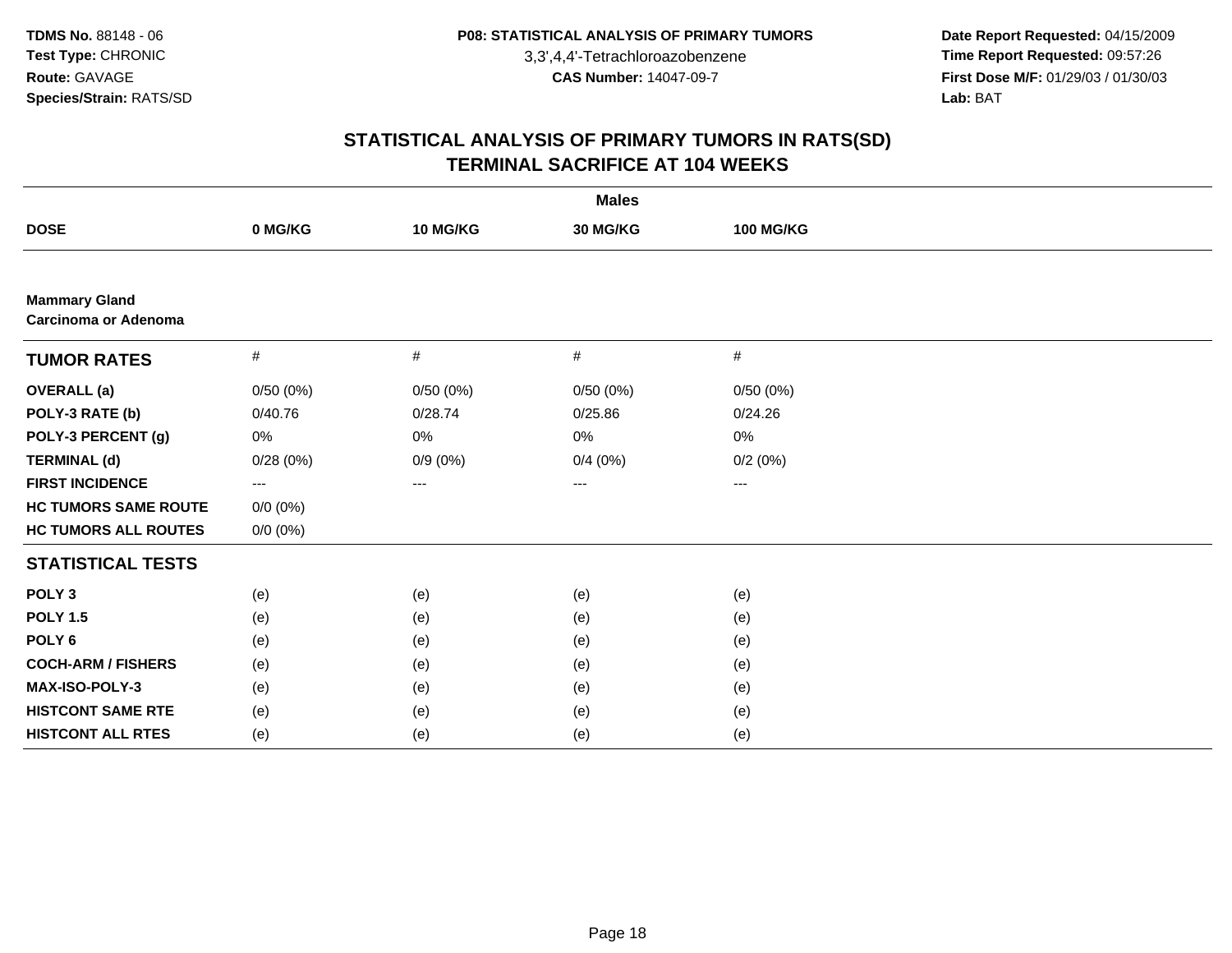**Date Report Requested:** 04/15/2009 **Time Report Requested:** 09:57:26 **First Dose M/F:** 01/29/03 / 01/30/03<br>Lab: BAT **Lab:** BAT

| <b>Males</b>                                        |                   |            |          |                  |  |  |  |
|-----------------------------------------------------|-------------------|------------|----------|------------------|--|--|--|
| <b>DOSE</b>                                         | 0 MG/KG           | 10 MG/KG   | 30 MG/KG | <b>100 MG/KG</b> |  |  |  |
|                                                     |                   |            |          |                  |  |  |  |
| <b>Mammary Gland</b><br><b>Carcinoma or Adenoma</b> |                   |            |          |                  |  |  |  |
| <b>TUMOR RATES</b>                                  | $\#$              | #          | #        | $\#$             |  |  |  |
| <b>OVERALL</b> (a)                                  | 0/50(0%)          | 0/50(0%)   | 0/50(0%) | 0/50(0%)         |  |  |  |
| POLY-3 RATE (b)                                     | 0/40.76           | 0/28.74    | 0/25.86  | 0/24.26          |  |  |  |
| POLY-3 PERCENT (g)                                  | 0%                | 0%         | 0%       | 0%               |  |  |  |
| <b>TERMINAL (d)</b>                                 | 0/28(0%)          | $0/9(0\%)$ | 0/4(0%)  | 0/2(0%)          |  |  |  |
| <b>FIRST INCIDENCE</b>                              | $\qquad \qquad -$ | ---        | ---      | $--$             |  |  |  |
| <b>HC TUMORS SAME ROUTE</b>                         | $0/0 (0\%)$       |            |          |                  |  |  |  |
| <b>HC TUMORS ALL ROUTES</b>                         | $0/0 (0\%)$       |            |          |                  |  |  |  |
| <b>STATISTICAL TESTS</b>                            |                   |            |          |                  |  |  |  |
| POLY <sub>3</sub>                                   | (e)               | (e)        | (e)      | (e)              |  |  |  |
| <b>POLY 1.5</b>                                     | (e)               | (e)        | (e)      | (e)              |  |  |  |
| POLY <sub>6</sub>                                   | (e)               | (e)        | (e)      | (e)              |  |  |  |
| <b>COCH-ARM / FISHERS</b>                           | (e)               | (e)        | (e)      | (e)              |  |  |  |
| MAX-ISO-POLY-3                                      | (e)               | (e)        | (e)      | (e)              |  |  |  |
| <b>HISTCONT SAME RTE</b>                            | (e)               | (e)        | (e)      | (e)              |  |  |  |
| <b>HISTCONT ALL RTES</b>                            | (e)               | (e)        | (e)      | (e)              |  |  |  |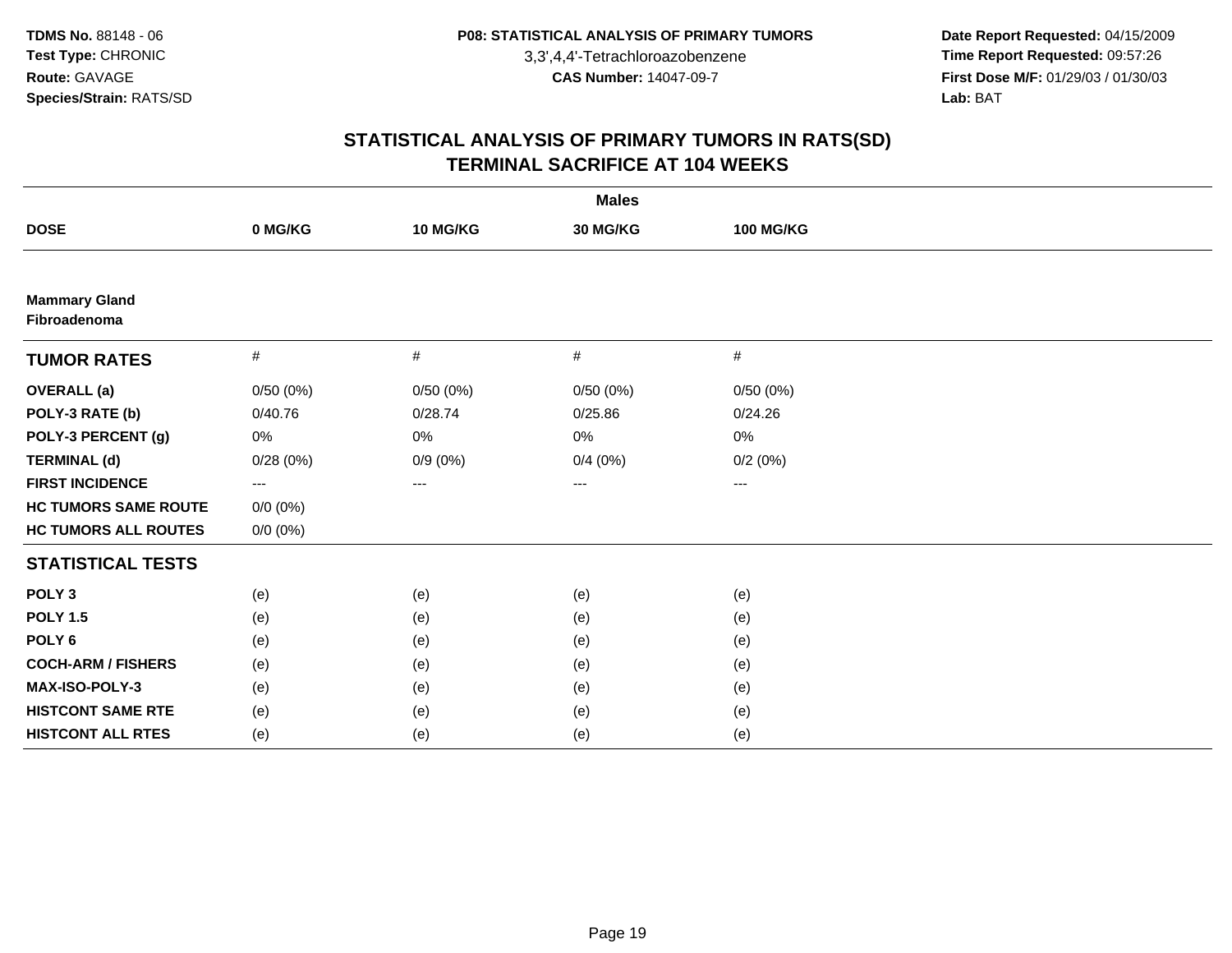**Date Report Requested:** 04/15/2009 **Time Report Requested:** 09:57:26 **First Dose M/F:** 01/29/03 / 01/30/03<br>Lab: BAT **Lab:** BAT

| <b>Males</b>                         |                         |                   |          |                        |  |  |  |
|--------------------------------------|-------------------------|-------------------|----------|------------------------|--|--|--|
| <b>DOSE</b>                          | 0 MG/KG                 | 10 MG/KG          | 30 MG/KG | <b>100 MG/KG</b>       |  |  |  |
|                                      |                         |                   |          |                        |  |  |  |
| <b>Mammary Gland</b><br>Fibroadenoma |                         |                   |          |                        |  |  |  |
| <b>TUMOR RATES</b>                   | #                       | #                 | #        | $\#$                   |  |  |  |
| <b>OVERALL</b> (a)                   | 0/50(0%)                | 0/50(0%)          | 0/50(0%) | 0/50(0%)               |  |  |  |
| POLY-3 RATE (b)                      | 0/40.76                 | 0/28.74           | 0/25.86  | 0/24.26                |  |  |  |
| POLY-3 PERCENT (g)                   | 0%                      | 0%                | 0%       | 0%                     |  |  |  |
| <b>TERMINAL (d)</b>                  | 0/28(0%)                | $0/9(0\%)$        | 0/4(0%)  | 0/2(0%)                |  |  |  |
| <b>FIRST INCIDENCE</b>               | $\qquad \qquad -\qquad$ | $\qquad \qquad -$ | ---      | $\qquad \qquad \cdots$ |  |  |  |
| <b>HC TUMORS SAME ROUTE</b>          | $0/0 (0\%)$             |                   |          |                        |  |  |  |
| <b>HC TUMORS ALL ROUTES</b>          | $0/0 (0\%)$             |                   |          |                        |  |  |  |
| <b>STATISTICAL TESTS</b>             |                         |                   |          |                        |  |  |  |
| POLY <sub>3</sub>                    | (e)                     | (e)               | (e)      | (e)                    |  |  |  |
| <b>POLY 1.5</b>                      | (e)                     | (e)               | (e)      | (e)                    |  |  |  |
| POLY <sub>6</sub>                    | (e)                     | (e)               | (e)      | (e)                    |  |  |  |
| <b>COCH-ARM / FISHERS</b>            | (e)                     | (e)               | (e)      | (e)                    |  |  |  |
| MAX-ISO-POLY-3                       | (e)                     | (e)               | (e)      | (e)                    |  |  |  |
| <b>HISTCONT SAME RTE</b>             | (e)                     | (e)               | (e)      | (e)                    |  |  |  |
| <b>HISTCONT ALL RTES</b>             | (e)                     | (e)               | (e)      | (e)                    |  |  |  |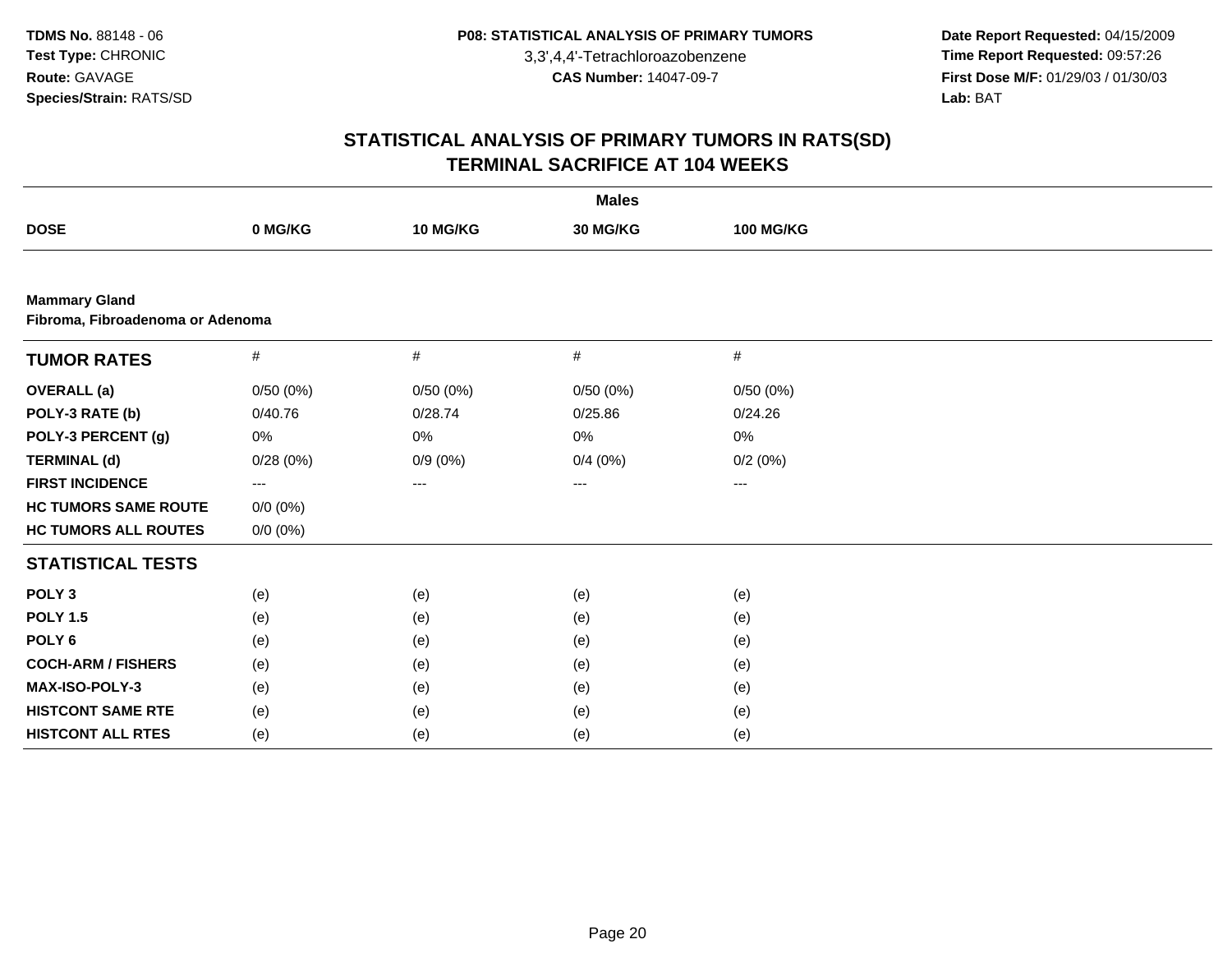**Date Report Requested:** 04/15/2009 **Time Report Requested:** 09:57:26 **First Dose M/F:** 01/29/03 / 01/30/03<br>Lab: BAT **Lab:** BAT

| <b>Males</b>                                             |             |            |          |                  |  |  |
|----------------------------------------------------------|-------------|------------|----------|------------------|--|--|
| <b>DOSE</b>                                              | 0 MG/KG     | 10 MG/KG   | 30 MG/KG | <b>100 MG/KG</b> |  |  |
|                                                          |             |            |          |                  |  |  |
| <b>Mammary Gland</b><br>Fibroma, Fibroadenoma or Adenoma |             |            |          |                  |  |  |
| <b>TUMOR RATES</b>                                       | #           | #          | $\#$     | $\#$             |  |  |
| <b>OVERALL</b> (a)                                       | 0/50(0%)    | 0/50(0%)   | 0/50(0%) | 0/50(0%)         |  |  |
| POLY-3 RATE (b)                                          | 0/40.76     | 0/28.74    | 0/25.86  | 0/24.26          |  |  |
| POLY-3 PERCENT (g)                                       | 0%          | $0\%$      | 0%       | $0\%$            |  |  |
| <b>TERMINAL (d)</b>                                      | 0/28(0%)    | $0/9(0\%)$ | 0/4(0%)  | 0/2(0%)          |  |  |
| <b>FIRST INCIDENCE</b>                                   | $--$        | ---        | ---      | ---              |  |  |
| <b>HC TUMORS SAME ROUTE</b>                              | $0/0 (0\%)$ |            |          |                  |  |  |
| <b>HC TUMORS ALL ROUTES</b>                              | $0/0 (0\%)$ |            |          |                  |  |  |
| <b>STATISTICAL TESTS</b>                                 |             |            |          |                  |  |  |
| POLY <sub>3</sub>                                        | (e)         | (e)        | (e)      | (e)              |  |  |
| <b>POLY 1.5</b>                                          | (e)         | (e)        | (e)      | (e)              |  |  |
| POLY <sub>6</sub>                                        | (e)         | (e)        | (e)      | (e)              |  |  |
| <b>COCH-ARM / FISHERS</b>                                | (e)         | (e)        | (e)      | (e)              |  |  |
| MAX-ISO-POLY-3                                           | (e)         | (e)        | (e)      | (e)              |  |  |
| <b>HISTCONT SAME RTE</b>                                 | (e)         | (e)        | (e)      | (e)              |  |  |
| <b>HISTCONT ALL RTES</b>                                 | (e)         | (e)        | (e)      | (e)              |  |  |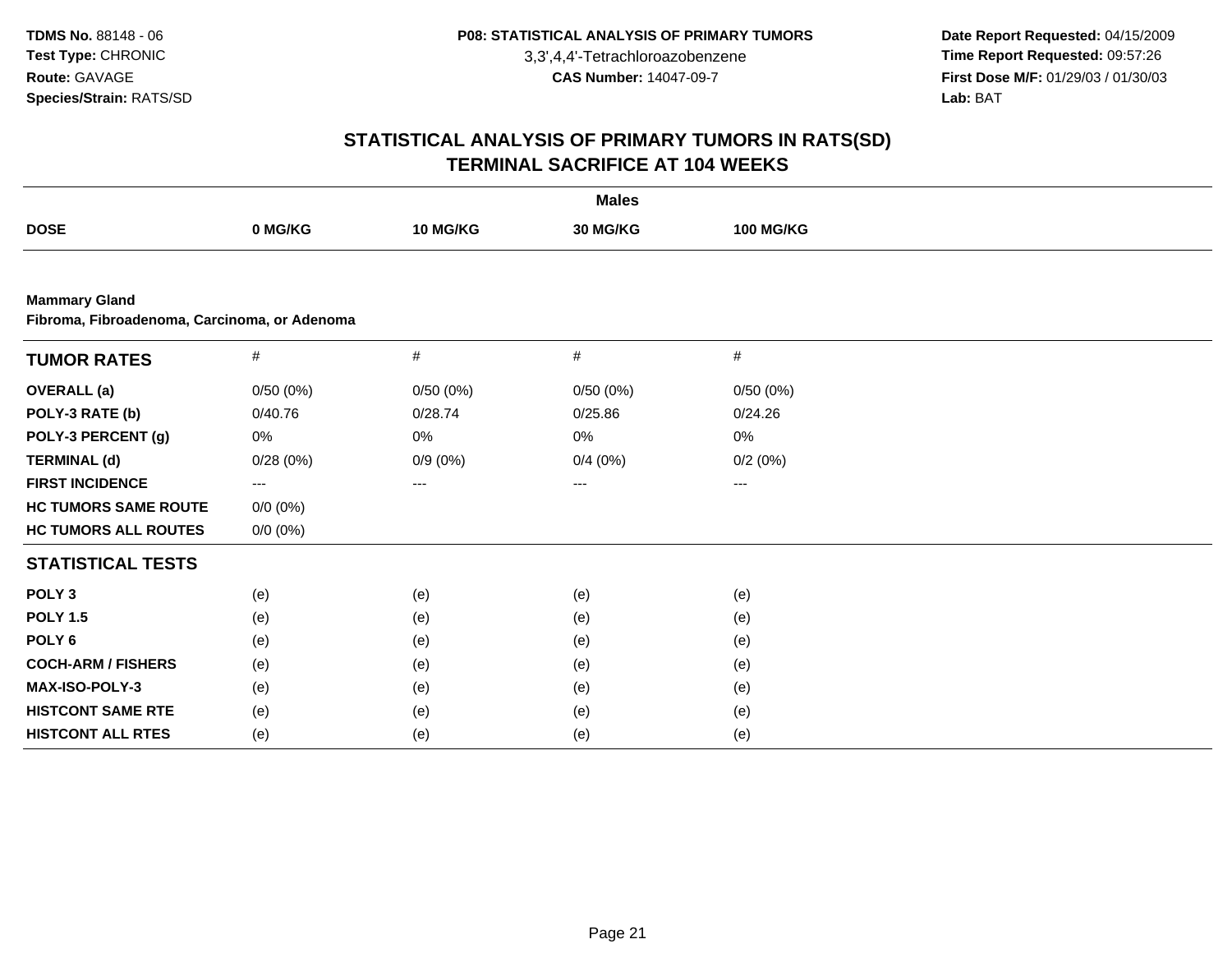**Date Report Requested:** 04/15/2009 **Time Report Requested:** 09:57:26 **First Dose M/F:** 01/29/03 / 01/30/03<br>Lab: BAT **Lab:** BAT

| <b>Males</b>                                                         |             |            |          |                  |  |  |  |
|----------------------------------------------------------------------|-------------|------------|----------|------------------|--|--|--|
| <b>DOSE</b>                                                          | 0 MG/KG     | 10 MG/KG   | 30 MG/KG | <b>100 MG/KG</b> |  |  |  |
|                                                                      |             |            |          |                  |  |  |  |
| <b>Mammary Gland</b><br>Fibroma, Fibroadenoma, Carcinoma, or Adenoma |             |            |          |                  |  |  |  |
| <b>TUMOR RATES</b>                                                   | $\#$        | #          | #        | #                |  |  |  |
| <b>OVERALL</b> (a)                                                   | 0/50(0%)    | 0/50(0%)   | 0/50(0%) | 0/50(0%)         |  |  |  |
| POLY-3 RATE (b)                                                      | 0/40.76     | 0/28.74    | 0/25.86  | 0/24.26          |  |  |  |
| POLY-3 PERCENT (g)                                                   | 0%          | 0%         | 0%       | $0\%$            |  |  |  |
| <b>TERMINAL (d)</b>                                                  | 0/28(0%)    | $0/9(0\%)$ | 0/4(0%)  | 0/2(0%)          |  |  |  |
| <b>FIRST INCIDENCE</b>                                               | $--$        | ---        | $---$    | ---              |  |  |  |
| <b>HC TUMORS SAME ROUTE</b>                                          | $0/0 (0\%)$ |            |          |                  |  |  |  |
| <b>HC TUMORS ALL ROUTES</b>                                          | $0/0 (0\%)$ |            |          |                  |  |  |  |
| <b>STATISTICAL TESTS</b>                                             |             |            |          |                  |  |  |  |
| POLY <sub>3</sub>                                                    | (e)         | (e)        | (e)      | (e)              |  |  |  |
| <b>POLY 1.5</b>                                                      | (e)         | (e)        | (e)      | (e)              |  |  |  |
| POLY <sub>6</sub>                                                    | (e)         | (e)        | (e)      | (e)              |  |  |  |
| <b>COCH-ARM / FISHERS</b>                                            | (e)         | (e)        | (e)      | (e)              |  |  |  |
| MAX-ISO-POLY-3                                                       | (e)         | (e)        | (e)      | (e)              |  |  |  |
| <b>HISTCONT SAME RTE</b>                                             | (e)         | (e)        | (e)      | (e)              |  |  |  |
| <b>HISTCONT ALL RTES</b>                                             | (e)         | (e)        | (e)      | (e)              |  |  |  |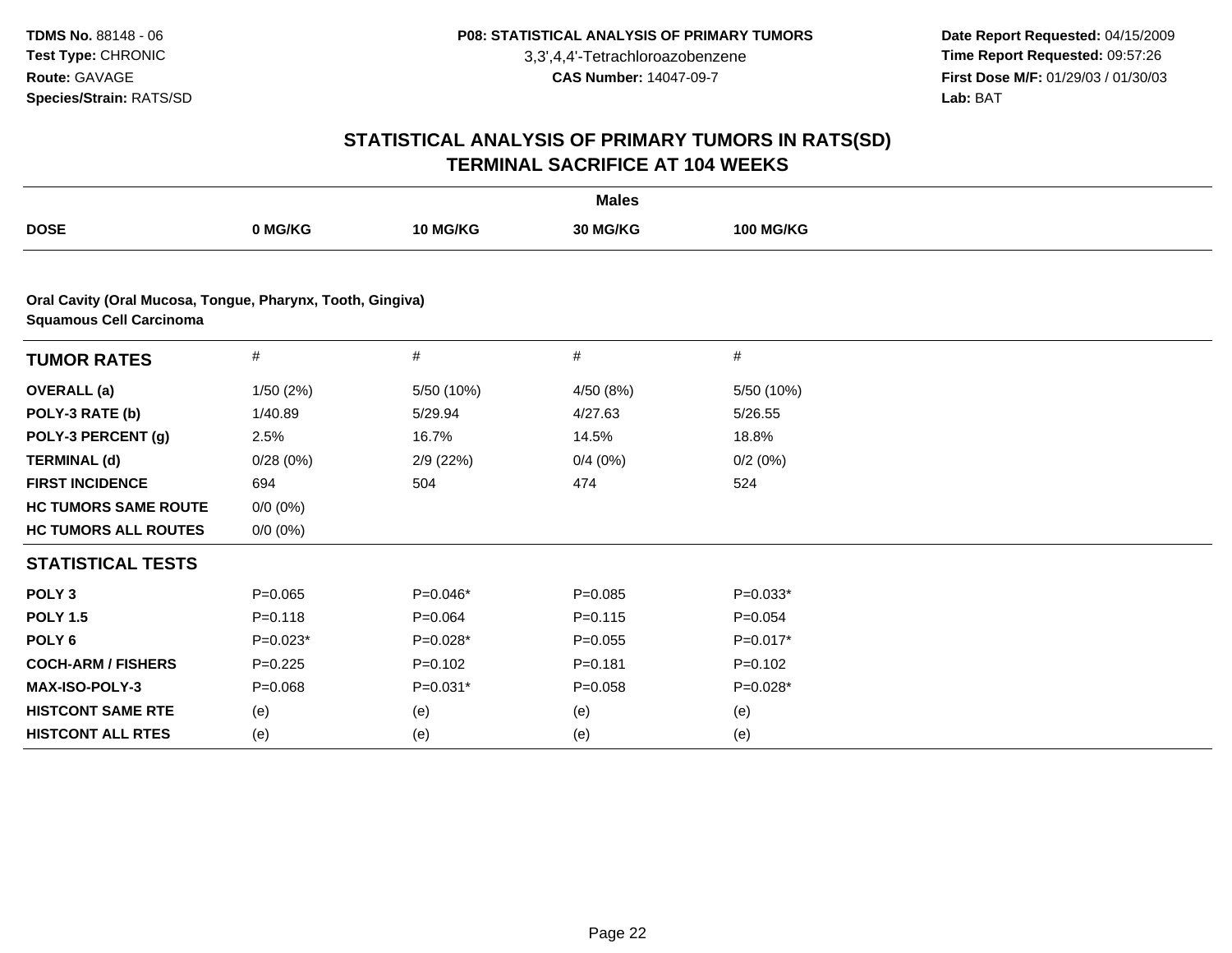**Date Report Requested:** 04/15/2009 **Time Report Requested:** 09:57:26 **First Dose M/F:** 01/29/03 / 01/30/03<br>Lab: BAT **Lab:** BAT

| <b>Males</b>                                                                                 |             |             |             |                  |  |  |  |
|----------------------------------------------------------------------------------------------|-------------|-------------|-------------|------------------|--|--|--|
| <b>DOSE</b>                                                                                  | 0 MG/KG     | 10 MG/KG    | 30 MG/KG    | <b>100 MG/KG</b> |  |  |  |
|                                                                                              |             |             |             |                  |  |  |  |
| Oral Cavity (Oral Mucosa, Tongue, Pharynx, Tooth, Gingiva)<br><b>Squamous Cell Carcinoma</b> |             |             |             |                  |  |  |  |
| <b>TUMOR RATES</b>                                                                           | $\#$        | $\#$        | #           | $\#$             |  |  |  |
| <b>OVERALL</b> (a)                                                                           | 1/50(2%)    | 5/50 (10%)  | 4/50 (8%)   | 5/50 (10%)       |  |  |  |
| POLY-3 RATE (b)                                                                              | 1/40.89     | 5/29.94     | 4/27.63     | 5/26.55          |  |  |  |
| POLY-3 PERCENT (g)                                                                           | 2.5%        | 16.7%       | 14.5%       | 18.8%            |  |  |  |
| <b>TERMINAL (d)</b>                                                                          | 0/28(0%)    | 2/9 (22%)   | 0/4(0%)     | 0/2(0%)          |  |  |  |
| <b>FIRST INCIDENCE</b>                                                                       | 694         | 504         | 474         | 524              |  |  |  |
| <b>HC TUMORS SAME ROUTE</b>                                                                  | $0/0 (0\%)$ |             |             |                  |  |  |  |
| <b>HC TUMORS ALL ROUTES</b>                                                                  | $0/0 (0\%)$ |             |             |                  |  |  |  |
| <b>STATISTICAL TESTS</b>                                                                     |             |             |             |                  |  |  |  |
| POLY <sub>3</sub>                                                                            | $P = 0.065$ | $P=0.046*$  | $P = 0.085$ | $P=0.033*$       |  |  |  |
| <b>POLY 1.5</b>                                                                              | $P = 0.118$ | $P = 0.064$ | $P = 0.115$ | $P=0.054$        |  |  |  |
| POLY <sub>6</sub>                                                                            | $P=0.023*$  | $P=0.028*$  | $P=0.055$   | $P=0.017*$       |  |  |  |
| <b>COCH-ARM / FISHERS</b>                                                                    | $P=0.225$   | $P=0.102$   | $P = 0.181$ | $P=0.102$        |  |  |  |
| MAX-ISO-POLY-3                                                                               | $P = 0.068$ | $P=0.031*$  | $P = 0.058$ | $P=0.028*$       |  |  |  |
| <b>HISTCONT SAME RTE</b>                                                                     | (e)         | (e)         | (e)         | (e)              |  |  |  |
| <b>HISTCONT ALL RTES</b>                                                                     | (e)         | (e)         | (e)         | (e)              |  |  |  |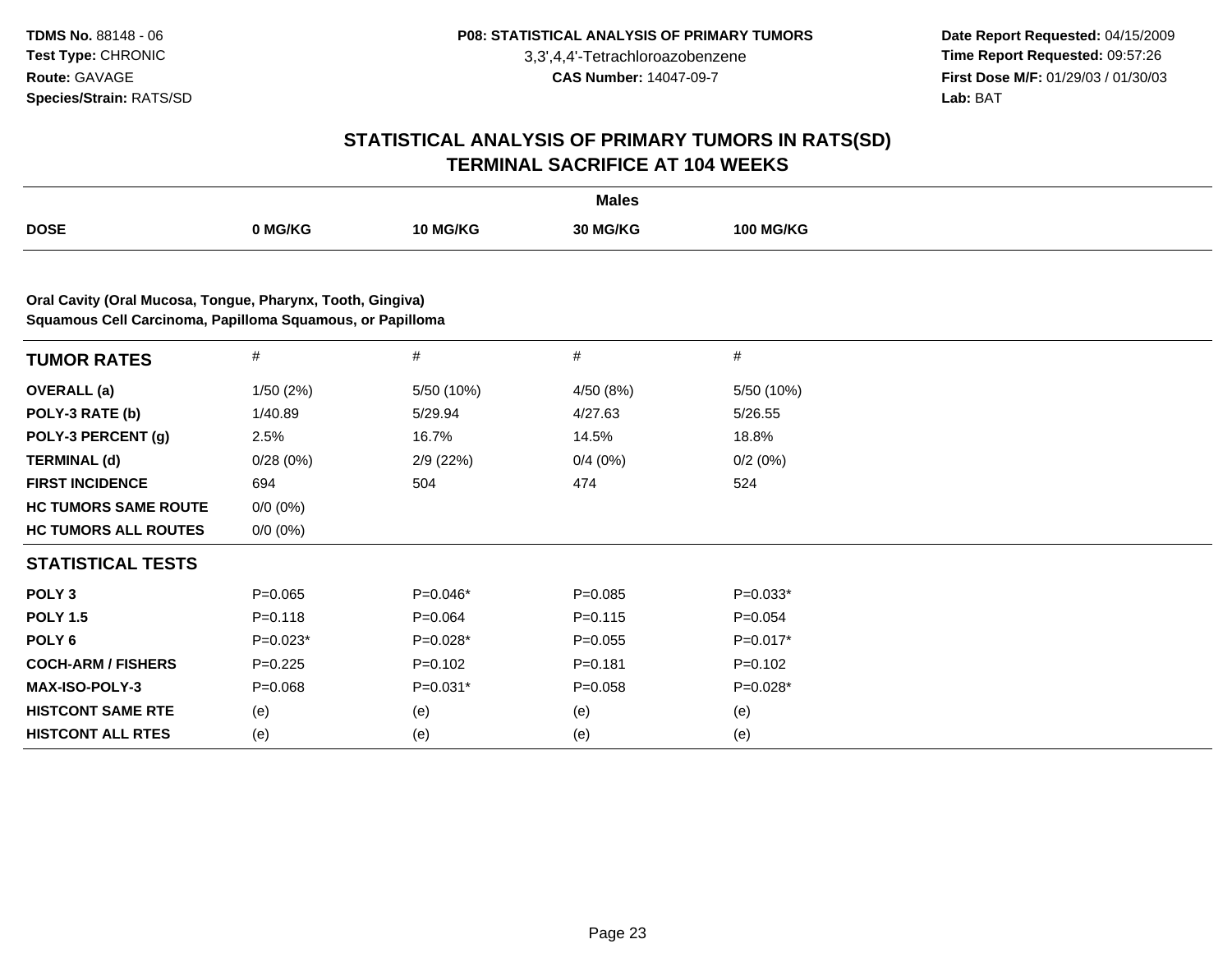**Date Report Requested:** 04/15/2009 **Time Report Requested:** 09:57:26 **First Dose M/F:** 01/29/03 / 01/30/03<br>Lab: BAT **Lab:** BAT

| <b>Males</b>                                               |             |            |             |                  |  |  |  |
|------------------------------------------------------------|-------------|------------|-------------|------------------|--|--|--|
| <b>DOSE</b>                                                | 0 MG/KG     | 10 MG/KG   | 30 MG/KG    | <b>100 MG/KG</b> |  |  |  |
| Oral Cavity (Oral Mucosa, Tongue, Pharynx, Tooth, Gingiva) |             |            |             |                  |  |  |  |
| Squamous Cell Carcinoma, Papilloma Squamous, or Papilloma  |             |            |             |                  |  |  |  |
| <b>TUMOR RATES</b>                                         | $\#$        | $\#$       | $\#$        | #                |  |  |  |
| <b>OVERALL</b> (a)                                         | 1/50(2%)    | 5/50 (10%) | 4/50 (8%)   | 5/50 (10%)       |  |  |  |
| POLY-3 RATE (b)                                            | 1/40.89     | 5/29.94    | 4/27.63     | 5/26.55          |  |  |  |
| POLY-3 PERCENT (g)                                         | 2.5%        | 16.7%      | 14.5%       | 18.8%            |  |  |  |
| <b>TERMINAL (d)</b>                                        | 0/28(0%)    | 2/9 (22%)  | 0/4(0%)     | 0/2(0%)          |  |  |  |
| <b>FIRST INCIDENCE</b>                                     | 694         | 504        | 474         | 524              |  |  |  |
| <b>HC TUMORS SAME ROUTE</b>                                | $0/0 (0\%)$ |            |             |                  |  |  |  |
| <b>HC TUMORS ALL ROUTES</b>                                | $0/0 (0\%)$ |            |             |                  |  |  |  |
| <b>STATISTICAL TESTS</b>                                   |             |            |             |                  |  |  |  |
| POLY <sub>3</sub>                                          | $P=0.065$   | $P=0.046*$ | $P = 0.085$ | $P=0.033*$       |  |  |  |
| <b>POLY 1.5</b>                                            | $P = 0.118$ | $P=0.064$  | $P = 0.115$ | $P=0.054$        |  |  |  |
| POLY <sub>6</sub>                                          | $P=0.023*$  | $P=0.028*$ | $P = 0.055$ | $P=0.017*$       |  |  |  |
| <b>COCH-ARM / FISHERS</b>                                  | $P = 0.225$ | $P=0.102$  | $P = 0.181$ | $P = 0.102$      |  |  |  |
| MAX-ISO-POLY-3                                             | $P = 0.068$ | $P=0.031*$ | $P = 0.058$ | $P=0.028*$       |  |  |  |
| <b>HISTCONT SAME RTE</b>                                   | (e)         | (e)        | (e)         | (e)              |  |  |  |
| <b>HISTCONT ALL RTES</b>                                   | (e)         | (e)        | (e)         | (e)              |  |  |  |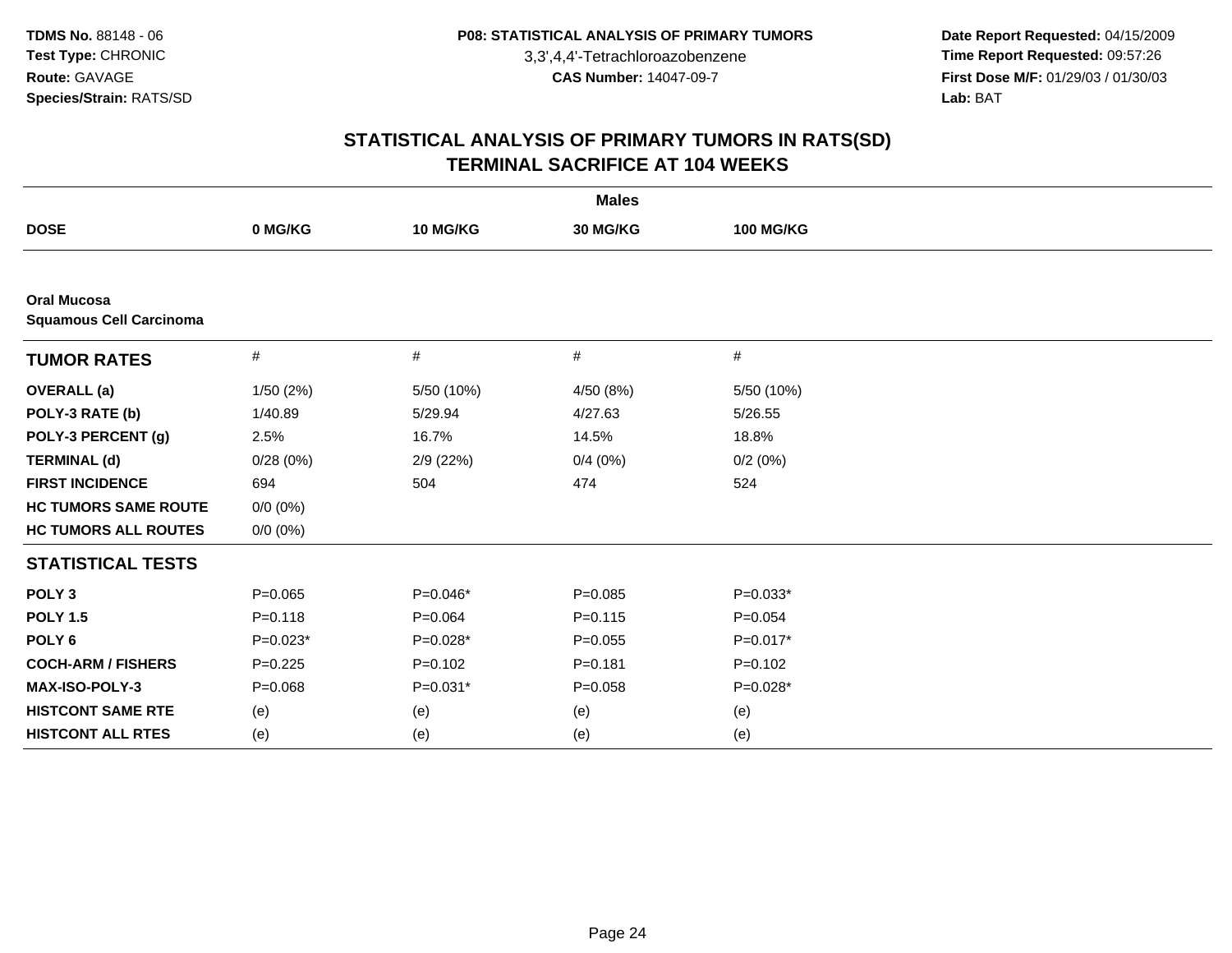**Date Report Requested:** 04/15/2009 **Time Report Requested:** 09:57:26 **First Dose M/F:** 01/29/03 / 01/30/03<br>Lab: BAT **Lab:** BAT

| <b>Males</b>                                         |             |             |             |                  |  |  |
|------------------------------------------------------|-------------|-------------|-------------|------------------|--|--|
| <b>DOSE</b>                                          | 0 MG/KG     | 10 MG/KG    | 30 MG/KG    | <b>100 MG/KG</b> |  |  |
|                                                      |             |             |             |                  |  |  |
| <b>Oral Mucosa</b><br><b>Squamous Cell Carcinoma</b> |             |             |             |                  |  |  |
| <b>TUMOR RATES</b>                                   | $\#$        | $\#$        | $\#$        | $\#$             |  |  |
| <b>OVERALL</b> (a)                                   | 1/50(2%)    | 5/50 (10%)  | 4/50 (8%)   | 5/50 (10%)       |  |  |
| POLY-3 RATE (b)                                      | 1/40.89     | 5/29.94     | 4/27.63     | 5/26.55          |  |  |
| POLY-3 PERCENT (g)                                   | 2.5%        | 16.7%       | 14.5%       | 18.8%            |  |  |
| <b>TERMINAL (d)</b>                                  | 0/28(0%)    | 2/9(22%)    | 0/4(0%)     | 0/2(0%)          |  |  |
| <b>FIRST INCIDENCE</b>                               | 694         | 504         | 474         | 524              |  |  |
| <b>HC TUMORS SAME ROUTE</b>                          | $0/0 (0\%)$ |             |             |                  |  |  |
| <b>HC TUMORS ALL ROUTES</b>                          | $0/0 (0\%)$ |             |             |                  |  |  |
| <b>STATISTICAL TESTS</b>                             |             |             |             |                  |  |  |
| POLY <sub>3</sub>                                    | $P = 0.065$ | $P=0.046*$  | $P = 0.085$ | $P=0.033*$       |  |  |
| <b>POLY 1.5</b>                                      | $P = 0.118$ | $P = 0.064$ | $P = 0.115$ | $P=0.054$        |  |  |
| POLY <sub>6</sub>                                    | $P=0.023*$  | $P=0.028*$  | $P = 0.055$ | $P=0.017*$       |  |  |
| <b>COCH-ARM / FISHERS</b>                            | $P=0.225$   | $P=0.102$   | $P = 0.181$ | $P=0.102$        |  |  |
| MAX-ISO-POLY-3                                       | $P = 0.068$ | $P=0.031*$  | $P = 0.058$ | P=0.028*         |  |  |
| <b>HISTCONT SAME RTE</b>                             | (e)         | (e)         | (e)         | (e)              |  |  |
| <b>HISTCONT ALL RTES</b>                             | (e)         | (e)         | (e)         | (e)              |  |  |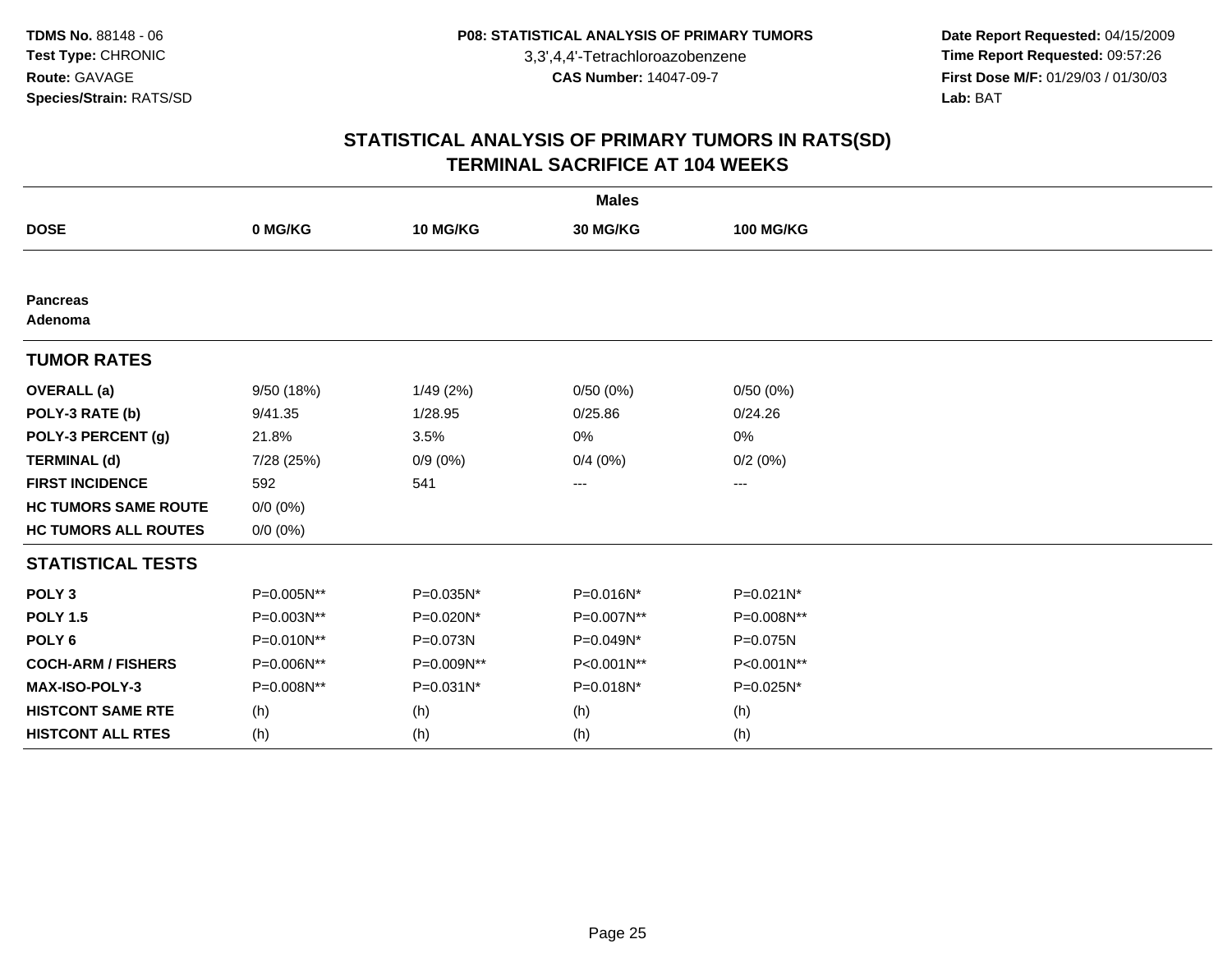**Date Report Requested:** 04/15/2009 **Time Report Requested:** 09:57:26 **First Dose M/F:** 01/29/03 / 01/30/03<br>Lab: BAT **Lab:** BAT

| <b>Males</b>                |             |            |            |                  |  |  |  |
|-----------------------------|-------------|------------|------------|------------------|--|--|--|
| <b>DOSE</b>                 | 0 MG/KG     | 10 MG/KG   | 30 MG/KG   | <b>100 MG/KG</b> |  |  |  |
|                             |             |            |            |                  |  |  |  |
| <b>Pancreas</b><br>Adenoma  |             |            |            |                  |  |  |  |
| <b>TUMOR RATES</b>          |             |            |            |                  |  |  |  |
| <b>OVERALL</b> (a)          | 9/50 (18%)  | 1/49(2%)   | 0/50(0%)   | 0/50(0%)         |  |  |  |
| POLY-3 RATE (b)             | 9/41.35     | 1/28.95    | 0/25.86    | 0/24.26          |  |  |  |
| POLY-3 PERCENT (g)          | 21.8%       | 3.5%       | 0%         | 0%               |  |  |  |
| <b>TERMINAL (d)</b>         | 7/28 (25%)  | $0/9(0\%)$ | 0/4(0%)    | 0/2(0%)          |  |  |  |
| <b>FIRST INCIDENCE</b>      | 592         | 541        | ---        | ---              |  |  |  |
| <b>HC TUMORS SAME ROUTE</b> | $0/0 (0\%)$ |            |            |                  |  |  |  |
| <b>HC TUMORS ALL ROUTES</b> | $0/0 (0\%)$ |            |            |                  |  |  |  |
| <b>STATISTICAL TESTS</b>    |             |            |            |                  |  |  |  |
| POLY <sub>3</sub>           | P=0.005N**  | P=0.035N*  | P=0.016N*  | P=0.021N*        |  |  |  |
| <b>POLY 1.5</b>             | P=0.003N**  | P=0.020N*  | P=0.007N** | P=0.008N**       |  |  |  |
| POLY <sub>6</sub>           | P=0.010N**  | P=0.073N   | P=0.049N*  | P=0.075N         |  |  |  |
| <b>COCH-ARM / FISHERS</b>   | P=0.006N**  | P=0.009N** | P<0.001N** | P<0.001N**       |  |  |  |
| MAX-ISO-POLY-3              | P=0.008N**  | P=0.031N*  | P=0.018N*  | P=0.025N*        |  |  |  |
| <b>HISTCONT SAME RTE</b>    | (h)         | (h)        | (h)        | (h)              |  |  |  |
| <b>HISTCONT ALL RTES</b>    | (h)         | (h)        | (h)        | (h)              |  |  |  |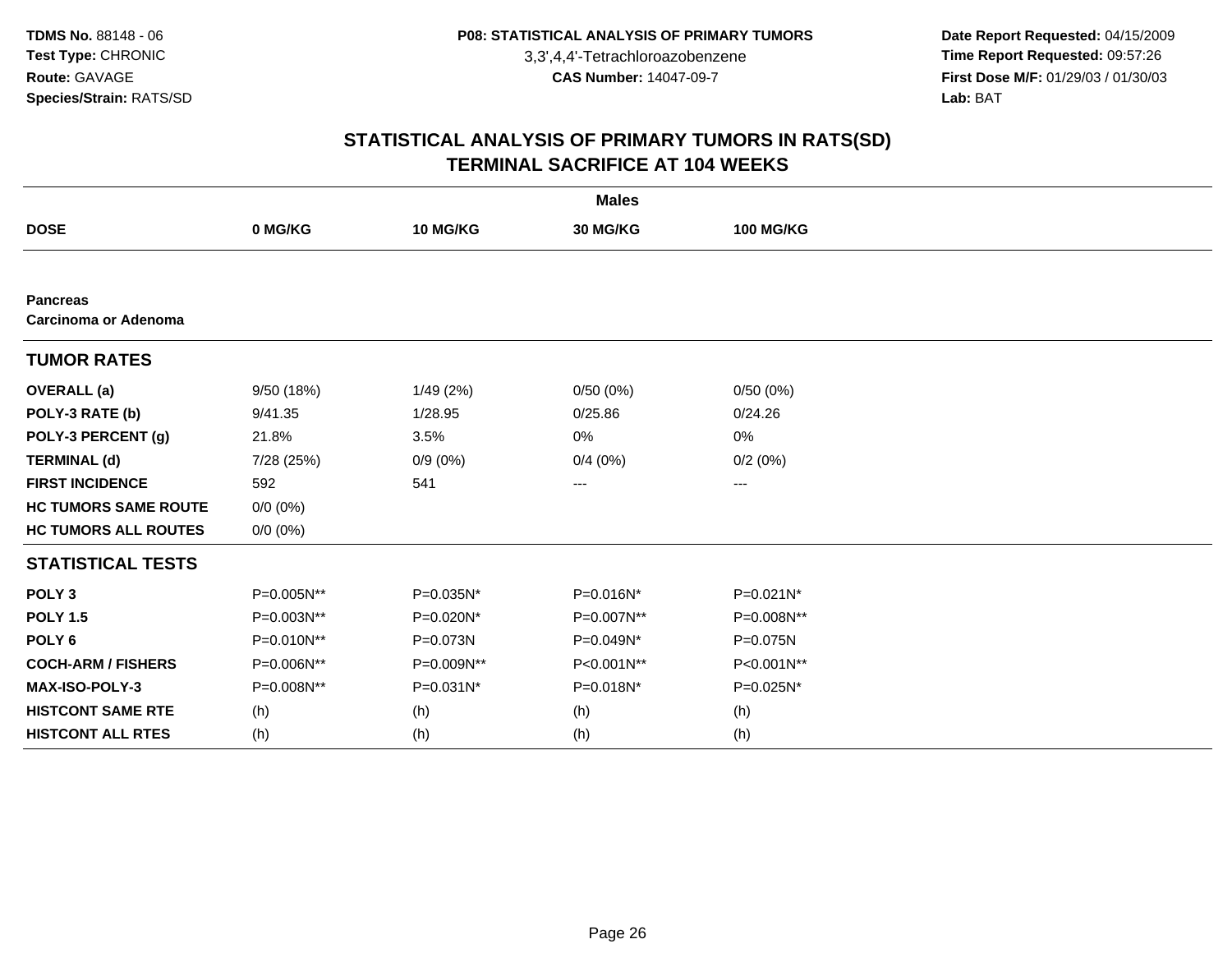**Date Report Requested:** 04/15/2009 **Time Report Requested:** 09:57:26 **First Dose M/F:** 01/29/03 / 01/30/03<br>Lab: BAT **Lab:** BAT

| <b>Males</b>                            |             |            |            |                  |  |  |
|-----------------------------------------|-------------|------------|------------|------------------|--|--|
| <b>DOSE</b>                             | 0 MG/KG     | 10 MG/KG   | 30 MG/KG   | <b>100 MG/KG</b> |  |  |
|                                         |             |            |            |                  |  |  |
| <b>Pancreas</b><br>Carcinoma or Adenoma |             |            |            |                  |  |  |
| <b>TUMOR RATES</b>                      |             |            |            |                  |  |  |
| <b>OVERALL</b> (a)                      | 9/50 (18%)  | 1/49(2%)   | 0/50(0%)   | 0/50(0%)         |  |  |
| POLY-3 RATE (b)                         | 9/41.35     | 1/28.95    | 0/25.86    | 0/24.26          |  |  |
| POLY-3 PERCENT (g)                      | 21.8%       | 3.5%       | 0%         | 0%               |  |  |
| <b>TERMINAL (d)</b>                     | 7/28 (25%)  | $0/9(0\%)$ | 0/4(0%)    | 0/2(0%)          |  |  |
| <b>FIRST INCIDENCE</b>                  | 592         | 541        | $---$      | ---              |  |  |
| <b>HC TUMORS SAME ROUTE</b>             | $0/0 (0\%)$ |            |            |                  |  |  |
| <b>HC TUMORS ALL ROUTES</b>             | $0/0 (0\%)$ |            |            |                  |  |  |
| <b>STATISTICAL TESTS</b>                |             |            |            |                  |  |  |
| POLY <sub>3</sub>                       | P=0.005N**  | P=0.035N*  | P=0.016N*  | P=0.021N*        |  |  |
| <b>POLY 1.5</b>                         | P=0.003N**  | P=0.020N*  | P=0.007N** | P=0.008N**       |  |  |
| POLY <sub>6</sub>                       | P=0.010N**  | P=0.073N   | P=0.049N*  | P=0.075N         |  |  |
| <b>COCH-ARM / FISHERS</b>               | P=0.006N**  | P=0.009N** | P<0.001N** | P<0.001N**       |  |  |
| <b>MAX-ISO-POLY-3</b>                   | P=0.008N**  | P=0.031N*  | P=0.018N*  | P=0.025N*        |  |  |
| <b>HISTCONT SAME RTE</b>                | (h)         | (h)        | (h)        | (h)              |  |  |
| <b>HISTCONT ALL RTES</b>                | (h)         | (h)        | (h)        | (h)              |  |  |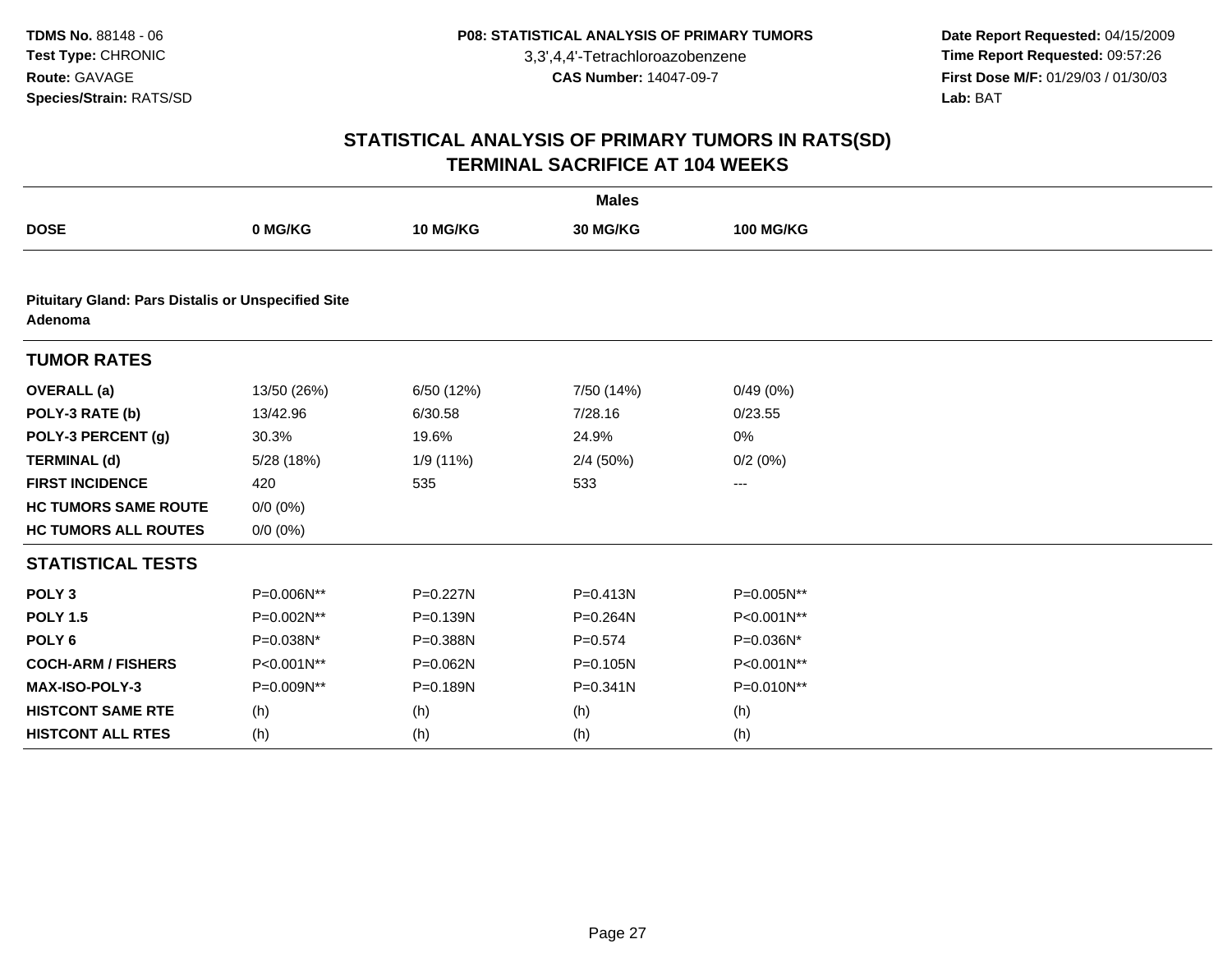**Date Report Requested:** 04/15/2009 **Time Report Requested:** 09:57:26 **First Dose M/F:** 01/29/03 / 01/30/03<br>Lab: BAT **Lab:** BAT

| <b>Males</b>                                                         |             |              |              |                  |  |  |  |
|----------------------------------------------------------------------|-------------|--------------|--------------|------------------|--|--|--|
| <b>DOSE</b>                                                          | 0 MG/KG     | 10 MG/KG     | 30 MG/KG     | <b>100 MG/KG</b> |  |  |  |
|                                                                      |             |              |              |                  |  |  |  |
| <b>Pituitary Gland: Pars Distalis or Unspecified Site</b><br>Adenoma |             |              |              |                  |  |  |  |
| <b>TUMOR RATES</b>                                                   |             |              |              |                  |  |  |  |
| <b>OVERALL</b> (a)                                                   | 13/50 (26%) | 6/50 (12%)   | 7/50 (14%)   | 0/49(0%)         |  |  |  |
| POLY-3 RATE (b)                                                      | 13/42.96    | 6/30.58      | 7/28.16      | 0/23.55          |  |  |  |
| POLY-3 PERCENT (g)                                                   | 30.3%       | 19.6%        | 24.9%        | 0%               |  |  |  |
| <b>TERMINAL (d)</b>                                                  | 5/28 (18%)  | 1/9 (11%)    | 2/4(50%)     | 0/2(0%)          |  |  |  |
| <b>FIRST INCIDENCE</b>                                               | 420         | 535          | 533          | ---              |  |  |  |
| <b>HC TUMORS SAME ROUTE</b>                                          | $0/0 (0\%)$ |              |              |                  |  |  |  |
| <b>HC TUMORS ALL ROUTES</b>                                          | $0/0 (0\%)$ |              |              |                  |  |  |  |
| <b>STATISTICAL TESTS</b>                                             |             |              |              |                  |  |  |  |
| POLY <sub>3</sub>                                                    | P=0.006N**  | P=0.227N     | $P = 0.413N$ | P=0.005N**       |  |  |  |
| <b>POLY 1.5</b>                                                      | P=0.002N**  | $P = 0.139N$ | P=0.264N     | P<0.001N**       |  |  |  |
| POLY <sub>6</sub>                                                    | P=0.038N*   | P=0.388N     | $P = 0.574$  | P=0.036N*        |  |  |  |
| <b>COCH-ARM / FISHERS</b>                                            | P<0.001N**  | P=0.062N     | $P = 0.105N$ | P<0.001N**       |  |  |  |
| MAX-ISO-POLY-3                                                       | P=0.009N**  | P=0.189N     | $P = 0.341N$ | P=0.010N**       |  |  |  |
| <b>HISTCONT SAME RTE</b>                                             | (h)         | (h)          | (h)          | (h)              |  |  |  |
| <b>HISTCONT ALL RTES</b>                                             | (h)         | (h)          | (h)          | (h)              |  |  |  |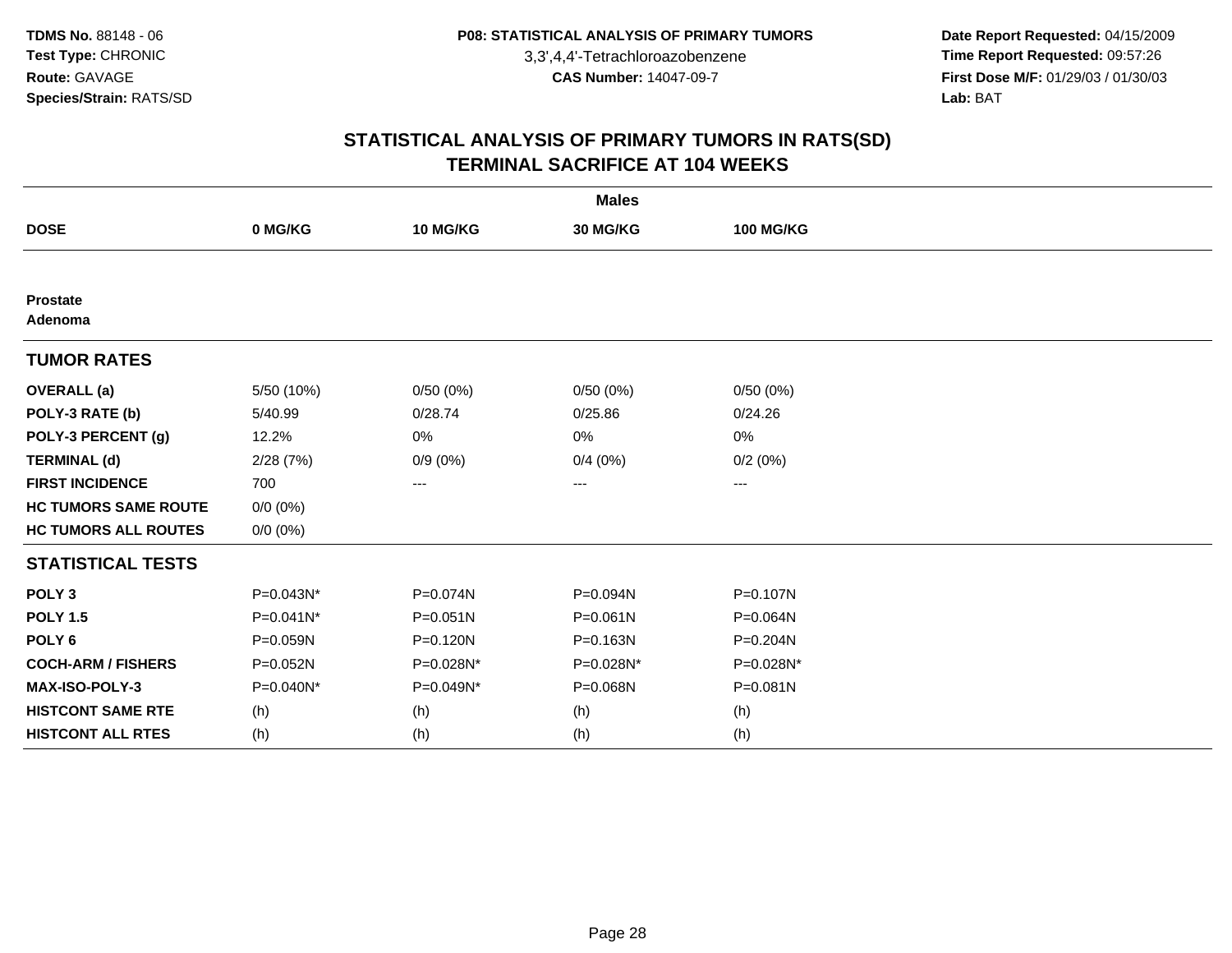**Date Report Requested:** 04/15/2009 **Time Report Requested:** 09:57:26 **First Dose M/F:** 01/29/03 / 01/30/03<br>Lab: BAT **Lab:** BAT

|                             |              |              | <b>Males</b> |                  |  |
|-----------------------------|--------------|--------------|--------------|------------------|--|
| <b>DOSE</b>                 | 0 MG/KG      | 10 MG/KG     | 30 MG/KG     | <b>100 MG/KG</b> |  |
|                             |              |              |              |                  |  |
| <b>Prostate</b><br>Adenoma  |              |              |              |                  |  |
| <b>TUMOR RATES</b>          |              |              |              |                  |  |
| <b>OVERALL</b> (a)          | 5/50 (10%)   | 0/50(0%)     | 0/50(0%)     | 0/50(0%)         |  |
| POLY-3 RATE (b)             | 5/40.99      | 0/28.74      | 0/25.86      | 0/24.26          |  |
| POLY-3 PERCENT (g)          | 12.2%        | 0%           | 0%           | 0%               |  |
| <b>TERMINAL (d)</b>         | 2/28(7%)     | $0/9(0\%)$   | 0/4(0%)      | 0/2(0%)          |  |
| <b>FIRST INCIDENCE</b>      | 700          | ---          | ---          | $--$             |  |
| <b>HC TUMORS SAME ROUTE</b> | $0/0 (0\%)$  |              |              |                  |  |
| <b>HC TUMORS ALL ROUTES</b> | $0/0 (0\%)$  |              |              |                  |  |
| <b>STATISTICAL TESTS</b>    |              |              |              |                  |  |
| POLY <sub>3</sub>           | P=0.043N*    | P=0.074N     | P=0.094N     | P=0.107N         |  |
| <b>POLY 1.5</b>             | $P=0.041N^*$ | $P = 0.051N$ | $P = 0.061N$ | P=0.064N         |  |
| POLY <sub>6</sub>           | P=0.059N     | P=0.120N     | P=0.163N     | P=0.204N         |  |
| <b>COCH-ARM / FISHERS</b>   | P=0.052N     | P=0.028N*    | P=0.028N*    | P=0.028N*        |  |
| MAX-ISO-POLY-3              | P=0.040N*    | P=0.049N*    | P=0.068N     | P=0.081N         |  |
| <b>HISTCONT SAME RTE</b>    | (h)          | (h)          | (h)          | (h)              |  |
| <b>HISTCONT ALL RTES</b>    | (h)          | (h)          | (h)          | (h)              |  |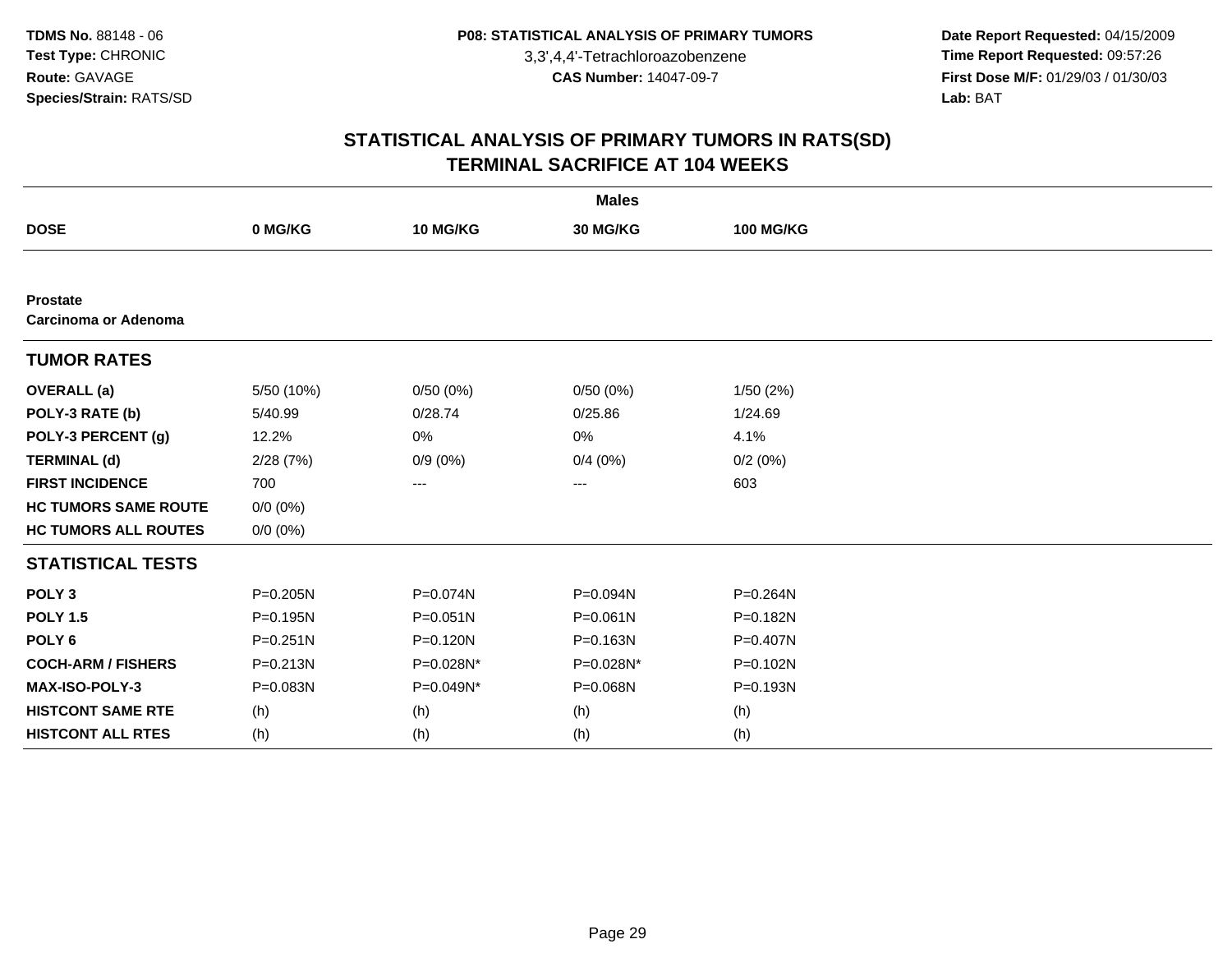**Date Report Requested:** 04/15/2009 **Time Report Requested:** 09:57:26 **First Dose M/F:** 01/29/03 / 01/30/03<br>Lab: BAT **Lab:** BAT

|                                                |              |              | <b>Males</b>      |                  |  |
|------------------------------------------------|--------------|--------------|-------------------|------------------|--|
| <b>DOSE</b>                                    | 0 MG/KG      | 10 MG/KG     | 30 MG/KG          | <b>100 MG/KG</b> |  |
|                                                |              |              |                   |                  |  |
| <b>Prostate</b><br><b>Carcinoma or Adenoma</b> |              |              |                   |                  |  |
| <b>TUMOR RATES</b>                             |              |              |                   |                  |  |
| <b>OVERALL</b> (a)                             | 5/50 (10%)   | 0/50(0%)     | 0/50(0%)          | 1/50(2%)         |  |
| POLY-3 RATE (b)                                | 5/40.99      | 0/28.74      | 0/25.86           | 1/24.69          |  |
| POLY-3 PERCENT (g)                             | 12.2%        | 0%           | 0%                | 4.1%             |  |
| <b>TERMINAL (d)</b>                            | 2/28(7%)     | $0/9(0\%)$   | 0/4(0%)           | 0/2(0%)          |  |
| <b>FIRST INCIDENCE</b>                         | 700          | ---          | $\qquad \qquad -$ | 603              |  |
| <b>HC TUMORS SAME ROUTE</b>                    | $0/0 (0\%)$  |              |                   |                  |  |
| <b>HC TUMORS ALL ROUTES</b>                    | $0/0 (0\%)$  |              |                   |                  |  |
| <b>STATISTICAL TESTS</b>                       |              |              |                   |                  |  |
| POLY <sub>3</sub>                              | P=0.205N     | P=0.074N     | P=0.094N          | P=0.264N         |  |
| <b>POLY 1.5</b>                                | $P = 0.195N$ | $P = 0.051N$ | $P = 0.061N$      | $P = 0.182N$     |  |
| POLY <sub>6</sub>                              | $P = 0.251N$ | P=0.120N     | P=0.163N          | $P = 0.407N$     |  |
| <b>COCH-ARM / FISHERS</b>                      | $P = 0.213N$ | P=0.028N*    | P=0.028N*         | P=0.102N         |  |
| <b>MAX-ISO-POLY-3</b>                          | P=0.083N     | P=0.049N*    | P=0.068N          | P=0.193N         |  |
| <b>HISTCONT SAME RTE</b>                       | (h)          | (h)          | (h)               | (h)              |  |
| <b>HISTCONT ALL RTES</b>                       | (h)          | (h)          | (h)               | (h)              |  |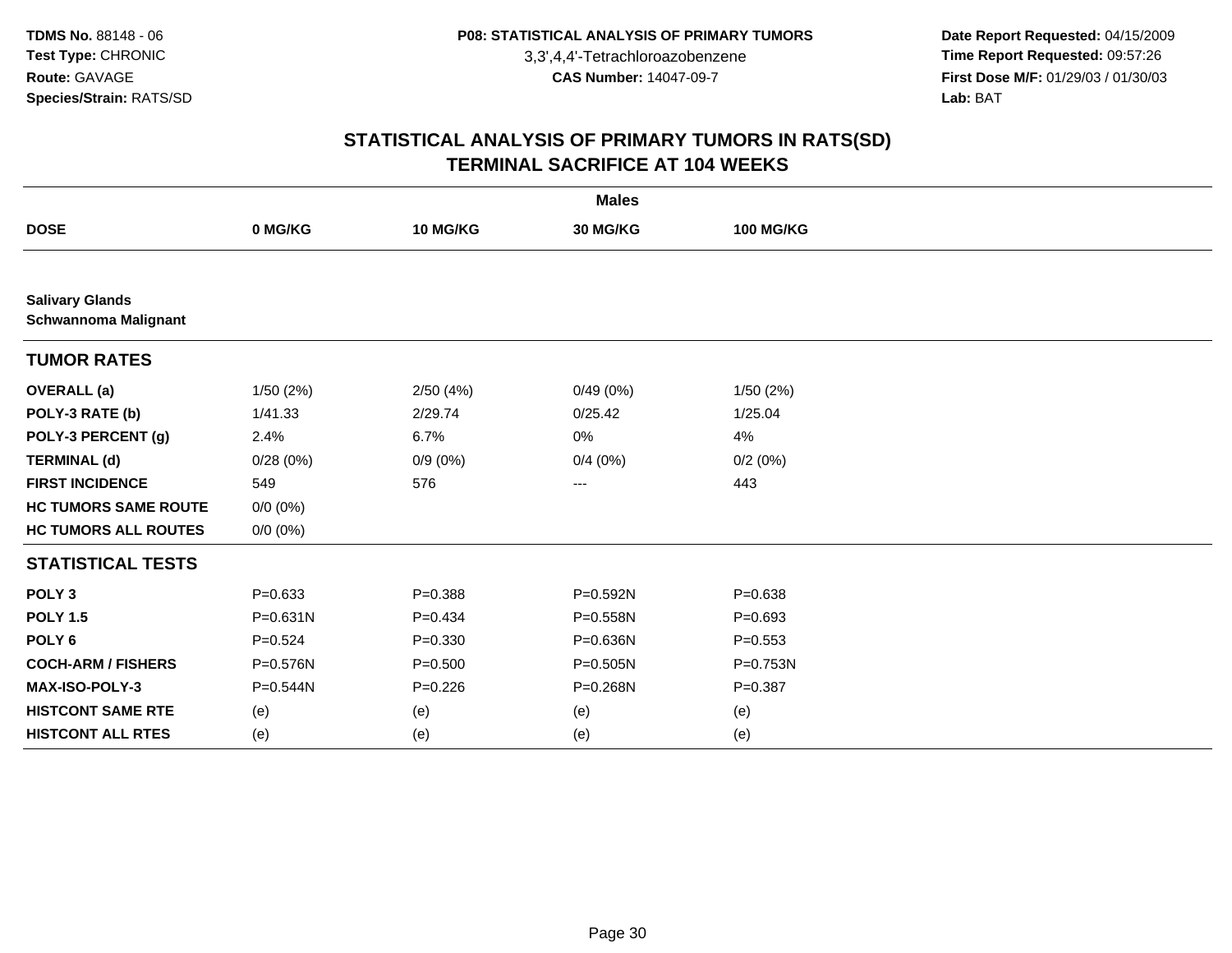**Date Report Requested:** 04/15/2009 **Time Report Requested:** 09:57:26 **First Dose M/F:** 01/29/03 / 01/30/03<br>Lab: BAT **Lab:** BAT

|                                                       |              |             | <b>Males</b> |                  |  |
|-------------------------------------------------------|--------------|-------------|--------------|------------------|--|
| <b>DOSE</b>                                           | 0 MG/KG      | 10 MG/KG    | 30 MG/KG     | <b>100 MG/KG</b> |  |
|                                                       |              |             |              |                  |  |
| <b>Salivary Glands</b><br><b>Schwannoma Malignant</b> |              |             |              |                  |  |
| <b>TUMOR RATES</b>                                    |              |             |              |                  |  |
| <b>OVERALL</b> (a)                                    | 1/50(2%)     | 2/50(4%)    | 0/49(0%)     | 1/50(2%)         |  |
| POLY-3 RATE (b)                                       | 1/41.33      | 2/29.74     | 0/25.42      | 1/25.04          |  |
| POLY-3 PERCENT (g)                                    | 2.4%         | 6.7%        | 0%           | 4%               |  |
| <b>TERMINAL (d)</b>                                   | 0/28(0%)     | $0/9(0\%)$  | 0/4(0%)      | 0/2(0%)          |  |
| <b>FIRST INCIDENCE</b>                                | 549          | 576         | ---          | 443              |  |
| <b>HC TUMORS SAME ROUTE</b>                           | $0/0 (0\%)$  |             |              |                  |  |
| <b>HC TUMORS ALL ROUTES</b>                           | $0/0 (0\%)$  |             |              |                  |  |
| <b>STATISTICAL TESTS</b>                              |              |             |              |                  |  |
| POLY <sub>3</sub>                                     | $P = 0.633$  | $P = 0.388$ | P=0.592N     | $P = 0.638$      |  |
| <b>POLY 1.5</b>                                       | $P = 0.631N$ | $P=0.434$   | P=0.558N     | $P=0.693$        |  |
| POLY <sub>6</sub>                                     | $P = 0.524$  | $P = 0.330$ | P=0.636N     | $P = 0.553$      |  |
| <b>COCH-ARM / FISHERS</b>                             | P=0.576N     | $P = 0.500$ | $P = 0.505N$ | P=0.753N         |  |
| MAX-ISO-POLY-3                                        | P=0.544N     | $P = 0.226$ | P=0.268N     | $P = 0.387$      |  |
| <b>HISTCONT SAME RTE</b>                              | (e)          | (e)         | (e)          | (e)              |  |
| <b>HISTCONT ALL RTES</b>                              | (e)          | (e)         | (e)          | (e)              |  |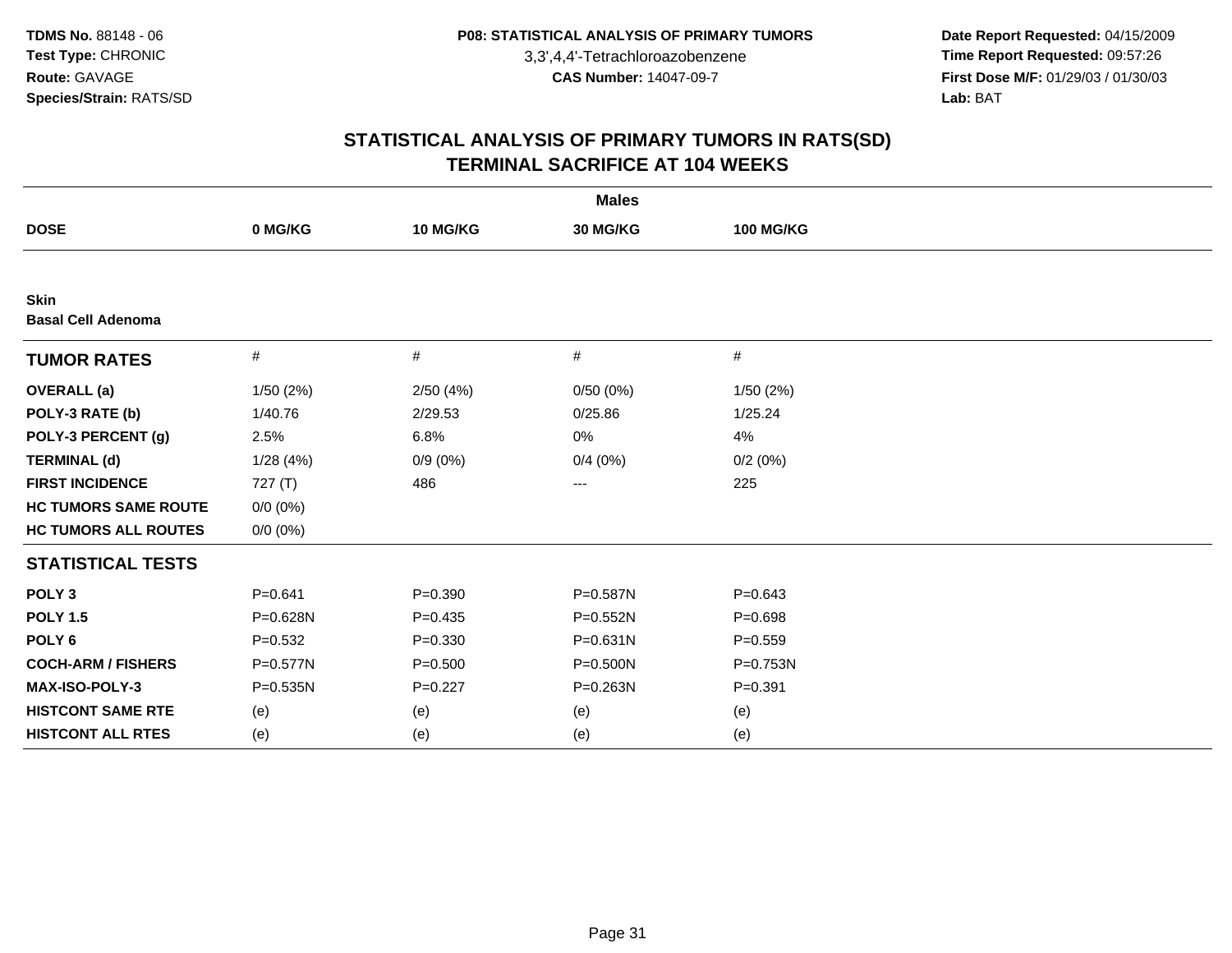**Date Report Requested:** 04/15/2009 **Time Report Requested:** 09:57:26 **First Dose M/F:** 01/29/03 / 01/30/03<br>Lab: BAT **Lab:** BAT

|                                          |              |             | <b>Males</b> |                  |  |
|------------------------------------------|--------------|-------------|--------------|------------------|--|
| <b>DOSE</b>                              | 0 MG/KG      | 10 MG/KG    | 30 MG/KG     | <b>100 MG/KG</b> |  |
|                                          |              |             |              |                  |  |
| <b>Skin</b><br><b>Basal Cell Adenoma</b> |              |             |              |                  |  |
| <b>TUMOR RATES</b>                       | $\#$         | #           | #            | #                |  |
| <b>OVERALL</b> (a)                       | 1/50 (2%)    | 2/50(4%)    | 0/50(0%)     | 1/50(2%)         |  |
| POLY-3 RATE (b)                          | 1/40.76      | 2/29.53     | 0/25.86      | 1/25.24          |  |
| POLY-3 PERCENT (g)                       | 2.5%         | 6.8%        | 0%           | 4%               |  |
| <b>TERMINAL (d)</b>                      | 1/28(4%)     | $0/9(0\%)$  | 0/4(0%)      | 0/2(0%)          |  |
| <b>FIRST INCIDENCE</b>                   | 727 $(T)$    | 486         | ---          | 225              |  |
| <b>HC TUMORS SAME ROUTE</b>              | $0/0 (0\%)$  |             |              |                  |  |
| <b>HC TUMORS ALL ROUTES</b>              | $0/0 (0\%)$  |             |              |                  |  |
| <b>STATISTICAL TESTS</b>                 |              |             |              |                  |  |
| POLY <sub>3</sub>                        | $P = 0.641$  | $P = 0.390$ | P=0.587N     | $P = 0.643$      |  |
| <b>POLY 1.5</b>                          | P=0.628N     | $P=0.435$   | $P = 0.552N$ | $P = 0.698$      |  |
| POLY <sub>6</sub>                        | $P = 0.532$  | $P = 0.330$ | $P = 0.631N$ | $P = 0.559$      |  |
| <b>COCH-ARM / FISHERS</b>                | P=0.577N     | $P = 0.500$ | $P = 0.500N$ | P=0.753N         |  |
| MAX-ISO-POLY-3                           | $P = 0.535N$ | $P=0.227$   | $P = 0.263N$ | $P = 0.391$      |  |
| <b>HISTCONT SAME RTE</b>                 | (e)          | (e)         | (e)          | (e)              |  |
| <b>HISTCONT ALL RTES</b>                 | (e)          | (e)         | (e)          | (e)              |  |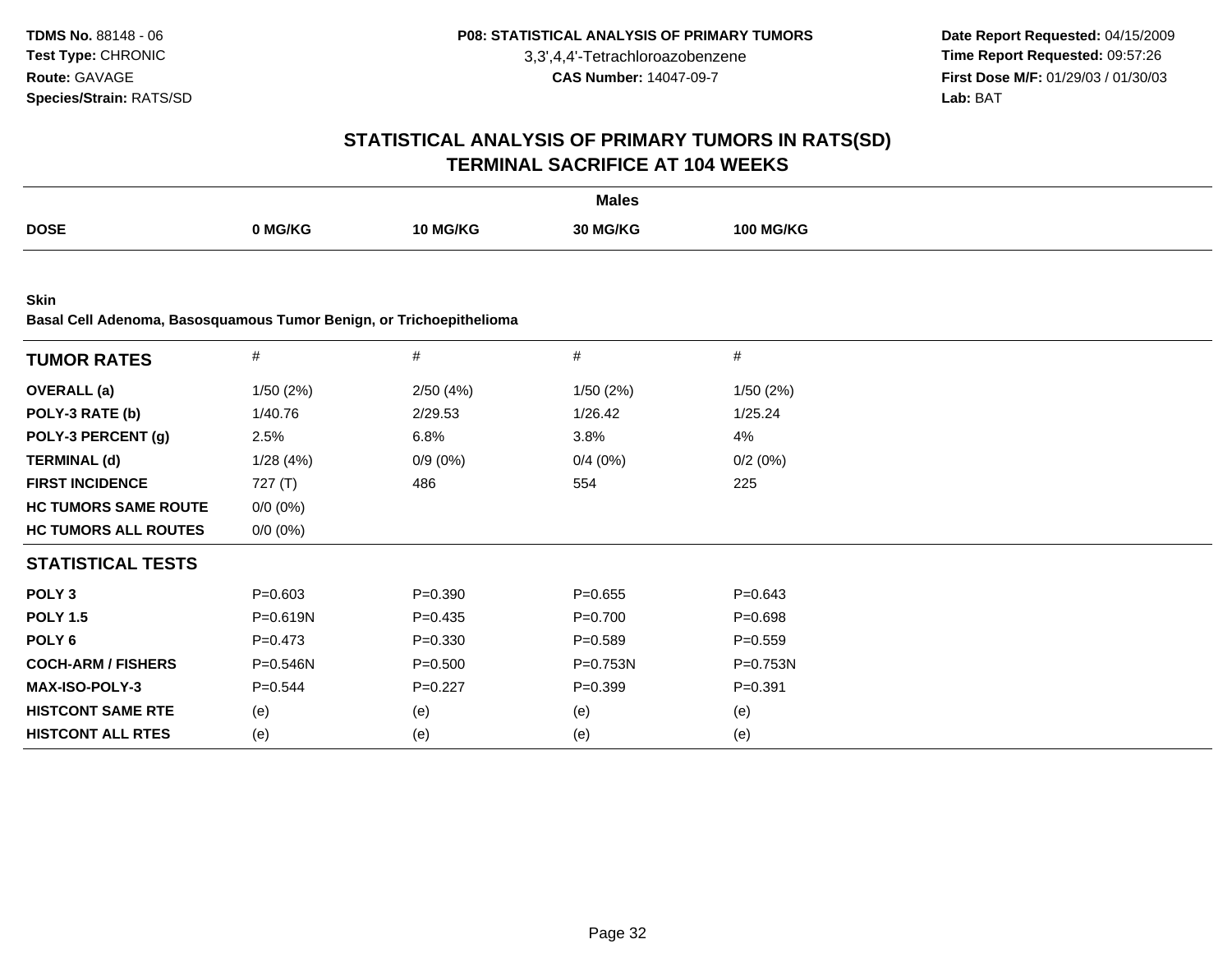**Date Report Requested:** 04/15/2009 **Time Report Requested:** 09:57:26 **First Dose M/F:** 01/29/03 / 01/30/03<br>Lab: BAT **Lab:** BAT

|                                                                                    |              |             | <b>Males</b> |                  |  |
|------------------------------------------------------------------------------------|--------------|-------------|--------------|------------------|--|
| <b>DOSE</b>                                                                        | 0 MG/KG      | 10 MG/KG    | 30 MG/KG     | <b>100 MG/KG</b> |  |
|                                                                                    |              |             |              |                  |  |
| <b>Skin</b><br>Basal Cell Adenoma, Basosquamous Tumor Benign, or Trichoepithelioma |              |             |              |                  |  |
| <b>TUMOR RATES</b>                                                                 | $\#$         | $\#$        | $\#$         | $\#$             |  |
| <b>OVERALL</b> (a)                                                                 | 1/50(2%)     | 2/50(4%)    | 1/50(2%)     | 1/50(2%)         |  |
| POLY-3 RATE (b)                                                                    | 1/40.76      | 2/29.53     | 1/26.42      | 1/25.24          |  |
| POLY-3 PERCENT (g)                                                                 | 2.5%         | 6.8%        | 3.8%         | 4%               |  |
| <b>TERMINAL (d)</b>                                                                | 1/28(4%)     | $0/9(0\%)$  | 0/4(0%)      | 0/2(0%)          |  |
| <b>FIRST INCIDENCE</b>                                                             | 727 (T)      | 486         | 554          | 225              |  |
| <b>HC TUMORS SAME ROUTE</b>                                                        | $0/0 (0\%)$  |             |              |                  |  |
| <b>HC TUMORS ALL ROUTES</b>                                                        | $0/0 (0\%)$  |             |              |                  |  |
| <b>STATISTICAL TESTS</b>                                                           |              |             |              |                  |  |
| POLY <sub>3</sub>                                                                  | $P = 0.603$  | $P = 0.390$ | $P=0.655$    | $P = 0.643$      |  |
| <b>POLY 1.5</b>                                                                    | P=0.619N     | $P=0.435$   | $P=0.700$    | $P = 0.698$      |  |
| POLY <sub>6</sub>                                                                  | $P=0.473$    | $P = 0.330$ | $P = 0.589$  | $P = 0.559$      |  |
| <b>COCH-ARM / FISHERS</b>                                                          | $P = 0.546N$ | $P = 0.500$ | P=0.753N     | P=0.753N         |  |
| MAX-ISO-POLY-3                                                                     | $P=0.544$    | $P=0.227$   | $P=0.399$    | $P = 0.391$      |  |
| <b>HISTCONT SAME RTE</b>                                                           | (e)          | (e)         | (e)          | (e)              |  |
| <b>HISTCONT ALL RTES</b>                                                           | (e)          | (e)         | (e)          | (e)              |  |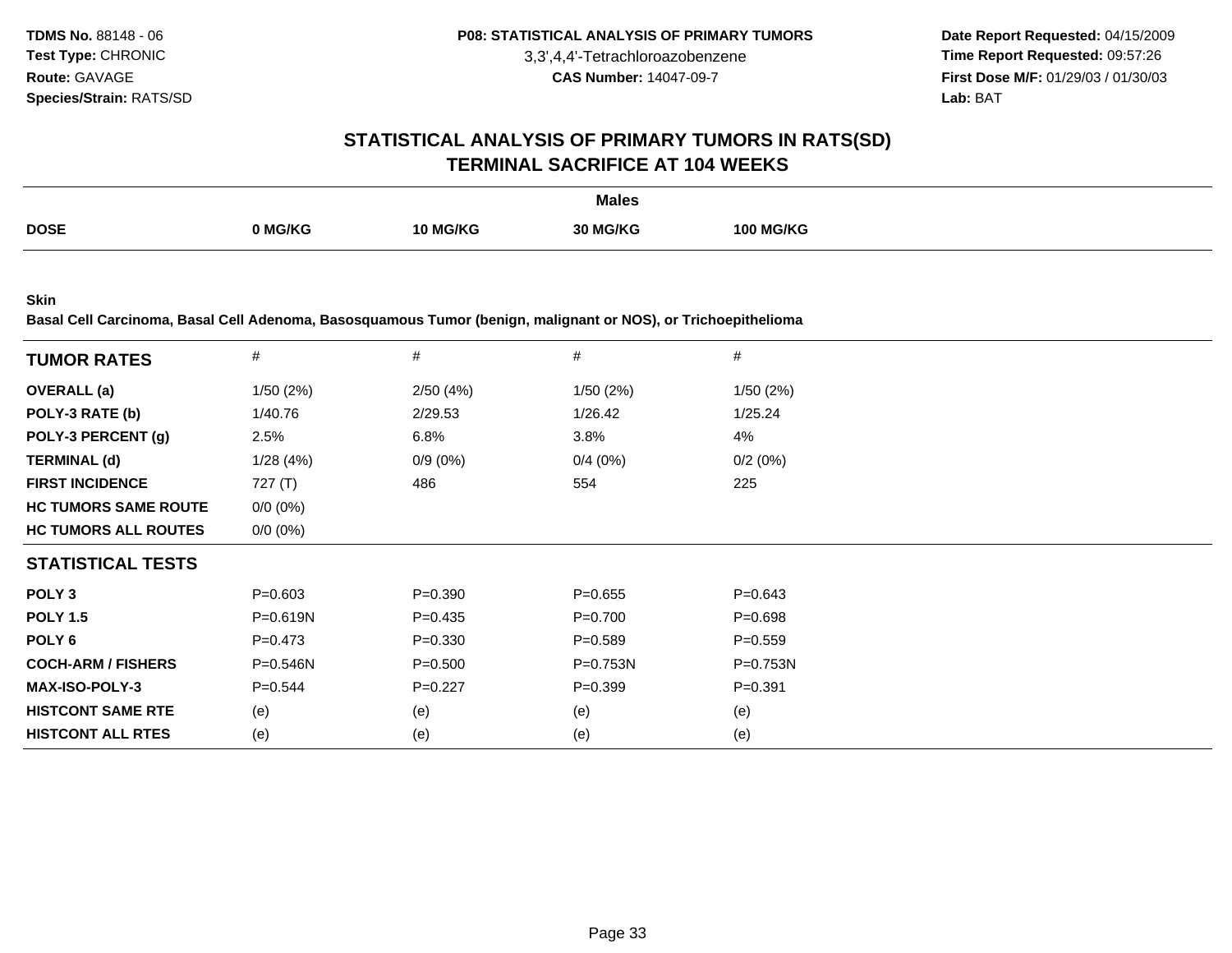**Date Report Requested:** 04/15/2009 **Time Report Requested:** 09:57:26 **First Dose M/F:** 01/29/03 / 01/30/03<br>**Lab:** BAT **Lab:** BAT

#### **STATISTICAL ANALYSIS OF PRIMARY TUMORS IN RATS(SD)TERMINAL SACRIFICE AT 104 WEEKS**

|             |         |          | <b>Males</b> |                  |
|-------------|---------|----------|--------------|------------------|
| <b>DOSE</b> | 0 MG/KG | 10 MG/KG | MG/KG        | <b>100 MG/KG</b> |

**Skin**

**Basal Cell Carcinoma, Basal Cell Adenoma, Basosquamous Tumor (benign, malignant or NOS), or Trichoepithelioma**

|                             | $\#$         | #           | #            | #            |
|-----------------------------|--------------|-------------|--------------|--------------|
| <b>TUMOR RATES</b>          |              |             |              |              |
| <b>OVERALL</b> (a)          | 1/50(2%)     | 2/50(4%)    | 1/50(2%)     | 1/50(2%)     |
| POLY-3 RATE (b)             | 1/40.76      | 2/29.53     | 1/26.42      | 1/25.24      |
| POLY-3 PERCENT (g)          | 2.5%         | 6.8%        | 3.8%         | 4%           |
| <b>TERMINAL (d)</b>         | 1/28(4%)     | $0/9(0\%)$  | 0/4(0%)      | 0/2(0%)      |
| <b>FIRST INCIDENCE</b>      | 727 (T)      | 486         | 554          | 225          |
| <b>HC TUMORS SAME ROUTE</b> | $0/0 (0\%)$  |             |              |              |
| <b>HC TUMORS ALL ROUTES</b> | $0/0 (0\%)$  |             |              |              |
| <b>STATISTICAL TESTS</b>    |              |             |              |              |
| POLY <sub>3</sub>           | $P = 0.603$  | $P = 0.390$ | $P=0.655$    | $P = 0.643$  |
| <b>POLY 1.5</b>             | $P = 0.619N$ | $P=0.435$   | $P = 0.700$  | $P = 0.698$  |
| POLY <sub>6</sub>           | $P = 0.473$  | $P = 0.330$ | $P = 0.589$  | $P = 0.559$  |
| <b>COCH-ARM / FISHERS</b>   | $P = 0.546N$ | $P = 0.500$ | $P = 0.753N$ | $P = 0.753N$ |
| <b>MAX-ISO-POLY-3</b>       | $P=0.544$    | $P=0.227$   | $P=0.399$    | $P = 0.391$  |
| <b>HISTCONT SAME RTE</b>    | (e)          | (e)         | (e)          | (e)          |
| <b>HISTCONT ALL RTES</b>    | (e)          | (e)         | (e)          | (e)          |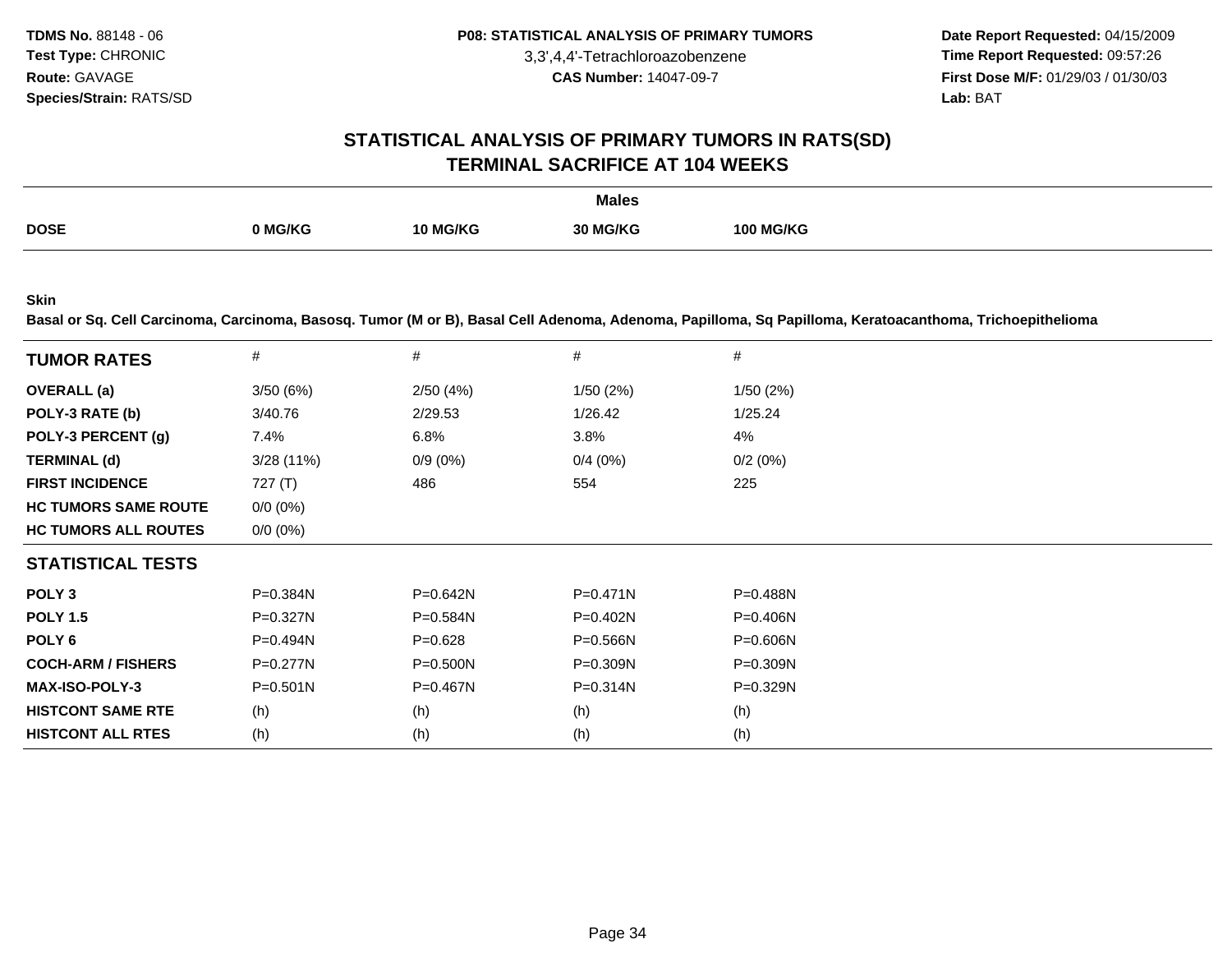**Date Report Requested:** 04/15/2009 **Time Report Requested:** 09:57:26 **First Dose M/F:** 01/29/03 / 01/30/03 Lab: BAT **Lab:** BAT

#### **STATISTICAL ANALYSIS OF PRIMARY TUMORS IN RATS(SD)TERMINAL SACRIFICE AT 104 WEEKS**

|             |              |         | <b>Males</b> |                     |
|-------------|--------------|---------|--------------|---------------------|
| <b>DOSE</b> | <b>MG/KG</b> | 10 MG/I | 3/KG         | <b>G/KG</b><br>100. |

**Skin**

**Basal or Sq. Cell Carcinoma, Carcinoma, Basosq. Tumor (M or B), Basal Cell Adenoma, Adenoma, Papilloma, Sq Papilloma, Keratoacanthoma, Trichoepithelioma**

| <b>TUMOR RATES</b>          | $\#$         | $\#$         | #            | #            |  |
|-----------------------------|--------------|--------------|--------------|--------------|--|
|                             |              |              |              |              |  |
| <b>OVERALL</b> (a)          | 3/50(6%)     | 2/50(4%)     | 1/50(2%)     | 1/50(2%)     |  |
| POLY-3 RATE (b)             | 3/40.76      | 2/29.53      | 1/26.42      | 1/25.24      |  |
| POLY-3 PERCENT (g)          | 7.4%         | 6.8%         | 3.8%         | 4%           |  |
| <b>TERMINAL (d)</b>         | $3/28(11\%)$ | $0/9(0\%)$   | 0/4(0%)      | 0/2(0%)      |  |
| <b>FIRST INCIDENCE</b>      | 727 $(T)$    | 486          | 554          | 225          |  |
| <b>HC TUMORS SAME ROUTE</b> | $0/0 (0\%)$  |              |              |              |  |
| <b>HC TUMORS ALL ROUTES</b> | $0/0 (0\%)$  |              |              |              |  |
| <b>STATISTICAL TESTS</b>    |              |              |              |              |  |
| POLY <sub>3</sub>           | $P = 0.384N$ | $P = 0.642N$ | $P = 0.471N$ | P=0.488N     |  |
| <b>POLY 1.5</b>             | $P = 0.327N$ | $P = 0.584N$ | $P=0.402N$   | $P=0.406N$   |  |
| POLY <sub>6</sub>           | P=0.494N     | $P = 0.628$  | $P = 0.566N$ | $P = 0.606N$ |  |
| <b>COCH-ARM / FISHERS</b>   | $P=0.277N$   | $P = 0.500N$ | $P = 0.309N$ | $P = 0.309N$ |  |
| <b>MAX-ISO-POLY-3</b>       | $P = 0.501N$ | $P = 0.467N$ | $P = 0.314N$ | P=0.329N     |  |
| <b>HISTCONT SAME RTE</b>    | (h)          | (h)          | (h)          | (h)          |  |
| <b>HISTCONT ALL RTES</b>    | (h)          | (h)          | (h)          | (h)          |  |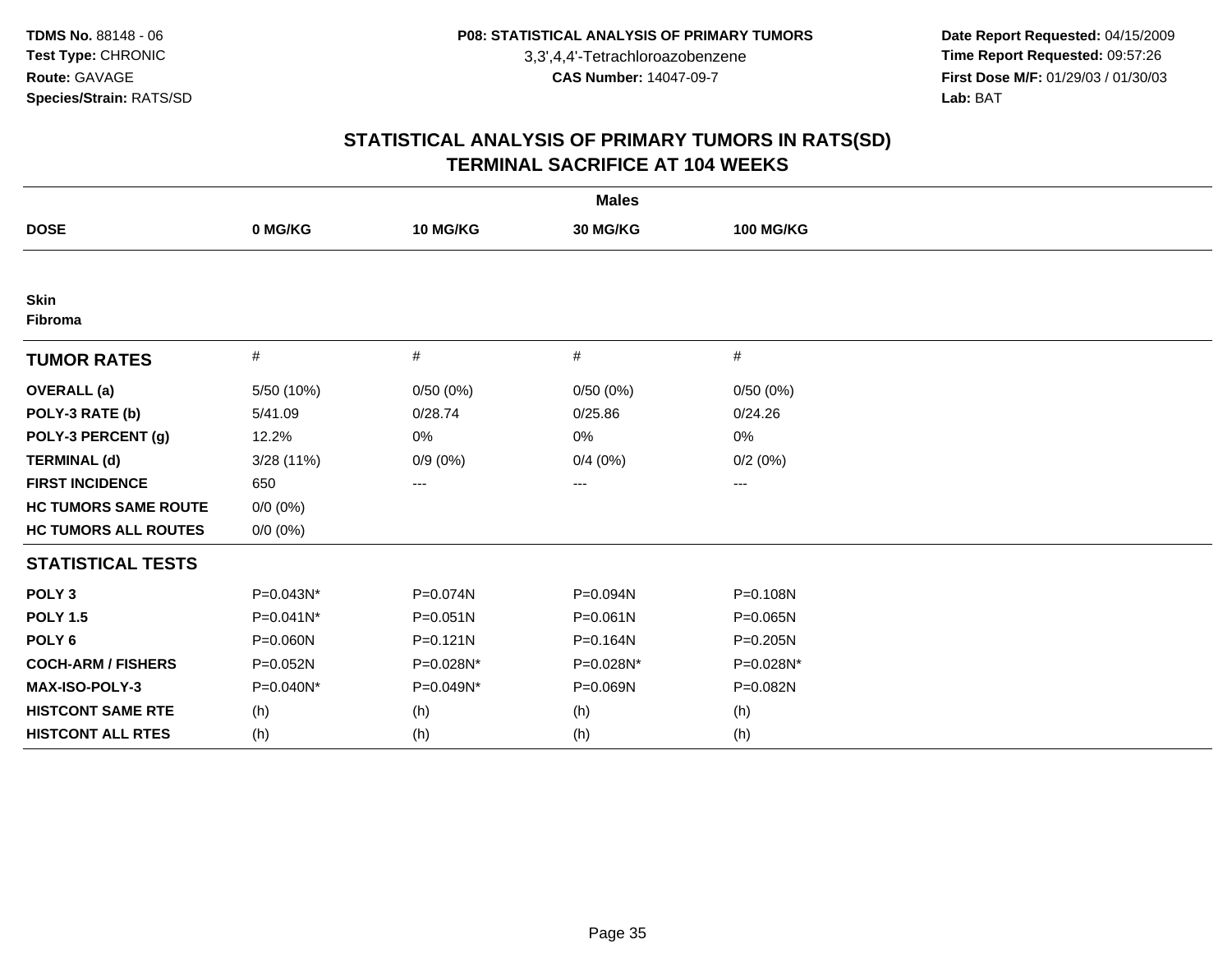**Date Report Requested:** 04/15/2009 **Time Report Requested:** 09:57:26 **First Dose M/F:** 01/29/03 / 01/30/03<br>Lab: BAT **Lab:** BAT

|                             |              |              | <b>Males</b> |                   |  |
|-----------------------------|--------------|--------------|--------------|-------------------|--|
| <b>DOSE</b>                 | 0 MG/KG      | 10 MG/KG     | 30 MG/KG     | <b>100 MG/KG</b>  |  |
|                             |              |              |              |                   |  |
| <b>Skin</b><br>Fibroma      |              |              |              |                   |  |
| <b>TUMOR RATES</b>          | $\#$         | #            | $\#$         | $\#$              |  |
| <b>OVERALL</b> (a)          | 5/50 (10%)   | 0/50(0%)     | 0/50(0%)     | 0/50(0%)          |  |
| POLY-3 RATE (b)             | 5/41.09      | 0/28.74      | 0/25.86      | 0/24.26           |  |
| POLY-3 PERCENT (g)          | 12.2%        | 0%           | 0%           | 0%                |  |
| <b>TERMINAL (d)</b>         | 3/28(11%)    | $0/9(0\%)$   | 0/4(0%)      | 0/2(0%)           |  |
| <b>FIRST INCIDENCE</b>      | 650          | $---$        | ---          | $\qquad \qquad -$ |  |
| <b>HC TUMORS SAME ROUTE</b> | $0/0 (0\%)$  |              |              |                   |  |
| <b>HC TUMORS ALL ROUTES</b> | $0/0 (0\%)$  |              |              |                   |  |
| <b>STATISTICAL TESTS</b>    |              |              |              |                   |  |
| POLY <sub>3</sub>           | P=0.043N*    | P=0.074N     | P=0.094N     | P=0.108N          |  |
| <b>POLY 1.5</b>             | $P=0.041N*$  | $P = 0.051N$ | $P = 0.061N$ | $P = 0.065N$      |  |
| POLY <sub>6</sub>           | P=0.060N     | $P = 0.121N$ | P=0.164N     | $P = 0.205N$      |  |
| <b>COCH-ARM / FISHERS</b>   | $P = 0.052N$ | P=0.028N*    | P=0.028N*    | P=0.028N*         |  |
| <b>MAX-ISO-POLY-3</b>       | P=0.040N*    | P=0.049N*    | P=0.069N     | P=0.082N          |  |
| <b>HISTCONT SAME RTE</b>    | (h)          | (h)          | (h)          | (h)               |  |
| <b>HISTCONT ALL RTES</b>    | (h)          | (h)          | (h)          | (h)               |  |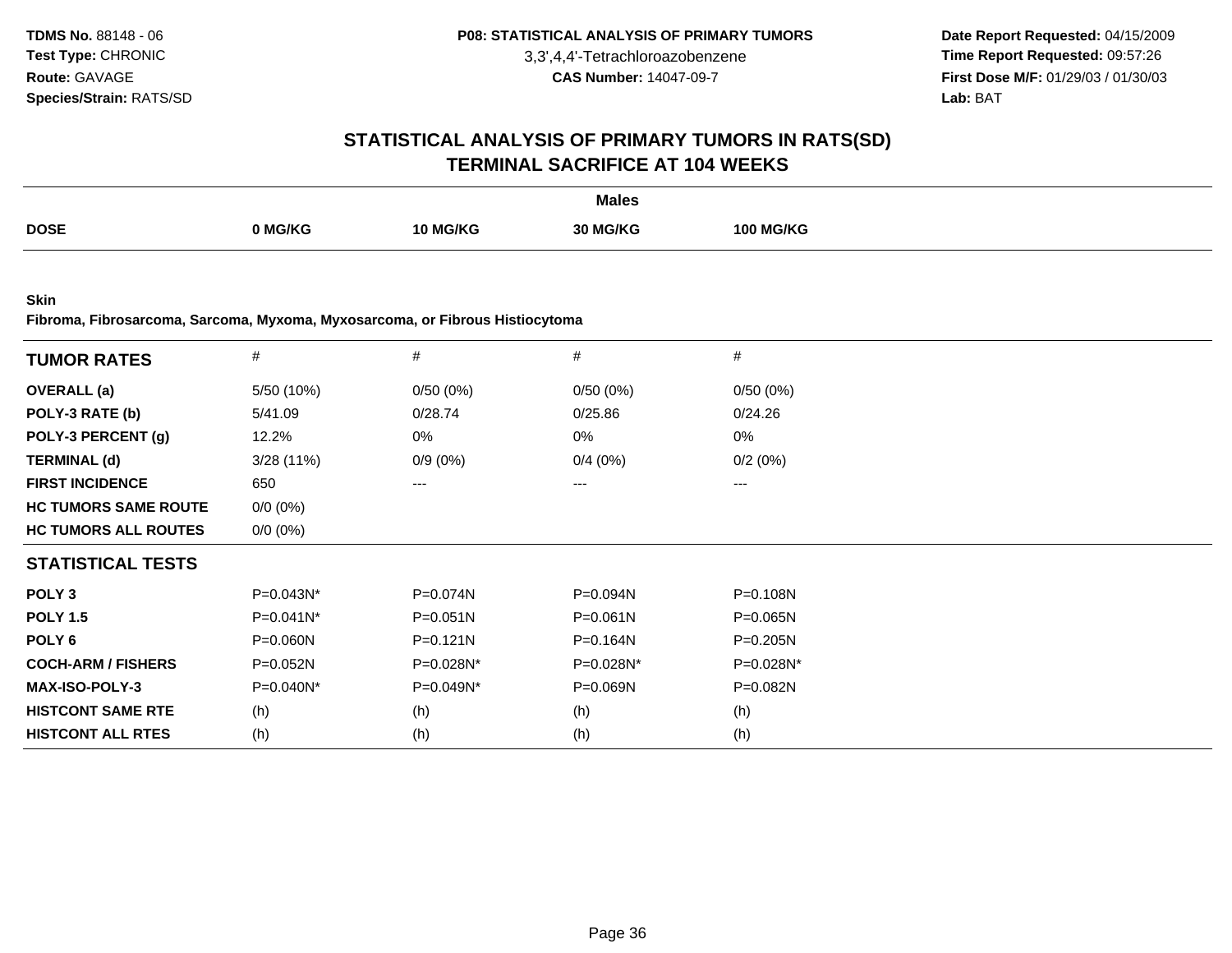**Date Report Requested:** 04/15/2009 **Time Report Requested:** 09:57:26 **First Dose M/F:** 01/29/03 / 01/30/03<br>**Lab:** BAT **Lab:** BAT

#### **STATISTICAL ANALYSIS OF PRIMARY TUMORS IN RATS(SD)TERMINAL SACRIFICE AT 104 WEEKS**

|             |         |                 | <b>Males</b> |                  |
|-------------|---------|-----------------|--------------|------------------|
| <b>DOSE</b> | 0 MG/KG | <b>10 MG/KG</b> | 30 MG/KG     | <b>100 MG/KG</b> |
|             |         |                 |              |                  |

**Skin**

**Fibroma, Fibrosarcoma, Sarcoma, Myxoma, Myxosarcoma, or Fibrous Histiocytoma**

| <b>TUMOR RATES</b>          | $\#$        | #            | #            | $\#$         |  |
|-----------------------------|-------------|--------------|--------------|--------------|--|
| <b>OVERALL</b> (a)          | 5/50 (10%)  | 0/50(0%)     | 0/50(0%)     | 0/50(0%)     |  |
| POLY-3 RATE (b)             | 5/41.09     | 0/28.74      | 0/25.86      | 0/24.26      |  |
| POLY-3 PERCENT (g)          | 12.2%       | 0%           | 0%           | 0%           |  |
| <b>TERMINAL (d)</b>         | 3/28(11%)   | $0/9(0\%)$   | 0/4(0%)      | 0/2(0%)      |  |
| <b>FIRST INCIDENCE</b>      | 650         | $---$        | ---          | $---$        |  |
| <b>HC TUMORS SAME ROUTE</b> | $0/0 (0\%)$ |              |              |              |  |
| <b>HC TUMORS ALL ROUTES</b> | $0/0 (0\%)$ |              |              |              |  |
| <b>STATISTICAL TESTS</b>    |             |              |              |              |  |
| POLY <sub>3</sub>           | $P=0.043N*$ | P=0.074N     | $P = 0.094N$ | $P = 0.108N$ |  |
| <b>POLY 1.5</b>             | P=0.041N*   | $P = 0.051N$ | $P = 0.061N$ | P=0.065N     |  |
| POLY 6                      | P=0.060N    | $P = 0.121N$ | $P = 0.164N$ | $P = 0.205N$ |  |
| <b>COCH-ARM / FISHERS</b>   | $P=0.052N$  | $P=0.028N^*$ | P=0.028N*    | P=0.028N*    |  |
| <b>MAX-ISO-POLY-3</b>       | P=0.040N*   | P=0.049N*    | P=0.069N     | P=0.082N     |  |
| <b>HISTCONT SAME RTE</b>    | (h)         | (h)          | (h)          | (h)          |  |
| <b>HISTCONT ALL RTES</b>    | (h)         | (h)          | (h)          | (h)          |  |
|                             |             |              |              |              |  |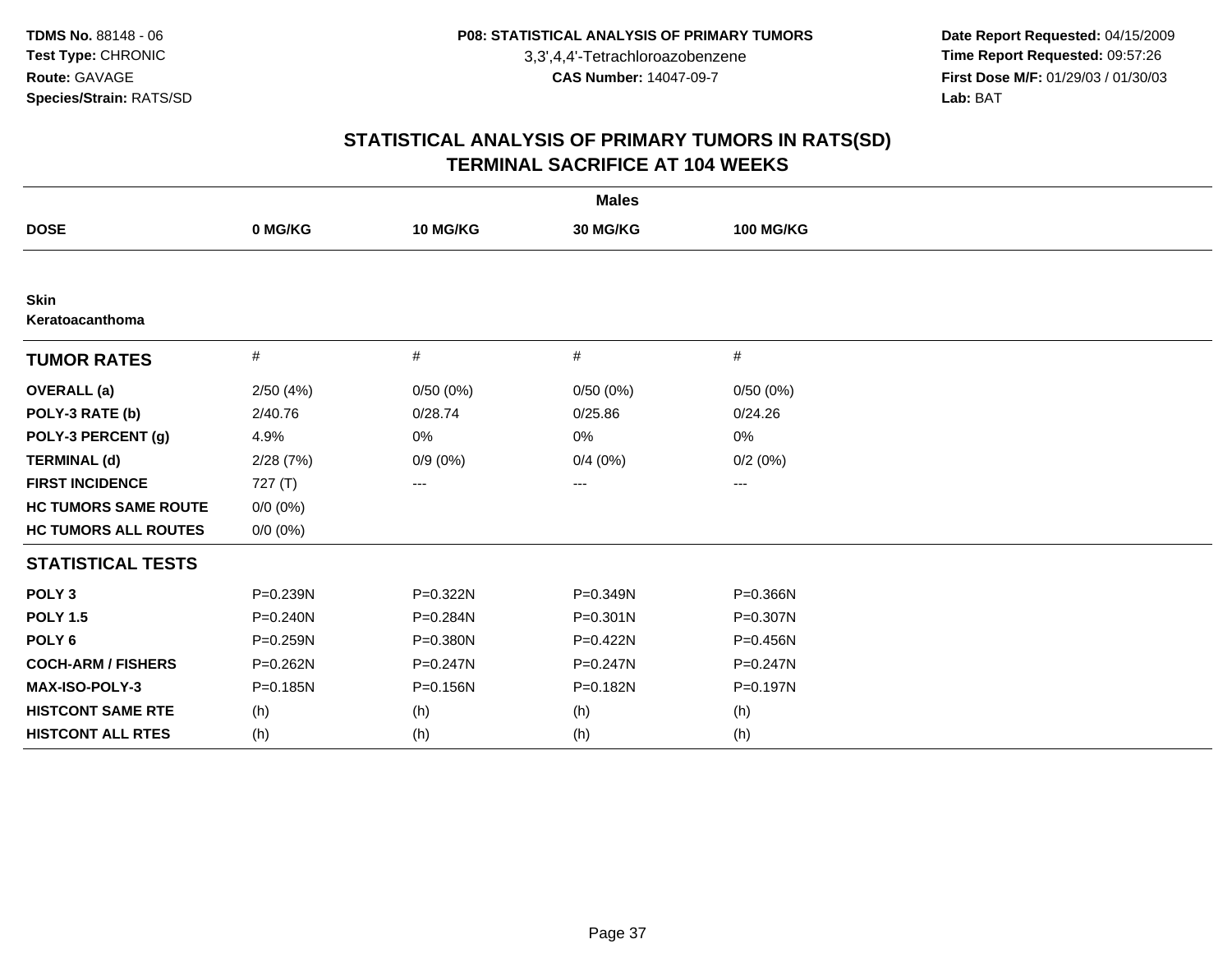**Date Report Requested:** 04/15/2009 **Time Report Requested:** 09:57:26 **First Dose M/F:** 01/29/03 / 01/30/03<br>Lab: BAT **Lab:** BAT

|                                |              |              | <b>Males</b> |                  |  |
|--------------------------------|--------------|--------------|--------------|------------------|--|
| <b>DOSE</b>                    | 0 MG/KG      | 10 MG/KG     | 30 MG/KG     | <b>100 MG/KG</b> |  |
|                                |              |              |              |                  |  |
| <b>Skin</b><br>Keratoacanthoma |              |              |              |                  |  |
| <b>TUMOR RATES</b>             | $\#$         | #            | $\#$         | #                |  |
| <b>OVERALL</b> (a)             | 2/50(4%)     | 0/50(0%)     | 0/50(0%)     | 0/50(0%)         |  |
| POLY-3 RATE (b)                | 2/40.76      | 0/28.74      | 0/25.86      | 0/24.26          |  |
| POLY-3 PERCENT (g)             | 4.9%         | 0%           | 0%           | 0%               |  |
| <b>TERMINAL (d)</b>            | 2/28(7%)     | $0/9(0\%)$   | 0/4(0%)      | 0/2(0%)          |  |
| <b>FIRST INCIDENCE</b>         | 727 $(T)$    | ---          | ---          | ---              |  |
| <b>HC TUMORS SAME ROUTE</b>    | $0/0 (0\%)$  |              |              |                  |  |
| <b>HC TUMORS ALL ROUTES</b>    | $0/0 (0\%)$  |              |              |                  |  |
| <b>STATISTICAL TESTS</b>       |              |              |              |                  |  |
| POLY <sub>3</sub>              | P=0.239N     | P=0.322N     | P=0.349N     | P=0.366N         |  |
| <b>POLY 1.5</b>                | $P = 0.240N$ | $P = 0.284N$ | $P = 0.301N$ | $P = 0.307N$     |  |
| POLY <sub>6</sub>              | P=0.259N     | P=0.380N     | P=0.422N     | P=0.456N         |  |
| <b>COCH-ARM / FISHERS</b>      | $P = 0.262N$ | P=0.247N     | P=0.247N     | $P = 0.247N$     |  |
| <b>MAX-ISO-POLY-3</b>          | $P = 0.185N$ | P=0.156N     | P=0.182N     | P=0.197N         |  |
| <b>HISTCONT SAME RTE</b>       | (h)          | (h)          | (h)          | (h)              |  |
| <b>HISTCONT ALL RTES</b>       | (h)          | (h)          | (h)          | (h)              |  |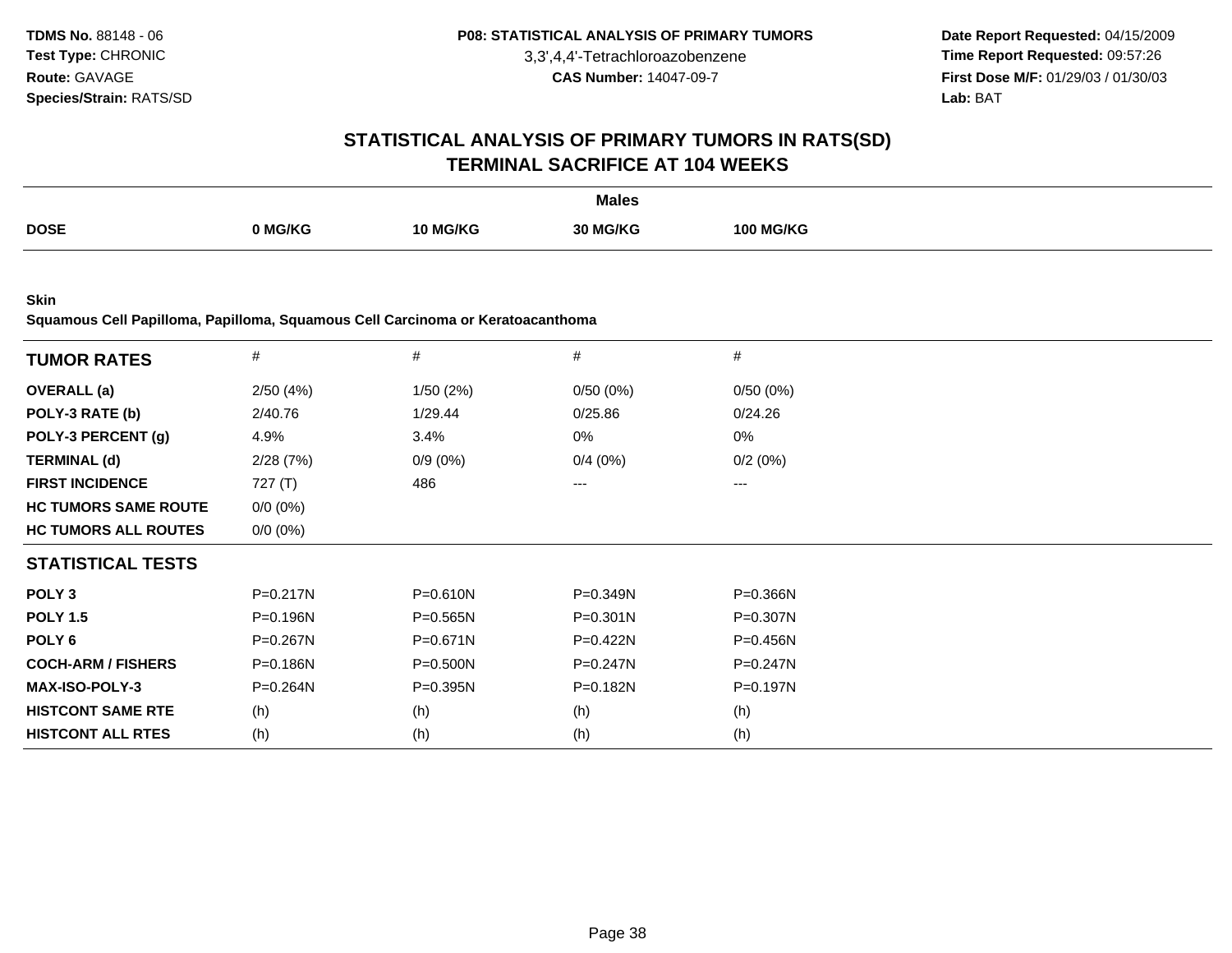**Date Report Requested:** 04/15/2009 **Time Report Requested:** 09:57:26 **First Dose M/F:** 01/29/03 / 01/30/03 Lab: BAT **Lab:** BAT

### **STATISTICAL ANALYSIS OF PRIMARY TUMORS IN RATS(SD)TERMINAL SACRIFICE AT 104 WEEKS**

|             |         |          | <b>Males</b> |                  |
|-------------|---------|----------|--------------|------------------|
| <b>DOSE</b> | 0 MG/KG | 10 MG/KG | 30 MG/KG     | <b>100 MG/KG</b> |

**Skin**

**Squamous Cell Papilloma, Papilloma, Squamous Cell Carcinoma or Keratoacanthoma**

| <b>TUMOR RATES</b>          | #            | $\#$         | $\#$         | #            |  |
|-----------------------------|--------------|--------------|--------------|--------------|--|
| <b>OVERALL</b> (a)          | 2/50(4%)     | 1/50(2%)     | 0/50(0%)     | 0/50(0%)     |  |
| POLY-3 RATE (b)             | 2/40.76      | 1/29.44      | 0/25.86      | 0/24.26      |  |
| POLY-3 PERCENT (g)          | 4.9%         | 3.4%         | 0%           | 0%           |  |
| <b>TERMINAL (d)</b>         | 2/28(7%)     | $0/9(0\%)$   | 0/4(0%)      | 0/2(0%)      |  |
| <b>FIRST INCIDENCE</b>      | 727(T)       | 486          | $---$        | ---          |  |
| <b>HC TUMORS SAME ROUTE</b> | $0/0 (0\%)$  |              |              |              |  |
| <b>HC TUMORS ALL ROUTES</b> | $0/0 (0\%)$  |              |              |              |  |
| <b>STATISTICAL TESTS</b>    |              |              |              |              |  |
| POLY <sub>3</sub>           | $P = 0.217N$ | $P = 0.610N$ | P=0.349N     | P=0.366N     |  |
| <b>POLY 1.5</b>             | $P = 0.196N$ | $P = 0.565N$ | $P = 0.301N$ | $P = 0.307N$ |  |
| POLY 6                      | P=0.267N     | $P = 0.671N$ | P=0.422N     | P=0.456N     |  |
| <b>COCH-ARM / FISHERS</b>   | P=0.186N     | P=0.500N     | $P = 0.247N$ | $P = 0.247N$ |  |
| <b>MAX-ISO-POLY-3</b>       | $P = 0.264N$ | $P = 0.395N$ | $P = 0.182N$ | P=0.197N     |  |
| <b>HISTCONT SAME RTE</b>    | (h)          | (h)          | (h)          | (h)          |  |
| <b>HISTCONT ALL RTES</b>    | (h)          | (h)          | (h)          | (h)          |  |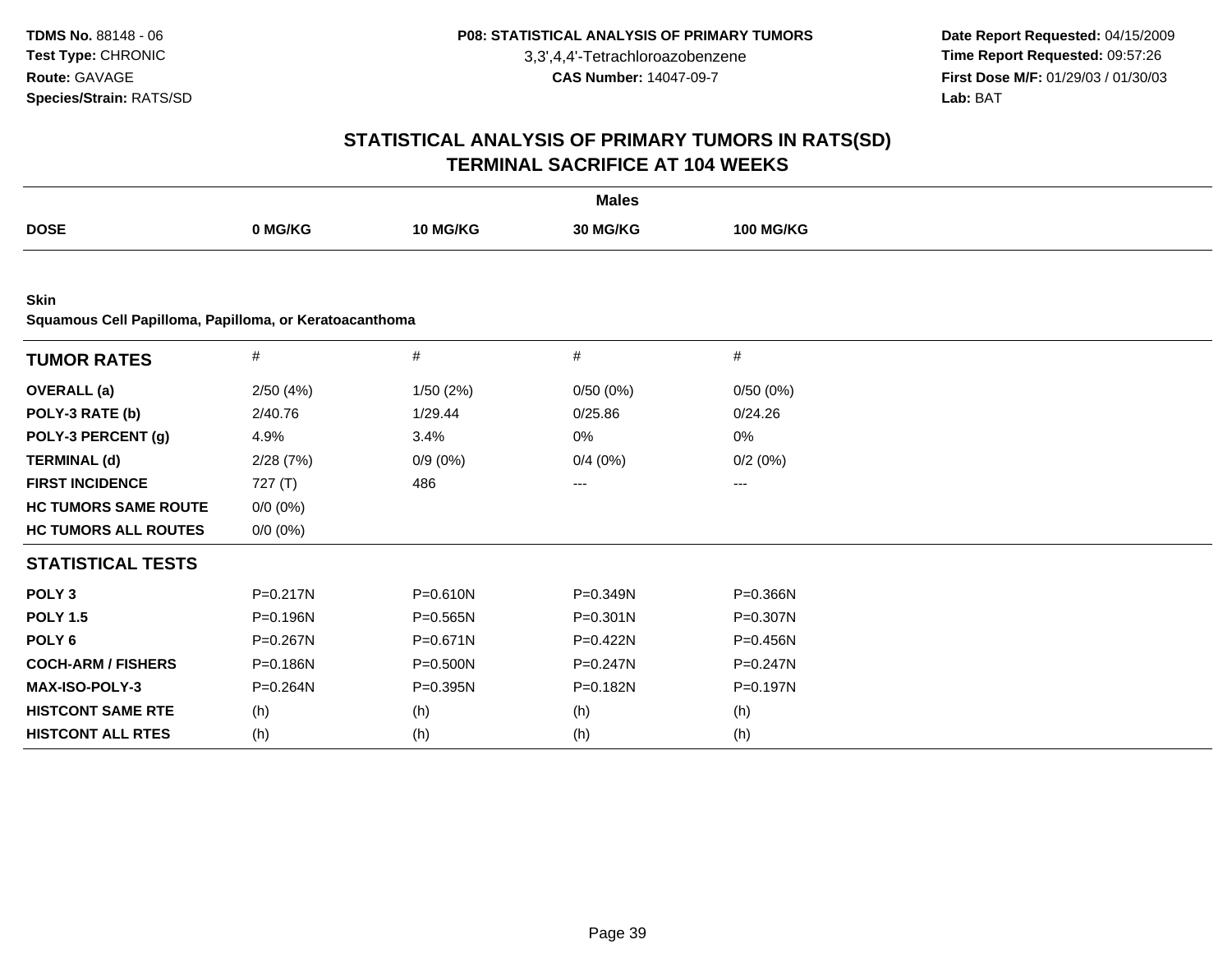**Date Report Requested:** 04/15/2009 **Time Report Requested:** 09:57:26 **First Dose M/F:** 01/29/03 / 01/30/03<br>Lab: BAT **Lab:** BAT

|                                                                       |              |              | <b>Males</b> |                  |  |
|-----------------------------------------------------------------------|--------------|--------------|--------------|------------------|--|
| <b>DOSE</b>                                                           | 0 MG/KG      | 10 MG/KG     | 30 MG/KG     | <b>100 MG/KG</b> |  |
|                                                                       |              |              |              |                  |  |
| <b>Skin</b><br>Squamous Cell Papilloma, Papilloma, or Keratoacanthoma |              |              |              |                  |  |
| <b>TUMOR RATES</b>                                                    | $\#$         | $\#$         | $\#$         | #                |  |
| <b>OVERALL</b> (a)                                                    | 2/50(4%)     | 1/50(2%)     | 0/50(0%)     | 0/50(0%)         |  |
| POLY-3 RATE (b)                                                       | 2/40.76      | 1/29.44      | 0/25.86      | 0/24.26          |  |
| POLY-3 PERCENT (g)                                                    | 4.9%         | 3.4%         | $0\%$        | 0%               |  |
| <b>TERMINAL (d)</b>                                                   | 2/28(7%)     | $0/9(0\%)$   | 0/4(0%)      | 0/2(0%)          |  |
| <b>FIRST INCIDENCE</b>                                                | 727(T)       | 486          | ---          | ---              |  |
| <b>HC TUMORS SAME ROUTE</b>                                           | $0/0 (0\%)$  |              |              |                  |  |
| <b>HC TUMORS ALL ROUTES</b>                                           | $0/0 (0\%)$  |              |              |                  |  |
| <b>STATISTICAL TESTS</b>                                              |              |              |              |                  |  |
| POLY <sub>3</sub>                                                     | $P = 0.217N$ | $P = 0.610N$ | P=0.349N     | P=0.366N         |  |
| <b>POLY 1.5</b>                                                       | P=0.196N     | $P = 0.565N$ | $P = 0.301N$ | P=0.307N         |  |
| POLY <sub>6</sub>                                                     | P=0.267N     | $P = 0.671N$ | P=0.422N     | P=0.456N         |  |
| <b>COCH-ARM / FISHERS</b>                                             | $P = 0.186N$ | P=0.500N     | $P = 0.247N$ | $P = 0.247N$     |  |
| MAX-ISO-POLY-3                                                        | P=0.264N     | P=0.395N     | P=0.182N     | P=0.197N         |  |
| <b>HISTCONT SAME RTE</b>                                              | (h)          | (h)          | (h)          | (h)              |  |
| <b>HISTCONT ALL RTES</b>                                              | (h)          | (h)          | (h)          | (h)              |  |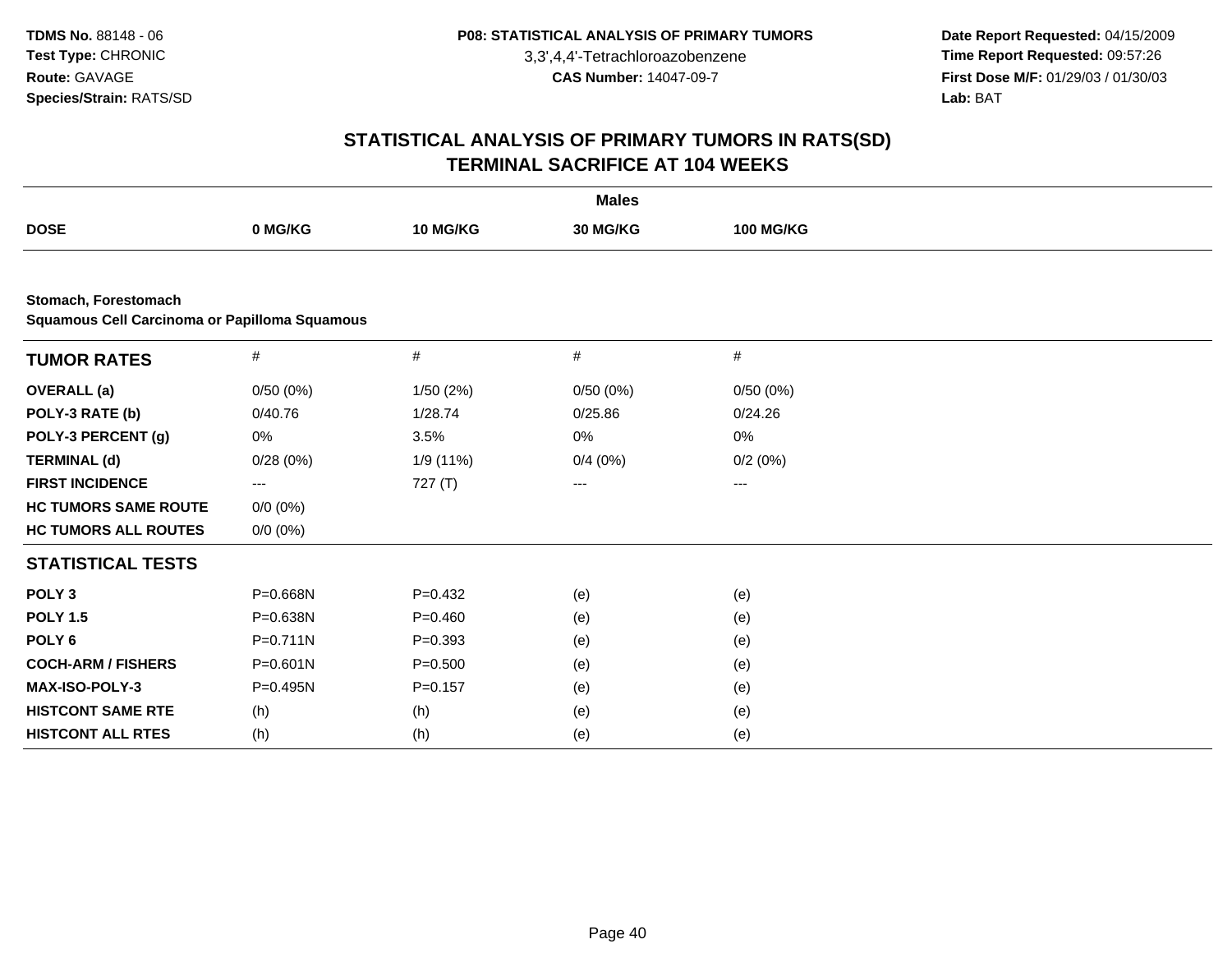**Date Report Requested:** 04/15/2009 **Time Report Requested:** 09:57:26 **First Dose M/F:** 01/29/03 / 01/30/03<br>Lab: BAT **Lab:** BAT

|                                                                              |              |             | <b>Males</b> |                  |  |
|------------------------------------------------------------------------------|--------------|-------------|--------------|------------------|--|
| <b>DOSE</b>                                                                  | 0 MG/KG      | 10 MG/KG    | 30 MG/KG     | <b>100 MG/KG</b> |  |
|                                                                              |              |             |              |                  |  |
| Stomach, Forestomach<br><b>Squamous Cell Carcinoma or Papilloma Squamous</b> |              |             |              |                  |  |
| <b>TUMOR RATES</b>                                                           | #            | $\#$        | #            | $\#$             |  |
| <b>OVERALL</b> (a)                                                           | 0/50(0%)     | 1/50(2%)    | 0/50(0%)     | 0/50(0%)         |  |
| POLY-3 RATE (b)                                                              | 0/40.76      | 1/28.74     | 0/25.86      | 0/24.26          |  |
| POLY-3 PERCENT (g)                                                           | 0%           | 3.5%        | 0%           | 0%               |  |
| <b>TERMINAL (d)</b>                                                          | 0/28(0%)     | 1/9 (11%)   | 0/4(0%)      | 0/2(0%)          |  |
| <b>FIRST INCIDENCE</b>                                                       | ---          | 727 $(T)$   | ---          | ---              |  |
| <b>HC TUMORS SAME ROUTE</b>                                                  | $0/0 (0\%)$  |             |              |                  |  |
| <b>HC TUMORS ALL ROUTES</b>                                                  | $0/0 (0\%)$  |             |              |                  |  |
| <b>STATISTICAL TESTS</b>                                                     |              |             |              |                  |  |
| POLY <sub>3</sub>                                                            | P=0.668N     | $P=0.432$   | (e)          | (e)              |  |
| <b>POLY 1.5</b>                                                              | P=0.638N     | $P=0.460$   | (e)          | (e)              |  |
| POLY <sub>6</sub>                                                            | $P = 0.711N$ | $P=0.393$   | (e)          | (e)              |  |
| <b>COCH-ARM / FISHERS</b>                                                    | $P = 0.601N$ | $P = 0.500$ | (e)          | (e)              |  |
| MAX-ISO-POLY-3                                                               | P=0.495N     | $P = 0.157$ | (e)          | (e)              |  |
| <b>HISTCONT SAME RTE</b>                                                     | (h)          | (h)         | (e)          | (e)              |  |
| <b>HISTCONT ALL RTES</b>                                                     | (h)          | (h)         | (e)          | (e)              |  |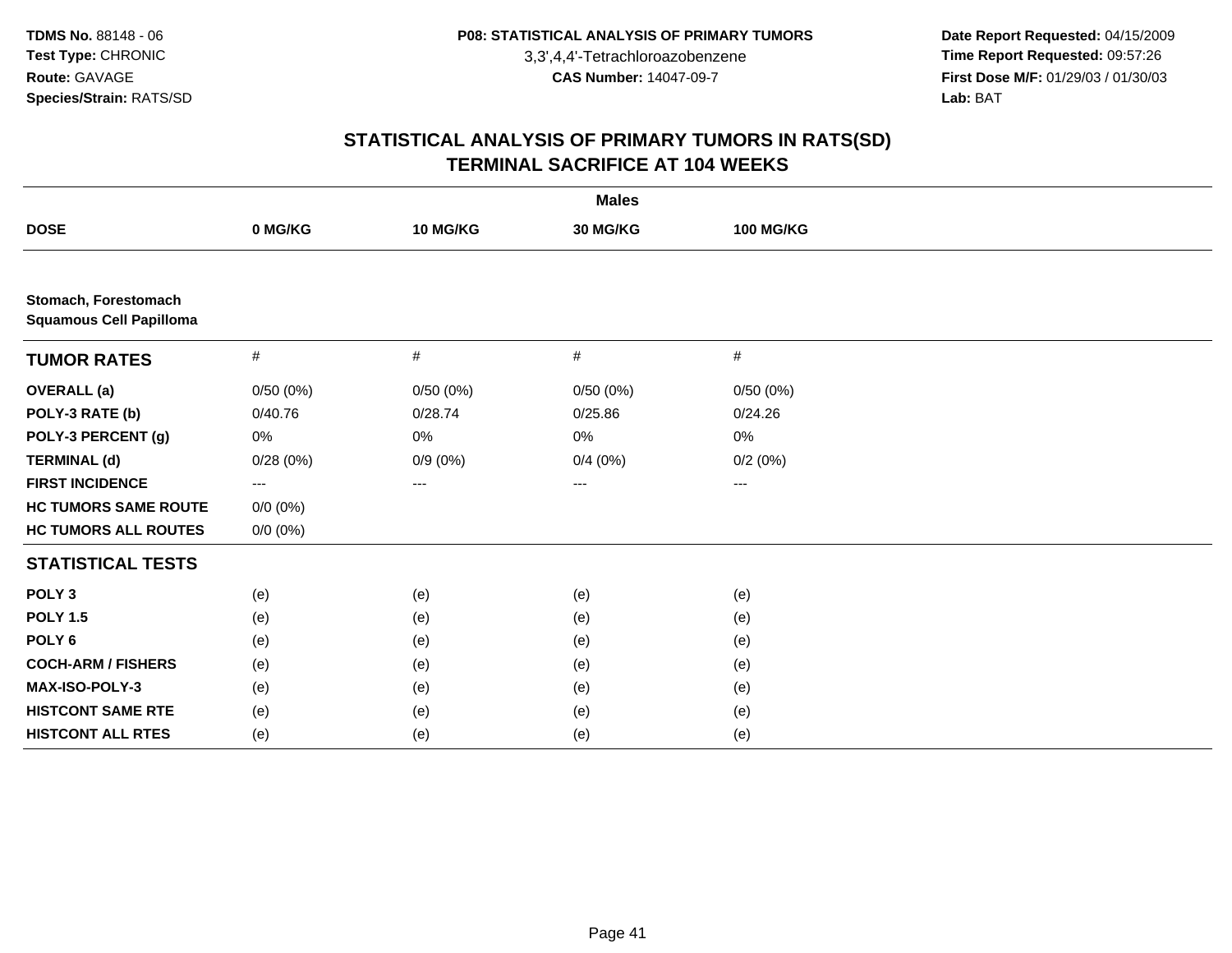**Date Report Requested:** 04/15/2009 **Time Report Requested:** 09:57:26 **First Dose M/F:** 01/29/03 / 01/30/03<br>Lab: BAT **Lab:** BAT

|                                                        |             |            | <b>Males</b> |                   |  |
|--------------------------------------------------------|-------------|------------|--------------|-------------------|--|
| <b>DOSE</b>                                            | 0 MG/KG     | 10 MG/KG   | 30 MG/KG     | <b>100 MG/KG</b>  |  |
|                                                        |             |            |              |                   |  |
| Stomach, Forestomach<br><b>Squamous Cell Papilloma</b> |             |            |              |                   |  |
| <b>TUMOR RATES</b>                                     | $\#$        | #          | #            | #                 |  |
| <b>OVERALL</b> (a)                                     | 0/50(0%)    | 0/50(0%)   | 0/50(0%)     | 0/50(0%)          |  |
| POLY-3 RATE (b)                                        | 0/40.76     | 0/28.74    | 0/25.86      | 0/24.26           |  |
| POLY-3 PERCENT (g)                                     | 0%          | 0%         | 0%           | 0%                |  |
| <b>TERMINAL (d)</b>                                    | 0/28(0%)    | $0/9(0\%)$ | 0/4(0%)      | 0/2(0%)           |  |
| <b>FIRST INCIDENCE</b>                                 | $---$       | ---        | ---          | $\qquad \qquad -$ |  |
| <b>HC TUMORS SAME ROUTE</b>                            | $0/0 (0\%)$ |            |              |                   |  |
| <b>HC TUMORS ALL ROUTES</b>                            | $0/0 (0\%)$ |            |              |                   |  |
| <b>STATISTICAL TESTS</b>                               |             |            |              |                   |  |
| POLY <sub>3</sub>                                      | (e)         | (e)        | (e)          | (e)               |  |
| <b>POLY 1.5</b>                                        | (e)         | (e)        | (e)          | (e)               |  |
| POLY <sub>6</sub>                                      | (e)         | (e)        | (e)          | (e)               |  |
| <b>COCH-ARM / FISHERS</b>                              | (e)         | (e)        | (e)          | (e)               |  |
| MAX-ISO-POLY-3                                         | (e)         | (e)        | (e)          | (e)               |  |
| <b>HISTCONT SAME RTE</b>                               | (e)         | (e)        | (e)          | (e)               |  |
| <b>HISTCONT ALL RTES</b>                               | (e)         | (e)        | (e)          | (e)               |  |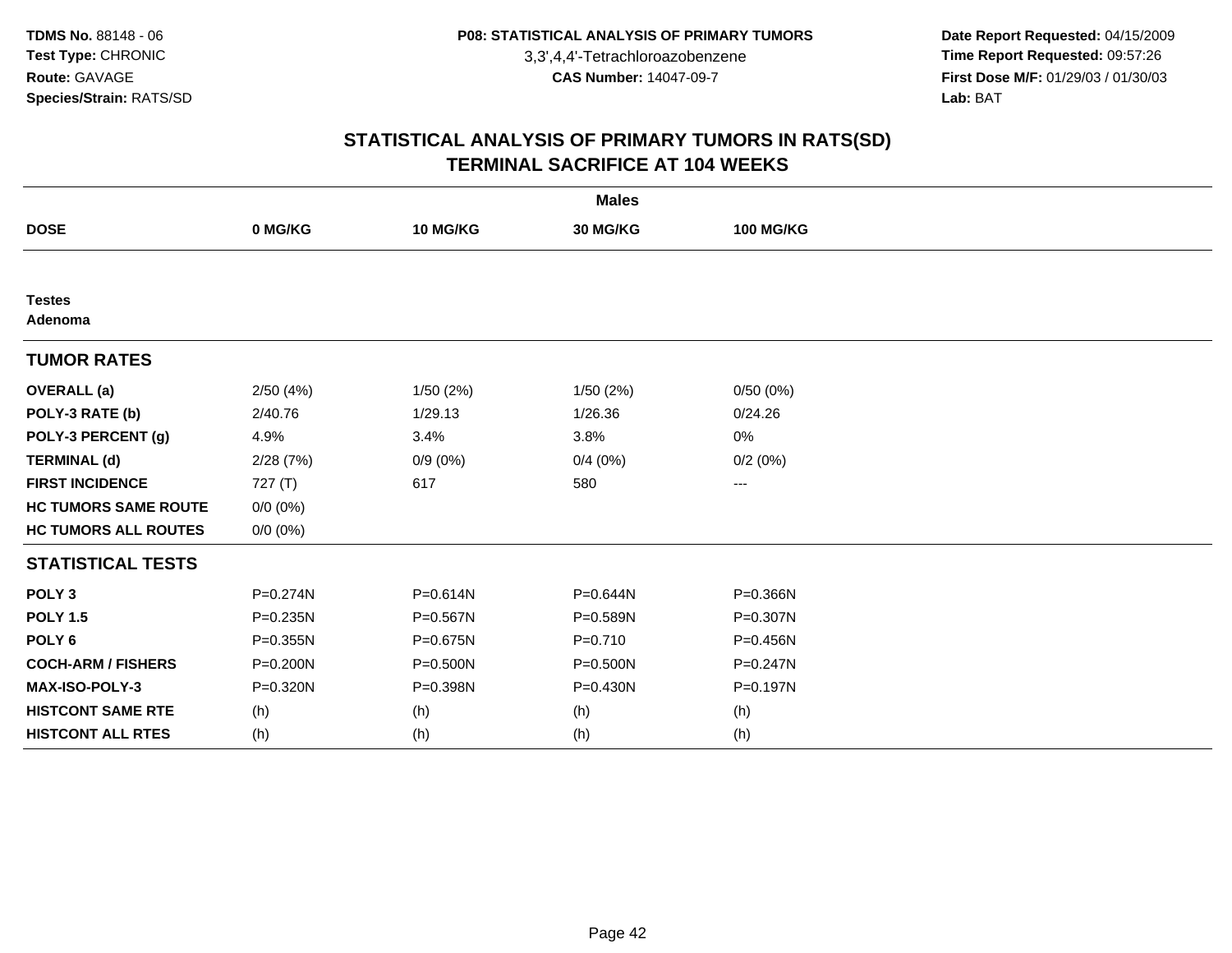**Date Report Requested:** 04/15/2009 **Time Report Requested:** 09:57:26 **First Dose M/F:** 01/29/03 / 01/30/03<br>Lab: BAT **Lab:** BAT

|                             |              |            | <b>Males</b> |                  |  |
|-----------------------------|--------------|------------|--------------|------------------|--|
| <b>DOSE</b>                 | 0 MG/KG      | 10 MG/KG   | 30 MG/KG     | <b>100 MG/KG</b> |  |
|                             |              |            |              |                  |  |
| <b>Testes</b><br>Adenoma    |              |            |              |                  |  |
| <b>TUMOR RATES</b>          |              |            |              |                  |  |
| <b>OVERALL</b> (a)          | 2/50(4%)     | 1/50(2%)   | 1/50(2%)     | 0/50(0%)         |  |
| POLY-3 RATE (b)             | 2/40.76      | 1/29.13    | 1/26.36      | 0/24.26          |  |
| POLY-3 PERCENT (g)          | 4.9%         | 3.4%       | 3.8%         | 0%               |  |
| <b>TERMINAL (d)</b>         | 2/28(7%)     | $0/9(0\%)$ | 0/4(0%)      | 0/2(0%)          |  |
| <b>FIRST INCIDENCE</b>      | 727 (T)      | 617        | 580          | ---              |  |
| <b>HC TUMORS SAME ROUTE</b> | $0/0 (0\%)$  |            |              |                  |  |
| <b>HC TUMORS ALL ROUTES</b> | $0/0 (0\%)$  |            |              |                  |  |
| <b>STATISTICAL TESTS</b>    |              |            |              |                  |  |
| POLY <sub>3</sub>           | $P = 0.274N$ | P=0.614N   | P=0.644N     | P=0.366N         |  |
| <b>POLY 1.5</b>             | P=0.235N     | P=0.567N   | P=0.589N     | P=0.307N         |  |
| POLY <sub>6</sub>           | $P = 0.355N$ | P=0.675N   | $P = 0.710$  | P=0.456N         |  |
| <b>COCH-ARM / FISHERS</b>   | $P = 0.200N$ | P=0.500N   | $P = 0.500N$ | P=0.247N         |  |
| <b>MAX-ISO-POLY-3</b>       | P=0.320N     | P=0.398N   | $P = 0.430N$ | P=0.197N         |  |
| <b>HISTCONT SAME RTE</b>    | (h)          | (h)        | (h)          | (h)              |  |
| <b>HISTCONT ALL RTES</b>    | (h)          | (h)        | (h)          | (h)              |  |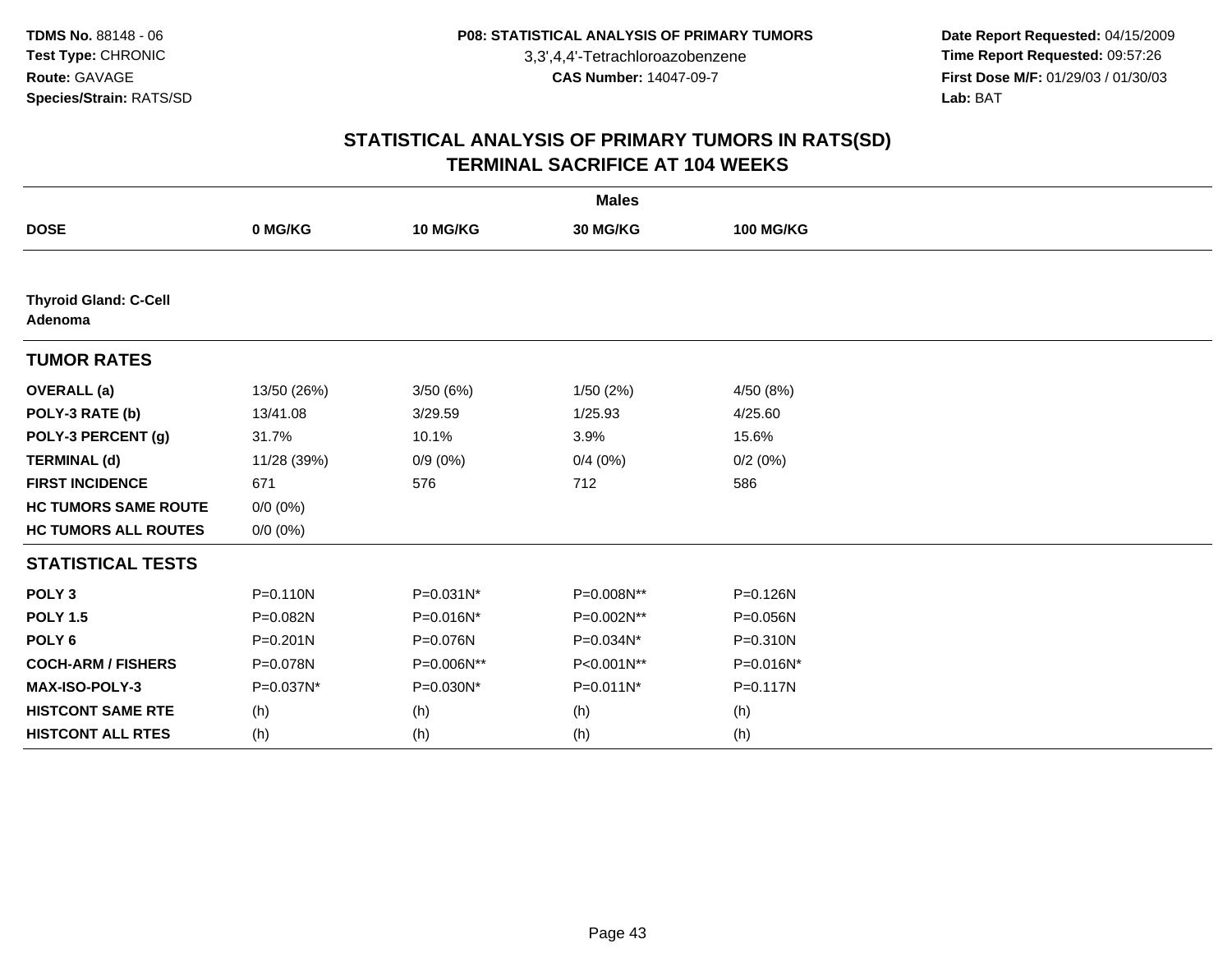**Date Report Requested:** 04/15/2009 **Time Report Requested:** 09:57:26 **First Dose M/F:** 01/29/03 / 01/30/03<br>Lab: BAT **Lab:** BAT

|                                         |              |            | <b>Males</b> |                  |  |
|-----------------------------------------|--------------|------------|--------------|------------------|--|
| <b>DOSE</b>                             | 0 MG/KG      | 10 MG/KG   | 30 MG/KG     | <b>100 MG/KG</b> |  |
|                                         |              |            |              |                  |  |
| <b>Thyroid Gland: C-Cell</b><br>Adenoma |              |            |              |                  |  |
| <b>TUMOR RATES</b>                      |              |            |              |                  |  |
| <b>OVERALL</b> (a)                      | 13/50 (26%)  | 3/50(6%)   | 1/50(2%)     | 4/50 (8%)        |  |
| POLY-3 RATE (b)                         | 13/41.08     | 3/29.59    | 1/25.93      | 4/25.60          |  |
| POLY-3 PERCENT (g)                      | 31.7%        | 10.1%      | 3.9%         | 15.6%            |  |
| <b>TERMINAL (d)</b>                     | 11/28 (39%)  | $0/9(0\%)$ | 0/4(0%)      | 0/2(0%)          |  |
| <b>FIRST INCIDENCE</b>                  | 671          | 576        | 712          | 586              |  |
| <b>HC TUMORS SAME ROUTE</b>             | $0/0 (0\%)$  |            |              |                  |  |
| <b>HC TUMORS ALL ROUTES</b>             | $0/0 (0\%)$  |            |              |                  |  |
| <b>STATISTICAL TESTS</b>                |              |            |              |                  |  |
| POLY <sub>3</sub>                       | $P = 0.110N$ | P=0.031N*  | P=0.008N**   | P=0.126N         |  |
| <b>POLY 1.5</b>                         | P=0.082N     | P=0.016N*  | P=0.002N**   | P=0.056N         |  |
| POLY <sub>6</sub>                       | $P = 0.201N$ | P=0.076N   | P=0.034N*    | P=0.310N         |  |
| <b>COCH-ARM / FISHERS</b>               | P=0.078N     | P=0.006N** | P<0.001N**   | P=0.016N*        |  |
| MAX-ISO-POLY-3                          | P=0.037N*    | P=0.030N*  | P=0.011N*    | $P = 0.117N$     |  |
| <b>HISTCONT SAME RTE</b>                | (h)          | (h)        | (h)          | (h)              |  |
| <b>HISTCONT ALL RTES</b>                | (h)          | (h)        | (h)          | (h)              |  |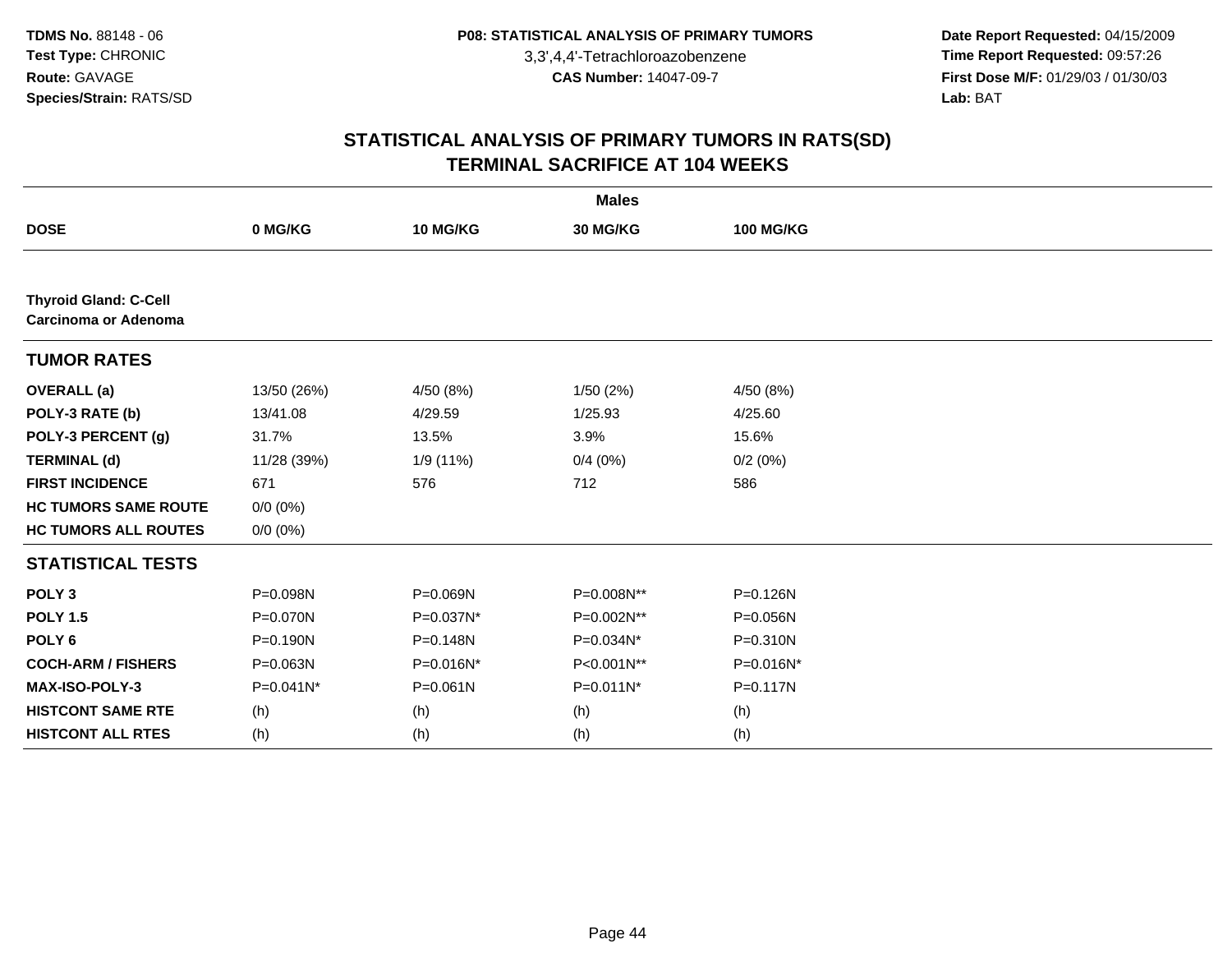**Date Report Requested:** 04/15/2009 **Time Report Requested:** 09:57:26 **First Dose M/F:** 01/29/03 / 01/30/03<br>Lab: BAT **Lab:** BAT

|                                                      |              |              | <b>Males</b> |                  |  |
|------------------------------------------------------|--------------|--------------|--------------|------------------|--|
| <b>DOSE</b>                                          | 0 MG/KG      | 10 MG/KG     | 30 MG/KG     | <b>100 MG/KG</b> |  |
|                                                      |              |              |              |                  |  |
| <b>Thyroid Gland: C-Cell</b><br>Carcinoma or Adenoma |              |              |              |                  |  |
| <b>TUMOR RATES</b>                                   |              |              |              |                  |  |
| <b>OVERALL</b> (a)                                   | 13/50 (26%)  | 4/50 (8%)    | 1/50(2%)     | 4/50 (8%)        |  |
| POLY-3 RATE (b)                                      | 13/41.08     | 4/29.59      | 1/25.93      | 4/25.60          |  |
| POLY-3 PERCENT (g)                                   | 31.7%        | 13.5%        | 3.9%         | 15.6%            |  |
| <b>TERMINAL (d)</b>                                  | 11/28 (39%)  | 1/9 (11%)    | 0/4(0%)      | 0/2(0%)          |  |
| <b>FIRST INCIDENCE</b>                               | 671          | 576          | 712          | 586              |  |
| <b>HC TUMORS SAME ROUTE</b>                          | $0/0 (0\%)$  |              |              |                  |  |
| <b>HC TUMORS ALL ROUTES</b>                          | $0/0 (0\%)$  |              |              |                  |  |
| <b>STATISTICAL TESTS</b>                             |              |              |              |                  |  |
| POLY <sub>3</sub>                                    | P=0.098N     | P=0.069N     | P=0.008N**   | P=0.126N         |  |
| <b>POLY 1.5</b>                                      | P=0.070N     | P=0.037N*    | P=0.002N**   | P=0.056N         |  |
| POLY <sub>6</sub>                                    | P=0.190N     | P=0.148N     | P=0.034N*    | P=0.310N         |  |
| <b>COCH-ARM / FISHERS</b>                            | $P = 0.063N$ | P=0.016N*    | P<0.001N**   | P=0.016N*        |  |
| MAX-ISO-POLY-3                                       | $P=0.041N^*$ | $P = 0.061N$ | P=0.011N*    | P=0.117N         |  |
| <b>HISTCONT SAME RTE</b>                             | (h)          | (h)          | (h)          | (h)              |  |
| <b>HISTCONT ALL RTES</b>                             | (h)          | (h)          | (h)          | (h)              |  |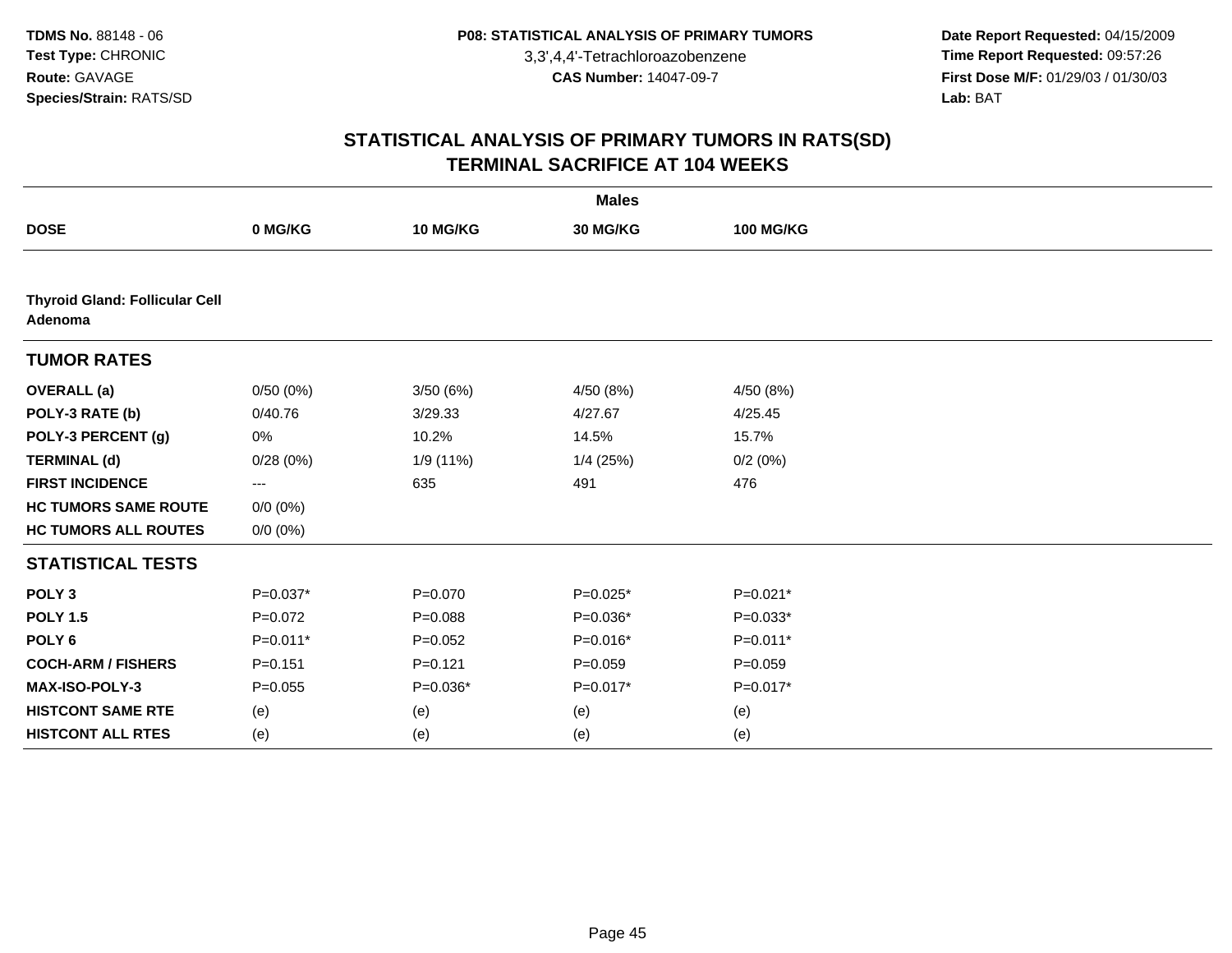**Date Report Requested:** 04/15/2009 **Time Report Requested:** 09:57:26 **First Dose M/F:** 01/29/03 / 01/30/03<br>Lab: BAT **Lab:** BAT

|                                                  |             |             | <b>Males</b> |                  |  |
|--------------------------------------------------|-------------|-------------|--------------|------------------|--|
| <b>DOSE</b>                                      | 0 MG/KG     | 10 MG/KG    | 30 MG/KG     | <b>100 MG/KG</b> |  |
|                                                  |             |             |              |                  |  |
| <b>Thyroid Gland: Follicular Cell</b><br>Adenoma |             |             |              |                  |  |
| <b>TUMOR RATES</b>                               |             |             |              |                  |  |
| <b>OVERALL</b> (a)                               | 0/50(0%)    | 3/50(6%)    | 4/50 (8%)    | 4/50(8%)         |  |
| POLY-3 RATE (b)                                  | 0/40.76     | 3/29.33     | 4/27.67      | 4/25.45          |  |
| POLY-3 PERCENT (g)                               | 0%          | 10.2%       | 14.5%        | 15.7%            |  |
| <b>TERMINAL (d)</b>                              | 0/28(0%)    | 1/9 (11%)   | $1/4$ (25%)  | 0/2(0%)          |  |
| <b>FIRST INCIDENCE</b>                           | ---         | 635         | 491          | 476              |  |
| <b>HC TUMORS SAME ROUTE</b>                      | $0/0 (0\%)$ |             |              |                  |  |
| <b>HC TUMORS ALL ROUTES</b>                      | $0/0 (0\%)$ |             |              |                  |  |
| <b>STATISTICAL TESTS</b>                         |             |             |              |                  |  |
| POLY <sub>3</sub>                                | $P=0.037*$  | $P = 0.070$ | $P=0.025*$   | $P=0.021*$       |  |
| <b>POLY 1.5</b>                                  | $P = 0.072$ | $P = 0.088$ | $P=0.036*$   | $P=0.033*$       |  |
| POLY <sub>6</sub>                                | $P=0.011*$  | $P = 0.052$ | $P=0.016*$   | $P=0.011*$       |  |
| <b>COCH-ARM / FISHERS</b>                        | $P = 0.151$ | $P = 0.121$ | $P=0.059$    | $P=0.059$        |  |
| MAX-ISO-POLY-3                                   | $P = 0.055$ | $P=0.036*$  | P=0.017*     | $P=0.017*$       |  |
| <b>HISTCONT SAME RTE</b>                         | (e)         | (e)         | (e)          | (e)              |  |
| <b>HISTCONT ALL RTES</b>                         | (e)         | (e)         | (e)          | (e)              |  |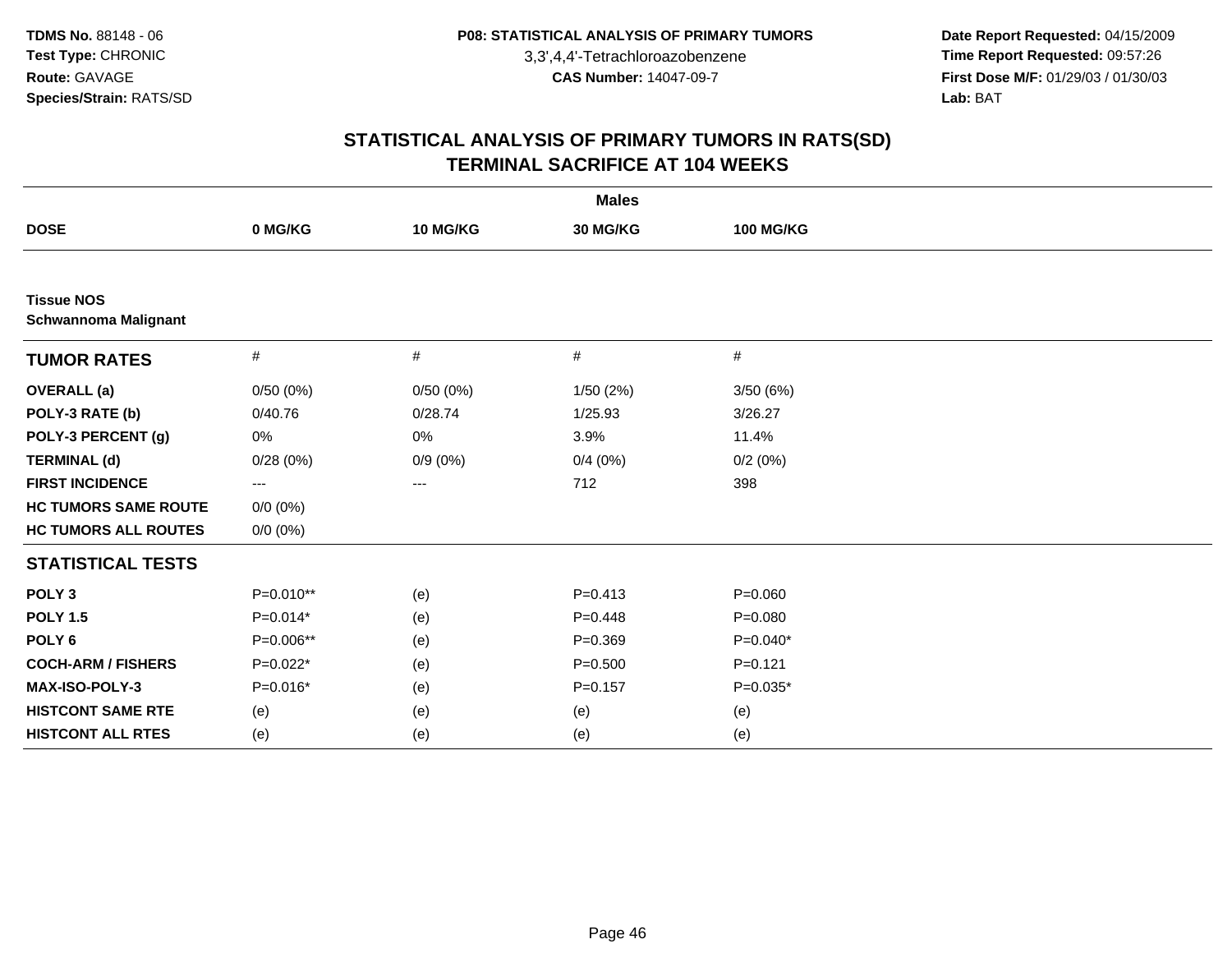**Date Report Requested:** 04/15/2009 **Time Report Requested:** 09:57:26 **First Dose M/F:** 01/29/03 / 01/30/03<br>Lab: BAT **Lab:** BAT

|                                                  |                          |                   | <b>Males</b> |                  |  |
|--------------------------------------------------|--------------------------|-------------------|--------------|------------------|--|
| <b>DOSE</b>                                      | 0 MG/KG                  | 10 MG/KG          | 30 MG/KG     | <b>100 MG/KG</b> |  |
|                                                  |                          |                   |              |                  |  |
| <b>Tissue NOS</b><br><b>Schwannoma Malignant</b> |                          |                   |              |                  |  |
| <b>TUMOR RATES</b>                               | $\#$                     | #                 | $\#$         | #                |  |
| <b>OVERALL</b> (a)                               | 0/50(0%)                 | 0/50(0%)          | 1/50(2%)     | 3/50(6%)         |  |
| POLY-3 RATE (b)                                  | 0/40.76                  | 0/28.74           | 1/25.93      | 3/26.27          |  |
| POLY-3 PERCENT (g)                               | 0%                       | 0%                | 3.9%         | 11.4%            |  |
| <b>TERMINAL (d)</b>                              | 0/28(0%)                 | $0/9(0\%)$        | 0/4(0%)      | 0/2(0%)          |  |
| <b>FIRST INCIDENCE</b>                           | $\hspace{0.05cm} \ldots$ | $\qquad \qquad -$ | 712          | 398              |  |
| <b>HC TUMORS SAME ROUTE</b>                      | $0/0 (0\%)$              |                   |              |                  |  |
| <b>HC TUMORS ALL ROUTES</b>                      | $0/0 (0\%)$              |                   |              |                  |  |
| <b>STATISTICAL TESTS</b>                         |                          |                   |              |                  |  |
| POLY <sub>3</sub>                                | P=0.010**                | (e)               | $P = 0.413$  | $P = 0.060$      |  |
| <b>POLY 1.5</b>                                  | $P=0.014*$               | (e)               | $P = 0.448$  | $P = 0.080$      |  |
| POLY <sub>6</sub>                                | P=0.006**                | (e)               | $P = 0.369$  | $P=0.040*$       |  |
| <b>COCH-ARM / FISHERS</b>                        | $P=0.022*$               | (e)               | $P = 0.500$  | $P=0.121$        |  |
| <b>MAX-ISO-POLY-3</b>                            | $P=0.016*$               | (e)               | $P = 0.157$  | $P=0.035*$       |  |
| <b>HISTCONT SAME RTE</b>                         | (e)                      | (e)               | (e)          | (e)              |  |
| <b>HISTCONT ALL RTES</b>                         | (e)                      | (e)               | (e)          | (e)              |  |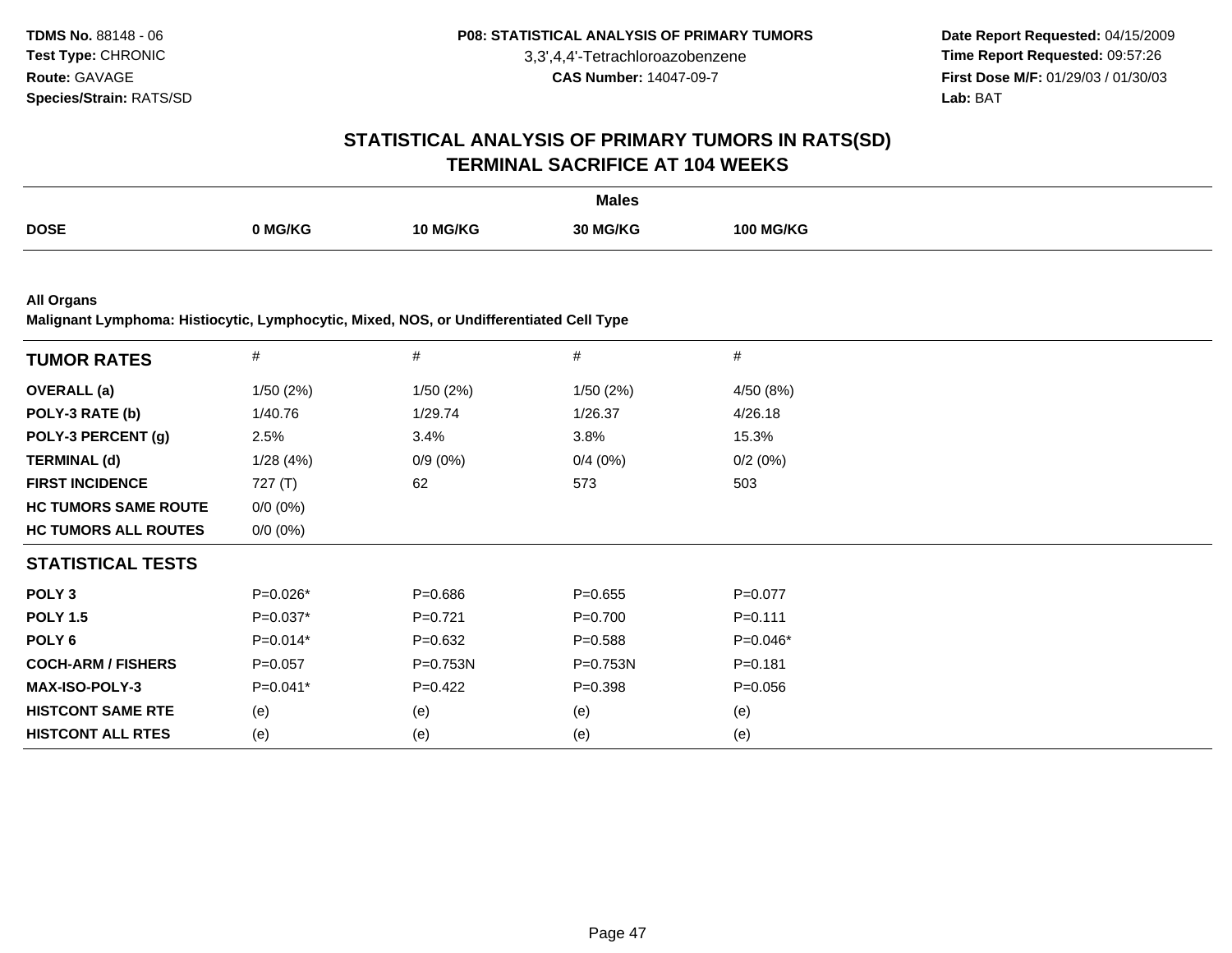**Date Report Requested:** 04/15/2009 **Time Report Requested:** 09:57:26 **First Dose M/F:** 01/29/03 / 01/30/03<br>**Lab:** BAT **Lab:** BAT

## **STATISTICAL ANALYSIS OF PRIMARY TUMORS IN RATS(SD)TERMINAL SACRIFICE AT 104 WEEKS**

|             |         |                        | <b>Males</b> |                         |
|-------------|---------|------------------------|--------------|-------------------------|
| <b>DOSE</b> | ר MG/KG | <b>G/KG</b><br>$10N-1$ | 30 MG/KC     | <b>100 MG/KG</b><br>1 N |

**All Organs**

**Malignant Lymphoma: Histiocytic, Lymphocytic, Mixed, NOS, or Undifferentiated Cell Type**

| <b>TUMOR RATES</b>          | #           | $\#$         | $\#$         | $\#$        |  |
|-----------------------------|-------------|--------------|--------------|-------------|--|
| <b>OVERALL</b> (a)          | 1/50(2%)    | 1/50(2%)     | 1/50 (2%)    | 4/50 (8%)   |  |
| POLY-3 RATE (b)             | 1/40.76     | 1/29.74      | 1/26.37      | 4/26.18     |  |
| POLY-3 PERCENT (g)          | 2.5%        | 3.4%         | 3.8%         | 15.3%       |  |
| <b>TERMINAL (d)</b>         | 1/28(4%)    | $0/9(0\%)$   | 0/4(0%)      | 0/2(0%)     |  |
| <b>FIRST INCIDENCE</b>      | 727 $(T)$   | 62           | 573          | 503         |  |
| <b>HC TUMORS SAME ROUTE</b> | $0/0 (0\%)$ |              |              |             |  |
| <b>HC TUMORS ALL ROUTES</b> | $0/0 (0\%)$ |              |              |             |  |
| <b>STATISTICAL TESTS</b>    |             |              |              |             |  |
| POLY <sub>3</sub>           | $P=0.026*$  | $P = 0.686$  | $P = 0.655$  | $P=0.077$   |  |
| <b>POLY 1.5</b>             | $P=0.037*$  | $P=0.721$    | $P = 0.700$  | $P = 0.111$ |  |
| POLY 6                      | $P=0.014*$  | $P = 0.632$  | $P = 0.588$  | $P=0.046*$  |  |
| <b>COCH-ARM / FISHERS</b>   | $P=0.057$   | $P = 0.753N$ | $P = 0.753N$ | $P = 0.181$ |  |
| <b>MAX-ISO-POLY-3</b>       | $P=0.041*$  | $P=0.422$    | $P = 0.398$  | $P = 0.056$ |  |
| <b>HISTCONT SAME RTE</b>    | (e)         | (e)          | (e)          | (e)         |  |
| <b>HISTCONT ALL RTES</b>    | (e)         | (e)          | (e)          | (e)         |  |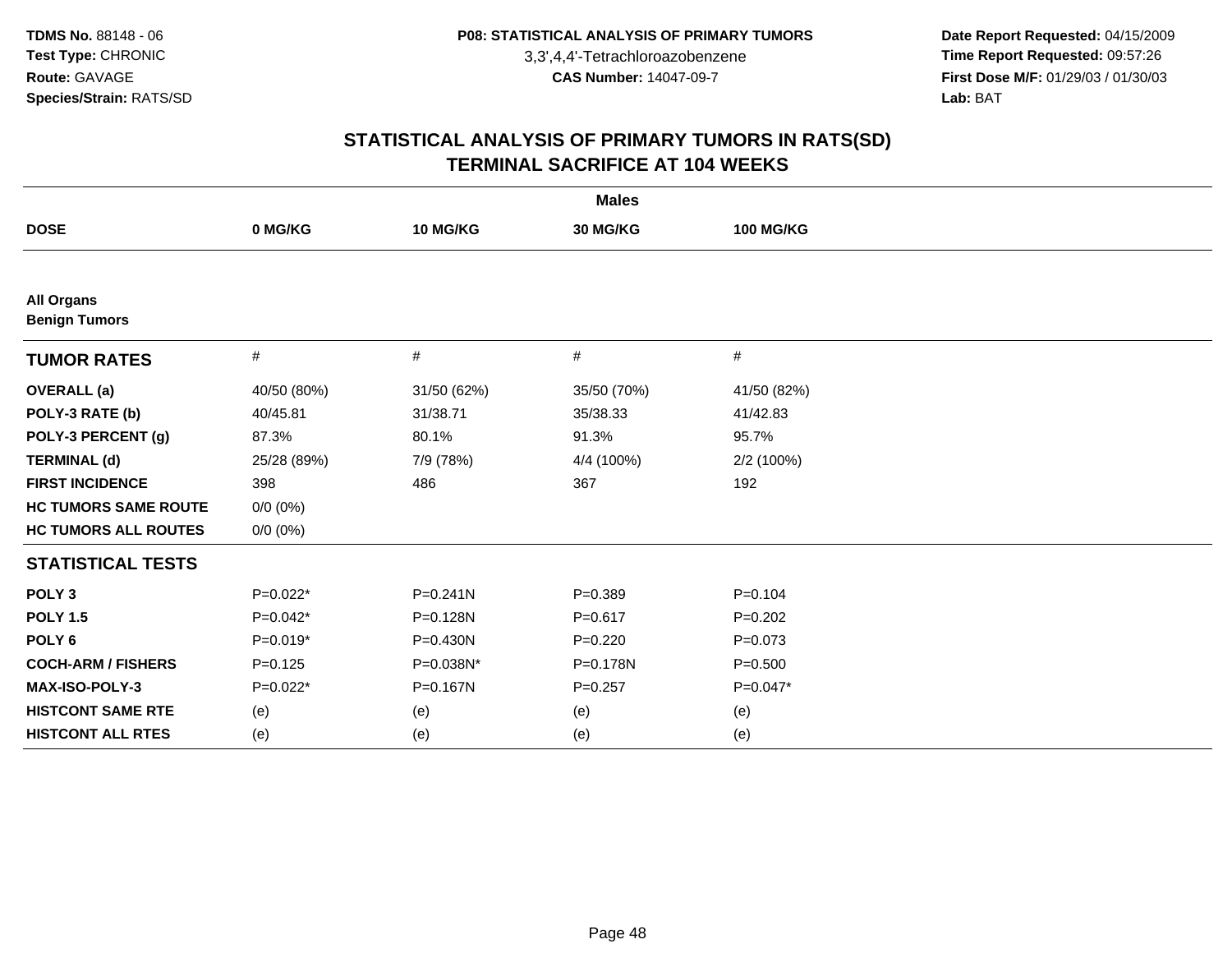**Date Report Requested:** 04/15/2009 **Time Report Requested:** 09:57:26 **First Dose M/F:** 01/29/03 / 01/30/03<br>Lab: BAT **Lab:** BAT

| <b>Males</b>                              |             |              |              |                  |  |  |  |
|-------------------------------------------|-------------|--------------|--------------|------------------|--|--|--|
| <b>DOSE</b>                               | 0 MG/KG     | 10 MG/KG     | 30 MG/KG     | <b>100 MG/KG</b> |  |  |  |
|                                           |             |              |              |                  |  |  |  |
| <b>All Organs</b><br><b>Benign Tumors</b> |             |              |              |                  |  |  |  |
| <b>TUMOR RATES</b>                        | $\#$        | $\#$         | $\#$         | $\#$             |  |  |  |
| <b>OVERALL</b> (a)                        | 40/50 (80%) | 31/50 (62%)  | 35/50 (70%)  | 41/50 (82%)      |  |  |  |
| POLY-3 RATE (b)                           | 40/45.81    | 31/38.71     | 35/38.33     | 41/42.83         |  |  |  |
| POLY-3 PERCENT (g)                        | 87.3%       | 80.1%        | 91.3%        | 95.7%            |  |  |  |
| <b>TERMINAL (d)</b>                       | 25/28 (89%) | 7/9 (78%)    | 4/4 (100%)   | 2/2(100%)        |  |  |  |
| <b>FIRST INCIDENCE</b>                    | 398         | 486          | 367          | 192              |  |  |  |
| <b>HC TUMORS SAME ROUTE</b>               | $0/0 (0\%)$ |              |              |                  |  |  |  |
| <b>HC TUMORS ALL ROUTES</b>               | $0/0 (0\%)$ |              |              |                  |  |  |  |
| <b>STATISTICAL TESTS</b>                  |             |              |              |                  |  |  |  |
| POLY <sub>3</sub>                         | $P=0.022*$  | $P = 0.241N$ | $P = 0.389$  | $P = 0.104$      |  |  |  |
| <b>POLY 1.5</b>                           | $P=0.042*$  | P=0.128N     | $P = 0.617$  | $P=0.202$        |  |  |  |
| POLY <sub>6</sub>                         | $P=0.019*$  | $P = 0.430N$ | $P=0.220$    | $P=0.073$        |  |  |  |
| <b>COCH-ARM / FISHERS</b>                 | $P=0.125$   | P=0.038N*    | $P = 0.178N$ | $P = 0.500$      |  |  |  |
| MAX-ISO-POLY-3                            | $P=0.022*$  | P=0.167N     | $P = 0.257$  | $P=0.047*$       |  |  |  |
| <b>HISTCONT SAME RTE</b>                  | (e)         | (e)          | (e)          | (e)              |  |  |  |
| <b>HISTCONT ALL RTES</b>                  | (e)         | (e)          | (e)          | (e)              |  |  |  |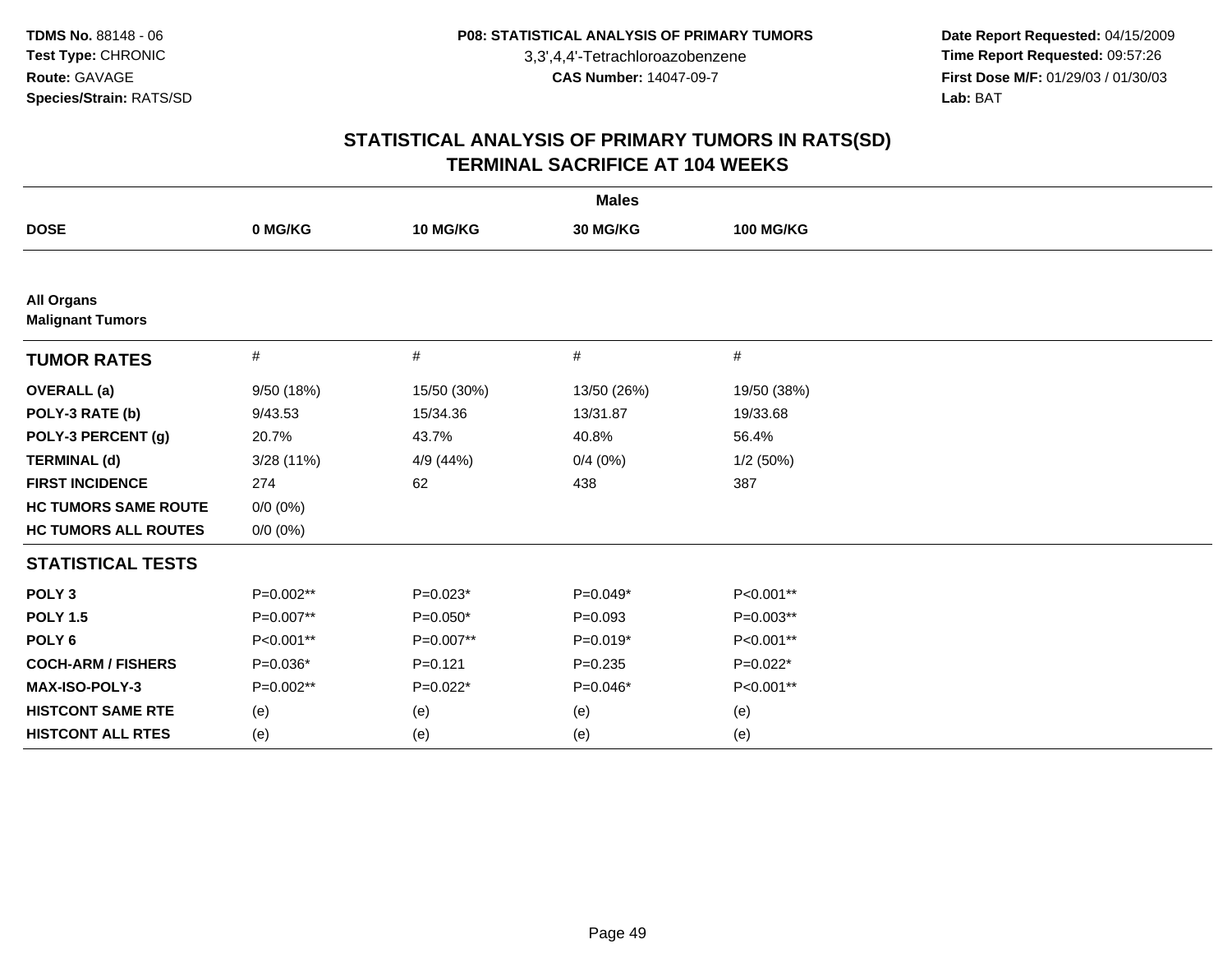**Date Report Requested:** 04/15/2009 **Time Report Requested:** 09:57:26 **First Dose M/F:** 01/29/03 / 01/30/03<br>Lab: BAT **Lab:** BAT

| <b>Males</b>                                 |             |             |             |                  |  |  |  |
|----------------------------------------------|-------------|-------------|-------------|------------------|--|--|--|
| <b>DOSE</b>                                  | 0 MG/KG     | 10 MG/KG    | 30 MG/KG    | <b>100 MG/KG</b> |  |  |  |
|                                              |             |             |             |                  |  |  |  |
| <b>All Organs</b><br><b>Malignant Tumors</b> |             |             |             |                  |  |  |  |
| <b>TUMOR RATES</b>                           | $\#$        | $\#$        | $\#$        | $\#$             |  |  |  |
| <b>OVERALL</b> (a)                           | 9/50 (18%)  | 15/50 (30%) | 13/50 (26%) | 19/50 (38%)      |  |  |  |
| POLY-3 RATE (b)                              | 9/43.53     | 15/34.36    | 13/31.87    | 19/33.68         |  |  |  |
| POLY-3 PERCENT (g)                           | 20.7%       | 43.7%       | 40.8%       | 56.4%            |  |  |  |
| <b>TERMINAL (d)</b>                          | 3/28(11%)   | 4/9 (44%)   | 0/4(0%)     | 1/2(50%)         |  |  |  |
| <b>FIRST INCIDENCE</b>                       | 274         | 62          | 438         | 387              |  |  |  |
| <b>HC TUMORS SAME ROUTE</b>                  | $0/0 (0\%)$ |             |             |                  |  |  |  |
| <b>HC TUMORS ALL ROUTES</b>                  | $0/0 (0\%)$ |             |             |                  |  |  |  |
| <b>STATISTICAL TESTS</b>                     |             |             |             |                  |  |  |  |
| POLY <sub>3</sub>                            | P=0.002**   | $P=0.023*$  | $P=0.049*$  | P<0.001**        |  |  |  |
| <b>POLY 1.5</b>                              | P=0.007**   | $P=0.050*$  | $P = 0.093$ | $P=0.003**$      |  |  |  |
| POLY <sub>6</sub>                            | P<0.001**   | P=0.007**   | $P=0.019*$  | P<0.001**        |  |  |  |
| <b>COCH-ARM / FISHERS</b>                    | $P=0.036*$  | $P = 0.121$ | $P = 0.235$ | $P=0.022*$       |  |  |  |
| MAX-ISO-POLY-3                               | P=0.002**   | $P=0.022*$  | $P=0.046*$  | P<0.001**        |  |  |  |
| <b>HISTCONT SAME RTE</b>                     | (e)         | (e)         | (e)         | (e)              |  |  |  |
| <b>HISTCONT ALL RTES</b>                     | (e)         | (e)         | (e)         | (e)              |  |  |  |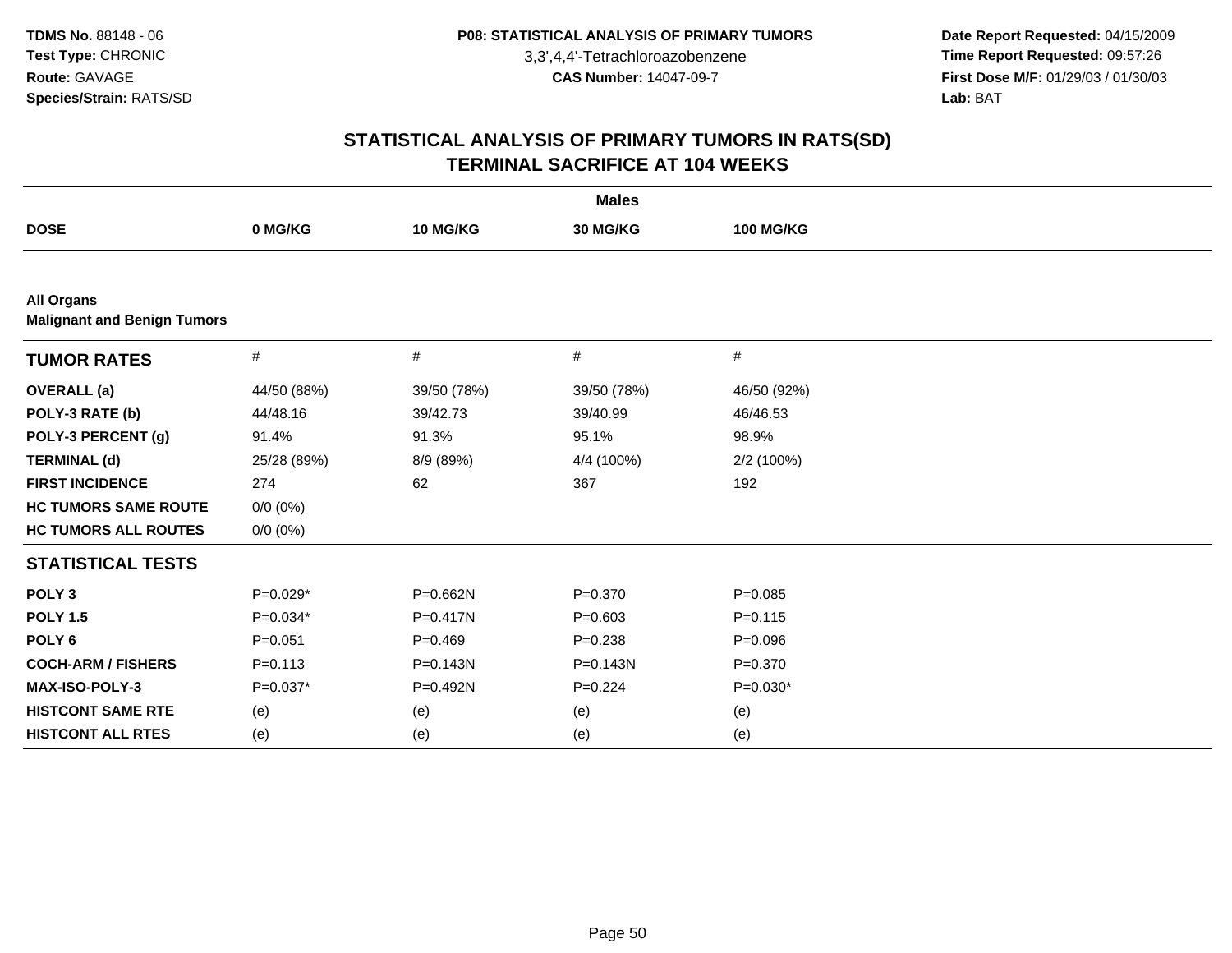**Date Report Requested:** 04/15/2009 **Time Report Requested:** 09:57:26 **First Dose M/F:** 01/29/03 / 01/30/03<br>Lab: BAT **Lab:** BAT

| <b>Males</b>                                            |             |              |              |                  |  |  |  |
|---------------------------------------------------------|-------------|--------------|--------------|------------------|--|--|--|
| <b>DOSE</b>                                             | 0 MG/KG     | 10 MG/KG     | 30 MG/KG     | <b>100 MG/KG</b> |  |  |  |
|                                                         |             |              |              |                  |  |  |  |
| <b>All Organs</b><br><b>Malignant and Benign Tumors</b> |             |              |              |                  |  |  |  |
| <b>TUMOR RATES</b>                                      | #           | #            | #            | #                |  |  |  |
| <b>OVERALL</b> (a)                                      | 44/50 (88%) | 39/50 (78%)  | 39/50 (78%)  | 46/50 (92%)      |  |  |  |
| POLY-3 RATE (b)                                         | 44/48.16    | 39/42.73     | 39/40.99     | 46/46.53         |  |  |  |
| POLY-3 PERCENT (g)                                      | 91.4%       | 91.3%        | 95.1%        | 98.9%            |  |  |  |
| <b>TERMINAL (d)</b>                                     | 25/28 (89%) | 8/9 (89%)    | 4/4 (100%)   | 2/2 (100%)       |  |  |  |
| <b>FIRST INCIDENCE</b>                                  | 274         | 62           | 367          | 192              |  |  |  |
| <b>HC TUMORS SAME ROUTE</b>                             | $0/0 (0\%)$ |              |              |                  |  |  |  |
| <b>HC TUMORS ALL ROUTES</b>                             | $0/0 (0\%)$ |              |              |                  |  |  |  |
| <b>STATISTICAL TESTS</b>                                |             |              |              |                  |  |  |  |
| POLY <sub>3</sub>                                       | $P=0.029*$  | $P = 0.662N$ | $P = 0.370$  | $P = 0.085$      |  |  |  |
| <b>POLY 1.5</b>                                         | $P=0.034*$  | $P = 0.417N$ | $P = 0.603$  | $P = 0.115$      |  |  |  |
| POLY <sub>6</sub>                                       | $P = 0.051$ | $P = 0.469$  | $P = 0.238$  | $P = 0.096$      |  |  |  |
| <b>COCH-ARM / FISHERS</b>                               | $P = 0.113$ | $P = 0.143N$ | $P = 0.143N$ | $P = 0.370$      |  |  |  |
| MAX-ISO-POLY-3                                          | $P=0.037*$  | P=0.492N     | $P=0.224$    | $P=0.030*$       |  |  |  |
| <b>HISTCONT SAME RTE</b>                                | (e)         | (e)          | (e)          | (e)              |  |  |  |
| <b>HISTCONT ALL RTES</b>                                | (e)         | (e)          | (e)          | (e)              |  |  |  |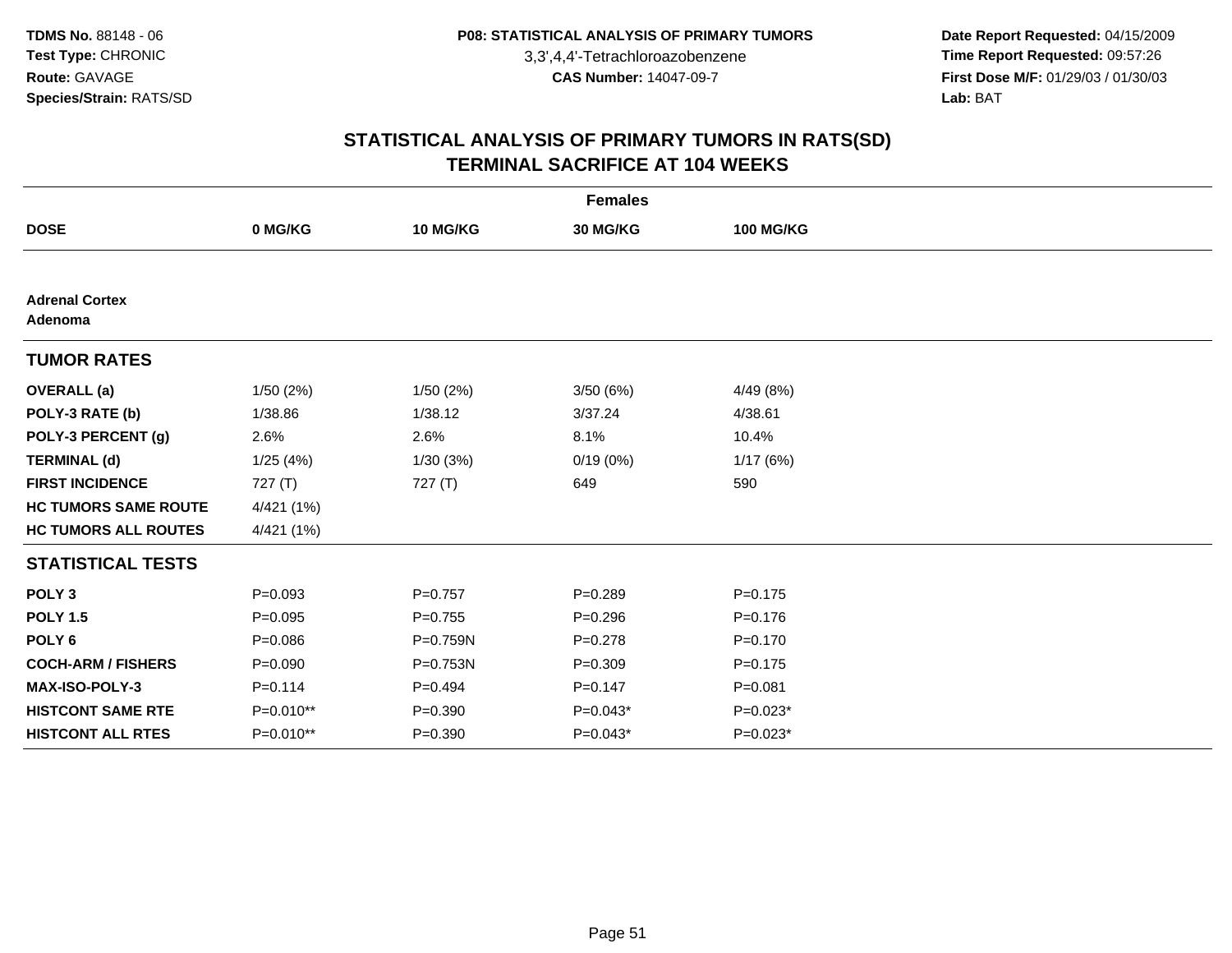**Date Report Requested:** 04/15/2009 **Time Report Requested:** 09:57:26 **First Dose M/F:** 01/29/03 / 01/30/03<br>Lab: BAT **Lab:** BAT

|                                  | <b>Females</b> |             |             |                  |  |  |  |  |  |
|----------------------------------|----------------|-------------|-------------|------------------|--|--|--|--|--|
| <b>DOSE</b>                      | 0 MG/KG        | 10 MG/KG    | 30 MG/KG    | <b>100 MG/KG</b> |  |  |  |  |  |
|                                  |                |             |             |                  |  |  |  |  |  |
| <b>Adrenal Cortex</b><br>Adenoma |                |             |             |                  |  |  |  |  |  |
| <b>TUMOR RATES</b>               |                |             |             |                  |  |  |  |  |  |
| <b>OVERALL</b> (a)               | 1/50(2%)       | 1/50 (2%)   | 3/50 (6%)   | 4/49 (8%)        |  |  |  |  |  |
| POLY-3 RATE (b)                  | 1/38.86        | 1/38.12     | 3/37.24     | 4/38.61          |  |  |  |  |  |
| POLY-3 PERCENT (g)               | 2.6%           | 2.6%        | 8.1%        | 10.4%            |  |  |  |  |  |
| <b>TERMINAL (d)</b>              | 1/25(4%)       | 1/30(3%)    | 0/19(0%)    | 1/17(6%)         |  |  |  |  |  |
| <b>FIRST INCIDENCE</b>           | 727 (T)        | 727(T)      | 649         | 590              |  |  |  |  |  |
| <b>HC TUMORS SAME ROUTE</b>      | 4/421 (1%)     |             |             |                  |  |  |  |  |  |
| <b>HC TUMORS ALL ROUTES</b>      | 4/421 (1%)     |             |             |                  |  |  |  |  |  |
| <b>STATISTICAL TESTS</b>         |                |             |             |                  |  |  |  |  |  |
| POLY <sub>3</sub>                | $P = 0.093$    | $P=0.757$   | $P = 0.289$ | $P = 0.175$      |  |  |  |  |  |
| <b>POLY 1.5</b>                  | $P = 0.095$    | $P = 0.755$ | $P = 0.296$ | $P = 0.176$      |  |  |  |  |  |
| POLY <sub>6</sub>                | $P = 0.086$    | P=0.759N    | $P=0.278$   | $P = 0.170$      |  |  |  |  |  |
| <b>COCH-ARM / FISHERS</b>        | $P = 0.090$    | P=0.753N    | $P = 0.309$ | $P = 0.175$      |  |  |  |  |  |
| MAX-ISO-POLY-3                   | $P = 0.114$    | $P=0.494$   | $P=0.147$   | $P = 0.081$      |  |  |  |  |  |
| <b>HISTCONT SAME RTE</b>         | P=0.010**      | $P = 0.390$ | $P=0.043*$  | $P=0.023*$       |  |  |  |  |  |
| <b>HISTCONT ALL RTES</b>         | $P=0.010**$    | $P = 0.390$ | $P=0.043*$  | $P=0.023*$       |  |  |  |  |  |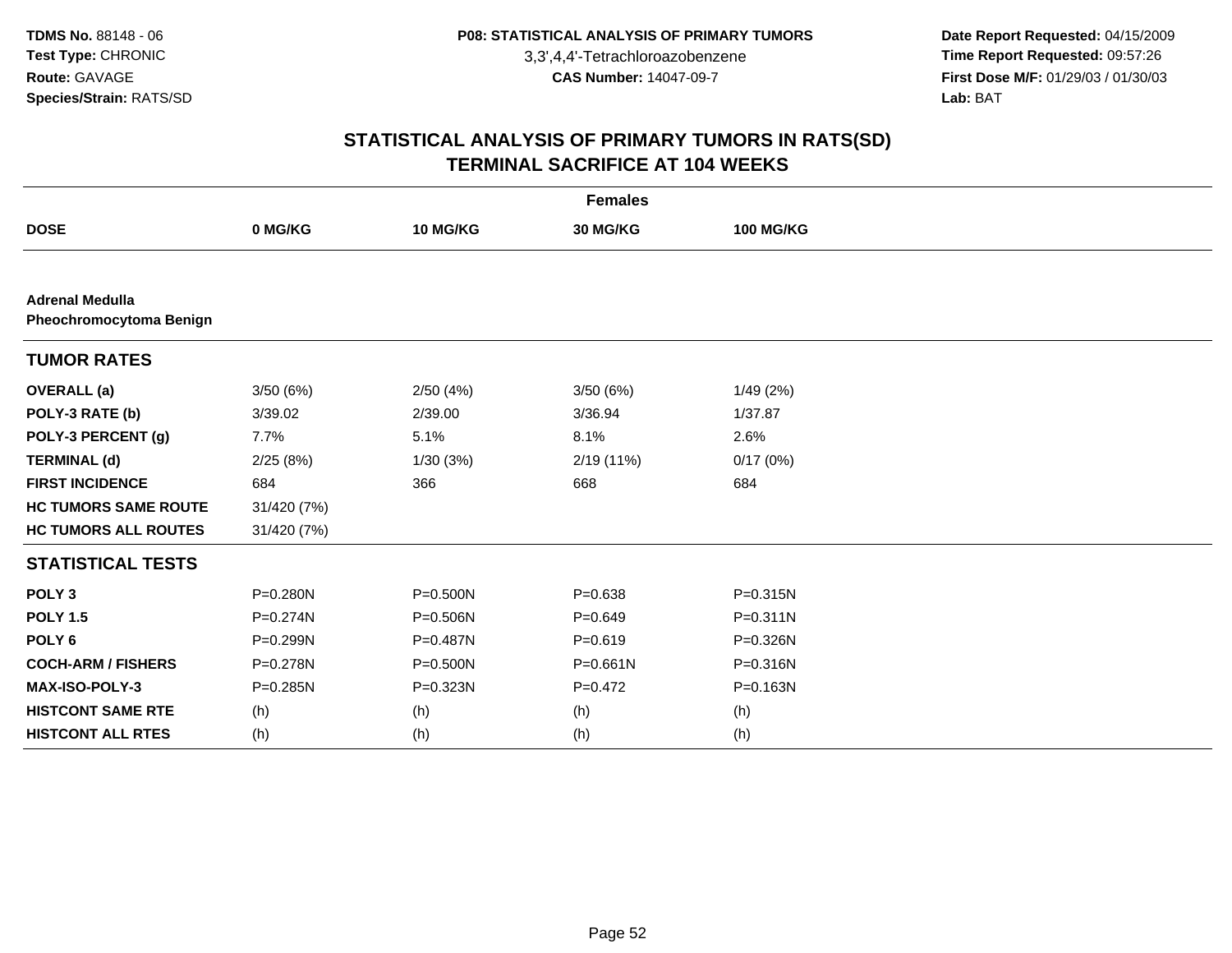**Date Report Requested:** 04/15/2009 **Time Report Requested:** 09:57:26 **First Dose M/F:** 01/29/03 / 01/30/03<br>Lab: BAT **Lab:** BAT

| <b>Females</b>                                    |             |              |              |                  |  |  |  |  |
|---------------------------------------------------|-------------|--------------|--------------|------------------|--|--|--|--|
| <b>DOSE</b>                                       | 0 MG/KG     | 10 MG/KG     | 30 MG/KG     | <b>100 MG/KG</b> |  |  |  |  |
|                                                   |             |              |              |                  |  |  |  |  |
| <b>Adrenal Medulla</b><br>Pheochromocytoma Benign |             |              |              |                  |  |  |  |  |
| <b>TUMOR RATES</b>                                |             |              |              |                  |  |  |  |  |
| <b>OVERALL</b> (a)                                | 3/50(6%)    | 2/50(4%)     | 3/50(6%)     | 1/49(2%)         |  |  |  |  |
| POLY-3 RATE (b)                                   | 3/39.02     | 2/39.00      | 3/36.94      | 1/37.87          |  |  |  |  |
| POLY-3 PERCENT (g)                                | 7.7%        | 5.1%         | 8.1%         | 2.6%             |  |  |  |  |
| <b>TERMINAL (d)</b>                               | 2/25(8%)    | 1/30(3%)     | 2/19(11%)    | 0/17(0%)         |  |  |  |  |
| <b>FIRST INCIDENCE</b>                            | 684         | 366          | 668          | 684              |  |  |  |  |
| <b>HC TUMORS SAME ROUTE</b>                       | 31/420 (7%) |              |              |                  |  |  |  |  |
| <b>HC TUMORS ALL ROUTES</b>                       | 31/420 (7%) |              |              |                  |  |  |  |  |
| <b>STATISTICAL TESTS</b>                          |             |              |              |                  |  |  |  |  |
| POLY <sub>3</sub>                                 | P=0.280N    | $P = 0.500N$ | $P = 0.638$  | $P = 0.315N$     |  |  |  |  |
| <b>POLY 1.5</b>                                   | P=0.274N    | P=0.506N     | $P = 0.649$  | $P = 0.311N$     |  |  |  |  |
| POLY <sub>6</sub>                                 | P=0.299N    | P=0.487N     | $P = 0.619$  | P=0.326N         |  |  |  |  |
| <b>COCH-ARM / FISHERS</b>                         | P=0.278N    | P=0.500N     | $P = 0.661N$ | P=0.316N         |  |  |  |  |
| MAX-ISO-POLY-3                                    | P=0.285N    | P=0.323N     | $P=0.472$    | P=0.163N         |  |  |  |  |
| <b>HISTCONT SAME RTE</b>                          | (h)         | (h)          | (h)          | (h)              |  |  |  |  |
| <b>HISTCONT ALL RTES</b>                          | (h)         | (h)          | (h)          | (h)              |  |  |  |  |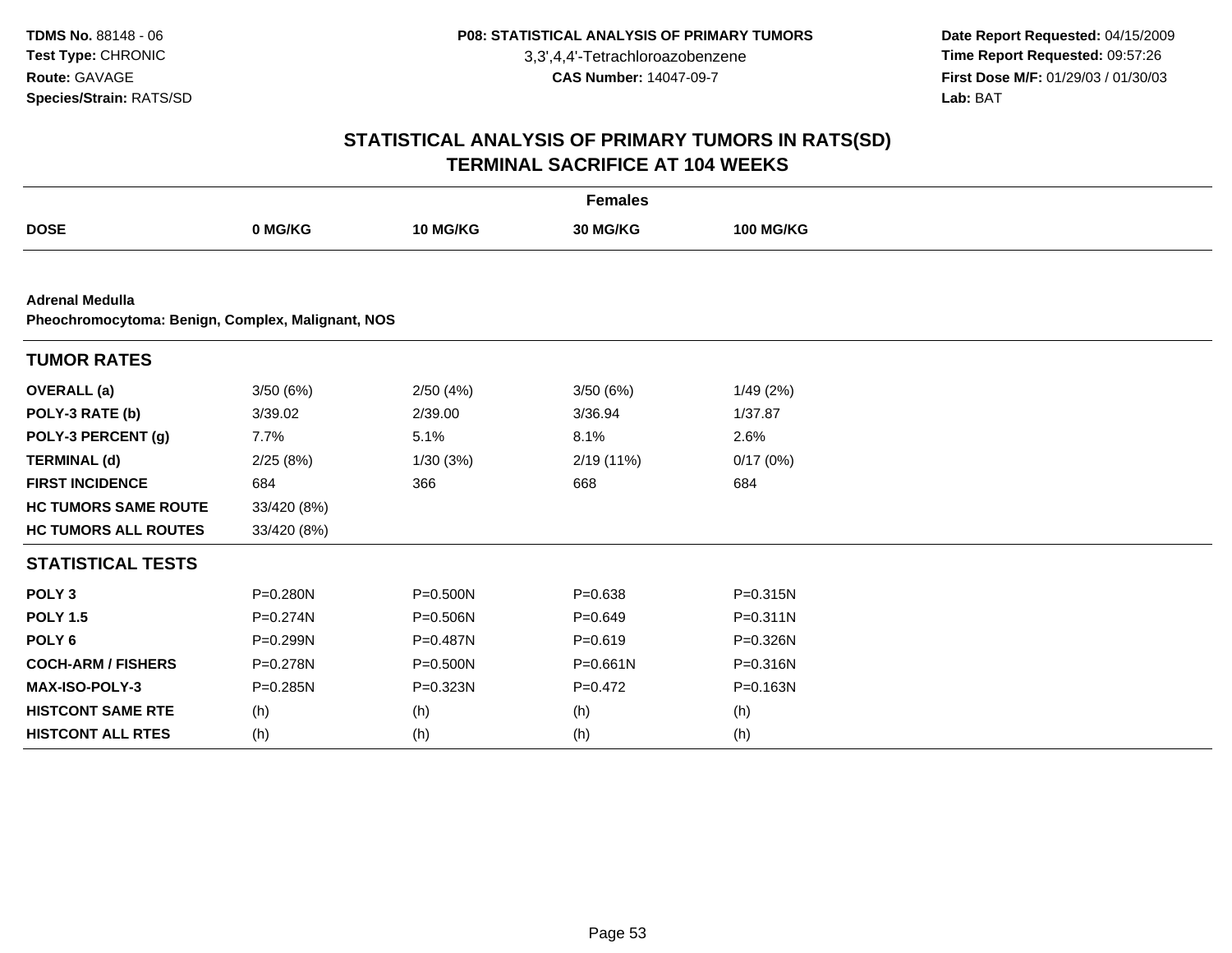**Date Report Requested:** 04/15/2009 **Time Report Requested:** 09:57:26 **First Dose M/F:** 01/29/03 / 01/30/03<br>Lab: BAT **Lab:** BAT

| <b>Females</b>                                                              |              |              |             |                  |  |  |  |  |
|-----------------------------------------------------------------------------|--------------|--------------|-------------|------------------|--|--|--|--|
| <b>DOSE</b>                                                                 | 0 MG/KG      | 10 MG/KG     | 30 MG/KG    | <b>100 MG/KG</b> |  |  |  |  |
|                                                                             |              |              |             |                  |  |  |  |  |
| <b>Adrenal Medulla</b><br>Pheochromocytoma: Benign, Complex, Malignant, NOS |              |              |             |                  |  |  |  |  |
| <b>TUMOR RATES</b>                                                          |              |              |             |                  |  |  |  |  |
| <b>OVERALL</b> (a)                                                          | 3/50(6%)     | 2/50(4%)     | 3/50(6%)    | 1/49 (2%)        |  |  |  |  |
| POLY-3 RATE (b)                                                             | 3/39.02      | 2/39.00      | 3/36.94     | 1/37.87          |  |  |  |  |
| POLY-3 PERCENT (g)                                                          | 7.7%         | 5.1%         | 8.1%        | 2.6%             |  |  |  |  |
| <b>TERMINAL (d)</b>                                                         | 2/25(8%)     | 1/30(3%)     | 2/19 (11%)  | 0/17(0%)         |  |  |  |  |
| <b>FIRST INCIDENCE</b>                                                      | 684          | 366          | 668         | 684              |  |  |  |  |
| <b>HC TUMORS SAME ROUTE</b>                                                 | 33/420 (8%)  |              |             |                  |  |  |  |  |
| <b>HC TUMORS ALL ROUTES</b>                                                 | 33/420 (8%)  |              |             |                  |  |  |  |  |
| <b>STATISTICAL TESTS</b>                                                    |              |              |             |                  |  |  |  |  |
| POLY <sub>3</sub>                                                           | $P = 0.280N$ | $P = 0.500N$ | $P = 0.638$ | P=0.315N         |  |  |  |  |
| <b>POLY 1.5</b>                                                             | $P = 0.274N$ | P=0.506N     | $P = 0.649$ | $P = 0.311N$     |  |  |  |  |
| POLY <sub>6</sub>                                                           | P=0.299N     | P=0.487N     | $P = 0.619$ | P=0.326N         |  |  |  |  |
| <b>COCH-ARM / FISHERS</b>                                                   | P=0.278N     | P=0.500N     | P=0.661N    | P=0.316N         |  |  |  |  |
| MAX-ISO-POLY-3                                                              | $P = 0.285N$ | P=0.323N     | $P=0.472$   | P=0.163N         |  |  |  |  |
| <b>HISTCONT SAME RTE</b>                                                    | (h)          | (h)          | (h)         | (h)              |  |  |  |  |
| <b>HISTCONT ALL RTES</b>                                                    | (h)          | (h)          | (h)         | (h)              |  |  |  |  |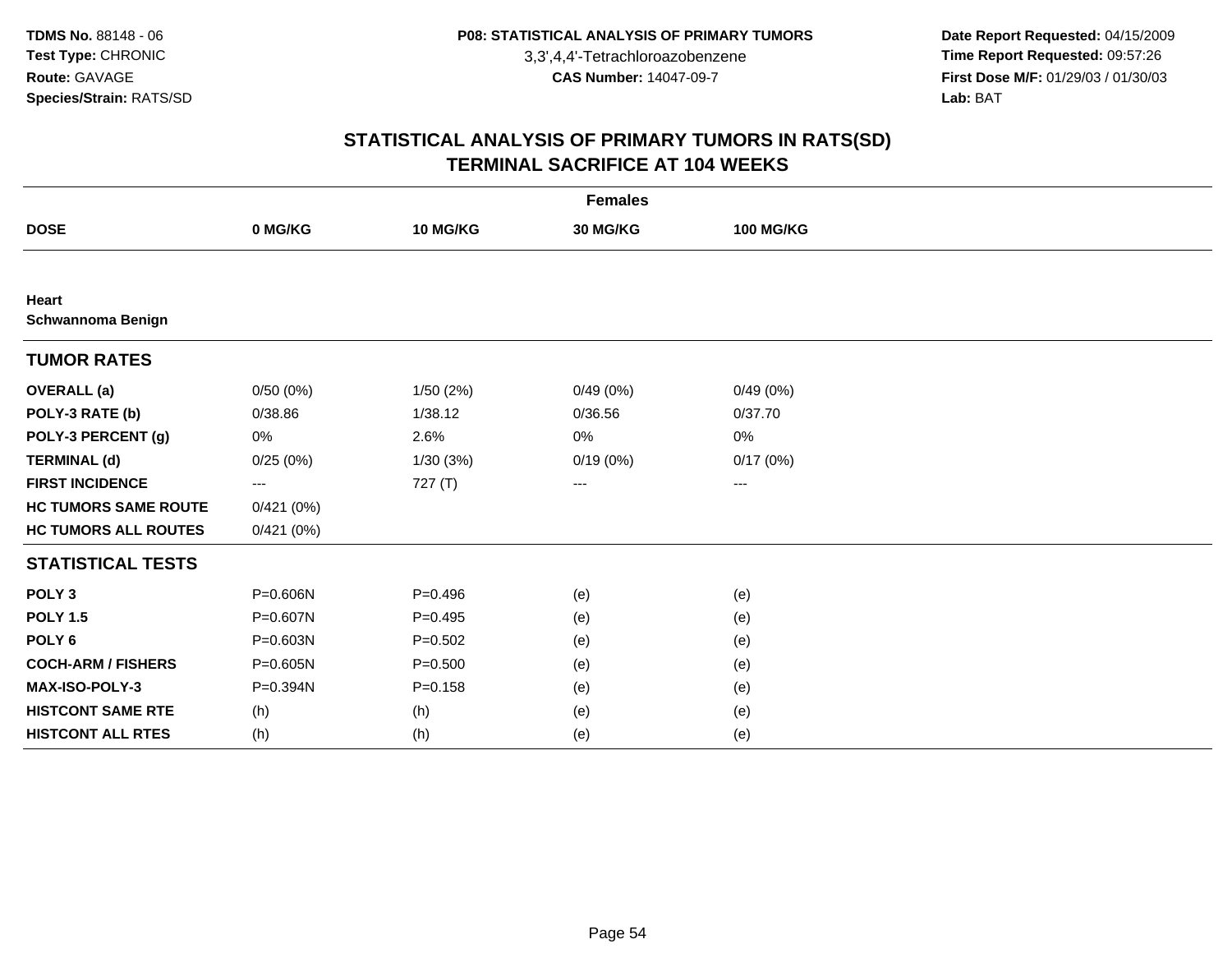**Date Report Requested:** 04/15/2009 **Time Report Requested:** 09:57:26 **First Dose M/F:** 01/29/03 / 01/30/03<br>Lab: BAT **Lab:** BAT

| <b>Females</b>                    |                   |             |          |                  |  |  |  |  |
|-----------------------------------|-------------------|-------------|----------|------------------|--|--|--|--|
| <b>DOSE</b>                       | 0 MG/KG           | 10 MG/KG    | 30 MG/KG | <b>100 MG/KG</b> |  |  |  |  |
|                                   |                   |             |          |                  |  |  |  |  |
| Heart<br><b>Schwannoma Benign</b> |                   |             |          |                  |  |  |  |  |
| <b>TUMOR RATES</b>                |                   |             |          |                  |  |  |  |  |
| <b>OVERALL</b> (a)                | 0/50(0%)          | 1/50(2%)    | 0/49(0%) | 0/49(0%)         |  |  |  |  |
| POLY-3 RATE (b)                   | 0/38.86           | 1/38.12     | 0/36.56  | 0/37.70          |  |  |  |  |
| POLY-3 PERCENT (g)                | 0%                | 2.6%        | 0%       | 0%               |  |  |  |  |
| <b>TERMINAL (d)</b>               | 0/25(0%)          | 1/30(3%)    | 0/19(0%) | 0/17(0%)         |  |  |  |  |
| <b>FIRST INCIDENCE</b>            | $\qquad \qquad -$ | 727 (T)     | ---      | ---              |  |  |  |  |
| <b>HC TUMORS SAME ROUTE</b>       | 0/421(0%)         |             |          |                  |  |  |  |  |
| <b>HC TUMORS ALL ROUTES</b>       | 0/421(0%)         |             |          |                  |  |  |  |  |
| <b>STATISTICAL TESTS</b>          |                   |             |          |                  |  |  |  |  |
| POLY <sub>3</sub>                 | P=0.606N          | $P=0.496$   | (e)      | (e)              |  |  |  |  |
| <b>POLY 1.5</b>                   | P=0.607N          | $P=0.495$   | (e)      | (e)              |  |  |  |  |
| POLY <sub>6</sub>                 | P=0.603N          | $P = 0.502$ | (e)      | (e)              |  |  |  |  |
| <b>COCH-ARM / FISHERS</b>         | P=0.605N          | $P = 0.500$ | (e)      | (e)              |  |  |  |  |
| MAX-ISO-POLY-3                    | P=0.394N          | $P = 0.158$ | (e)      | (e)              |  |  |  |  |
| <b>HISTCONT SAME RTE</b>          | (h)               | (h)         | (e)      | (e)              |  |  |  |  |
| <b>HISTCONT ALL RTES</b>          | (h)               | (h)         | (e)      | (e)              |  |  |  |  |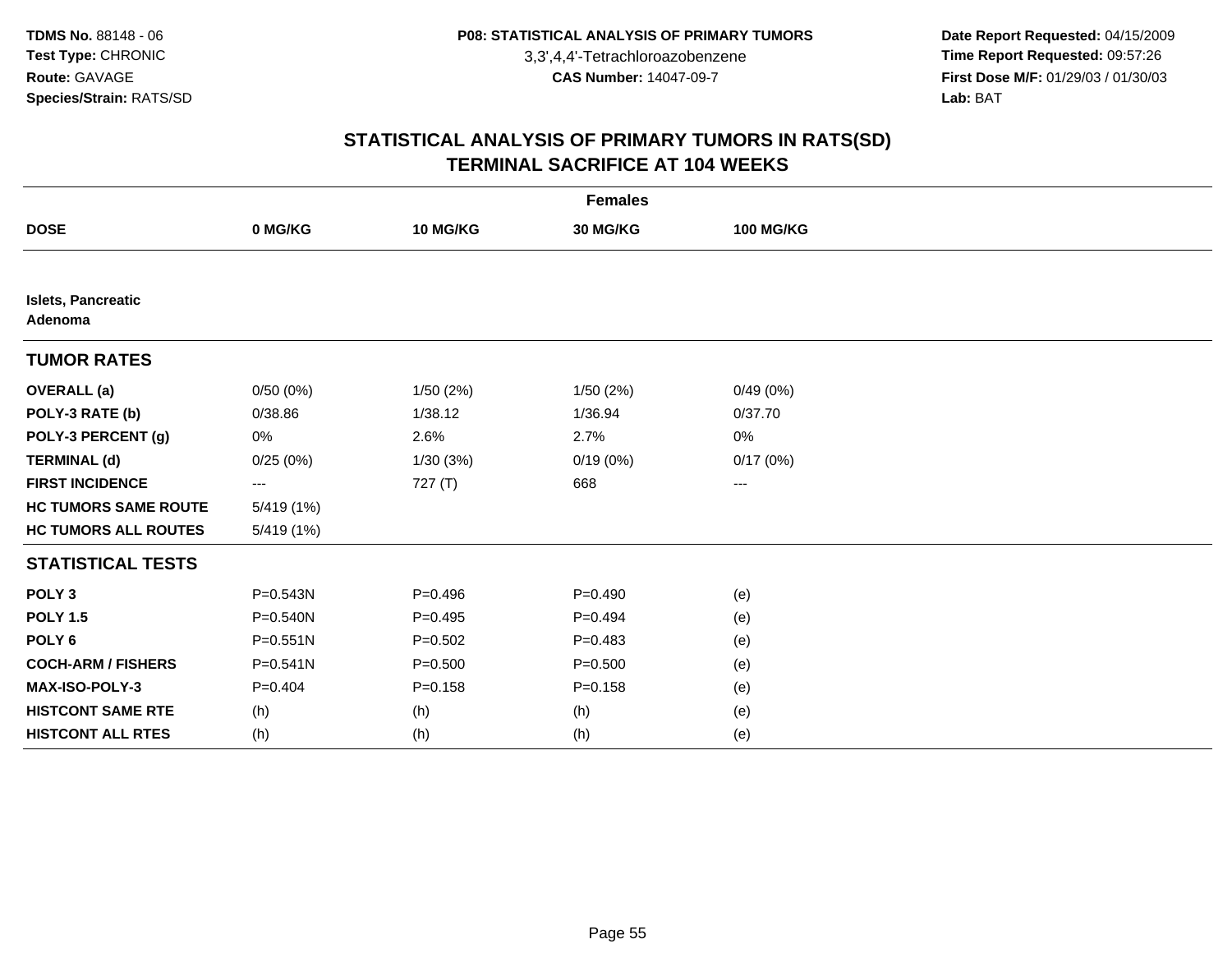**Date Report Requested:** 04/15/2009 **Time Report Requested:** 09:57:26 **First Dose M/F:** 01/29/03 / 01/30/03<br>Lab: BAT **Lab:** BAT

|                                      | <b>Females</b>    |             |             |                  |  |  |  |  |
|--------------------------------------|-------------------|-------------|-------------|------------------|--|--|--|--|
| <b>DOSE</b>                          | 0 MG/KG           | 10 MG/KG    | 30 MG/KG    | <b>100 MG/KG</b> |  |  |  |  |
|                                      |                   |             |             |                  |  |  |  |  |
| <b>Islets, Pancreatic</b><br>Adenoma |                   |             |             |                  |  |  |  |  |
| <b>TUMOR RATES</b>                   |                   |             |             |                  |  |  |  |  |
| <b>OVERALL</b> (a)                   | 0/50(0%)          | 1/50(2%)    | 1/50(2%)    | 0/49(0%)         |  |  |  |  |
| POLY-3 RATE (b)                      | 0/38.86           | 1/38.12     | 1/36.94     | 0/37.70          |  |  |  |  |
| POLY-3 PERCENT (g)                   | 0%                | 2.6%        | 2.7%        | 0%               |  |  |  |  |
| <b>TERMINAL (d)</b>                  | 0/25(0%)          | 1/30(3%)    | 0/19(0%)    | 0/17(0%)         |  |  |  |  |
| <b>FIRST INCIDENCE</b>               | $\qquad \qquad -$ | 727 (T)     | 668         | ---              |  |  |  |  |
| <b>HC TUMORS SAME ROUTE</b>          | 5/419 (1%)        |             |             |                  |  |  |  |  |
| <b>HC TUMORS ALL ROUTES</b>          | 5/419 (1%)        |             |             |                  |  |  |  |  |
| <b>STATISTICAL TESTS</b>             |                   |             |             |                  |  |  |  |  |
| POLY <sub>3</sub>                    | $P = 0.543N$      | $P = 0.496$ | $P=0.490$   | (e)              |  |  |  |  |
| <b>POLY 1.5</b>                      | P=0.540N          | $P=0.495$   | $P=0.494$   | (e)              |  |  |  |  |
| POLY <sub>6</sub>                    | $P = 0.551N$      | $P = 0.502$ | $P=0.483$   | (e)              |  |  |  |  |
| <b>COCH-ARM / FISHERS</b>            | $P = 0.541N$      | $P = 0.500$ | $P = 0.500$ | (e)              |  |  |  |  |
| MAX-ISO-POLY-3                       | $P = 0.404$       | $P = 0.158$ | $P = 0.158$ | (e)              |  |  |  |  |
| <b>HISTCONT SAME RTE</b>             | (h)               | (h)         | (h)         | (e)              |  |  |  |  |
| <b>HISTCONT ALL RTES</b>             | (h)               | (h)         | (h)         | (e)              |  |  |  |  |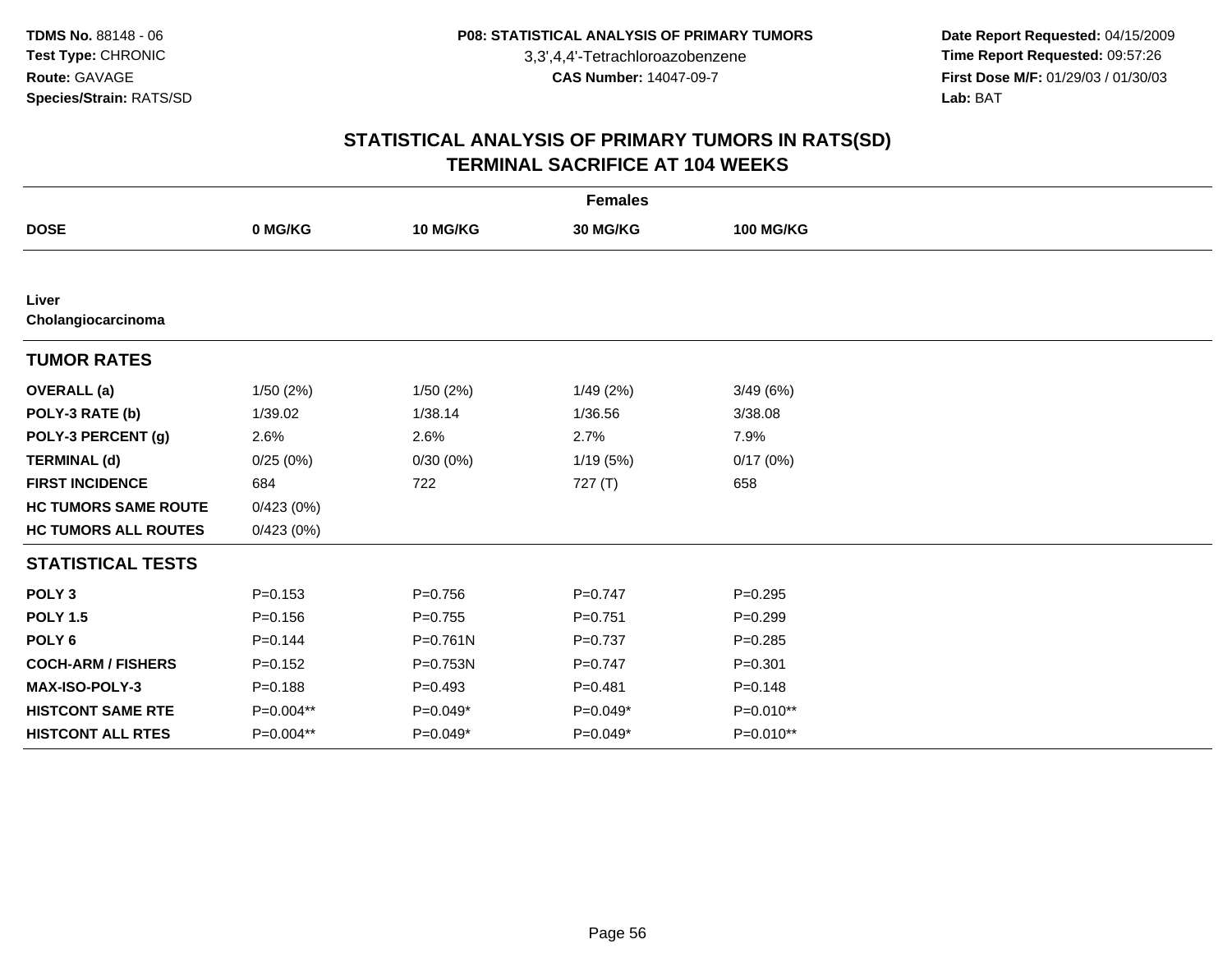**Date Report Requested:** 04/15/2009 **Time Report Requested:** 09:57:26 **First Dose M/F:** 01/29/03 / 01/30/03<br>Lab: BAT **Lab:** BAT

| <b>Females</b>              |             |              |             |                  |  |  |  |
|-----------------------------|-------------|--------------|-------------|------------------|--|--|--|
| <b>DOSE</b>                 | 0 MG/KG     | 10 MG/KG     | 30 MG/KG    | <b>100 MG/KG</b> |  |  |  |
|                             |             |              |             |                  |  |  |  |
| Liver<br>Cholangiocarcinoma |             |              |             |                  |  |  |  |
| <b>TUMOR RATES</b>          |             |              |             |                  |  |  |  |
| <b>OVERALL (a)</b>          | 1/50(2%)    | 1/50(2%)     | 1/49(2%)    | 3/49(6%)         |  |  |  |
| POLY-3 RATE (b)             | 1/39.02     | 1/38.14      | 1/36.56     | 3/38.08          |  |  |  |
| POLY-3 PERCENT (g)          | 2.6%        | 2.6%         | 2.7%        | 7.9%             |  |  |  |
| <b>TERMINAL (d)</b>         | 0/25(0%)    | 0/30(0%)     | 1/19(5%)    | 0/17(0%)         |  |  |  |
| <b>FIRST INCIDENCE</b>      | 684         | 722          | 727(T)      | 658              |  |  |  |
| <b>HC TUMORS SAME ROUTE</b> | 0/423(0%)   |              |             |                  |  |  |  |
| <b>HC TUMORS ALL ROUTES</b> | 0/423(0%)   |              |             |                  |  |  |  |
| <b>STATISTICAL TESTS</b>    |             |              |             |                  |  |  |  |
| POLY <sub>3</sub>           | $P = 0.153$ | $P = 0.756$  | $P=0.747$   | $P = 0.295$      |  |  |  |
| <b>POLY 1.5</b>             | $P = 0.156$ | $P=0.755$    | $P = 0.751$ | $P=0.299$        |  |  |  |
| POLY <sub>6</sub>           | $P = 0.144$ | $P = 0.761N$ | $P=0.737$   | $P = 0.285$      |  |  |  |
| <b>COCH-ARM / FISHERS</b>   | $P = 0.152$ | P=0.753N     | $P=0.747$   | $P = 0.301$      |  |  |  |
| MAX-ISO-POLY-3              | $P = 0.188$ | $P=0.493$    | $P = 0.481$ | $P = 0.148$      |  |  |  |
| <b>HISTCONT SAME RTE</b>    | P=0.004**   | $P=0.049*$   | $P=0.049*$  | $P=0.010**$      |  |  |  |
| <b>HISTCONT ALL RTES</b>    | P=0.004**   | $P=0.049*$   | P=0.049*    | P=0.010**        |  |  |  |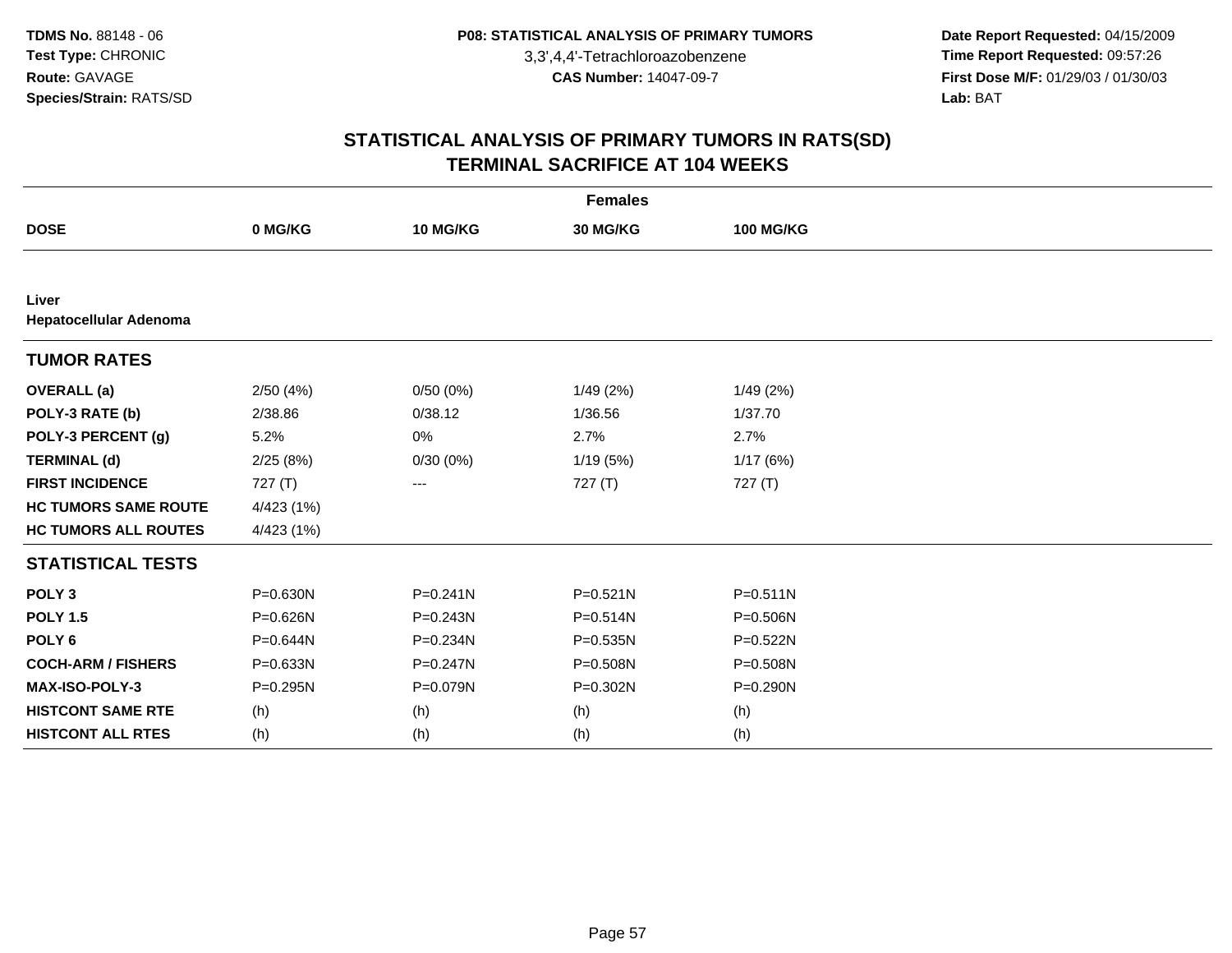**Date Report Requested:** 04/15/2009 **Time Report Requested:** 09:57:26 **First Dose M/F:** 01/29/03 / 01/30/03<br>Lab: BAT **Lab:** BAT

| <b>Females</b>                  |            |              |              |                  |  |  |  |  |
|---------------------------------|------------|--------------|--------------|------------------|--|--|--|--|
| <b>DOSE</b>                     | 0 MG/KG    | 10 MG/KG     | 30 MG/KG     | <b>100 MG/KG</b> |  |  |  |  |
|                                 |            |              |              |                  |  |  |  |  |
| Liver<br>Hepatocellular Adenoma |            |              |              |                  |  |  |  |  |
| <b>TUMOR RATES</b>              |            |              |              |                  |  |  |  |  |
| <b>OVERALL</b> (a)              | 2/50(4%)   | 0/50(0%)     | 1/49(2%)     | 1/49 (2%)        |  |  |  |  |
| POLY-3 RATE (b)                 | 2/38.86    | 0/38.12      | 1/36.56      | 1/37.70          |  |  |  |  |
| POLY-3 PERCENT (g)              | 5.2%       | 0%           | 2.7%         | 2.7%             |  |  |  |  |
| <b>TERMINAL (d)</b>             | 2/25(8%)   | 0/30(0%)     | 1/19(5%)     | 1/17(6%)         |  |  |  |  |
| <b>FIRST INCIDENCE</b>          | 727 (T)    | ---          | 727 (T)      | 727 (T)          |  |  |  |  |
| <b>HC TUMORS SAME ROUTE</b>     | 4/423 (1%) |              |              |                  |  |  |  |  |
| <b>HC TUMORS ALL ROUTES</b>     | 4/423 (1%) |              |              |                  |  |  |  |  |
| <b>STATISTICAL TESTS</b>        |            |              |              |                  |  |  |  |  |
| POLY <sub>3</sub>               | P=0.630N   | $P = 0.241N$ | $P = 0.521N$ | $P = 0.511N$     |  |  |  |  |
| <b>POLY 1.5</b>                 | P=0.626N   | $P = 0.243N$ | $P = 0.514N$ | $P = 0.506N$     |  |  |  |  |
| POLY <sub>6</sub>               | P=0.644N   | P=0.234N     | $P = 0.535N$ | P=0.522N         |  |  |  |  |
| <b>COCH-ARM / FISHERS</b>       | P=0.633N   | $P = 0.247N$ | P=0.508N     | P=0.508N         |  |  |  |  |
| <b>MAX-ISO-POLY-3</b>           | P=0.295N   | P=0.079N     | P=0.302N     | P=0.290N         |  |  |  |  |
| <b>HISTCONT SAME RTE</b>        | (h)        | (h)          | (h)          | (h)              |  |  |  |  |
| <b>HISTCONT ALL RTES</b>        | (h)        | (h)          | (h)          | (h)              |  |  |  |  |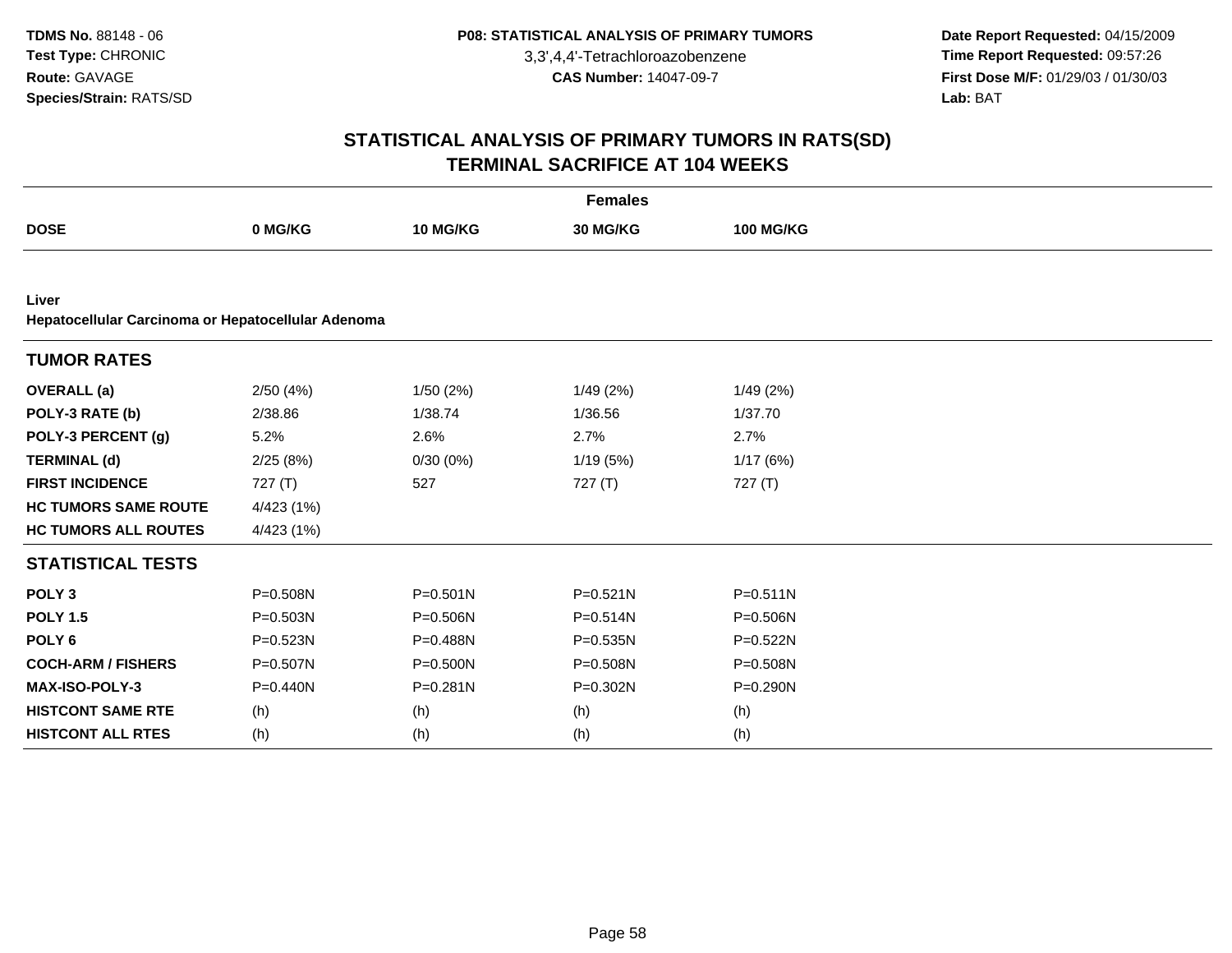**Date Report Requested:** 04/15/2009 **Time Report Requested:** 09:57:26 **First Dose M/F:** 01/29/03 / 01/30/03<br>Lab: BAT **Lab:** BAT

|                                                             | <b>Females</b> |              |                 |                  |  |  |  |  |  |
|-------------------------------------------------------------|----------------|--------------|-----------------|------------------|--|--|--|--|--|
| <b>DOSE</b>                                                 | 0 MG/KG        | 10 MG/KG     | <b>30 MG/KG</b> | <b>100 MG/KG</b> |  |  |  |  |  |
|                                                             |                |              |                 |                  |  |  |  |  |  |
| Liver<br>Hepatocellular Carcinoma or Hepatocellular Adenoma |                |              |                 |                  |  |  |  |  |  |
| <b>TUMOR RATES</b>                                          |                |              |                 |                  |  |  |  |  |  |
| <b>OVERALL</b> (a)                                          | 2/50(4%)       | 1/50 (2%)    | 1/49(2%)        | 1/49(2%)         |  |  |  |  |  |
| POLY-3 RATE (b)                                             | 2/38.86        | 1/38.74      | 1/36.56         | 1/37.70          |  |  |  |  |  |
| POLY-3 PERCENT (g)                                          | 5.2%           | 2.6%         | 2.7%            | 2.7%             |  |  |  |  |  |
| <b>TERMINAL (d)</b>                                         | 2/25(8%)       | 0/30(0%)     | 1/19(5%)        | 1/17(6%)         |  |  |  |  |  |
| <b>FIRST INCIDENCE</b>                                      | 727 (T)        | 527          | 727(T)          | 727(T)           |  |  |  |  |  |
| <b>HC TUMORS SAME ROUTE</b>                                 | 4/423(1%)      |              |                 |                  |  |  |  |  |  |
| <b>HC TUMORS ALL ROUTES</b>                                 | 4/423(1%)      |              |                 |                  |  |  |  |  |  |
| <b>STATISTICAL TESTS</b>                                    |                |              |                 |                  |  |  |  |  |  |
| POLY <sub>3</sub>                                           | P=0.508N       | $P = 0.501N$ | $P = 0.521N$    | $P = 0.511N$     |  |  |  |  |  |
| <b>POLY 1.5</b>                                             | $P = 0.503N$   | $P = 0.506N$ | P=0.514N        | P=0.506N         |  |  |  |  |  |
| POLY <sub>6</sub>                                           | P=0.523N       | P=0.488N     | P=0.535N        | P=0.522N         |  |  |  |  |  |
| <b>COCH-ARM / FISHERS</b>                                   | P=0.507N       | $P = 0.500N$ | P=0.508N        | P=0.508N         |  |  |  |  |  |
| MAX-ISO-POLY-3                                              | $P = 0.440N$   | $P = 0.281N$ | P=0.302N        | $P = 0.290N$     |  |  |  |  |  |
| <b>HISTCONT SAME RTE</b>                                    | (h)            | (h)          | (h)             | (h)              |  |  |  |  |  |
| <b>HISTCONT ALL RTES</b>                                    | (h)            | (h)          | (h)             | (h)              |  |  |  |  |  |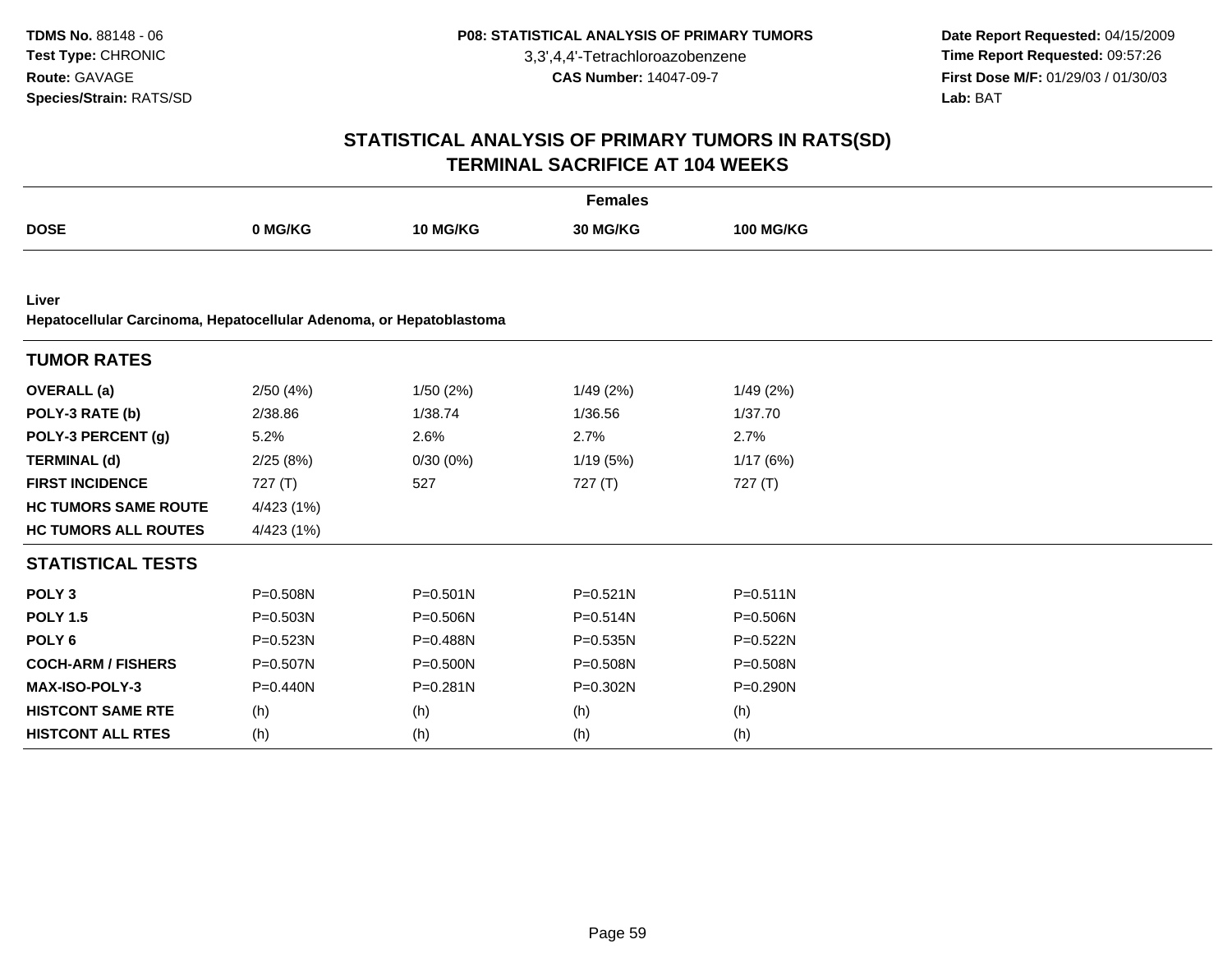**Date Report Requested:** 04/15/2009 **Time Report Requested:** 09:57:26 **First Dose M/F:** 01/29/03 / 01/30/03<br>Lab: BAT **Lab:** BAT

| <b>Females</b>                                                               |              |              |              |                  |  |  |  |
|------------------------------------------------------------------------------|--------------|--------------|--------------|------------------|--|--|--|
| <b>DOSE</b>                                                                  | 0 MG/KG      | 10 MG/KG     | 30 MG/KG     | <b>100 MG/KG</b> |  |  |  |
|                                                                              |              |              |              |                  |  |  |  |
| Liver<br>Hepatocellular Carcinoma, Hepatocellular Adenoma, or Hepatoblastoma |              |              |              |                  |  |  |  |
| <b>TUMOR RATES</b>                                                           |              |              |              |                  |  |  |  |
| <b>OVERALL</b> (a)                                                           | 2/50(4%)     | 1/50 (2%)    | 1/49(2%)     | 1/49(2%)         |  |  |  |
| POLY-3 RATE (b)                                                              | 2/38.86      | 1/38.74      | 1/36.56      | 1/37.70          |  |  |  |
| POLY-3 PERCENT (g)                                                           | 5.2%         | 2.6%         | 2.7%         | 2.7%             |  |  |  |
| <b>TERMINAL (d)</b>                                                          | 2/25(8%)     | 0/30(0%)     | 1/19(5%)     | 1/17(6%)         |  |  |  |
| <b>FIRST INCIDENCE</b>                                                       | 727(T)       | 527          | 727(T)       | 727(T)           |  |  |  |
| <b>HC TUMORS SAME ROUTE</b>                                                  | 4/423 (1%)   |              |              |                  |  |  |  |
| <b>HC TUMORS ALL ROUTES</b>                                                  | 4/423 (1%)   |              |              |                  |  |  |  |
| <b>STATISTICAL TESTS</b>                                                     |              |              |              |                  |  |  |  |
| POLY <sub>3</sub>                                                            | P=0.508N     | $P = 0.501N$ | $P = 0.521N$ | $P = 0.511N$     |  |  |  |
| <b>POLY 1.5</b>                                                              | $P = 0.503N$ | P=0.506N     | $P = 0.514N$ | P=0.506N         |  |  |  |
| POLY <sub>6</sub>                                                            | P=0.523N     | P=0.488N     | P=0.535N     | P=0.522N         |  |  |  |
| <b>COCH-ARM / FISHERS</b>                                                    | P=0.507N     | $P = 0.500N$ | P=0.508N     | P=0.508N         |  |  |  |
| MAX-ISO-POLY-3                                                               | $P = 0.440N$ | $P = 0.281N$ | P=0.302N     | $P = 0.290N$     |  |  |  |
| <b>HISTCONT SAME RTE</b>                                                     | (h)          | (h)          | (h)          | (h)              |  |  |  |
| <b>HISTCONT ALL RTES</b>                                                     | (h)          | (h)          | (h)          | (h)              |  |  |  |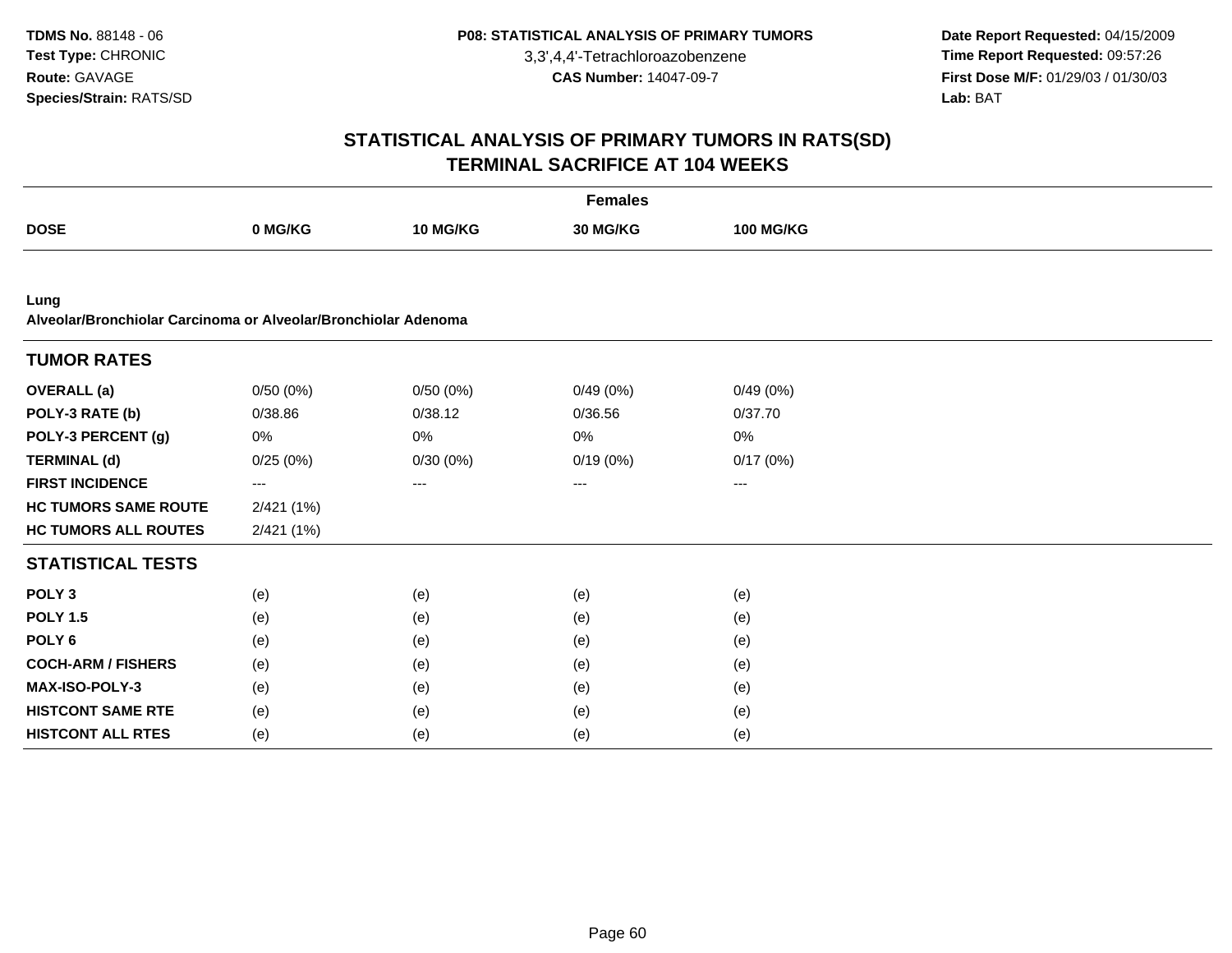**Date Report Requested:** 04/15/2009 **Time Report Requested:** 09:57:26 **First Dose M/F:** 01/29/03 / 01/30/03<br>Lab: BAT **Lab:** BAT

| <b>Females</b>                                                         |            |          |          |                  |  |  |  |
|------------------------------------------------------------------------|------------|----------|----------|------------------|--|--|--|
| <b>DOSE</b>                                                            | 0 MG/KG    | 10 MG/KG | 30 MG/KG | <b>100 MG/KG</b> |  |  |  |
|                                                                        |            |          |          |                  |  |  |  |
| Lung<br>Alveolar/Bronchiolar Carcinoma or Alveolar/Bronchiolar Adenoma |            |          |          |                  |  |  |  |
| <b>TUMOR RATES</b>                                                     |            |          |          |                  |  |  |  |
| <b>OVERALL</b> (a)                                                     | 0/50(0%)   | 0/50(0%) | 0/49(0%) | 0/49(0%)         |  |  |  |
| POLY-3 RATE (b)                                                        | 0/38.86    | 0/38.12  | 0/36.56  | 0/37.70          |  |  |  |
| POLY-3 PERCENT (g)                                                     | 0%         | 0%       | 0%       | 0%               |  |  |  |
| <b>TERMINAL (d)</b>                                                    | 0/25(0%)   | 0/30(0%) | 0/19(0%) | 0/17(0%)         |  |  |  |
| <b>FIRST INCIDENCE</b>                                                 | $--$       | ---      | ---      | $---$            |  |  |  |
| <b>HC TUMORS SAME ROUTE</b>                                            | 2/421 (1%) |          |          |                  |  |  |  |
| <b>HC TUMORS ALL ROUTES</b>                                            | 2/421 (1%) |          |          |                  |  |  |  |
| <b>STATISTICAL TESTS</b>                                               |            |          |          |                  |  |  |  |
| POLY <sub>3</sub>                                                      | (e)        | (e)      | (e)      | (e)              |  |  |  |
| <b>POLY 1.5</b>                                                        | (e)        | (e)      | (e)      | (e)              |  |  |  |
| POLY <sub>6</sub>                                                      | (e)        | (e)      | (e)      | (e)              |  |  |  |
| <b>COCH-ARM / FISHERS</b>                                              | (e)        | (e)      | (e)      | (e)              |  |  |  |
| <b>MAX-ISO-POLY-3</b>                                                  | (e)        | (e)      | (e)      | (e)              |  |  |  |
| <b>HISTCONT SAME RTE</b>                                               | (e)        | (e)      | (e)      | (e)              |  |  |  |
| <b>HISTCONT ALL RTES</b>                                               | (e)        | (e)      | (e)      | (e)              |  |  |  |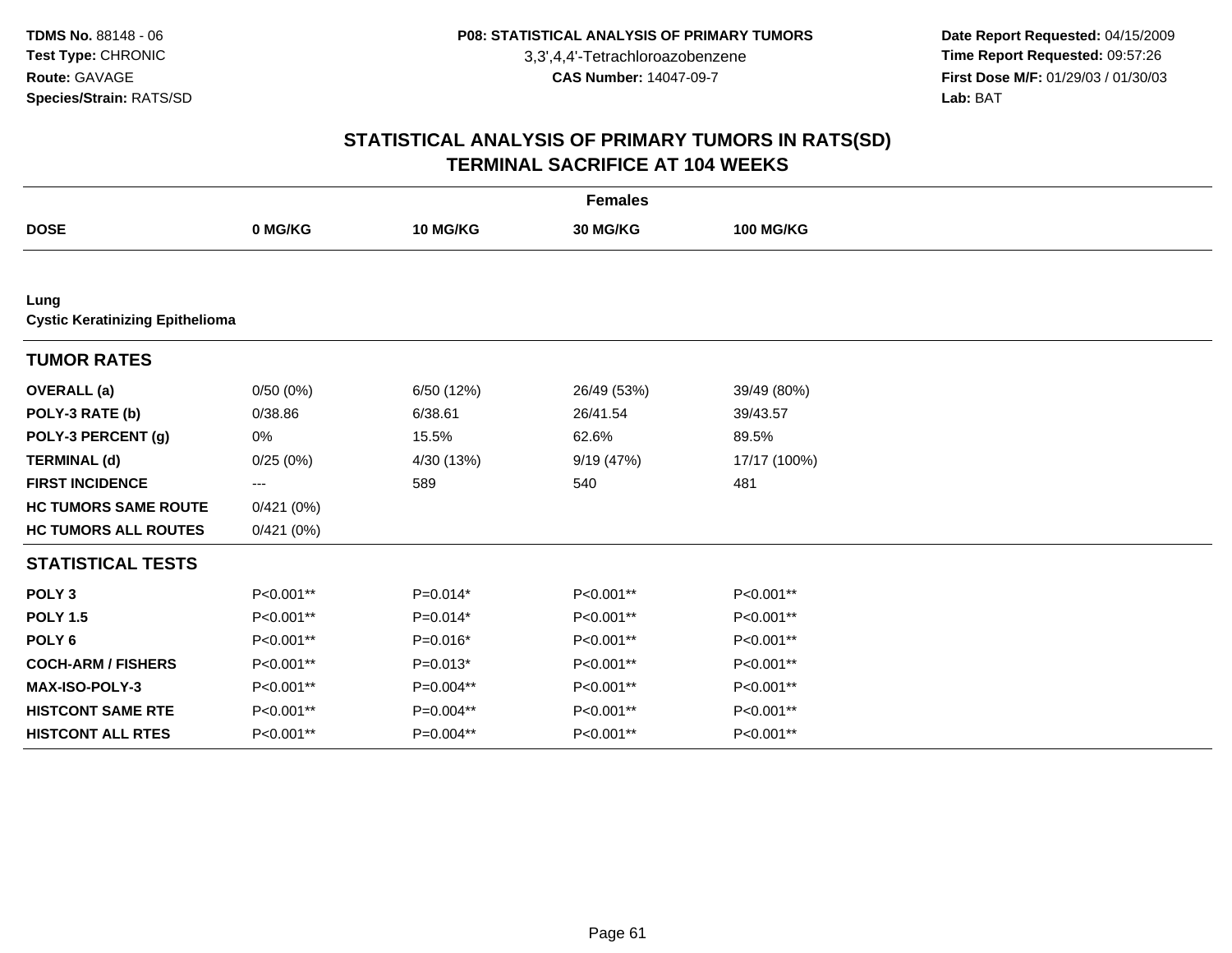**Date Report Requested:** 04/15/2009 **Time Report Requested:** 09:57:26 **First Dose M/F:** 01/29/03 / 01/30/03<br>Lab: BAT **Lab:** BAT

| <b>Females</b>                                 |                   |              |             |                  |  |  |  |
|------------------------------------------------|-------------------|--------------|-------------|------------------|--|--|--|
| <b>DOSE</b>                                    | 0 MG/KG           | 10 MG/KG     | 30 MG/KG    | <b>100 MG/KG</b> |  |  |  |
|                                                |                   |              |             |                  |  |  |  |
| Lung<br><b>Cystic Keratinizing Epithelioma</b> |                   |              |             |                  |  |  |  |
| <b>TUMOR RATES</b>                             |                   |              |             |                  |  |  |  |
| <b>OVERALL</b> (a)                             | 0/50(0%)          | 6/50 (12%)   | 26/49 (53%) | 39/49 (80%)      |  |  |  |
| POLY-3 RATE (b)                                | 0/38.86           | 6/38.61      | 26/41.54    | 39/43.57         |  |  |  |
| POLY-3 PERCENT (g)                             | 0%                | 15.5%        | 62.6%       | 89.5%            |  |  |  |
| <b>TERMINAL (d)</b>                            | 0/25(0%)          | 4/30 (13%)   | 9/19 (47%)  | 17/17 (100%)     |  |  |  |
| <b>FIRST INCIDENCE</b>                         | $\qquad \qquad -$ | 589          | 540         | 481              |  |  |  |
| <b>HC TUMORS SAME ROUTE</b>                    | 0/421(0%)         |              |             |                  |  |  |  |
| <b>HC TUMORS ALL ROUTES</b>                    | 0/421(0%)         |              |             |                  |  |  |  |
| <b>STATISTICAL TESTS</b>                       |                   |              |             |                  |  |  |  |
| POLY <sub>3</sub>                              | P<0.001**         | $P=0.014*$   | P<0.001**   | P<0.001**        |  |  |  |
| <b>POLY 1.5</b>                                | P<0.001**         | $P=0.014*$   | P<0.001**   | P<0.001**        |  |  |  |
| POLY <sub>6</sub>                              | P<0.001**         | $P=0.016*$   | P<0.001**   | P<0.001**        |  |  |  |
| <b>COCH-ARM / FISHERS</b>                      | P<0.001**         | $P=0.013*$   | P<0.001**   | P<0.001**        |  |  |  |
| <b>MAX-ISO-POLY-3</b>                          | P<0.001**         | $P=0.004***$ | P<0.001**   | P<0.001**        |  |  |  |
| <b>HISTCONT SAME RTE</b>                       | P<0.001**         | P=0.004**    | P<0.001**   | P<0.001**        |  |  |  |
| <b>HISTCONT ALL RTES</b>                       | P<0.001**         | $P=0.004***$ | P<0.001**   | P<0.001**        |  |  |  |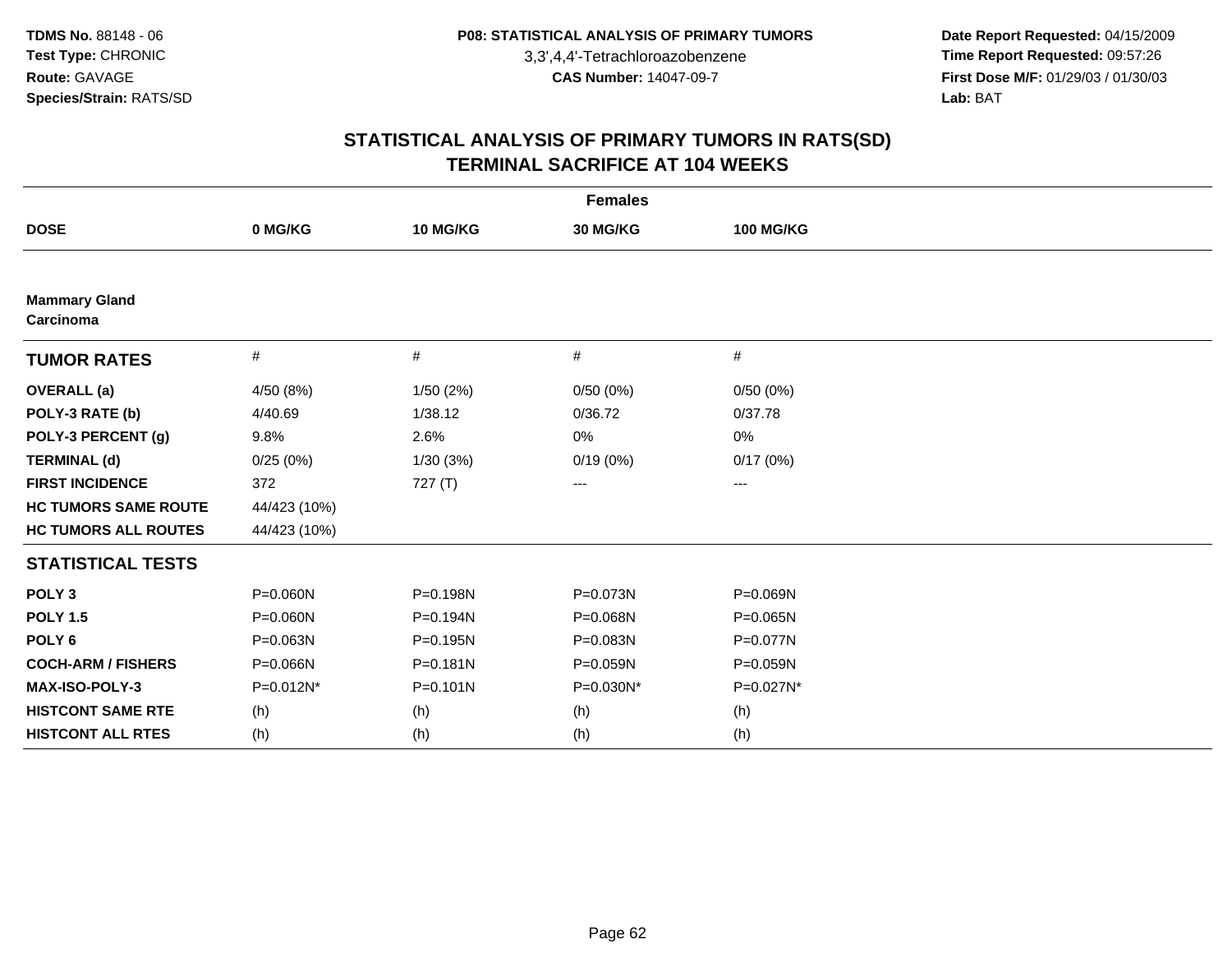**Date Report Requested:** 04/15/2009 **Time Report Requested:** 09:57:26 **First Dose M/F:** 01/29/03 / 01/30/03<br>Lab: BAT **Lab:** BAT

| <b>Females</b>                    |              |              |           |                  |  |  |  |
|-----------------------------------|--------------|--------------|-----------|------------------|--|--|--|
| <b>DOSE</b>                       | 0 MG/KG      | 10 MG/KG     | 30 MG/KG  | <b>100 MG/KG</b> |  |  |  |
|                                   |              |              |           |                  |  |  |  |
| <b>Mammary Gland</b><br>Carcinoma |              |              |           |                  |  |  |  |
| <b>TUMOR RATES</b>                | $\#$         | #            | #         | $\#$             |  |  |  |
| <b>OVERALL</b> (a)                | 4/50 (8%)    | 1/50(2%)     | 0/50(0%)  | 0/50(0%)         |  |  |  |
| POLY-3 RATE (b)                   | 4/40.69      | 1/38.12      | 0/36.72   | 0/37.78          |  |  |  |
| POLY-3 PERCENT (g)                | 9.8%         | 2.6%         | 0%        | 0%               |  |  |  |
| <b>TERMINAL (d)</b>               | 0/25(0%)     | 1/30(3%)     | 0/19(0%)  | 0/17(0%)         |  |  |  |
| <b>FIRST INCIDENCE</b>            | 372          | 727(T)       | ---       | $--$             |  |  |  |
| <b>HC TUMORS SAME ROUTE</b>       | 44/423 (10%) |              |           |                  |  |  |  |
| <b>HC TUMORS ALL ROUTES</b>       | 44/423 (10%) |              |           |                  |  |  |  |
| <b>STATISTICAL TESTS</b>          |              |              |           |                  |  |  |  |
| POLY <sub>3</sub>                 | $P = 0.060N$ | P=0.198N     | P=0.073N  | P=0.069N         |  |  |  |
| <b>POLY 1.5</b>                   | $P = 0.060N$ | P=0.194N     | P=0.068N  | $P = 0.065N$     |  |  |  |
| POLY <sub>6</sub>                 | $P = 0.063N$ | P=0.195N     | P=0.083N  | P=0.077N         |  |  |  |
| <b>COCH-ARM / FISHERS</b>         | P=0.066N     | $P = 0.181N$ | P=0.059N  | P=0.059N         |  |  |  |
| <b>MAX-ISO-POLY-3</b>             | P=0.012N*    | $P = 0.101N$ | P=0.030N* | P=0.027N*        |  |  |  |
| <b>HISTCONT SAME RTE</b>          | (h)          | (h)          | (h)       | (h)              |  |  |  |
| <b>HISTCONT ALL RTES</b>          | (h)          | (h)          | (h)       | (h)              |  |  |  |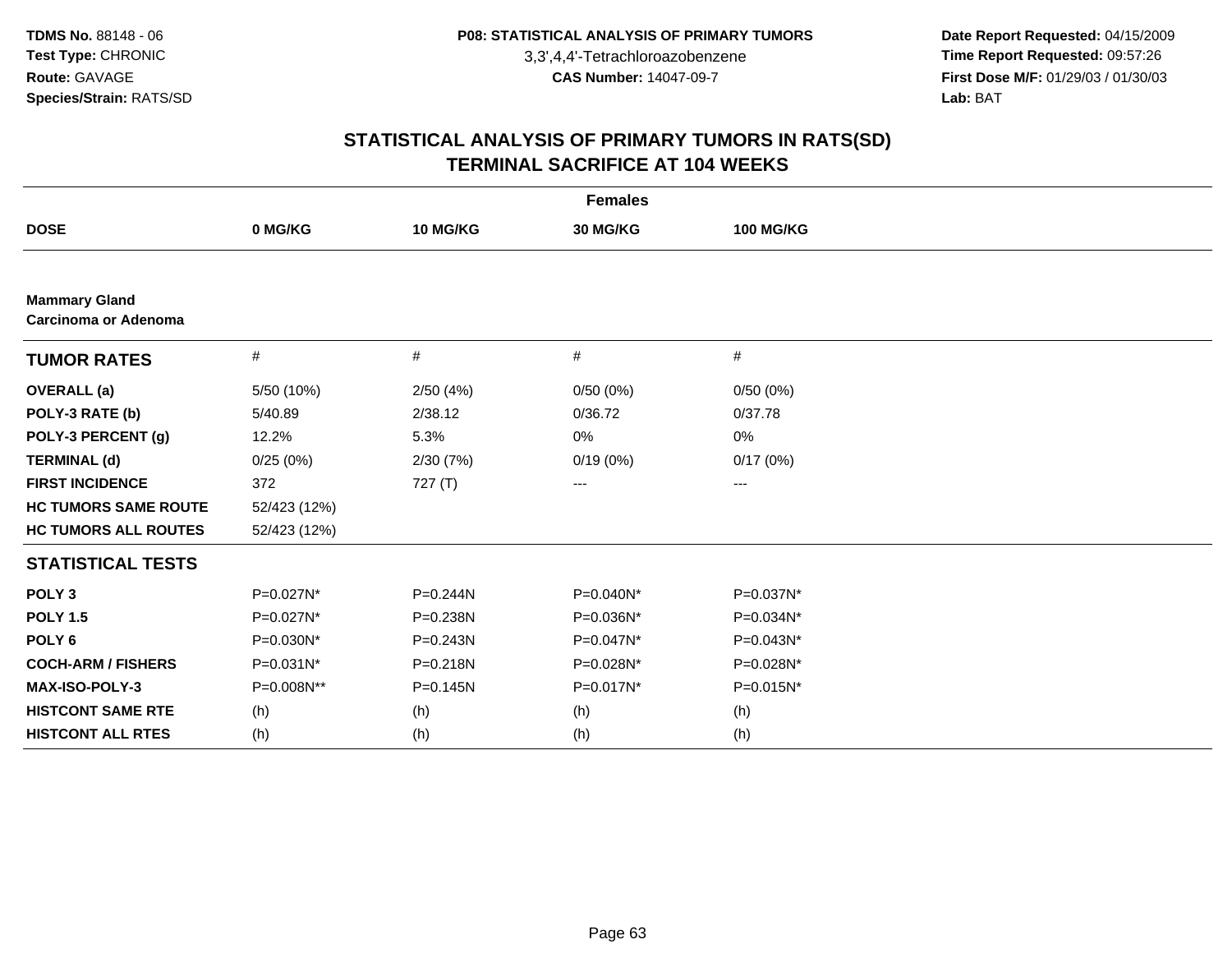**Date Report Requested:** 04/15/2009 **Time Report Requested:** 09:57:26 **First Dose M/F:** 01/29/03 / 01/30/03<br>Lab: BAT **Lab:** BAT

| <b>Females</b>                               |              |          |           |                     |  |  |  |
|----------------------------------------------|--------------|----------|-----------|---------------------|--|--|--|
| <b>DOSE</b>                                  | 0 MG/KG      | 10 MG/KG | 30 MG/KG  | <b>100 MG/KG</b>    |  |  |  |
|                                              |              |          |           |                     |  |  |  |
| <b>Mammary Gland</b><br>Carcinoma or Adenoma |              |          |           |                     |  |  |  |
| <b>TUMOR RATES</b>                           | #            | #        | #         | $\#$                |  |  |  |
| <b>OVERALL</b> (a)                           | 5/50 (10%)   | 2/50(4%) | 0/50(0%)  | 0/50(0%)            |  |  |  |
| POLY-3 RATE (b)                              | 5/40.89      | 2/38.12  | 0/36.72   | 0/37.78             |  |  |  |
| POLY-3 PERCENT (g)                           | 12.2%        | 5.3%     | 0%        | 0%                  |  |  |  |
| <b>TERMINAL (d)</b>                          | 0/25(0%)     | 2/30(7%) | 0/19(0%)  | 0/17(0%)            |  |  |  |
| <b>FIRST INCIDENCE</b>                       | 372          | 727(T)   | ---       | $\qquad \qquad - -$ |  |  |  |
| <b>HC TUMORS SAME ROUTE</b>                  | 52/423 (12%) |          |           |                     |  |  |  |
| <b>HC TUMORS ALL ROUTES</b>                  | 52/423 (12%) |          |           |                     |  |  |  |
| <b>STATISTICAL TESTS</b>                     |              |          |           |                     |  |  |  |
| POLY <sub>3</sub>                            | P=0.027N*    | P=0.244N | P=0.040N* | P=0.037N*           |  |  |  |
| <b>POLY 1.5</b>                              | P=0.027N*    | P=0.238N | P=0.036N* | P=0.034N*           |  |  |  |
| POLY <sub>6</sub>                            | P=0.030N*    | P=0.243N | P=0.047N* | P=0.043N*           |  |  |  |
| <b>COCH-ARM / FISHERS</b>                    | P=0.031N*    | P=0.218N | P=0.028N* | P=0.028N*           |  |  |  |
| MAX-ISO-POLY-3                               | P=0.008N**   | P=0.145N | P=0.017N* | P=0.015N*           |  |  |  |
| <b>HISTCONT SAME RTE</b>                     | (h)          | (h)      | (h)       | (h)                 |  |  |  |
| <b>HISTCONT ALL RTES</b>                     | (h)          | (h)      | (h)       | (h)                 |  |  |  |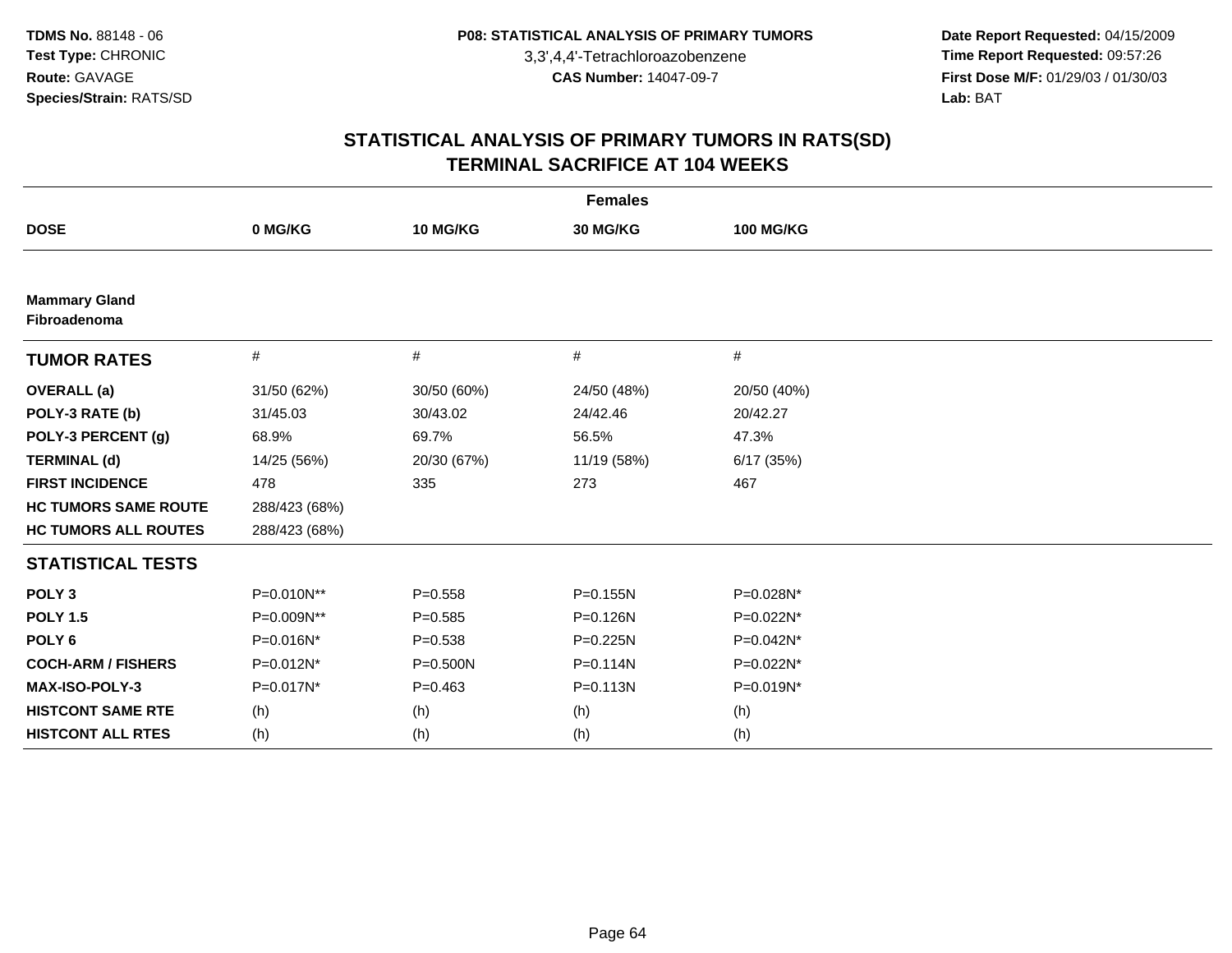**Date Report Requested:** 04/15/2009 **Time Report Requested:** 09:57:26 **First Dose M/F:** 01/29/03 / 01/30/03<br>Lab: BAT **Lab:** BAT

| <b>Females</b>                       |               |             |              |                  |  |  |  |
|--------------------------------------|---------------|-------------|--------------|------------------|--|--|--|
| <b>DOSE</b>                          | 0 MG/KG       | 10 MG/KG    | 30 MG/KG     | <b>100 MG/KG</b> |  |  |  |
|                                      |               |             |              |                  |  |  |  |
| <b>Mammary Gland</b><br>Fibroadenoma |               |             |              |                  |  |  |  |
| <b>TUMOR RATES</b>                   | $\#$          | #           | #            | $\#$             |  |  |  |
| <b>OVERALL</b> (a)                   | 31/50 (62%)   | 30/50 (60%) | 24/50 (48%)  | 20/50 (40%)      |  |  |  |
| POLY-3 RATE (b)                      | 31/45.03      | 30/43.02    | 24/42.46     | 20/42.27         |  |  |  |
| POLY-3 PERCENT (g)                   | 68.9%         | 69.7%       | 56.5%        | 47.3%            |  |  |  |
| <b>TERMINAL (d)</b>                  | 14/25 (56%)   | 20/30 (67%) | 11/19 (58%)  | 6/17(35%)        |  |  |  |
| <b>FIRST INCIDENCE</b>               | 478           | 335         | 273          | 467              |  |  |  |
| <b>HC TUMORS SAME ROUTE</b>          | 288/423 (68%) |             |              |                  |  |  |  |
| <b>HC TUMORS ALL ROUTES</b>          | 288/423 (68%) |             |              |                  |  |  |  |
| <b>STATISTICAL TESTS</b>             |               |             |              |                  |  |  |  |
| POLY <sub>3</sub>                    | P=0.010N**    | $P = 0.558$ | $P = 0.155N$ | P=0.028N*        |  |  |  |
| <b>POLY 1.5</b>                      | P=0.009N**    | $P = 0.585$ | P=0.126N     | P=0.022N*        |  |  |  |
| POLY <sub>6</sub>                    | P=0.016N*     | $P = 0.538$ | $P = 0.225N$ | P=0.042N*        |  |  |  |
| <b>COCH-ARM / FISHERS</b>            | P=0.012N*     | P=0.500N    | $P = 0.114N$ | P=0.022N*        |  |  |  |
| MAX-ISO-POLY-3                       | P=0.017N*     | $P=0.463$   | $P = 0.113N$ | P=0.019N*        |  |  |  |
| <b>HISTCONT SAME RTE</b>             | (h)           | (h)         | (h)          | (h)              |  |  |  |
| <b>HISTCONT ALL RTES</b>             | (h)           | (h)         | (h)          | (h)              |  |  |  |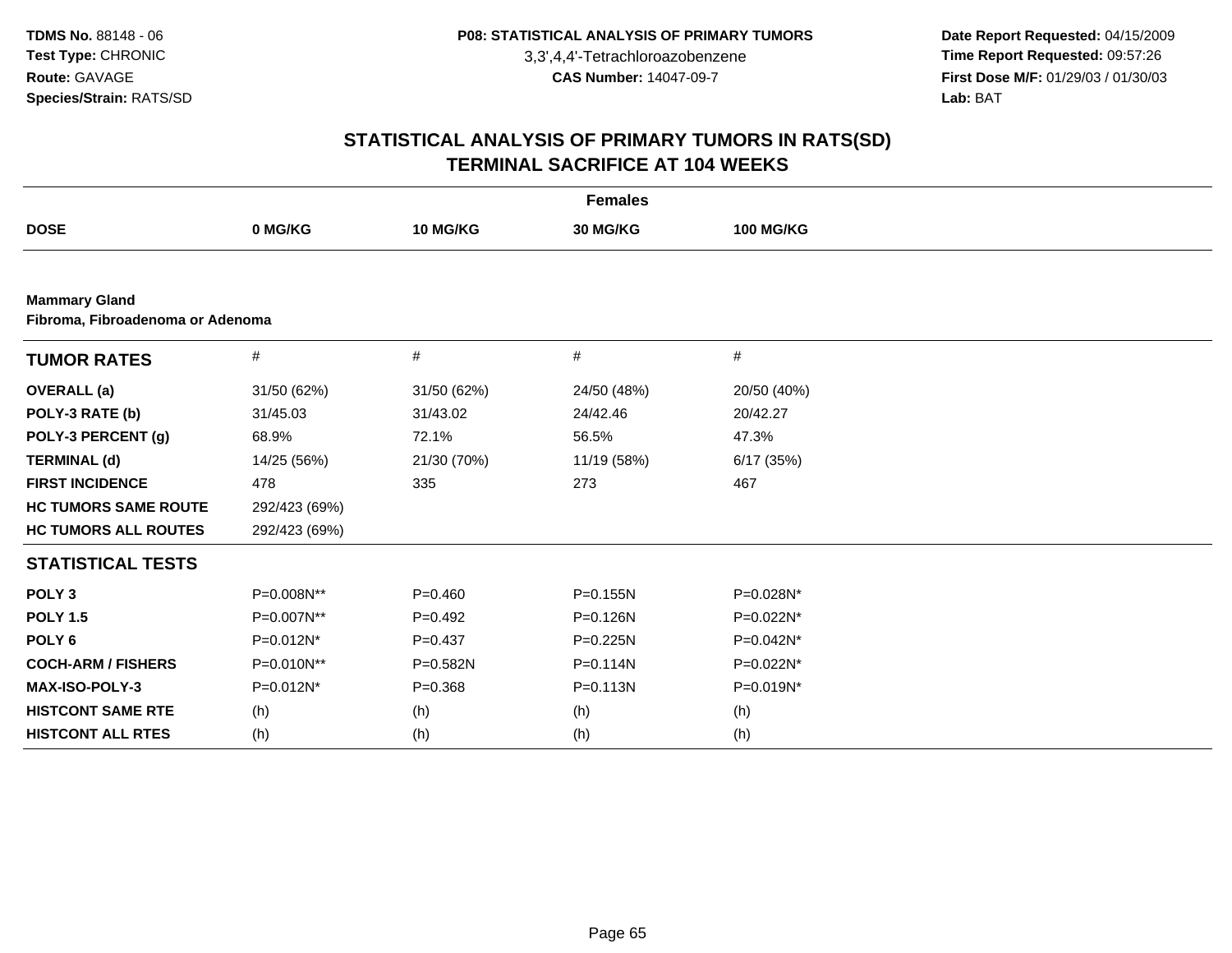**Date Report Requested:** 04/15/2009 **Time Report Requested:** 09:57:26 **First Dose M/F:** 01/29/03 / 01/30/03<br>Lab: BAT **Lab:** BAT

| <b>Females</b>              |                                  |             |              |                  |  |  |  |  |  |
|-----------------------------|----------------------------------|-------------|--------------|------------------|--|--|--|--|--|
| <b>DOSE</b>                 | 0 MG/KG                          | 10 MG/KG    | 30 MG/KG     | <b>100 MG/KG</b> |  |  |  |  |  |
|                             |                                  |             |              |                  |  |  |  |  |  |
| <b>Mammary Gland</b>        | Fibroma, Fibroadenoma or Adenoma |             |              |                  |  |  |  |  |  |
| <b>TUMOR RATES</b>          | $\#$                             | #           | #            | $\#$             |  |  |  |  |  |
| <b>OVERALL</b> (a)          | 31/50 (62%)                      | 31/50 (62%) | 24/50 (48%)  | 20/50 (40%)      |  |  |  |  |  |
| POLY-3 RATE (b)             | 31/45.03                         | 31/43.02    | 24/42.46     | 20/42.27         |  |  |  |  |  |
| POLY-3 PERCENT (g)          | 68.9%                            | 72.1%       | 56.5%        | 47.3%            |  |  |  |  |  |
| <b>TERMINAL (d)</b>         | 14/25 (56%)                      | 21/30 (70%) | 11/19 (58%)  | 6/17(35%)        |  |  |  |  |  |
| <b>FIRST INCIDENCE</b>      | 478                              | 335         | 273          | 467              |  |  |  |  |  |
| <b>HC TUMORS SAME ROUTE</b> | 292/423 (69%)                    |             |              |                  |  |  |  |  |  |
| <b>HC TUMORS ALL ROUTES</b> | 292/423 (69%)                    |             |              |                  |  |  |  |  |  |
| <b>STATISTICAL TESTS</b>    |                                  |             |              |                  |  |  |  |  |  |
| POLY <sub>3</sub>           | P=0.008N**                       | $P=0.460$   | P=0.155N     | P=0.028N*        |  |  |  |  |  |
| <b>POLY 1.5</b>             | P=0.007N**                       | $P=0.492$   | $P = 0.126N$ | P=0.022N*        |  |  |  |  |  |
| POLY <sub>6</sub>           | P=0.012N*                        | $P=0.437$   | $P = 0.225N$ | P=0.042N*        |  |  |  |  |  |
| <b>COCH-ARM / FISHERS</b>   | P=0.010N**                       | P=0.582N    | $P = 0.114N$ | P=0.022N*        |  |  |  |  |  |
| <b>MAX-ISO-POLY-3</b>       | P=0.012N*                        | $P = 0.368$ | $P = 0.113N$ | P=0.019N*        |  |  |  |  |  |
| <b>HISTCONT SAME RTE</b>    | (h)                              | (h)         | (h)          | (h)              |  |  |  |  |  |
| <b>HISTCONT ALL RTES</b>    | (h)                              | (h)         | (h)          | (h)              |  |  |  |  |  |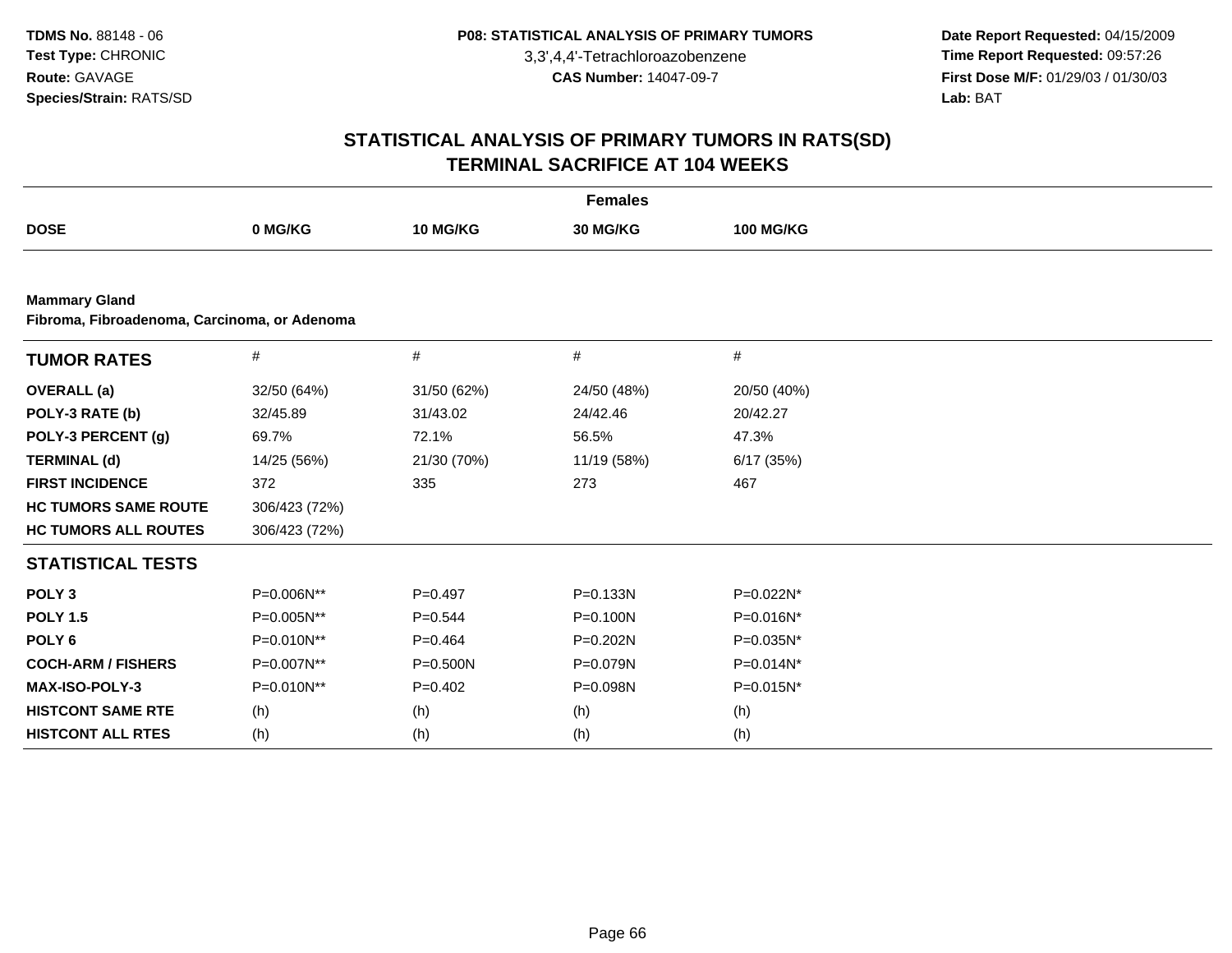**Date Report Requested:** 04/15/2009 **Time Report Requested:** 09:57:26 **First Dose M/F:** 01/29/03 / 01/30/03<br>Lab: BAT **Lab:** BAT

| <b>Females</b>              |                                              |              |              |                  |  |  |  |  |  |  |
|-----------------------------|----------------------------------------------|--------------|--------------|------------------|--|--|--|--|--|--|
| <b>DOSE</b>                 | 0 MG/KG                                      | 10 MG/KG     | 30 MG/KG     | <b>100 MG/KG</b> |  |  |  |  |  |  |
|                             |                                              |              |              |                  |  |  |  |  |  |  |
| <b>Mammary Gland</b>        | Fibroma, Fibroadenoma, Carcinoma, or Adenoma |              |              |                  |  |  |  |  |  |  |
| <b>TUMOR RATES</b>          | #                                            | #            | #            | #                |  |  |  |  |  |  |
| <b>OVERALL</b> (a)          | 32/50 (64%)                                  | 31/50 (62%)  | 24/50 (48%)  | 20/50 (40%)      |  |  |  |  |  |  |
| POLY-3 RATE (b)             | 32/45.89                                     | 31/43.02     | 24/42.46     | 20/42.27         |  |  |  |  |  |  |
| POLY-3 PERCENT (g)          | 69.7%                                        | 72.1%        | 56.5%        | 47.3%            |  |  |  |  |  |  |
| <b>TERMINAL (d)</b>         | 14/25 (56%)                                  | 21/30 (70%)  | 11/19 (58%)  | 6/17(35%)        |  |  |  |  |  |  |
| <b>FIRST INCIDENCE</b>      | 372                                          | 335          | 273          | 467              |  |  |  |  |  |  |
| <b>HC TUMORS SAME ROUTE</b> | 306/423 (72%)                                |              |              |                  |  |  |  |  |  |  |
| <b>HC TUMORS ALL ROUTES</b> | 306/423 (72%)                                |              |              |                  |  |  |  |  |  |  |
| <b>STATISTICAL TESTS</b>    |                                              |              |              |                  |  |  |  |  |  |  |
| POLY <sub>3</sub>           | P=0.006N**                                   | $P=0.497$    | P=0.133N     | P=0.022N*        |  |  |  |  |  |  |
| <b>POLY 1.5</b>             | P=0.005N**                                   | $P=0.544$    | $P = 0.100N$ | P=0.016N*        |  |  |  |  |  |  |
| POLY <sub>6</sub>           | $P=0.010N**$                                 | $P=0.464$    | $P = 0.202N$ | P=0.035N*        |  |  |  |  |  |  |
| <b>COCH-ARM / FISHERS</b>   | P=0.007N**                                   | $P = 0.500N$ | P=0.079N     | P=0.014N*        |  |  |  |  |  |  |
| MAX-ISO-POLY-3              | P=0.010N**                                   | $P=0.402$    | P=0.098N     | P=0.015N*        |  |  |  |  |  |  |
| <b>HISTCONT SAME RTE</b>    | (h)                                          | (h)          | (h)          | (h)              |  |  |  |  |  |  |
| <b>HISTCONT ALL RTES</b>    | (h)                                          | (h)          | (h)          | (h)              |  |  |  |  |  |  |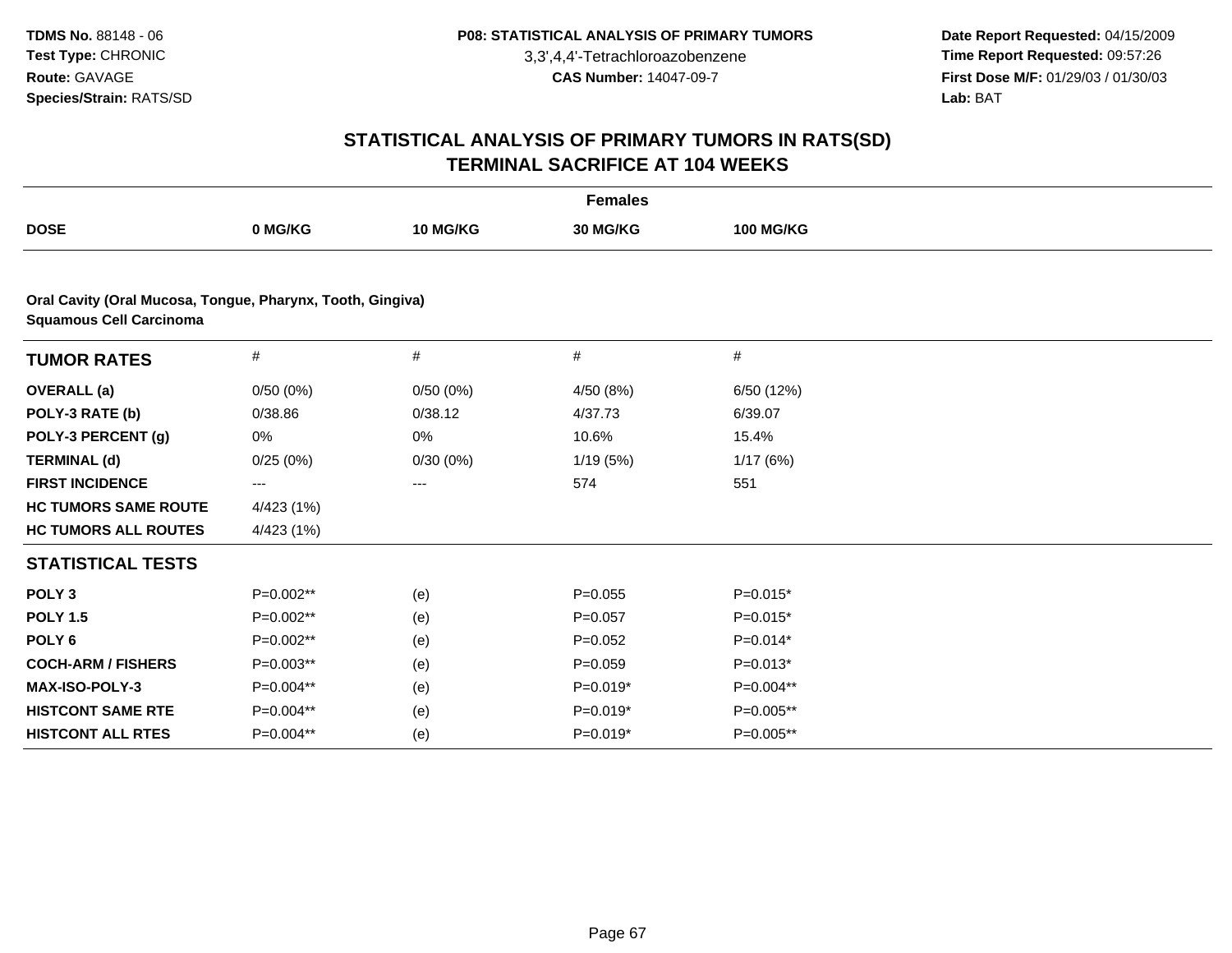**Date Report Requested:** 04/15/2009 **Time Report Requested:** 09:57:26 **First Dose M/F:** 01/29/03 / 01/30/03<br>Lab: BAT **Lab:** BAT

| <b>Females</b>                                                                               |             |                 |             |                  |  |  |  |
|----------------------------------------------------------------------------------------------|-------------|-----------------|-------------|------------------|--|--|--|
| <b>DOSE</b>                                                                                  | 0 MG/KG     | <b>10 MG/KG</b> | 30 MG/KG    | <b>100 MG/KG</b> |  |  |  |
|                                                                                              |             |                 |             |                  |  |  |  |
| Oral Cavity (Oral Mucosa, Tongue, Pharynx, Tooth, Gingiva)<br><b>Squamous Cell Carcinoma</b> |             |                 |             |                  |  |  |  |
| <b>TUMOR RATES</b>                                                                           | $\#$        | #               | #           | #                |  |  |  |
| <b>OVERALL</b> (a)                                                                           | 0/50(0%)    | 0/50(0%)        | 4/50 (8%)   | 6/50 (12%)       |  |  |  |
| POLY-3 RATE (b)                                                                              | 0/38.86     | 0/38.12         | 4/37.73     | 6/39.07          |  |  |  |
| POLY-3 PERCENT (g)                                                                           | 0%          | 0%              | 10.6%       | 15.4%            |  |  |  |
| <b>TERMINAL (d)</b>                                                                          | 0/25(0%)    | 0/30(0%)        | 1/19(5%)    | 1/17(6%)         |  |  |  |
| <b>FIRST INCIDENCE</b>                                                                       | ---         | ---             | 574         | 551              |  |  |  |
| <b>HC TUMORS SAME ROUTE</b>                                                                  | 4/423 (1%)  |                 |             |                  |  |  |  |
| <b>HC TUMORS ALL ROUTES</b>                                                                  | 4/423 (1%)  |                 |             |                  |  |  |  |
| <b>STATISTICAL TESTS</b>                                                                     |             |                 |             |                  |  |  |  |
| POLY <sub>3</sub>                                                                            | P=0.002**   | (e)             | $P = 0.055$ | $P=0.015*$       |  |  |  |
| <b>POLY 1.5</b>                                                                              | P=0.002**   | (e)             | $P = 0.057$ | $P=0.015*$       |  |  |  |
| POLY <sub>6</sub>                                                                            | P=0.002**   | (e)             | $P=0.052$   | $P=0.014*$       |  |  |  |
| <b>COCH-ARM / FISHERS</b>                                                                    | $P=0.003**$ | (e)             | $P = 0.059$ | $P=0.013*$       |  |  |  |
| <b>MAX-ISO-POLY-3</b>                                                                        | P=0.004**   | (e)             | $P=0.019*$  | P=0.004**        |  |  |  |
| <b>HISTCONT SAME RTE</b>                                                                     | P=0.004**   | (e)             | $P=0.019*$  | P=0.005**        |  |  |  |
| <b>HISTCONT ALL RTES</b>                                                                     | P=0.004**   | (e)             | $P=0.019*$  | P=0.005**        |  |  |  |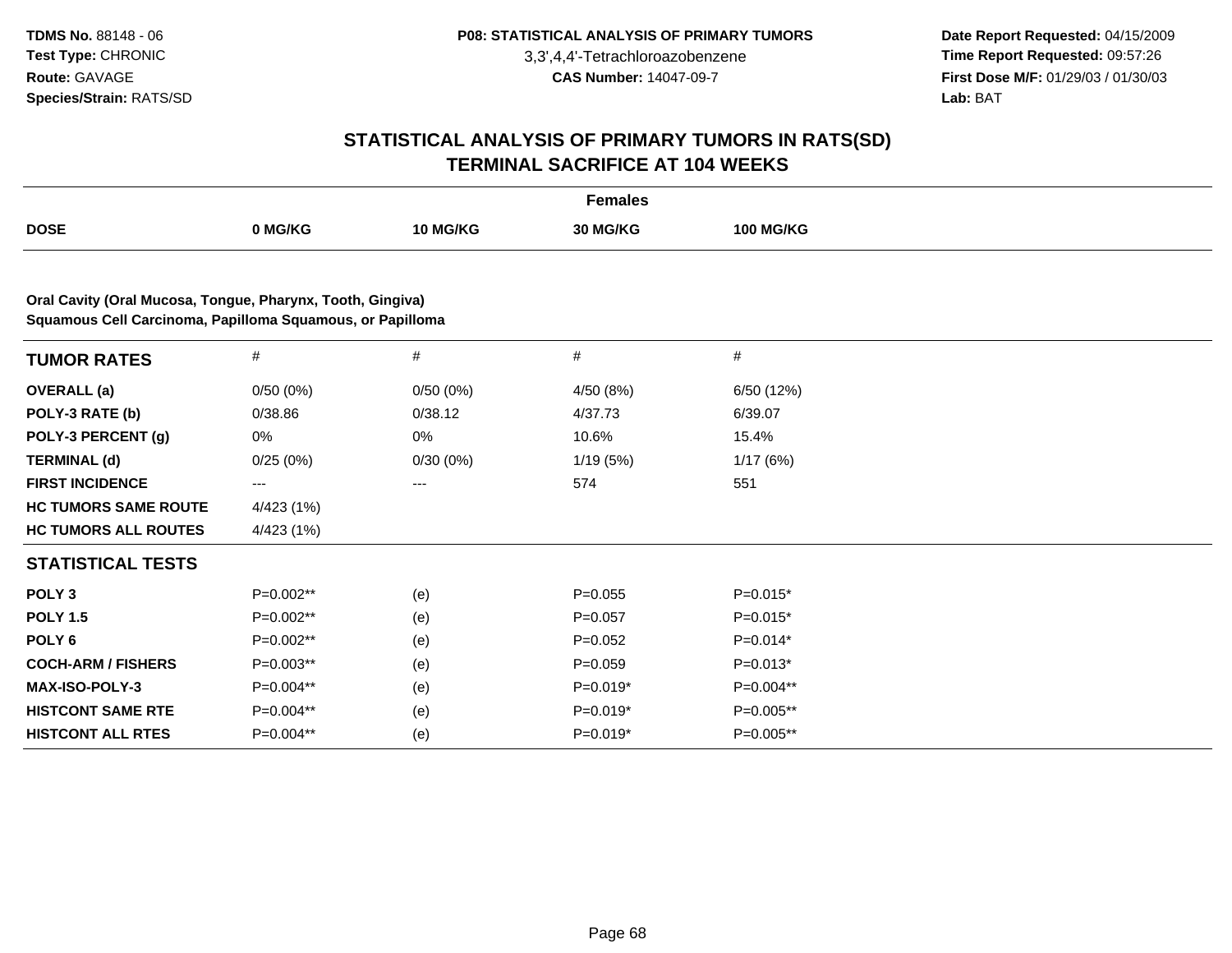**Date Report Requested:** 04/15/2009 **Time Report Requested:** 09:57:26 **First Dose M/F:** 01/29/03 / 01/30/03<br>Lab: BAT **Lab:** BAT

| <b>Females</b>                                                                                                          |             |                 |             |                  |  |  |  |
|-------------------------------------------------------------------------------------------------------------------------|-------------|-----------------|-------------|------------------|--|--|--|
| <b>DOSE</b>                                                                                                             | 0 MG/KG     | <b>10 MG/KG</b> | 30 MG/KG    | <b>100 MG/KG</b> |  |  |  |
|                                                                                                                         |             |                 |             |                  |  |  |  |
| Oral Cavity (Oral Mucosa, Tongue, Pharynx, Tooth, Gingiva)<br>Squamous Cell Carcinoma, Papilloma Squamous, or Papilloma |             |                 |             |                  |  |  |  |
| <b>TUMOR RATES</b>                                                                                                      | $\#$        | #               | $\#$        | $\#$             |  |  |  |
| <b>OVERALL</b> (a)                                                                                                      | 0/50(0%)    | 0/50(0%)        | 4/50 (8%)   | 6/50 (12%)       |  |  |  |
| POLY-3 RATE (b)                                                                                                         | 0/38.86     | 0/38.12         | 4/37.73     | 6/39.07          |  |  |  |
| POLY-3 PERCENT (g)                                                                                                      | 0%          | 0%              | 10.6%       | 15.4%            |  |  |  |
| <b>TERMINAL (d)</b>                                                                                                     | 0/25(0%)    | 0/30(0%)        | 1/19(5%)    | 1/17(6%)         |  |  |  |
| <b>FIRST INCIDENCE</b>                                                                                                  | ---         | ---             | 574         | 551              |  |  |  |
| <b>HC TUMORS SAME ROUTE</b>                                                                                             | 4/423 (1%)  |                 |             |                  |  |  |  |
| <b>HC TUMORS ALL ROUTES</b>                                                                                             | 4/423 (1%)  |                 |             |                  |  |  |  |
| <b>STATISTICAL TESTS</b>                                                                                                |             |                 |             |                  |  |  |  |
| POLY <sub>3</sub>                                                                                                       | $P=0.002**$ | (e)             | $P=0.055$   | $P=0.015*$       |  |  |  |
| <b>POLY 1.5</b>                                                                                                         | P=0.002**   | (e)             | $P=0.057$   | $P=0.015*$       |  |  |  |
| POLY <sub>6</sub>                                                                                                       | P=0.002**   | (e)             | $P=0.052$   | $P=0.014*$       |  |  |  |
| <b>COCH-ARM / FISHERS</b>                                                                                               | P=0.003**   | (e)             | $P = 0.059$ | $P=0.013*$       |  |  |  |
| <b>MAX-ISO-POLY-3</b>                                                                                                   | P=0.004**   | (e)             | $P=0.019*$  | P=0.004**        |  |  |  |
| <b>HISTCONT SAME RTE</b>                                                                                                | P=0.004**   | (e)             | $P=0.019*$  | $P=0.005**$      |  |  |  |
| <b>HISTCONT ALL RTES</b>                                                                                                | P=0.004**   | (e)             | $P=0.019*$  | P=0.005**        |  |  |  |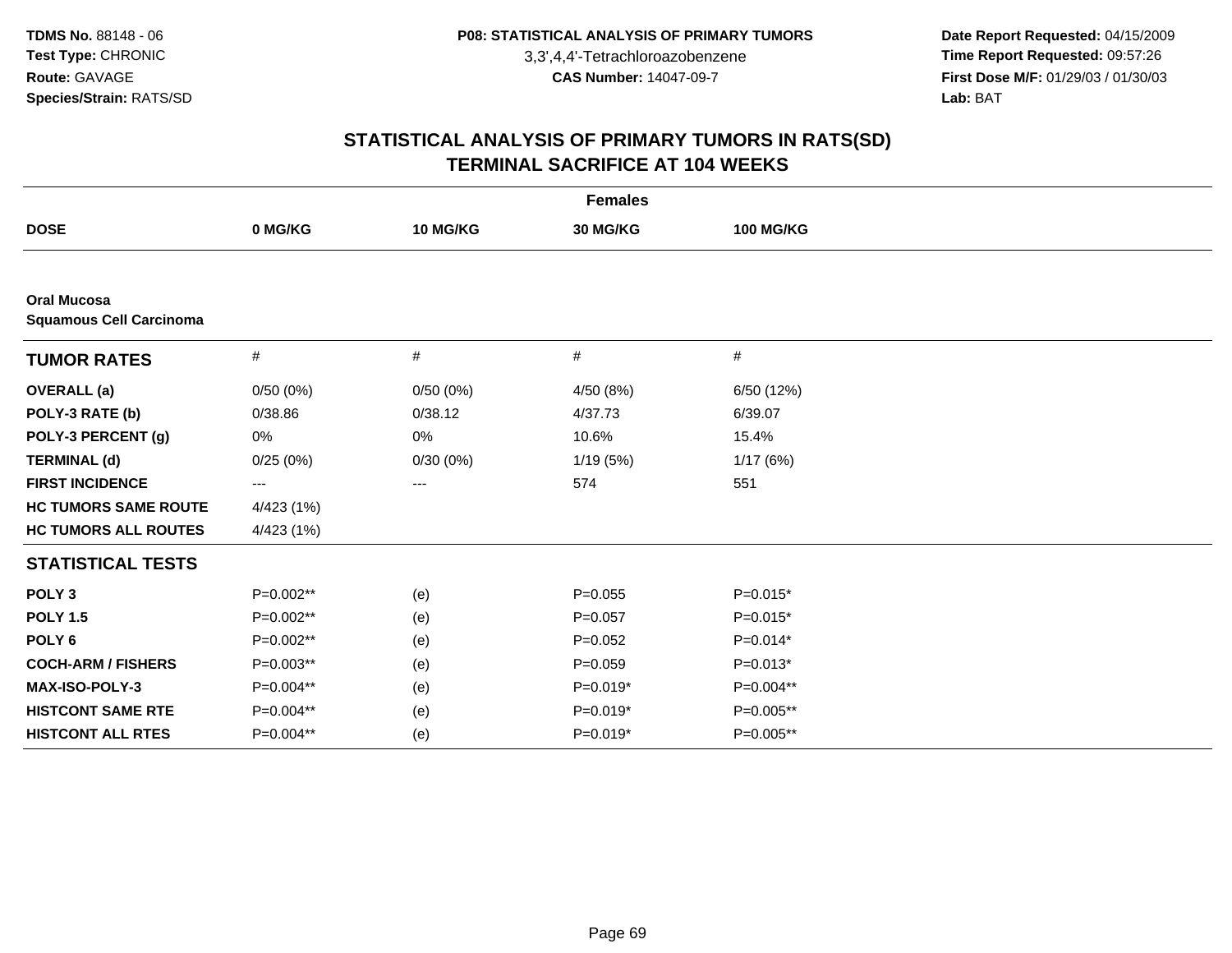**Date Report Requested:** 04/15/2009 **Time Report Requested:** 09:57:26 **First Dose M/F:** 01/29/03 / 01/30/03<br>Lab: BAT **Lab:** BAT

| <b>Females</b>                                       |            |          |             |                  |  |  |  |
|------------------------------------------------------|------------|----------|-------------|------------------|--|--|--|
| <b>DOSE</b>                                          | 0 MG/KG    | 10 MG/KG | 30 MG/KG    | <b>100 MG/KG</b> |  |  |  |
|                                                      |            |          |             |                  |  |  |  |
| <b>Oral Mucosa</b><br><b>Squamous Cell Carcinoma</b> |            |          |             |                  |  |  |  |
| <b>TUMOR RATES</b>                                   | $\#$       | #        | #           | #                |  |  |  |
| <b>OVERALL (a)</b>                                   | 0/50(0%)   | 0/50(0%) | 4/50 (8%)   | 6/50 (12%)       |  |  |  |
| POLY-3 RATE (b)                                      | 0/38.86    | 0/38.12  | 4/37.73     | 6/39.07          |  |  |  |
| POLY-3 PERCENT (g)                                   | 0%         | 0%       | 10.6%       | 15.4%            |  |  |  |
| <b>TERMINAL (d)</b>                                  | 0/25(0%)   | 0/30(0%) | 1/19 (5%)   | 1/17(6%)         |  |  |  |
| <b>FIRST INCIDENCE</b>                               | ---        | $---$    | 574         | 551              |  |  |  |
| <b>HC TUMORS SAME ROUTE</b>                          | 4/423 (1%) |          |             |                  |  |  |  |
| <b>HC TUMORS ALL ROUTES</b>                          | 4/423 (1%) |          |             |                  |  |  |  |
| <b>STATISTICAL TESTS</b>                             |            |          |             |                  |  |  |  |
| POLY <sub>3</sub>                                    | P=0.002**  | (e)      | $P=0.055$   | $P=0.015*$       |  |  |  |
| <b>POLY 1.5</b>                                      | P=0.002**  | (e)      | $P = 0.057$ | $P=0.015*$       |  |  |  |
| POLY <sub>6</sub>                                    | P=0.002**  | (e)      | $P=0.052$   | $P=0.014*$       |  |  |  |
| <b>COCH-ARM / FISHERS</b>                            | P=0.003**  | (e)      | $P=0.059$   | $P=0.013*$       |  |  |  |
| MAX-ISO-POLY-3                                       | P=0.004**  | (e)      | $P=0.019*$  | P=0.004**        |  |  |  |
| <b>HISTCONT SAME RTE</b>                             | P=0.004**  | (e)      | $P=0.019*$  | P=0.005**        |  |  |  |
| <b>HISTCONT ALL RTES</b>                             | P=0.004**  | (e)      | $P=0.019*$  | P=0.005**        |  |  |  |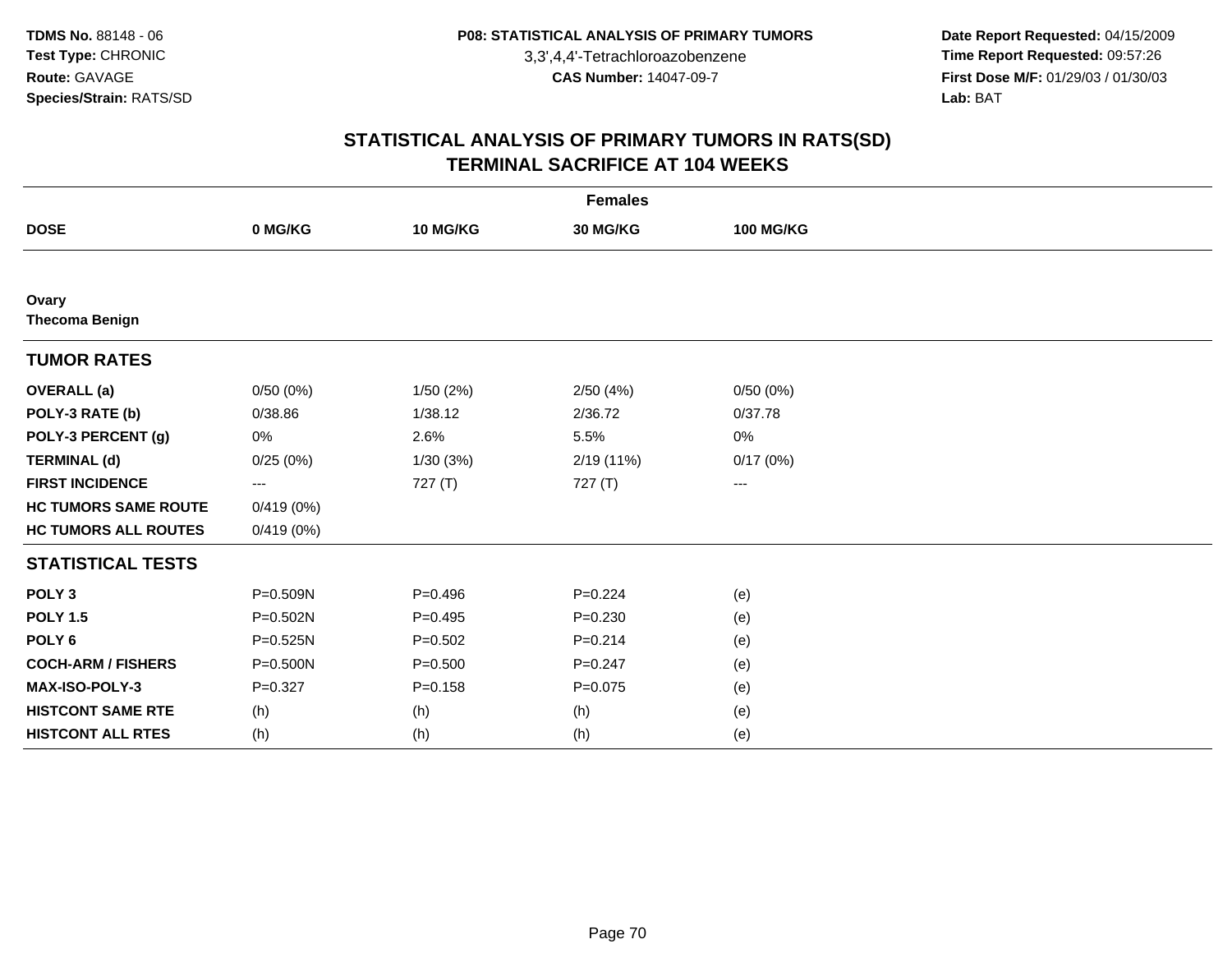**Date Report Requested:** 04/15/2009 **Time Report Requested:** 09:57:26 **First Dose M/F:** 01/29/03 / 01/30/03<br>Lab: BAT **Lab:** BAT

| <b>Females</b>                 |              |             |             |                  |  |  |  |
|--------------------------------|--------------|-------------|-------------|------------------|--|--|--|
| <b>DOSE</b>                    | 0 MG/KG      | 10 MG/KG    | 30 MG/KG    | <b>100 MG/KG</b> |  |  |  |
|                                |              |             |             |                  |  |  |  |
| Ovary<br><b>Thecoma Benign</b> |              |             |             |                  |  |  |  |
| <b>TUMOR RATES</b>             |              |             |             |                  |  |  |  |
| <b>OVERALL</b> (a)             | 0/50(0%)     | 1/50(2%)    | 2/50(4%)    | 0/50(0%)         |  |  |  |
| POLY-3 RATE (b)                | 0/38.86      | 1/38.12     | 2/36.72     | 0/37.78          |  |  |  |
| POLY-3 PERCENT (g)             | 0%           | 2.6%        | 5.5%        | 0%               |  |  |  |
| <b>TERMINAL (d)</b>            | 0/25(0%)     | 1/30(3%)    | 2/19 (11%)  | 0/17(0%)         |  |  |  |
| <b>FIRST INCIDENCE</b>         | $\cdots$     | 727(T)      | 727(T)      | ---              |  |  |  |
| <b>HC TUMORS SAME ROUTE</b>    | 0/419(0%)    |             |             |                  |  |  |  |
| <b>HC TUMORS ALL ROUTES</b>    | 0/419(0%)    |             |             |                  |  |  |  |
| <b>STATISTICAL TESTS</b>       |              |             |             |                  |  |  |  |
| POLY <sub>3</sub>              | P=0.509N     | $P=0.496$   | $P = 0.224$ | (e)              |  |  |  |
| <b>POLY 1.5</b>                | $P = 0.502N$ | $P=0.495$   | $P = 0.230$ | (e)              |  |  |  |
| POLY <sub>6</sub>              | P=0.525N     | $P = 0.502$ | $P = 0.214$ | (e)              |  |  |  |
| <b>COCH-ARM / FISHERS</b>      | P=0.500N     | $P = 0.500$ | $P=0.247$   | (e)              |  |  |  |
| <b>MAX-ISO-POLY-3</b>          | $P = 0.327$  | $P = 0.158$ | $P = 0.075$ | (e)              |  |  |  |
| <b>HISTCONT SAME RTE</b>       | (h)          | (h)         | (h)         | (e)              |  |  |  |
| <b>HISTCONT ALL RTES</b>       | (h)          | (h)         | (h)         | (e)              |  |  |  |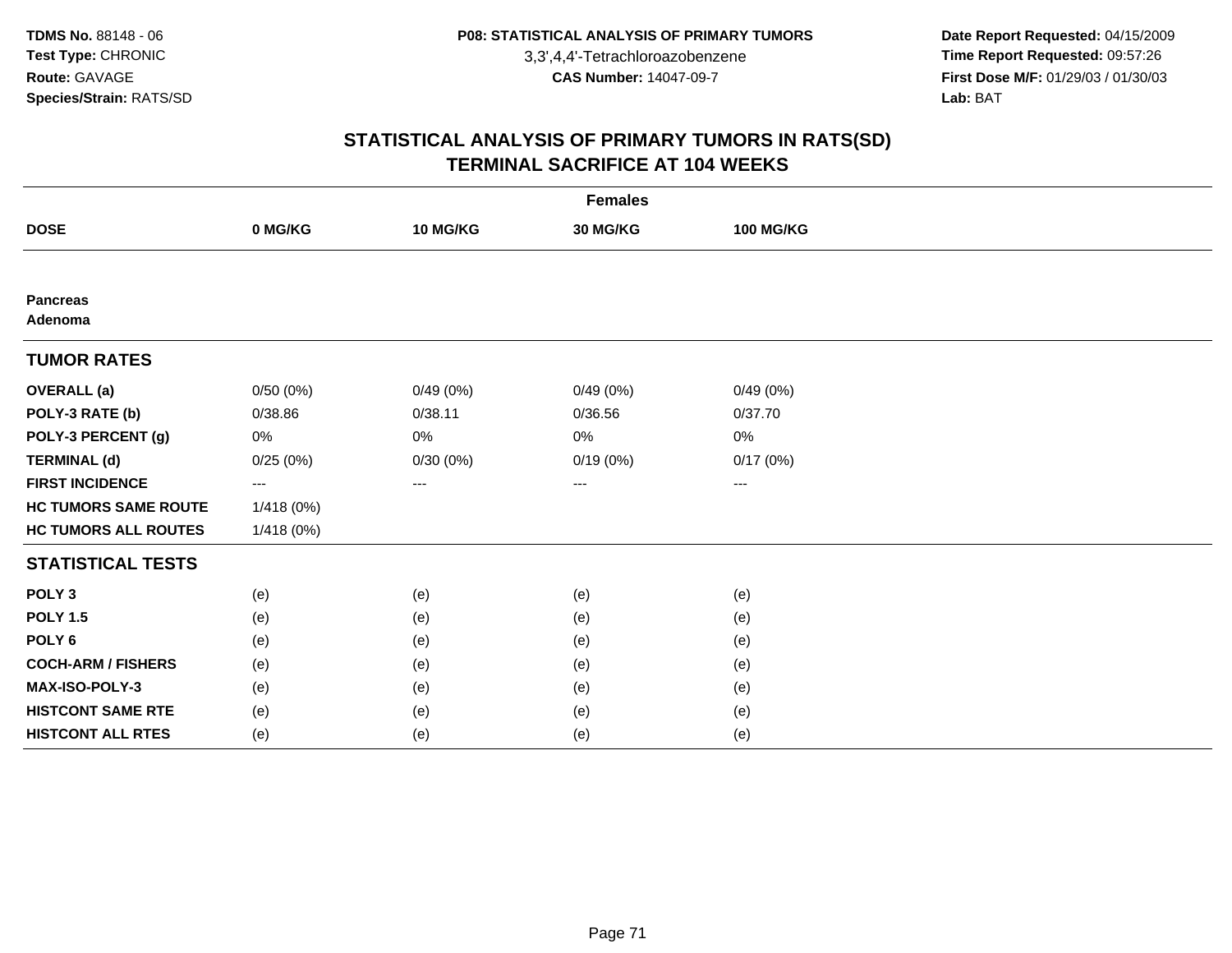**Date Report Requested:** 04/15/2009 **Time Report Requested:** 09:57:26 **First Dose M/F:** 01/29/03 / 01/30/03<br>Lab: BAT **Lab:** BAT

| <b>Females</b>              |                        |          |          |                        |  |  |  |  |  |
|-----------------------------|------------------------|----------|----------|------------------------|--|--|--|--|--|
| <b>DOSE</b>                 | 0 MG/KG                | 10 MG/KG | 30 MG/KG | <b>100 MG/KG</b>       |  |  |  |  |  |
|                             |                        |          |          |                        |  |  |  |  |  |
| <b>Pancreas</b><br>Adenoma  |                        |          |          |                        |  |  |  |  |  |
| <b>TUMOR RATES</b>          |                        |          |          |                        |  |  |  |  |  |
| <b>OVERALL</b> (a)          | 0/50(0%)               | 0/49(0%) | 0/49(0%) | 0/49(0%)               |  |  |  |  |  |
| POLY-3 RATE (b)             | 0/38.86                | 0/38.11  | 0/36.56  | 0/37.70                |  |  |  |  |  |
| POLY-3 PERCENT (g)          | 0%                     | 0%       | $0\%$    | 0%                     |  |  |  |  |  |
| <b>TERMINAL (d)</b>         | 0/25(0%)               | 0/30(0%) | 0/19(0%) | 0/17(0%)               |  |  |  |  |  |
| <b>FIRST INCIDENCE</b>      | $\qquad \qquad \cdots$ | $\cdots$ | ---      | $\qquad \qquad \cdots$ |  |  |  |  |  |
| <b>HC TUMORS SAME ROUTE</b> | 1/418(0%)              |          |          |                        |  |  |  |  |  |
| <b>HC TUMORS ALL ROUTES</b> | 1/418(0%)              |          |          |                        |  |  |  |  |  |
| <b>STATISTICAL TESTS</b>    |                        |          |          |                        |  |  |  |  |  |
| POLY <sub>3</sub>           | (e)                    | (e)      | (e)      | (e)                    |  |  |  |  |  |
| <b>POLY 1.5</b>             | (e)                    | (e)      | (e)      | (e)                    |  |  |  |  |  |
| POLY <sub>6</sub>           | (e)                    | (e)      | (e)      | (e)                    |  |  |  |  |  |
| <b>COCH-ARM / FISHERS</b>   | (e)                    | (e)      | (e)      | (e)                    |  |  |  |  |  |
| MAX-ISO-POLY-3              | (e)                    | (e)      | (e)      | (e)                    |  |  |  |  |  |
| <b>HISTCONT SAME RTE</b>    | (e)                    | (e)      | (e)      | (e)                    |  |  |  |  |  |
| <b>HISTCONT ALL RTES</b>    | (e)                    | (e)      | (e)      | (e)                    |  |  |  |  |  |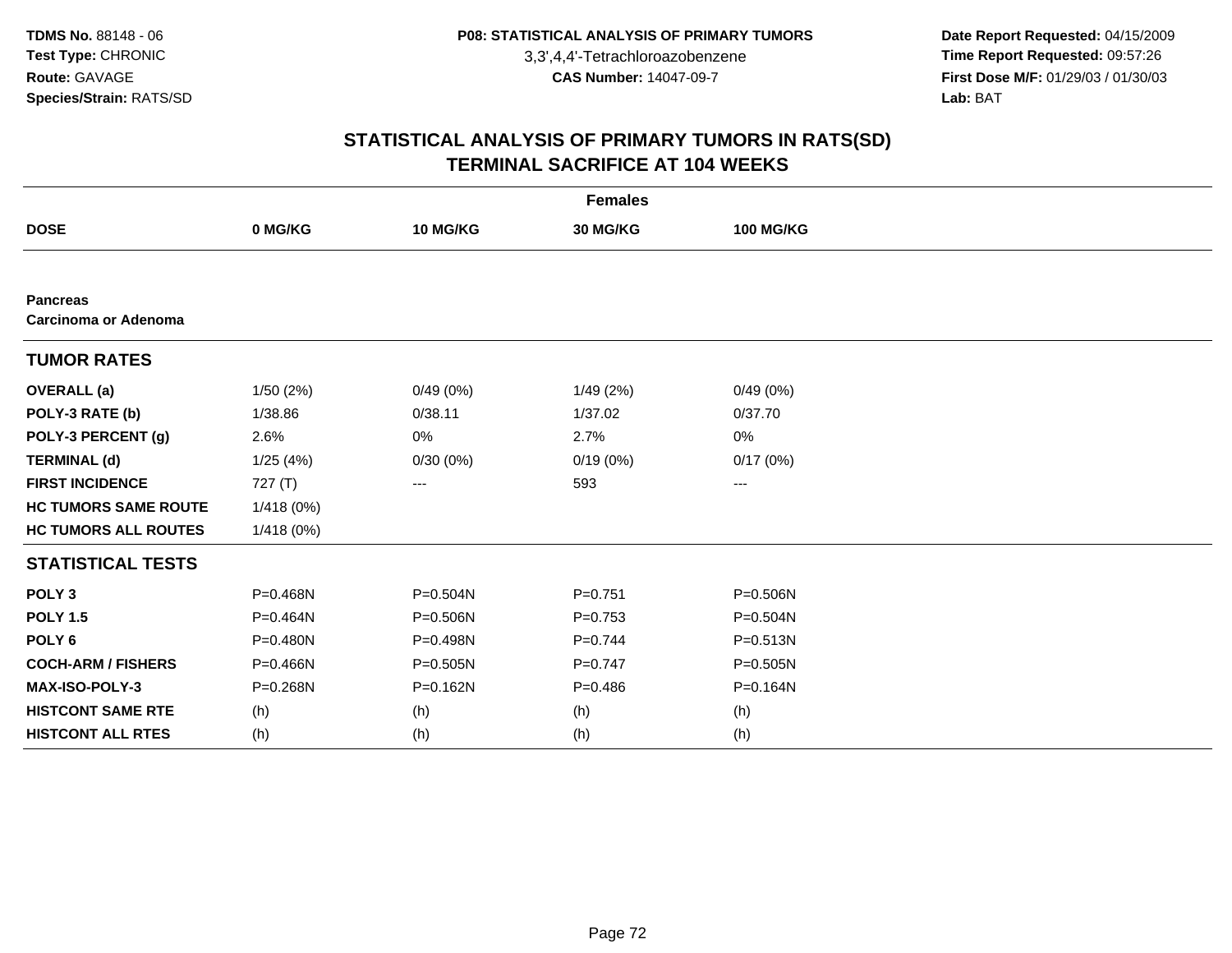**Date Report Requested:** 04/15/2009 **Time Report Requested:** 09:57:26 **First Dose M/F:** 01/29/03 / 01/30/03<br>Lab: BAT **Lab:** BAT

| <b>Females</b>                                 |            |              |             |                  |  |  |  |  |
|------------------------------------------------|------------|--------------|-------------|------------------|--|--|--|--|
| <b>DOSE</b>                                    | 0 MG/KG    | 10 MG/KG     | 30 MG/KG    | <b>100 MG/KG</b> |  |  |  |  |
|                                                |            |              |             |                  |  |  |  |  |
| <b>Pancreas</b><br><b>Carcinoma or Adenoma</b> |            |              |             |                  |  |  |  |  |
| <b>TUMOR RATES</b>                             |            |              |             |                  |  |  |  |  |
| <b>OVERALL</b> (a)                             | 1/50(2%)   | 0/49(0%)     | 1/49(2%)    | 0/49(0%)         |  |  |  |  |
| POLY-3 RATE (b)                                | 1/38.86    | 0/38.11      | 1/37.02     | 0/37.70          |  |  |  |  |
| POLY-3 PERCENT (g)                             | 2.6%       | 0%           | 2.7%        | 0%               |  |  |  |  |
| <b>TERMINAL (d)</b>                            | 1/25(4%)   | 0/30(0%)     | 0/19(0%)    | 0/17(0%)         |  |  |  |  |
| <b>FIRST INCIDENCE</b>                         | 727 (T)    | ---          | 593         | ---              |  |  |  |  |
| <b>HC TUMORS SAME ROUTE</b>                    | 1/418 (0%) |              |             |                  |  |  |  |  |
| <b>HC TUMORS ALL ROUTES</b>                    | 1/418(0%)  |              |             |                  |  |  |  |  |
| <b>STATISTICAL TESTS</b>                       |            |              |             |                  |  |  |  |  |
| POLY <sub>3</sub>                              | P=0.468N   | P=0.504N     | $P = 0.751$ | P=0.506N         |  |  |  |  |
| <b>POLY 1.5</b>                                | P=0.464N   | P=0.506N     | $P=0.753$   | $P = 0.504N$     |  |  |  |  |
| POLY <sub>6</sub>                              | P=0.480N   | P=0.498N     | $P=0.744$   | $P = 0.513N$     |  |  |  |  |
| <b>COCH-ARM / FISHERS</b>                      | P=0.466N   | P=0.505N     | $P=0.747$   | $P = 0.505N$     |  |  |  |  |
| MAX-ISO-POLY-3                                 | P=0.268N   | $P = 0.162N$ | $P=0.486$   | P=0.164N         |  |  |  |  |
| <b>HISTCONT SAME RTE</b>                       | (h)        | (h)          | (h)         | (h)              |  |  |  |  |
| <b>HISTCONT ALL RTES</b>                       | (h)        | (h)          | (h)         | (h)              |  |  |  |  |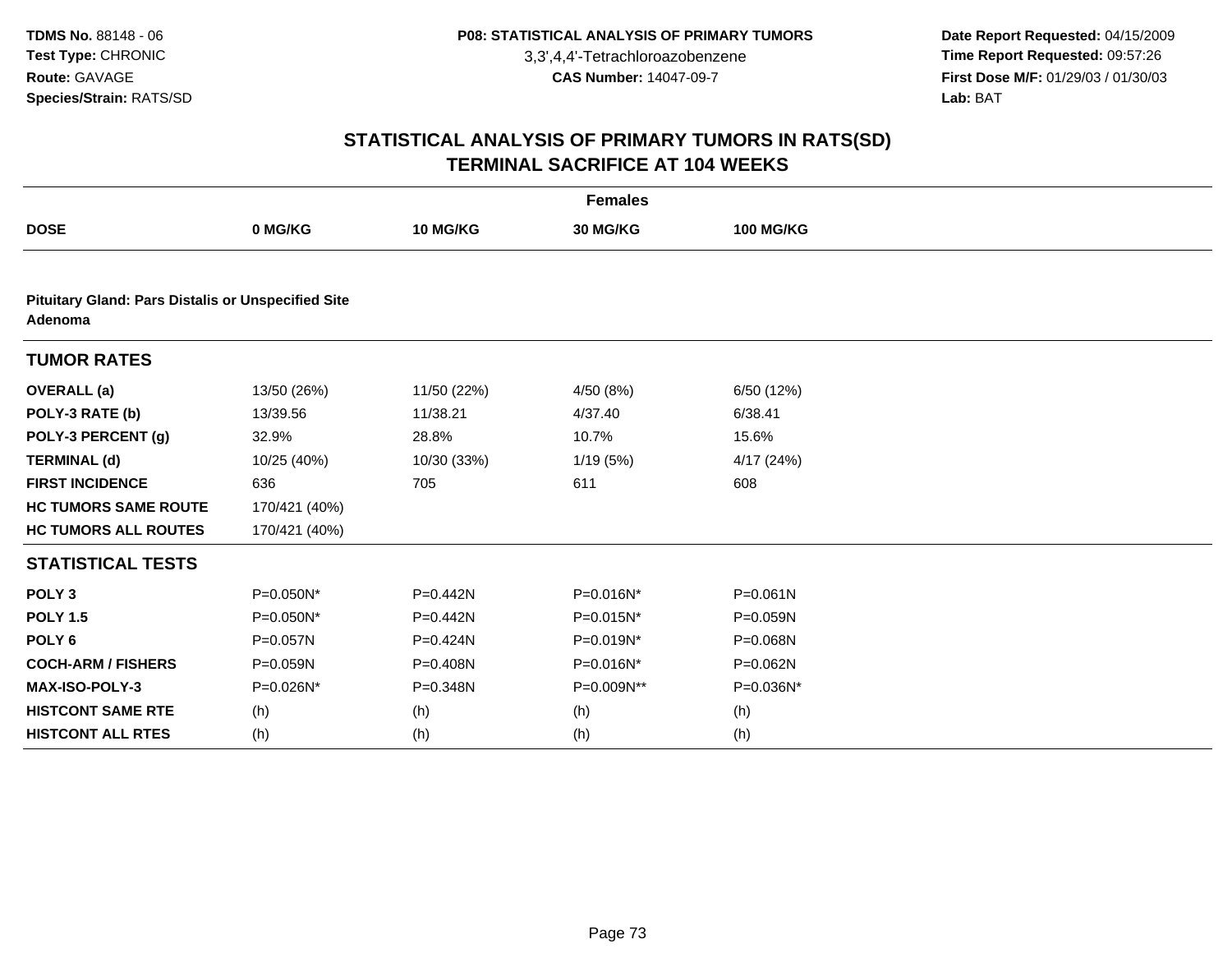**Date Report Requested:** 04/15/2009 **Time Report Requested:** 09:57:26 **First Dose M/F:** 01/29/03 / 01/30/03<br>Lab: BAT **Lab:** BAT

| <b>Females</b>                                                       |               |             |              |                  |  |  |
|----------------------------------------------------------------------|---------------|-------------|--------------|------------------|--|--|
| <b>DOSE</b>                                                          | 0 MG/KG       | 10 MG/KG    | 30 MG/KG     | <b>100 MG/KG</b> |  |  |
|                                                                      |               |             |              |                  |  |  |
| <b>Pituitary Gland: Pars Distalis or Unspecified Site</b><br>Adenoma |               |             |              |                  |  |  |
| <b>TUMOR RATES</b>                                                   |               |             |              |                  |  |  |
| <b>OVERALL</b> (a)                                                   | 13/50 (26%)   | 11/50 (22%) | 4/50 (8%)    | 6/50 (12%)       |  |  |
| POLY-3 RATE (b)                                                      | 13/39.56      | 11/38.21    | 4/37.40      | 6/38.41          |  |  |
| POLY-3 PERCENT (g)                                                   | 32.9%         | 28.8%       | 10.7%        | 15.6%            |  |  |
| <b>TERMINAL (d)</b>                                                  | 10/25 (40%)   | 10/30 (33%) | 1/19(5%)     | 4/17(24%)        |  |  |
| <b>FIRST INCIDENCE</b>                                               | 636           | 705         | 611          | 608              |  |  |
| <b>HC TUMORS SAME ROUTE</b>                                          | 170/421 (40%) |             |              |                  |  |  |
| <b>HC TUMORS ALL ROUTES</b>                                          | 170/421 (40%) |             |              |                  |  |  |
| <b>STATISTICAL TESTS</b>                                             |               |             |              |                  |  |  |
| POLY <sub>3</sub>                                                    | P=0.050N*     | $P=0.442N$  | P=0.016N*    | $P = 0.061N$     |  |  |
| <b>POLY 1.5</b>                                                      | P=0.050N*     | P=0.442N    | P=0.015N*    | P=0.059N         |  |  |
| POLY <sub>6</sub>                                                    | $P = 0.057N$  | $P=0.424N$  | $P=0.019N^*$ | P=0.068N         |  |  |
| <b>COCH-ARM / FISHERS</b>                                            | P=0.059N      | P=0.408N    | P=0.016N*    | P=0.062N         |  |  |
| MAX-ISO-POLY-3                                                       | P=0.026N*     | P=0.348N    | P=0.009N**   | P=0.036N*        |  |  |
| <b>HISTCONT SAME RTE</b>                                             | (h)           | (h)         | (h)          | (h)              |  |  |
| <b>HISTCONT ALL RTES</b>                                             | (h)           | (h)         | (h)          | (h)              |  |  |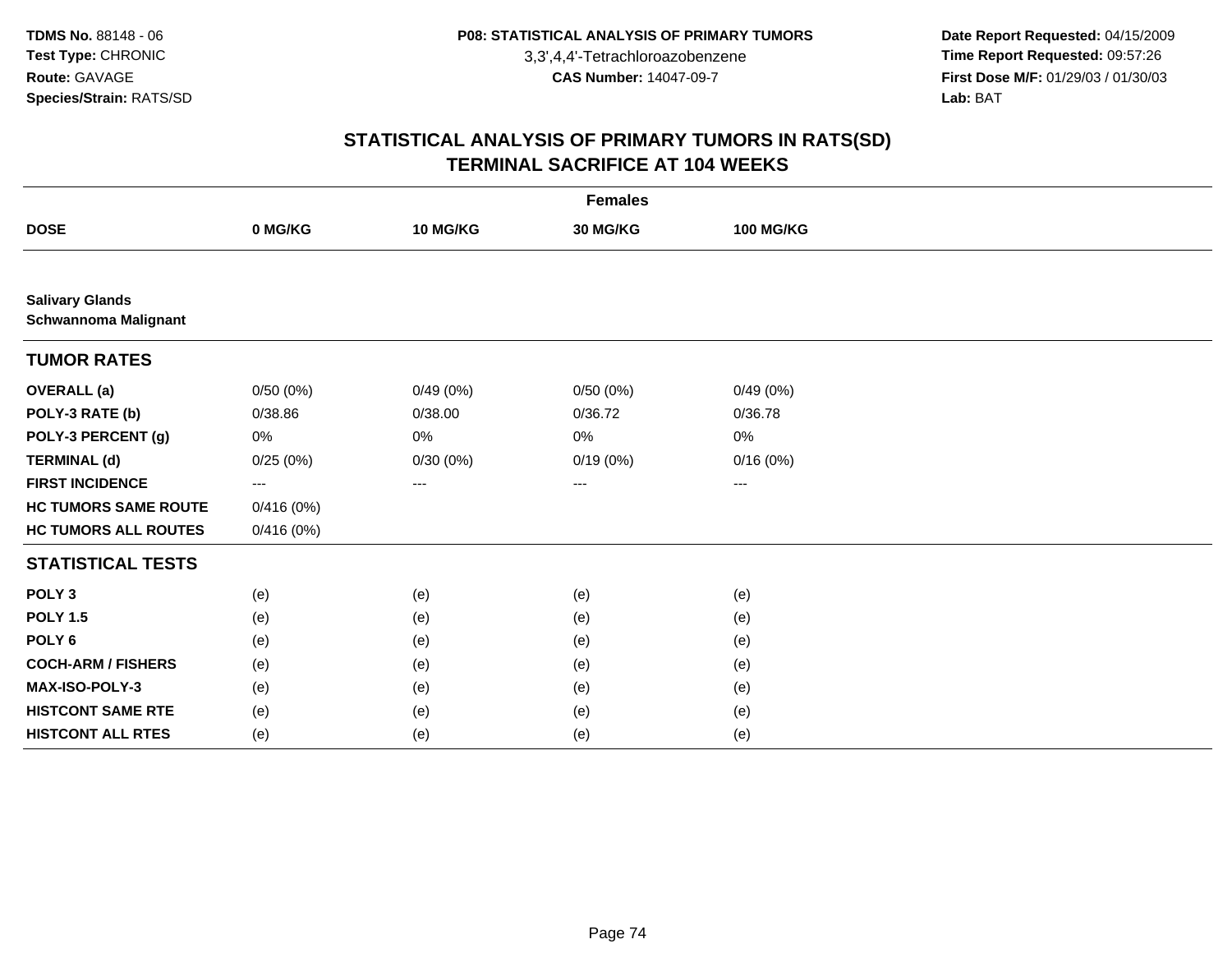**Date Report Requested:** 04/15/2009 **Time Report Requested:** 09:57:26 **First Dose M/F:** 01/29/03 / 01/30/03<br>Lab: BAT **Lab:** BAT

| <b>Females</b>                                        |           |          |          |                  |  |  |  |
|-------------------------------------------------------|-----------|----------|----------|------------------|--|--|--|
| <b>DOSE</b>                                           | 0 MG/KG   | 10 MG/KG | 30 MG/KG | <b>100 MG/KG</b> |  |  |  |
|                                                       |           |          |          |                  |  |  |  |
| <b>Salivary Glands</b><br><b>Schwannoma Malignant</b> |           |          |          |                  |  |  |  |
| <b>TUMOR RATES</b>                                    |           |          |          |                  |  |  |  |
| <b>OVERALL</b> (a)                                    | 0/50(0%)  | 0/49(0%) | 0/50(0%) | 0/49(0%)         |  |  |  |
| POLY-3 RATE (b)                                       | 0/38.86   | 0/38.00  | 0/36.72  | 0/36.78          |  |  |  |
| POLY-3 PERCENT (g)                                    | 0%        | 0%       | 0%       | 0%               |  |  |  |
| <b>TERMINAL (d)</b>                                   | 0/25(0%)  | 0/30(0%) | 0/19(0%) | 0/16(0%)         |  |  |  |
| <b>FIRST INCIDENCE</b>                                | $\cdots$  | ---      | $---$    | $\cdots$         |  |  |  |
| <b>HC TUMORS SAME ROUTE</b>                           | 0/416(0%) |          |          |                  |  |  |  |
| <b>HC TUMORS ALL ROUTES</b>                           | 0/416(0%) |          |          |                  |  |  |  |
| <b>STATISTICAL TESTS</b>                              |           |          |          |                  |  |  |  |
| POLY <sub>3</sub>                                     | (e)       | (e)      | (e)      | (e)              |  |  |  |
| <b>POLY 1.5</b>                                       | (e)       | (e)      | (e)      | (e)              |  |  |  |
| POLY <sub>6</sub>                                     | (e)       | (e)      | (e)      | (e)              |  |  |  |
| <b>COCH-ARM / FISHERS</b>                             | (e)       | (e)      | (e)      | (e)              |  |  |  |
| MAX-ISO-POLY-3                                        | (e)       | (e)      | (e)      | (e)              |  |  |  |
| <b>HISTCONT SAME RTE</b>                              | (e)       | (e)      | (e)      | (e)              |  |  |  |
| <b>HISTCONT ALL RTES</b>                              | (e)       | (e)      | (e)      | (e)              |  |  |  |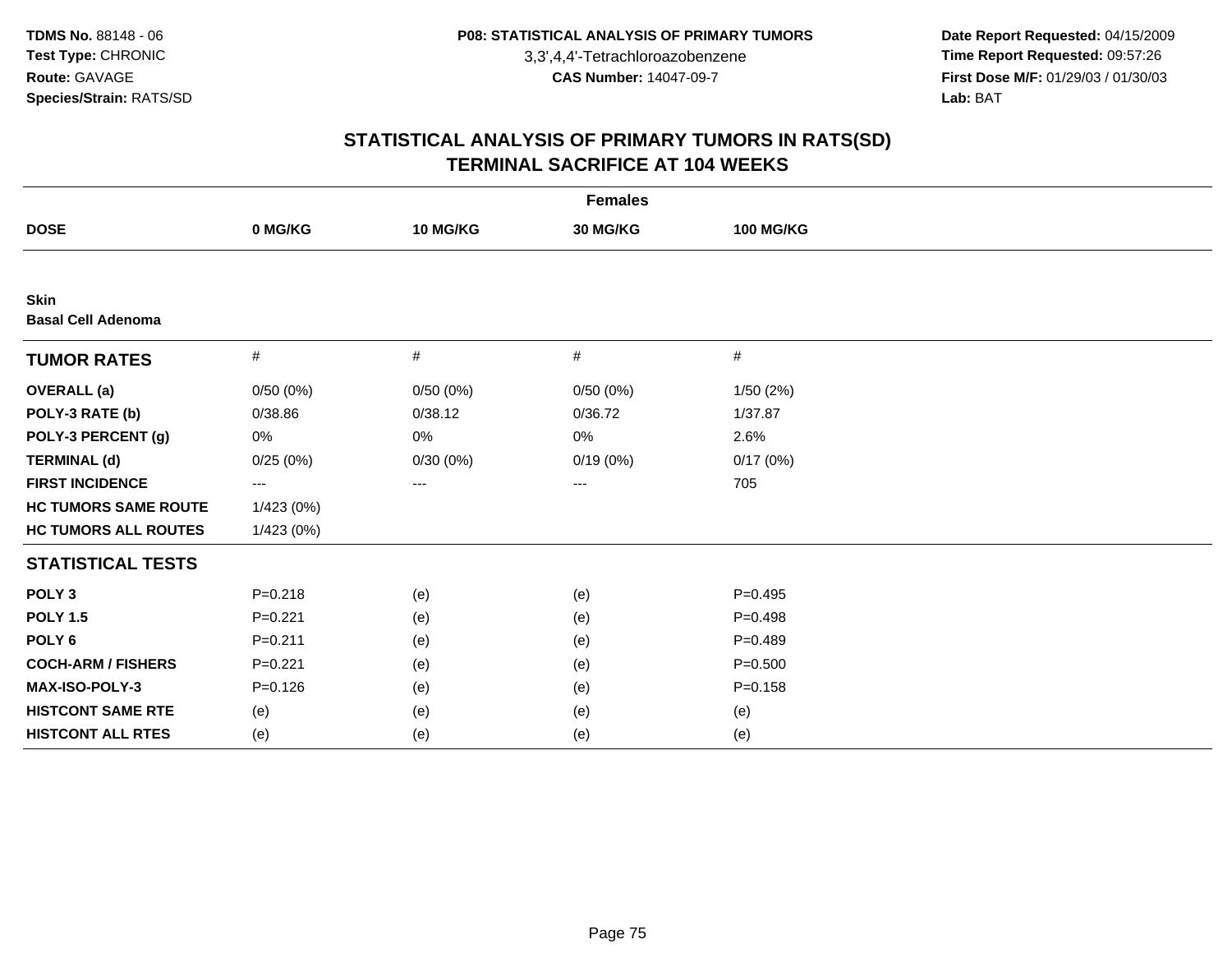**Date Report Requested:** 04/15/2009 **Time Report Requested:** 09:57:26 **First Dose M/F:** 01/29/03 / 01/30/03<br>Lab: BAT **Lab:** BAT

| <b>Females</b>                           |             |          |          |                  |  |  |
|------------------------------------------|-------------|----------|----------|------------------|--|--|
| <b>DOSE</b>                              | 0 MG/KG     | 10 MG/KG | 30 MG/KG | <b>100 MG/KG</b> |  |  |
|                                          |             |          |          |                  |  |  |
| <b>Skin</b><br><b>Basal Cell Adenoma</b> |             |          |          |                  |  |  |
| <b>TUMOR RATES</b>                       | $\#$        | #        | $\#$     | #                |  |  |
| <b>OVERALL</b> (a)                       | 0/50(0%)    | 0/50(0%) | 0/50(0%) | 1/50(2%)         |  |  |
| POLY-3 RATE (b)                          | 0/38.86     | 0/38.12  | 0/36.72  | 1/37.87          |  |  |
| POLY-3 PERCENT (g)                       | 0%          | 0%       | $0\%$    | 2.6%             |  |  |
| <b>TERMINAL (d)</b>                      | 0/25(0%)    | 0/30(0%) | 0/19(0%) | 0/17(0%)         |  |  |
| <b>FIRST INCIDENCE</b>                   | $---$       | ---      | ---      | 705              |  |  |
| <b>HC TUMORS SAME ROUTE</b>              | 1/423(0%)   |          |          |                  |  |  |
| <b>HC TUMORS ALL ROUTES</b>              | 1/423(0%)   |          |          |                  |  |  |
| <b>STATISTICAL TESTS</b>                 |             |          |          |                  |  |  |
| POLY <sub>3</sub>                        | $P = 0.218$ | (e)      | (e)      | $P=0.495$        |  |  |
| <b>POLY 1.5</b>                          | $P = 0.221$ | (e)      | (e)      | $P=0.498$        |  |  |
| POLY <sub>6</sub>                        | $P = 0.211$ | (e)      | (e)      | $P=0.489$        |  |  |
| <b>COCH-ARM / FISHERS</b>                | $P=0.221$   | (e)      | (e)      | $P = 0.500$      |  |  |
| MAX-ISO-POLY-3                           | $P = 0.126$ | (e)      | (e)      | $P = 0.158$      |  |  |
| <b>HISTCONT SAME RTE</b>                 | (e)         | (e)      | (e)      | (e)              |  |  |
| <b>HISTCONT ALL RTES</b>                 | (e)         | (e)      | (e)      | (e)              |  |  |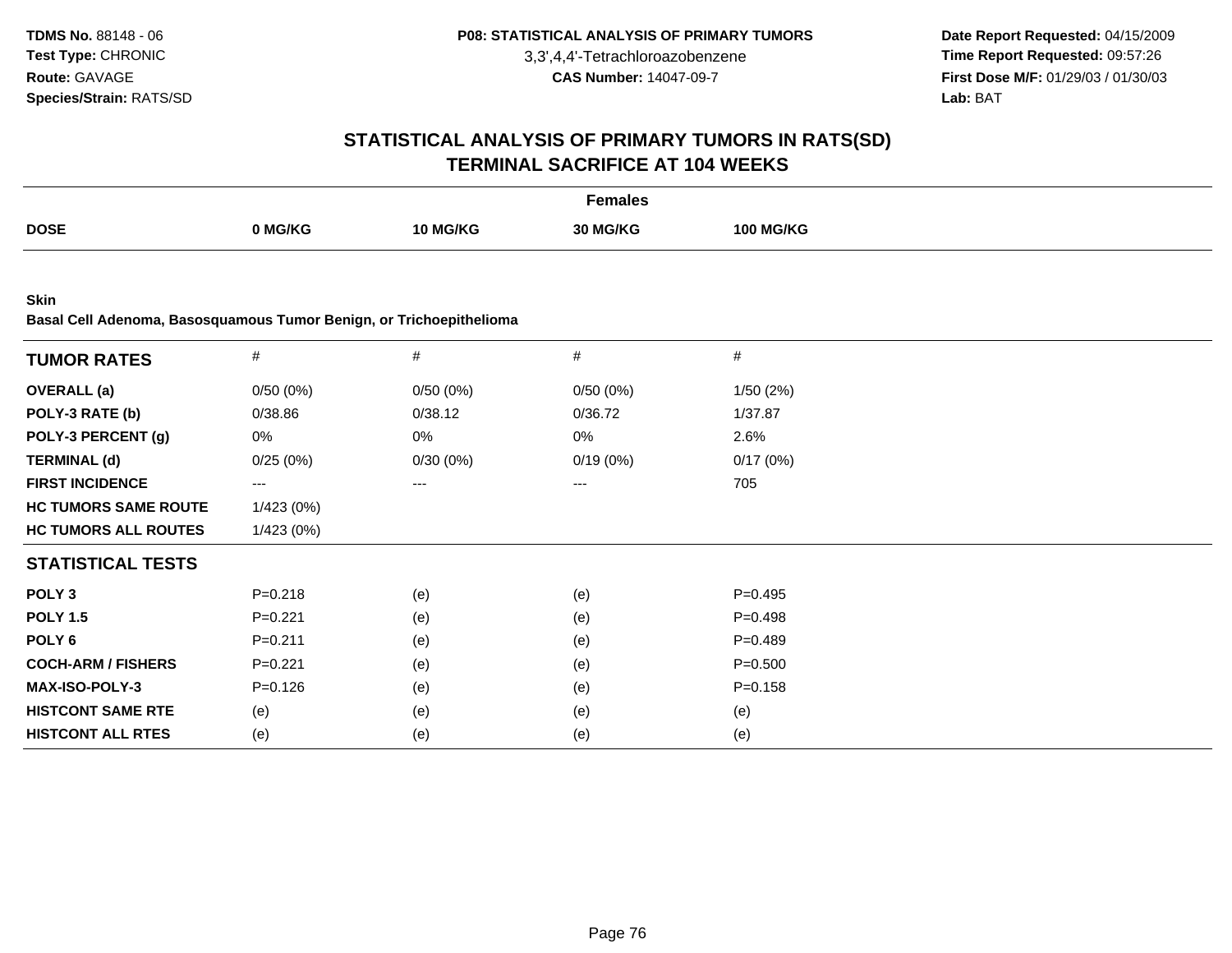**Date Report Requested:** 04/15/2009 **Time Report Requested:** 09:57:26 **First Dose M/F:** 01/29/03 / 01/30/03<br>Lab: BAT **Lab:** BAT

|                                                                                    |             |          | <b>Females</b> |                  |  |
|------------------------------------------------------------------------------------|-------------|----------|----------------|------------------|--|
| <b>DOSE</b>                                                                        | 0 MG/KG     | 10 MG/KG | 30 MG/KG       | <b>100 MG/KG</b> |  |
|                                                                                    |             |          |                |                  |  |
| <b>Skin</b><br>Basal Cell Adenoma, Basosquamous Tumor Benign, or Trichoepithelioma |             |          |                |                  |  |
| <b>TUMOR RATES</b>                                                                 | $\#$        | $\#$     | $\#$           | $\#$             |  |
| <b>OVERALL</b> (a)                                                                 | 0/50(0%)    | 0/50(0%) | 0/50(0%)       | 1/50(2%)         |  |
| POLY-3 RATE (b)                                                                    | 0/38.86     | 0/38.12  | 0/36.72        | 1/37.87          |  |
| POLY-3 PERCENT (g)                                                                 | 0%          | 0%       | 0%             | 2.6%             |  |
| <b>TERMINAL (d)</b>                                                                | 0/25(0%)    | 0/30(0%) | 0/19(0%)       | 0/17(0%)         |  |
| <b>FIRST INCIDENCE</b>                                                             | $--$        | $---$    | $---$          | 705              |  |
| <b>HC TUMORS SAME ROUTE</b>                                                        | 1/423 (0%)  |          |                |                  |  |
| <b>HC TUMORS ALL ROUTES</b>                                                        | 1/423 (0%)  |          |                |                  |  |
| <b>STATISTICAL TESTS</b>                                                           |             |          |                |                  |  |
| POLY <sub>3</sub>                                                                  | $P = 0.218$ | (e)      | (e)            | $P=0.495$        |  |
| <b>POLY 1.5</b>                                                                    | $P=0.221$   | (e)      | (e)            | $P = 0.498$      |  |
| POLY <sub>6</sub>                                                                  | $P = 0.211$ | (e)      | (e)            | $P=0.489$        |  |
| <b>COCH-ARM / FISHERS</b>                                                          | $P=0.221$   | (e)      | (e)            | $P = 0.500$      |  |
| MAX-ISO-POLY-3                                                                     | $P = 0.126$ | (e)      | (e)            | $P = 0.158$      |  |
| <b>HISTCONT SAME RTE</b>                                                           | (e)         | (e)      | (e)            | (e)              |  |
| <b>HISTCONT ALL RTES</b>                                                           | (e)         | (e)      | (e)            | (e)              |  |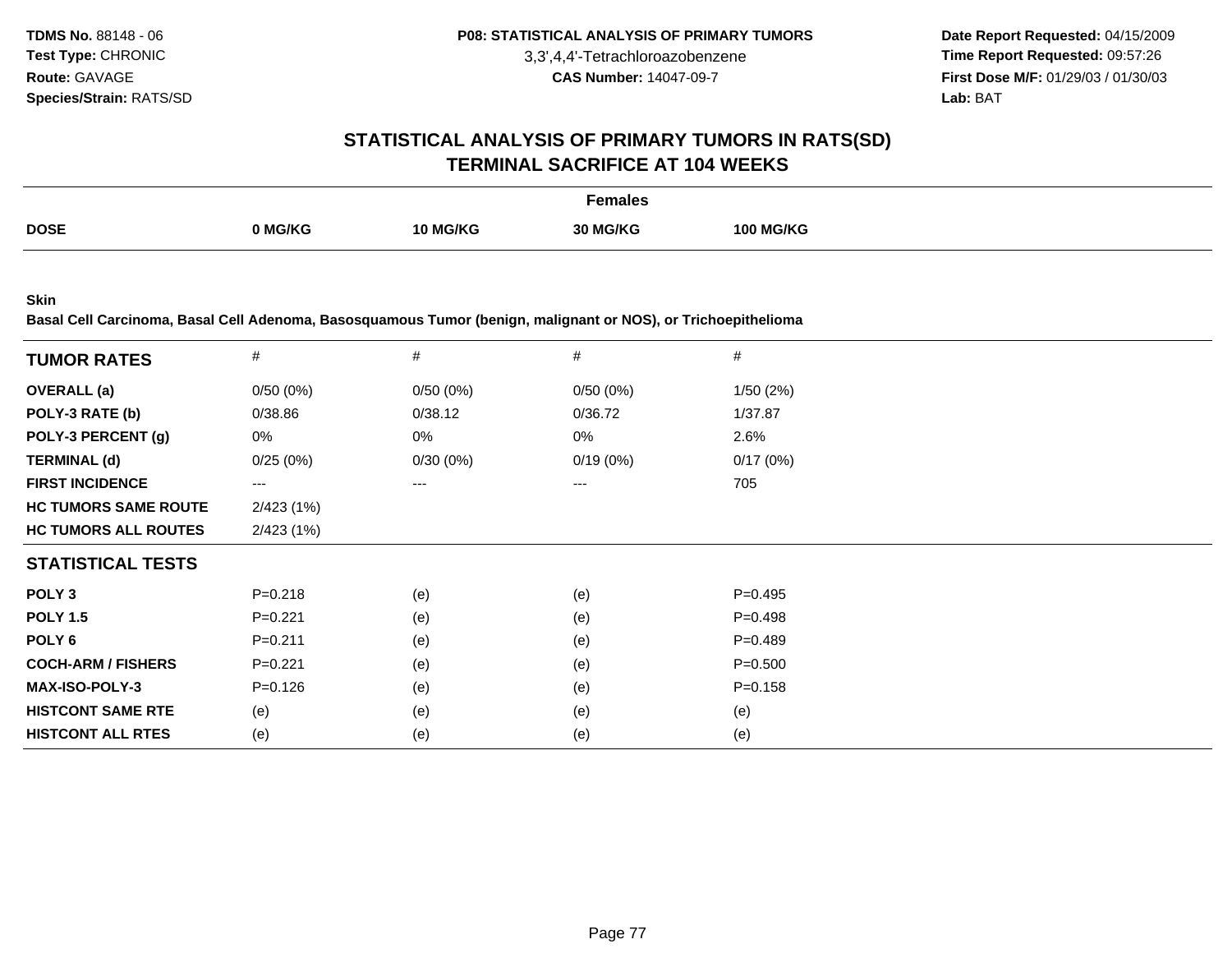**Date Report Requested:** 04/15/2009 **Time Report Requested:** 09:57:26 **First Dose M/F:** 01/29/03 / 01/30/03 Lab: BAT **Lab:** BAT

#### **STATISTICAL ANALYSIS OF PRIMARY TUMORS IN RATS(SD)TERMINAL SACRIFICE AT 104 WEEKS**

|             |         |          | <del>-</del> emales |                  |
|-------------|---------|----------|---------------------|------------------|
| <b>DOSE</b> | 0 MG/KG | 10 MG/KG | <b>30 MG/KG</b>     | <b>100 MG/KG</b> |
|             |         |          |                     |                  |

**Skin**

**Basal Cell Carcinoma, Basal Cell Adenoma, Basosquamous Tumor (benign, malignant or NOS), or Trichoepithelioma**

| <b>TUMOR RATES</b>          | $\#$                   | $\#$     | #                 | #           |
|-----------------------------|------------------------|----------|-------------------|-------------|
| <b>OVERALL</b> (a)          | 0/50(0%)               | 0/50(0%) | 0/50(0%)          | 1/50(2%)    |
| POLY-3 RATE (b)             | 0/38.86                | 0/38.12  | 0/36.72           | 1/37.87     |
| POLY-3 PERCENT (g)          | 0%                     | 0%       | 0%                | 2.6%        |
| <b>TERMINAL (d)</b>         | 0/25(0%)               | 0/30(0%) | 0/19(0%)          | 0/17(0%)    |
| <b>FIRST INCIDENCE</b>      | $\qquad \qquad \cdots$ | $---$    | $\qquad \qquad -$ | 705         |
| <b>HC TUMORS SAME ROUTE</b> | 2/423(1%)              |          |                   |             |
| <b>HC TUMORS ALL ROUTES</b> | 2/423(1%)              |          |                   |             |
| <b>STATISTICAL TESTS</b>    |                        |          |                   |             |
| POLY <sub>3</sub>           | $P = 0.218$            | (e)      | (e)               | $P=0.495$   |
| <b>POLY 1.5</b>             | $P=0.221$              | (e)      | (e)               | $P = 0.498$ |
| POLY 6                      | $P=0.211$              | (e)      | (e)               | $P=0.489$   |
| <b>COCH-ARM / FISHERS</b>   | $P=0.221$              | (e)      | (e)               | $P = 0.500$ |
| <b>MAX-ISO-POLY-3</b>       | $P = 0.126$            | (e)      | (e)               | $P = 0.158$ |
| <b>HISTCONT SAME RTE</b>    | (e)                    | (e)      | (e)               | (e)         |
| <b>HISTCONT ALL RTES</b>    | (e)                    | (e)      | (e)               | (e)         |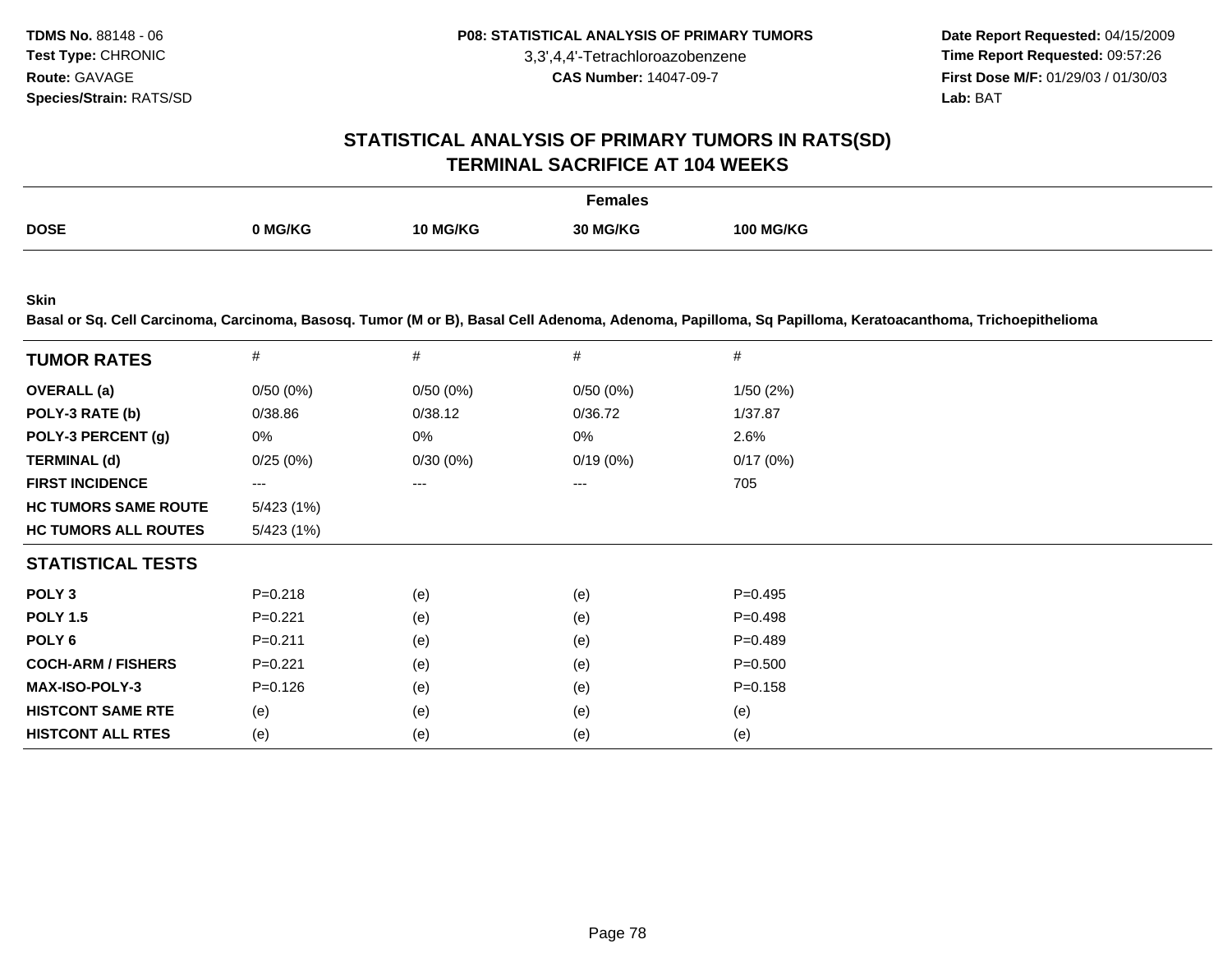**Date Report Requested:** 04/15/2009 **Time Report Requested:** 09:57:26 **First Dose M/F:** 01/29/03 / 01/30/03 Lab: BAT **Lab:** BAT

#### **STATISTICAL ANALYSIS OF PRIMARY TUMORS IN RATS(SD)TERMINAL SACRIFICE AT 104 WEEKS**

|             |         |                 | Females         |                  |
|-------------|---------|-----------------|-----------------|------------------|
| <b>DOSE</b> | 0 MG/KG | <b>10 MG/KG</b> | <b>30 MG/KG</b> | <b>100 MG/KG</b> |

**Skin**

**Basal or Sq. Cell Carcinoma, Carcinoma, Basosq. Tumor (M or B), Basal Cell Adenoma, Adenoma, Papilloma, Sq Papilloma, Keratoacanthoma, Trichoepithelioma**

| <b>TUMOR RATES</b>          | #           | #        | #        | #           |  |
|-----------------------------|-------------|----------|----------|-------------|--|
| <b>OVERALL</b> (a)          | 0/50(0%)    | 0/50(0%) | 0/50(0%) | 1/50(2%)    |  |
| POLY-3 RATE (b)             | 0/38.86     | 0/38.12  | 0/36.72  | 1/37.87     |  |
| POLY-3 PERCENT (g)          | 0%          | 0%       | 0%       | 2.6%        |  |
| <b>TERMINAL (d)</b>         | 0/25(0%)    | 0/30(0%) | 0/19(0%) | 0/17(0%)    |  |
| <b>FIRST INCIDENCE</b>      | ---         | ---      | ---      | 705         |  |
| <b>HC TUMORS SAME ROUTE</b> | 5/423 (1%)  |          |          |             |  |
| <b>HC TUMORS ALL ROUTES</b> | 5/423 (1%)  |          |          |             |  |
| <b>STATISTICAL TESTS</b>    |             |          |          |             |  |
| POLY <sub>3</sub>           | $P = 0.218$ | (e)      | (e)      | $P = 0.495$ |  |
| <b>POLY 1.5</b>             | $P=0.221$   | (e)      | (e)      | $P = 0.498$ |  |
| POLY 6                      | $P = 0.211$ | (e)      | (e)      | $P = 0.489$ |  |
| <b>COCH-ARM / FISHERS</b>   | $P=0.221$   | (e)      | (e)      | $P = 0.500$ |  |
| <b>MAX-ISO-POLY-3</b>       | $P = 0.126$ | (e)      | (e)      | $P = 0.158$ |  |
| <b>HISTCONT SAME RTE</b>    | (e)         | (e)      | (e)      | (e)         |  |
| <b>HISTCONT ALL RTES</b>    | (e)         | (e)      | (e)      | (e)         |  |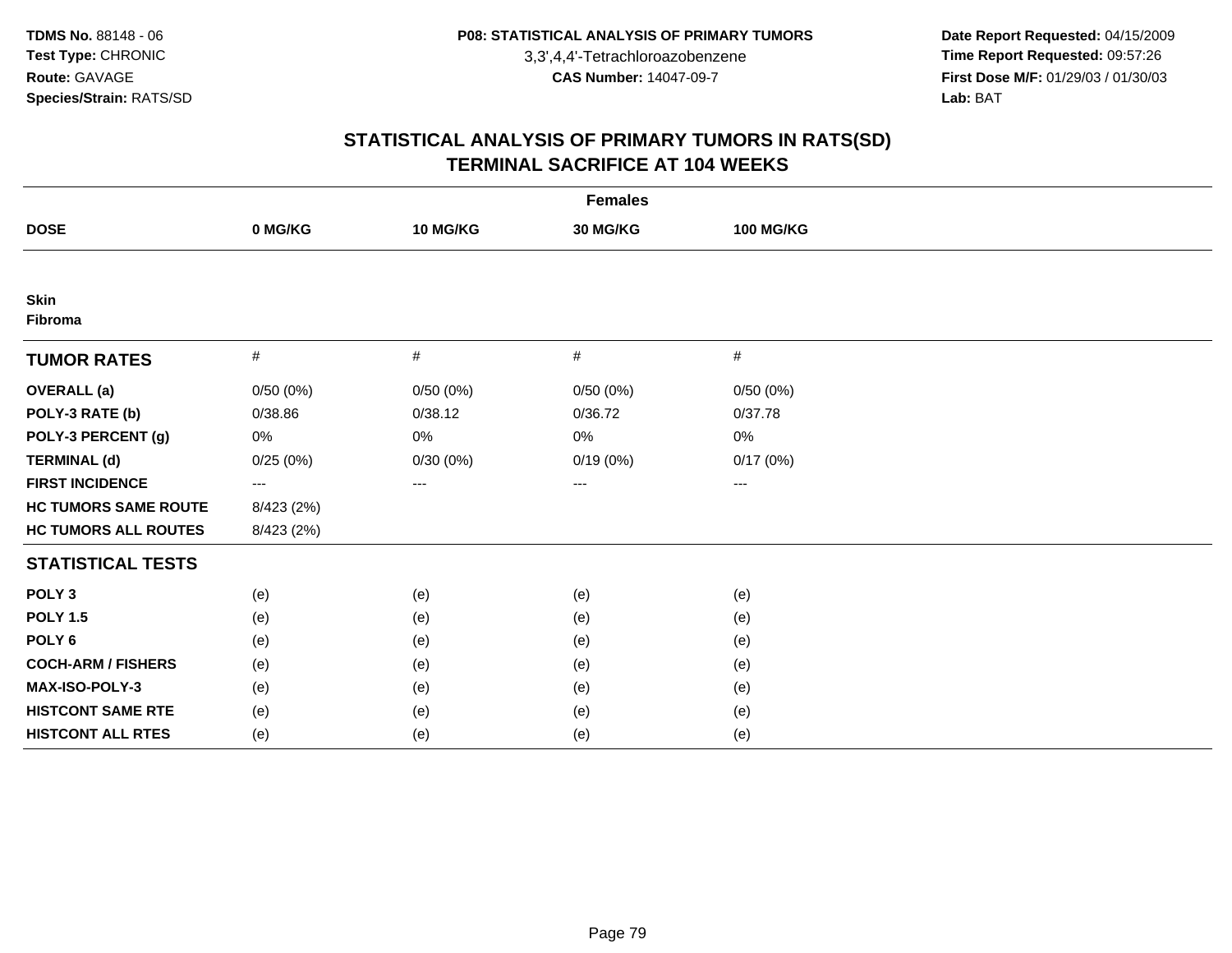**Date Report Requested:** 04/15/2009 **Time Report Requested:** 09:57:26 **First Dose M/F:** 01/29/03 / 01/30/03<br>Lab: BAT **Lab:** BAT

| <b>Females</b>              |                         |                                          |          |                  |  |  |  |
|-----------------------------|-------------------------|------------------------------------------|----------|------------------|--|--|--|
| <b>DOSE</b>                 | 0 MG/KG                 | 10 MG/KG                                 | 30 MG/KG | <b>100 MG/KG</b> |  |  |  |
|                             |                         |                                          |          |                  |  |  |  |
| <b>Skin</b><br>Fibroma      |                         |                                          |          |                  |  |  |  |
| <b>TUMOR RATES</b>          | $\#$                    | #                                        | $\#$     | #                |  |  |  |
| <b>OVERALL</b> (a)          | 0/50(0%)                | 0/50(0%)                                 | 0/50(0%) | 0/50(0%)         |  |  |  |
| POLY-3 RATE (b)             | 0/38.86                 | 0/38.12                                  | 0/36.72  | 0/37.78          |  |  |  |
| POLY-3 PERCENT (g)          | 0%                      | 0%                                       | 0%       | 0%               |  |  |  |
| <b>TERMINAL (d)</b>         | 0/25(0%)                | 0/30(0%)                                 | 0/19(0%) | 0/17(0%)         |  |  |  |
| <b>FIRST INCIDENCE</b>      | $\qquad \qquad -\qquad$ | $\hspace{0.05cm} \ldots \hspace{0.05cm}$ | $\cdots$ | $---$            |  |  |  |
| <b>HC TUMORS SAME ROUTE</b> | 8/423 (2%)              |                                          |          |                  |  |  |  |
| <b>HC TUMORS ALL ROUTES</b> | 8/423 (2%)              |                                          |          |                  |  |  |  |
| <b>STATISTICAL TESTS</b>    |                         |                                          |          |                  |  |  |  |
| POLY <sub>3</sub>           | (e)                     | (e)                                      | (e)      | (e)              |  |  |  |
| <b>POLY 1.5</b>             | (e)                     | (e)                                      | (e)      | (e)              |  |  |  |
| POLY <sub>6</sub>           | (e)                     | (e)                                      | (e)      | (e)              |  |  |  |
| <b>COCH-ARM / FISHERS</b>   | (e)                     | (e)                                      | (e)      | (e)              |  |  |  |
| MAX-ISO-POLY-3              | (e)                     | (e)                                      | (e)      | (e)              |  |  |  |
| <b>HISTCONT SAME RTE</b>    | (e)                     | (e)                                      | (e)      | (e)              |  |  |  |
| <b>HISTCONT ALL RTES</b>    | (e)                     | (e)                                      | (e)      | (e)              |  |  |  |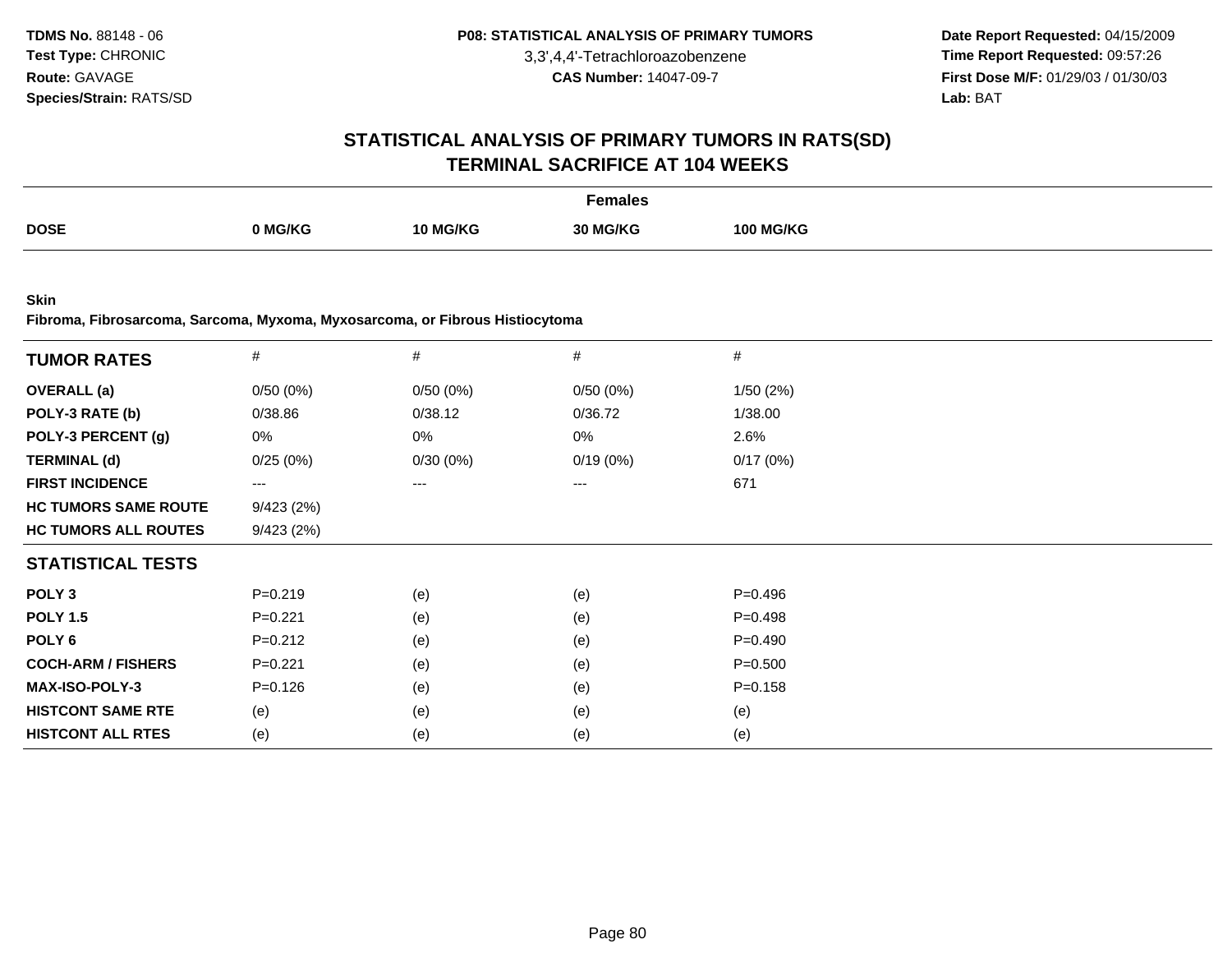**Date Report Requested:** 04/15/2009 **Time Report Requested:** 09:57:26 **First Dose M/F:** 01/29/03 / 01/30/03 Lab: BAT **Lab:** BAT

#### **STATISTICAL ANALYSIS OF PRIMARY TUMORS IN RATS(SD)TERMINAL SACRIFICE AT 104 WEEKS**

|             |         |                 | Females  |                  |
|-------------|---------|-----------------|----------|------------------|
| <b>DOSE</b> | 0 MG/KG | <b>10 MG/KG</b> | 30 MG/KG | <b>100 MG/KG</b> |

**Skin**

**Fibroma, Fibrosarcoma, Sarcoma, Myxoma, Myxosarcoma, or Fibrous Histiocytoma**

| <b>TUMOR RATES</b>          | $\#$                   | $\#$     | $\#$     | $\#$        |  |
|-----------------------------|------------------------|----------|----------|-------------|--|
| <b>OVERALL</b> (a)          | 0/50(0%)               | 0/50(0%) | 0/50(0%) | 1/50(2%)    |  |
| POLY-3 RATE (b)             | 0/38.86                | 0/38.12  | 0/36.72  | 1/38.00     |  |
| POLY-3 PERCENT (g)          | 0%                     | 0%       | 0%       | 2.6%        |  |
| <b>TERMINAL (d)</b>         | 0/25(0%)               | 0/30(0%) | 0/19(0%) | 0/17(0%)    |  |
| <b>FIRST INCIDENCE</b>      | $\qquad \qquad \cdots$ | ---      | ---      | 671         |  |
| <b>HC TUMORS SAME ROUTE</b> | 9/423(2%)              |          |          |             |  |
| <b>HC TUMORS ALL ROUTES</b> | 9/423(2%)              |          |          |             |  |
| <b>STATISTICAL TESTS</b>    |                        |          |          |             |  |
| POLY <sub>3</sub>           | $P = 0.219$            | (e)      | (e)      | $P = 0.496$ |  |
| <b>POLY 1.5</b>             | $P=0.221$              | (e)      | (e)      | $P=0.498$   |  |
| POLY 6                      | $P=0.212$              | (e)      | (e)      | $P = 0.490$ |  |
| <b>COCH-ARM / FISHERS</b>   | $P=0.221$              | (e)      | (e)      | $P = 0.500$ |  |
| <b>MAX-ISO-POLY-3</b>       | $P = 0.126$            | (e)      | (e)      | $P = 0.158$ |  |
| <b>HISTCONT SAME RTE</b>    | (e)                    | (e)      | (e)      | (e)         |  |
| <b>HISTCONT ALL RTES</b>    | (e)                    | (e)      | (e)      | (e)         |  |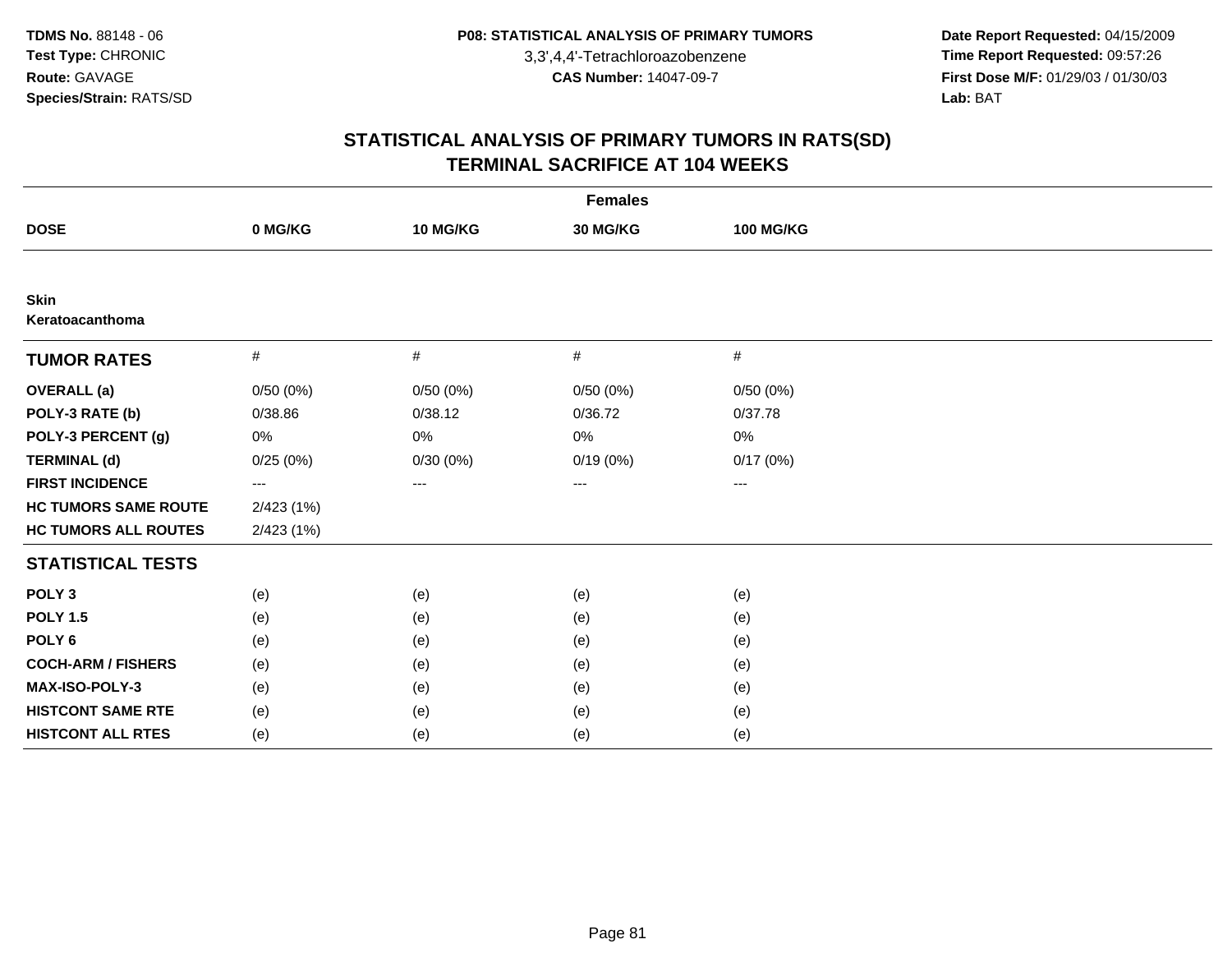**Date Report Requested:** 04/15/2009 **Time Report Requested:** 09:57:26 **First Dose M/F:** 01/29/03 / 01/30/03<br>Lab: BAT **Lab:** BAT

| <b>Females</b>              |           |          |          |                        |  |  |  |
|-----------------------------|-----------|----------|----------|------------------------|--|--|--|
| <b>DOSE</b>                 | 0 MG/KG   | 10 MG/KG | 30 MG/KG | <b>100 MG/KG</b>       |  |  |  |
|                             |           |          |          |                        |  |  |  |
| Skin<br>Keratoacanthoma     |           |          |          |                        |  |  |  |
| <b>TUMOR RATES</b>          | $\#$      | $\#$     | #        | #                      |  |  |  |
| <b>OVERALL</b> (a)          | 0/50(0%)  | 0/50(0%) | 0/50(0%) | 0/50(0%)               |  |  |  |
| POLY-3 RATE (b)             | 0/38.86   | 0/38.12  | 0/36.72  | 0/37.78                |  |  |  |
| POLY-3 PERCENT (g)          | 0%        | $0\%$    | $0\%$    | 0%                     |  |  |  |
| <b>TERMINAL (d)</b>         | 0/25(0%)  | 0/30(0%) | 0/19(0%) | 0/17(0%)               |  |  |  |
| <b>FIRST INCIDENCE</b>      | ---       | $---$    | ---      | $\qquad \qquad \cdots$ |  |  |  |
| <b>HC TUMORS SAME ROUTE</b> | 2/423(1%) |          |          |                        |  |  |  |
| <b>HC TUMORS ALL ROUTES</b> | 2/423(1%) |          |          |                        |  |  |  |
| <b>STATISTICAL TESTS</b>    |           |          |          |                        |  |  |  |
| POLY <sub>3</sub>           | (e)       | (e)      | (e)      | (e)                    |  |  |  |
| <b>POLY 1.5</b>             | (e)       | (e)      | (e)      | (e)                    |  |  |  |
| POLY <sub>6</sub>           | (e)       | (e)      | (e)      | (e)                    |  |  |  |
| <b>COCH-ARM / FISHERS</b>   | (e)       | (e)      | (e)      | (e)                    |  |  |  |
| MAX-ISO-POLY-3              | (e)       | (e)      | (e)      | (e)                    |  |  |  |
| <b>HISTCONT SAME RTE</b>    | (e)       | (e)      | (e)      | (e)                    |  |  |  |
| <b>HISTCONT ALL RTES</b>    | (e)       | (e)      | (e)      | (e)                    |  |  |  |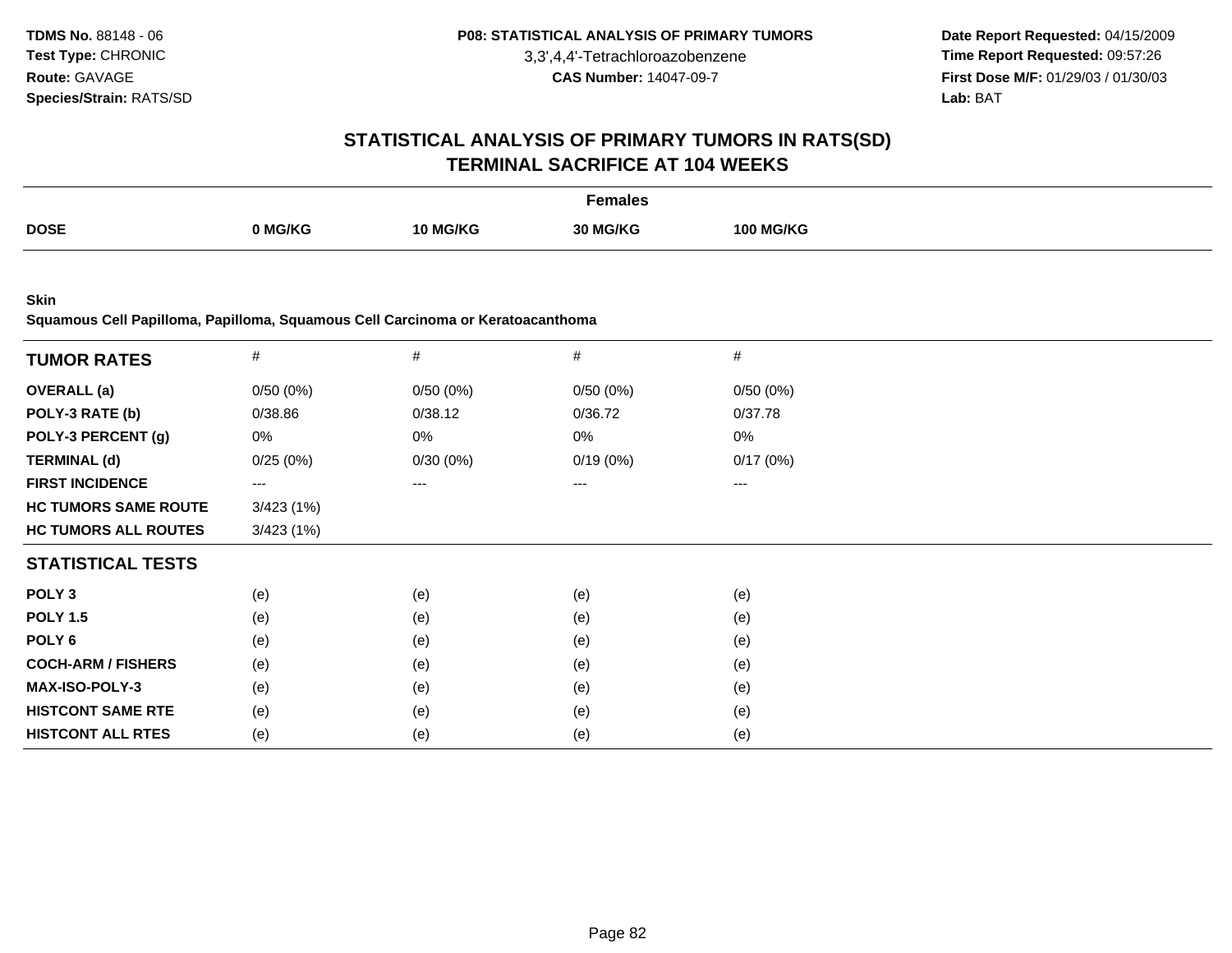**Date Report Requested:** 04/15/2009 **Time Report Requested:** 09:57:26 **First Dose M/F:** 01/29/03 / 01/30/03 Lab: BAT **Lab:** BAT

#### **STATISTICAL ANALYSIS OF PRIMARY TUMORS IN RATS(SD)TERMINAL SACRIFICE AT 104 WEEKS**

|             |         |                 | <sup>=</sup> emales<br>. |                  |
|-------------|---------|-----------------|--------------------------|------------------|
| <b>DOSE</b> | 0 MG/KG | <b>10 MG/KG</b> | 30 MG/KG                 | <b>100 MG/KG</b> |
|             |         |                 |                          |                  |

**Skin**

**Squamous Cell Papilloma, Papilloma, Squamous Cell Carcinoma or Keratoacanthoma**

| <b>TUMOR RATES</b>          | $\#$                   | $\#$     | $\#$     | $\#$     |  |
|-----------------------------|------------------------|----------|----------|----------|--|
| <b>OVERALL</b> (a)          | 0/50(0%)               | 0/50(0%) | 0/50(0%) | 0/50(0%) |  |
| POLY-3 RATE (b)             | 0/38.86                | 0/38.12  | 0/36.72  | 0/37.78  |  |
| POLY-3 PERCENT (g)          | 0%                     | 0%       | 0%       | 0%       |  |
| <b>TERMINAL (d)</b>         | 0/25(0%)               | 0/30(0%) | 0/19(0%) | 0/17(0%) |  |
| <b>FIRST INCIDENCE</b>      | $\qquad \qquad \cdots$ | ---      | ---      | $---$    |  |
| <b>HC TUMORS SAME ROUTE</b> | 3/423(1%)              |          |          |          |  |
| <b>HC TUMORS ALL ROUTES</b> | 3/423(1%)              |          |          |          |  |
| <b>STATISTICAL TESTS</b>    |                        |          |          |          |  |
| POLY <sub>3</sub>           | (e)                    | (e)      | (e)      | (e)      |  |
| <b>POLY 1.5</b>             | (e)                    | (e)      | (e)      | (e)      |  |
| POLY 6                      | (e)                    | (e)      | (e)      | (e)      |  |
| <b>COCH-ARM / FISHERS</b>   | (e)                    | (e)      | (e)      | (e)      |  |
| <b>MAX-ISO-POLY-3</b>       | (e)                    | (e)      | (e)      | (e)      |  |
| <b>HISTCONT SAME RTE</b>    | (e)                    | (e)      | (e)      | (e)      |  |
| <b>HISTCONT ALL RTES</b>    | (e)                    | (e)      | (e)      | (e)      |  |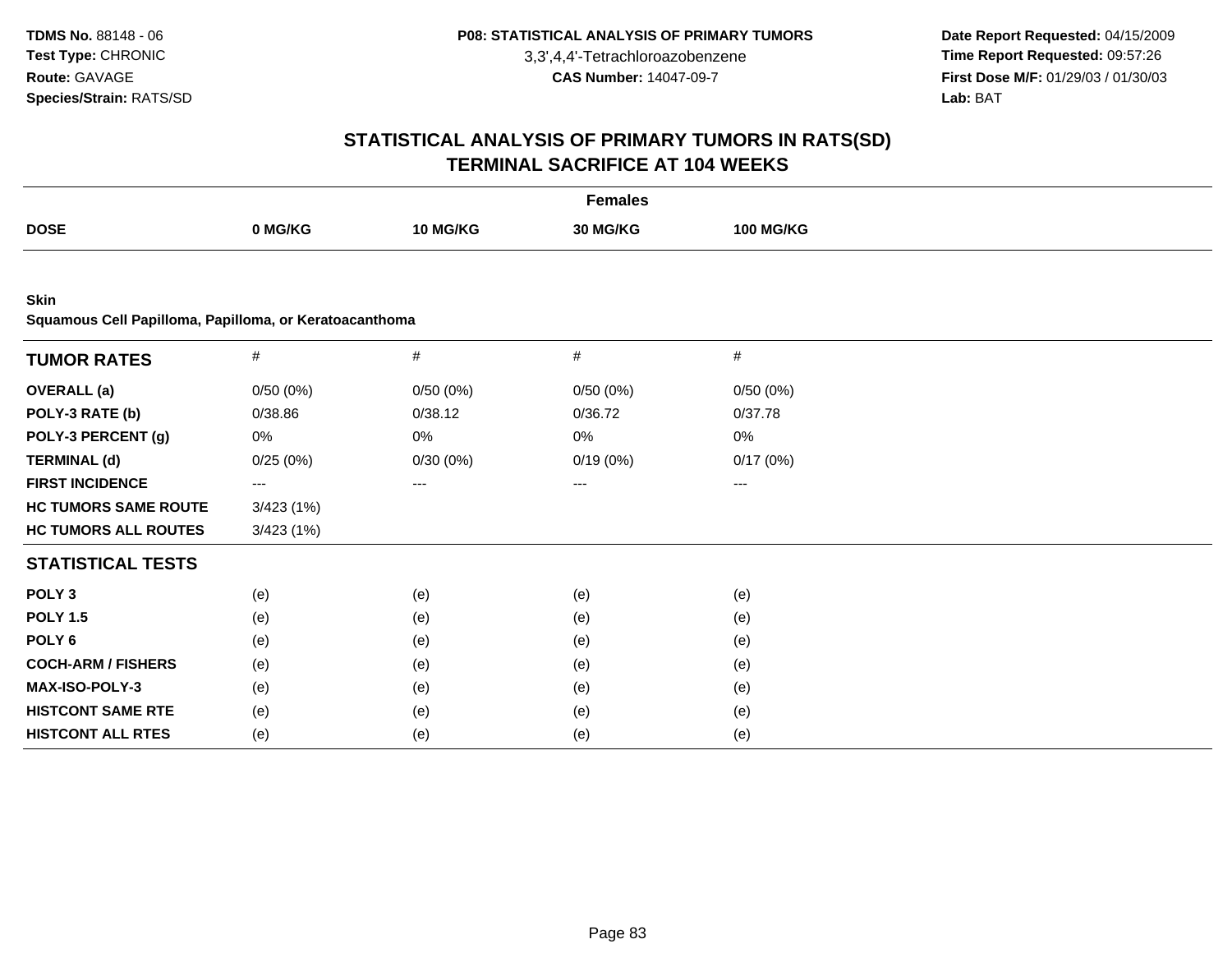**Date Report Requested:** 04/15/2009 **Time Report Requested:** 09:57:26 **First Dose M/F:** 01/29/03 / 01/30/03<br>Lab: BAT **Lab:** BAT

|                                                                       | <b>Females</b> |          |          |                  |  |  |  |  |
|-----------------------------------------------------------------------|----------------|----------|----------|------------------|--|--|--|--|
| <b>DOSE</b>                                                           | 0 MG/KG        | 10 MG/KG | 30 MG/KG | <b>100 MG/KG</b> |  |  |  |  |
|                                                                       |                |          |          |                  |  |  |  |  |
| <b>Skin</b><br>Squamous Cell Papilloma, Papilloma, or Keratoacanthoma |                |          |          |                  |  |  |  |  |
| <b>TUMOR RATES</b>                                                    | $\#$           | $\#$     | $\#$     | $\#$             |  |  |  |  |
| <b>OVERALL</b> (a)                                                    | 0/50(0%)       | 0/50(0%) | 0/50(0%) | 0/50(0%)         |  |  |  |  |
| POLY-3 RATE (b)                                                       | 0/38.86        | 0/38.12  | 0/36.72  | 0/37.78          |  |  |  |  |
| POLY-3 PERCENT (g)                                                    | 0%             | 0%       | 0%       | $0\%$            |  |  |  |  |
| <b>TERMINAL (d)</b>                                                   | 0/25(0%)       | 0/30(0%) | 0/19(0%) | 0/17(0%)         |  |  |  |  |
| <b>FIRST INCIDENCE</b>                                                | ---            | ---      |          | ---              |  |  |  |  |
| <b>HC TUMORS SAME ROUTE</b>                                           | 3/423(1%)      |          |          |                  |  |  |  |  |
| <b>HC TUMORS ALL ROUTES</b>                                           | 3/423(1%)      |          |          |                  |  |  |  |  |
| <b>STATISTICAL TESTS</b>                                              |                |          |          |                  |  |  |  |  |
| POLY <sub>3</sub>                                                     | (e)            | (e)      | (e)      | (e)              |  |  |  |  |
| <b>POLY 1.5</b>                                                       | (e)            | (e)      | (e)      | (e)              |  |  |  |  |
| POLY <sub>6</sub>                                                     | (e)            | (e)      | (e)      | (e)              |  |  |  |  |
| <b>COCH-ARM / FISHERS</b>                                             | (e)            | (e)      | (e)      | (e)              |  |  |  |  |
| MAX-ISO-POLY-3                                                        | (e)            | (e)      | (e)      | (e)              |  |  |  |  |
| <b>HISTCONT SAME RTE</b>                                              | (e)            | (e)      | (e)      | (e)              |  |  |  |  |
| <b>HISTCONT ALL RTES</b>                                              | (e)            | (e)      | (e)      | (e)              |  |  |  |  |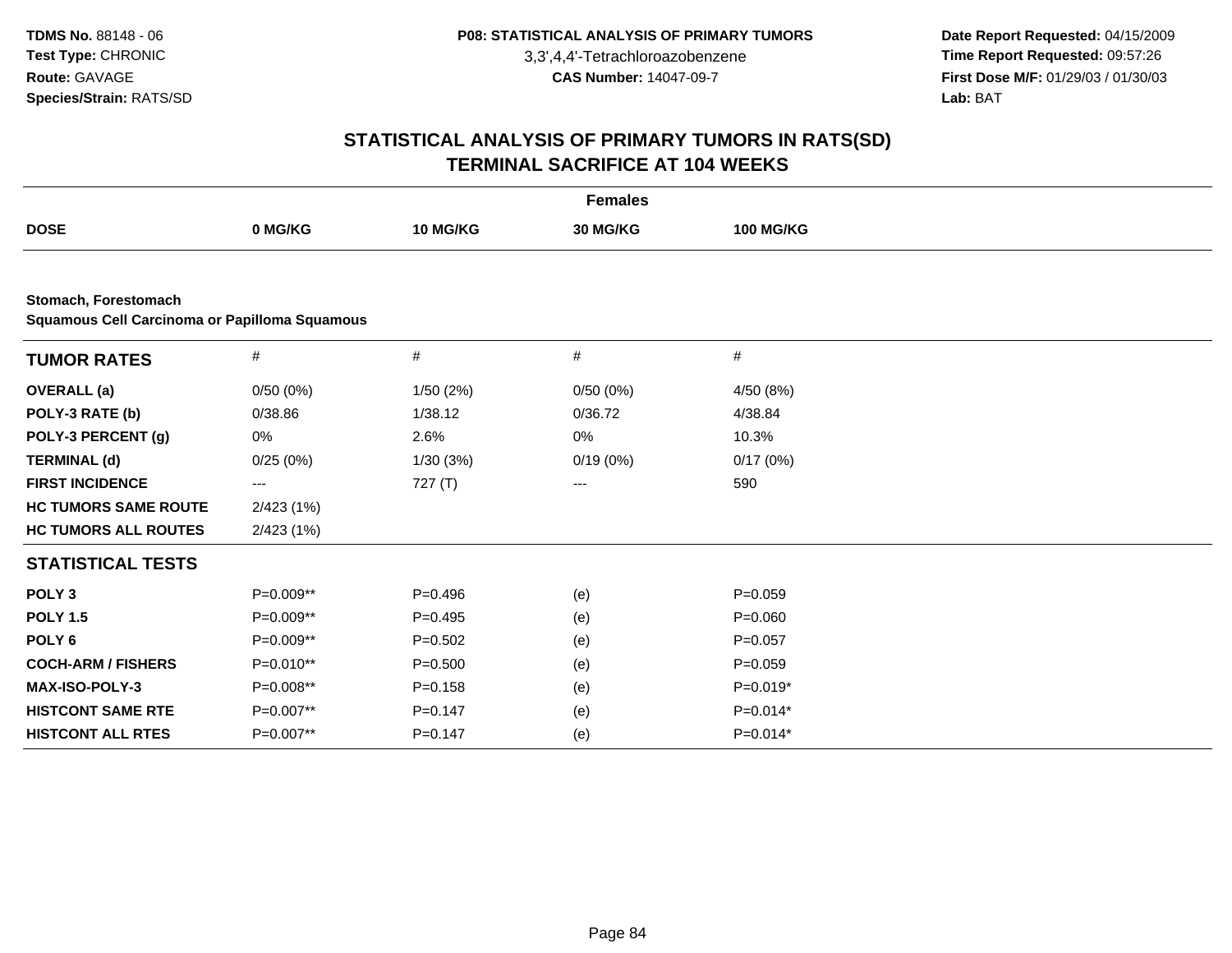**Date Report Requested:** 04/15/2009 **Time Report Requested:** 09:57:26 **First Dose M/F:** 01/29/03 / 01/30/03<br>Lab: BAT **Lab:** BAT

| <b>Females</b>                                                               |             |             |          |                  |  |  |  |
|------------------------------------------------------------------------------|-------------|-------------|----------|------------------|--|--|--|
| <b>DOSE</b>                                                                  | 0 MG/KG     | 10 MG/KG    | 30 MG/KG | <b>100 MG/KG</b> |  |  |  |
|                                                                              |             |             |          |                  |  |  |  |
| Stomach, Forestomach<br><b>Squamous Cell Carcinoma or Papilloma Squamous</b> |             |             |          |                  |  |  |  |
| <b>TUMOR RATES</b>                                                           | #           | #           | #        | $\#$             |  |  |  |
| <b>OVERALL</b> (a)                                                           | 0/50(0%)    | 1/50(2%)    | 0/50(0%) | 4/50 (8%)        |  |  |  |
| POLY-3 RATE (b)                                                              | 0/38.86     | 1/38.12     | 0/36.72  | 4/38.84          |  |  |  |
| POLY-3 PERCENT (g)                                                           | 0%          | 2.6%        | 0%       | 10.3%            |  |  |  |
| <b>TERMINAL (d)</b>                                                          | 0/25(0%)    | 1/30(3%)    | 0/19(0%) | 0/17(0%)         |  |  |  |
| <b>FIRST INCIDENCE</b>                                                       | ---         | 727(T)      | ---      | 590              |  |  |  |
| <b>HC TUMORS SAME ROUTE</b>                                                  | 2/423 (1%)  |             |          |                  |  |  |  |
| <b>HC TUMORS ALL ROUTES</b>                                                  | 2/423 (1%)  |             |          |                  |  |  |  |
| <b>STATISTICAL TESTS</b>                                                     |             |             |          |                  |  |  |  |
| POLY <sub>3</sub>                                                            | P=0.009**   | $P=0.496$   | (e)      | $P = 0.059$      |  |  |  |
| <b>POLY 1.5</b>                                                              | P=0.009**   | $P=0.495$   | (e)      | $P = 0.060$      |  |  |  |
| POLY <sub>6</sub>                                                            | P=0.009**   | $P=0.502$   | (e)      | $P=0.057$        |  |  |  |
| <b>COCH-ARM / FISHERS</b>                                                    | $P=0.010**$ | $P = 0.500$ | (e)      | $P = 0.059$      |  |  |  |
| MAX-ISO-POLY-3                                                               | P=0.008**   | $P = 0.158$ | (e)      | P=0.019*         |  |  |  |
| <b>HISTCONT SAME RTE</b>                                                     | P=0.007**   | $P=0.147$   | (e)      | $P=0.014*$       |  |  |  |
| <b>HISTCONT ALL RTES</b>                                                     | P=0.007**   | $P=0.147$   | (e)      | $P=0.014*$       |  |  |  |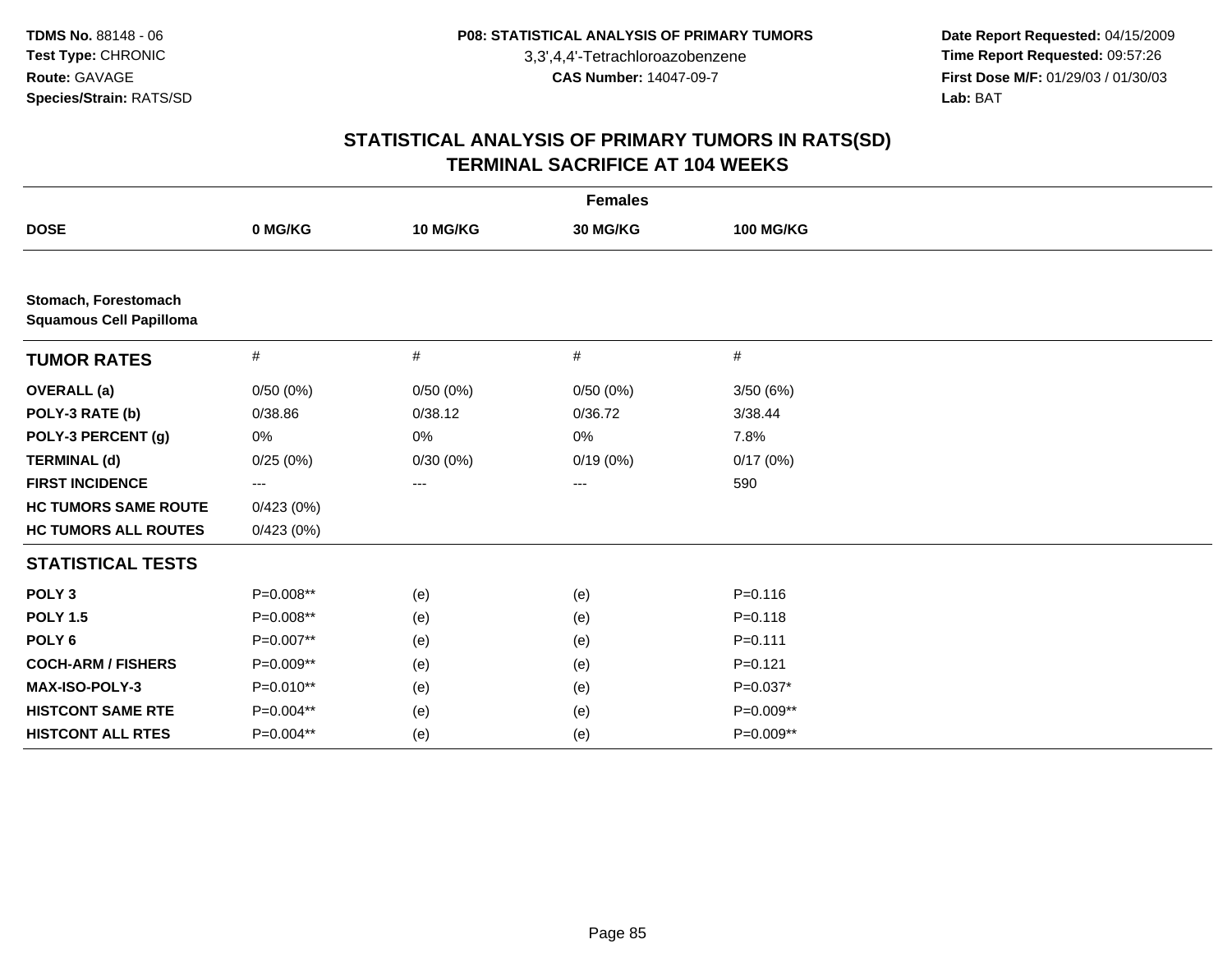**Date Report Requested:** 04/15/2009 **Time Report Requested:** 09:57:26 **First Dose M/F:** 01/29/03 / 01/30/03<br>Lab: BAT **Lab:** BAT

|                                                        | <b>Females</b> |          |          |                  |  |  |  |  |
|--------------------------------------------------------|----------------|----------|----------|------------------|--|--|--|--|
| <b>DOSE</b>                                            | 0 MG/KG        | 10 MG/KG | 30 MG/KG | <b>100 MG/KG</b> |  |  |  |  |
|                                                        |                |          |          |                  |  |  |  |  |
| Stomach, Forestomach<br><b>Squamous Cell Papilloma</b> |                |          |          |                  |  |  |  |  |
| <b>TUMOR RATES</b>                                     | $\#$           | #        | $\#$     | $\#$             |  |  |  |  |
| <b>OVERALL</b> (a)                                     | 0/50(0%)       | 0/50(0%) | 0/50(0%) | 3/50(6%)         |  |  |  |  |
| POLY-3 RATE (b)                                        | 0/38.86        | 0/38.12  | 0/36.72  | 3/38.44          |  |  |  |  |
| POLY-3 PERCENT (g)                                     | 0%             | 0%       | 0%       | 7.8%             |  |  |  |  |
| <b>TERMINAL (d)</b>                                    | 0/25(0%)       | 0/30(0%) | 0/19(0%) | 0/17(0%)         |  |  |  |  |
| <b>FIRST INCIDENCE</b>                                 | ---            | ---      | ---      | 590              |  |  |  |  |
| <b>HC TUMORS SAME ROUTE</b>                            | 0/423(0%)      |          |          |                  |  |  |  |  |
| <b>HC TUMORS ALL ROUTES</b>                            | 0/423(0%)      |          |          |                  |  |  |  |  |
| <b>STATISTICAL TESTS</b>                               |                |          |          |                  |  |  |  |  |
| POLY <sub>3</sub>                                      | P=0.008**      | (e)      | (e)      | $P = 0.116$      |  |  |  |  |
| <b>POLY 1.5</b>                                        | P=0.008**      | (e)      | (e)      | $P = 0.118$      |  |  |  |  |
| POLY <sub>6</sub>                                      | P=0.007**      | (e)      | (e)      | $P = 0.111$      |  |  |  |  |
| <b>COCH-ARM / FISHERS</b>                              | P=0.009**      | (e)      | (e)      | $P = 0.121$      |  |  |  |  |
| <b>MAX-ISO-POLY-3</b>                                  | P=0.010**      | (e)      | (e)      | $P=0.037*$       |  |  |  |  |
| <b>HISTCONT SAME RTE</b>                               | P=0.004**      | (e)      | (e)      | P=0.009**        |  |  |  |  |
| <b>HISTCONT ALL RTES</b>                               | P=0.004**      | (e)      | (e)      | P=0.009**        |  |  |  |  |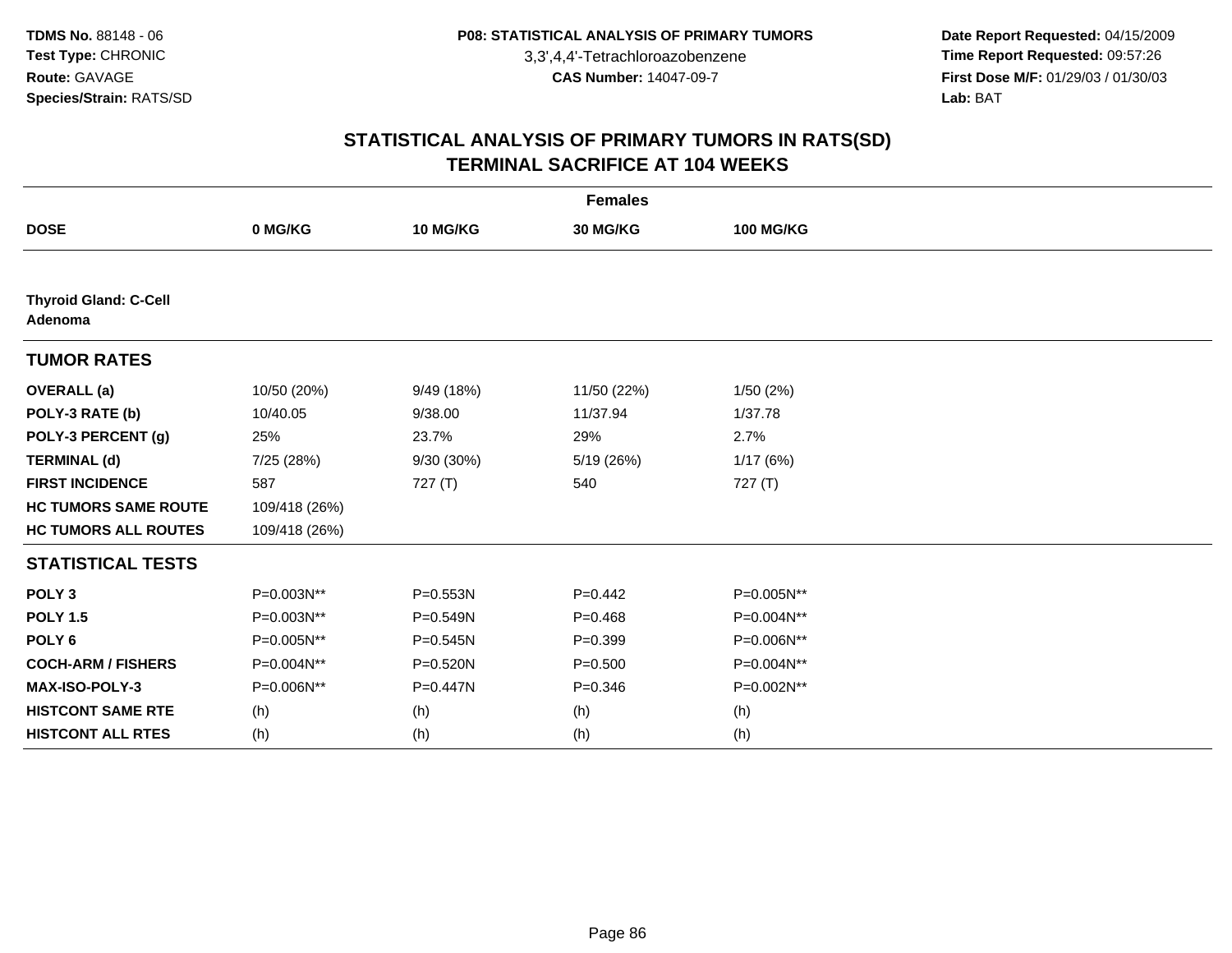**Date Report Requested:** 04/15/2009 **Time Report Requested:** 09:57:26 **First Dose M/F:** 01/29/03 / 01/30/03<br>Lab: BAT **Lab:** BAT

| <b>Females</b>                          |               |              |             |                  |  |  |  |
|-----------------------------------------|---------------|--------------|-------------|------------------|--|--|--|
| <b>DOSE</b>                             | 0 MG/KG       | 10 MG/KG     | 30 MG/KG    | <b>100 MG/KG</b> |  |  |  |
|                                         |               |              |             |                  |  |  |  |
| <b>Thyroid Gland: C-Cell</b><br>Adenoma |               |              |             |                  |  |  |  |
| <b>TUMOR RATES</b>                      |               |              |             |                  |  |  |  |
| <b>OVERALL (a)</b>                      | 10/50 (20%)   | 9/49 (18%)   | 11/50 (22%) | 1/50(2%)         |  |  |  |
| POLY-3 RATE (b)                         | 10/40.05      | 9/38.00      | 11/37.94    | 1/37.78          |  |  |  |
| POLY-3 PERCENT (g)                      | 25%           | 23.7%        | 29%         | 2.7%             |  |  |  |
| <b>TERMINAL (d)</b>                     | 7/25 (28%)    | 9/30 (30%)   | 5/19 (26%)  | 1/17(6%)         |  |  |  |
| <b>FIRST INCIDENCE</b>                  | 587           | 727(T)       | 540         | 727(T)           |  |  |  |
| <b>HC TUMORS SAME ROUTE</b>             | 109/418 (26%) |              |             |                  |  |  |  |
| <b>HC TUMORS ALL ROUTES</b>             | 109/418 (26%) |              |             |                  |  |  |  |
| <b>STATISTICAL TESTS</b>                |               |              |             |                  |  |  |  |
| POLY <sub>3</sub>                       | P=0.003N**    | P=0.553N     | $P=0.442$   | P=0.005N**       |  |  |  |
| <b>POLY 1.5</b>                         | P=0.003N**    | $P = 0.549N$ | $P = 0.468$ | P=0.004N**       |  |  |  |
| POLY <sub>6</sub>                       | P=0.005N**    | $P = 0.545N$ | $P = 0.399$ | P=0.006N**       |  |  |  |
| <b>COCH-ARM / FISHERS</b>               | P=0.004N**    | P=0.520N     | $P = 0.500$ | P=0.004N**       |  |  |  |
| <b>MAX-ISO-POLY-3</b>                   | P=0.006N**    | P=0.447N     | $P = 0.346$ | P=0.002N**       |  |  |  |
| <b>HISTCONT SAME RTE</b>                | (h)           | (h)          | (h)         | (h)              |  |  |  |
| <b>HISTCONT ALL RTES</b>                | (h)           | (h)          | (h)         | (h)              |  |  |  |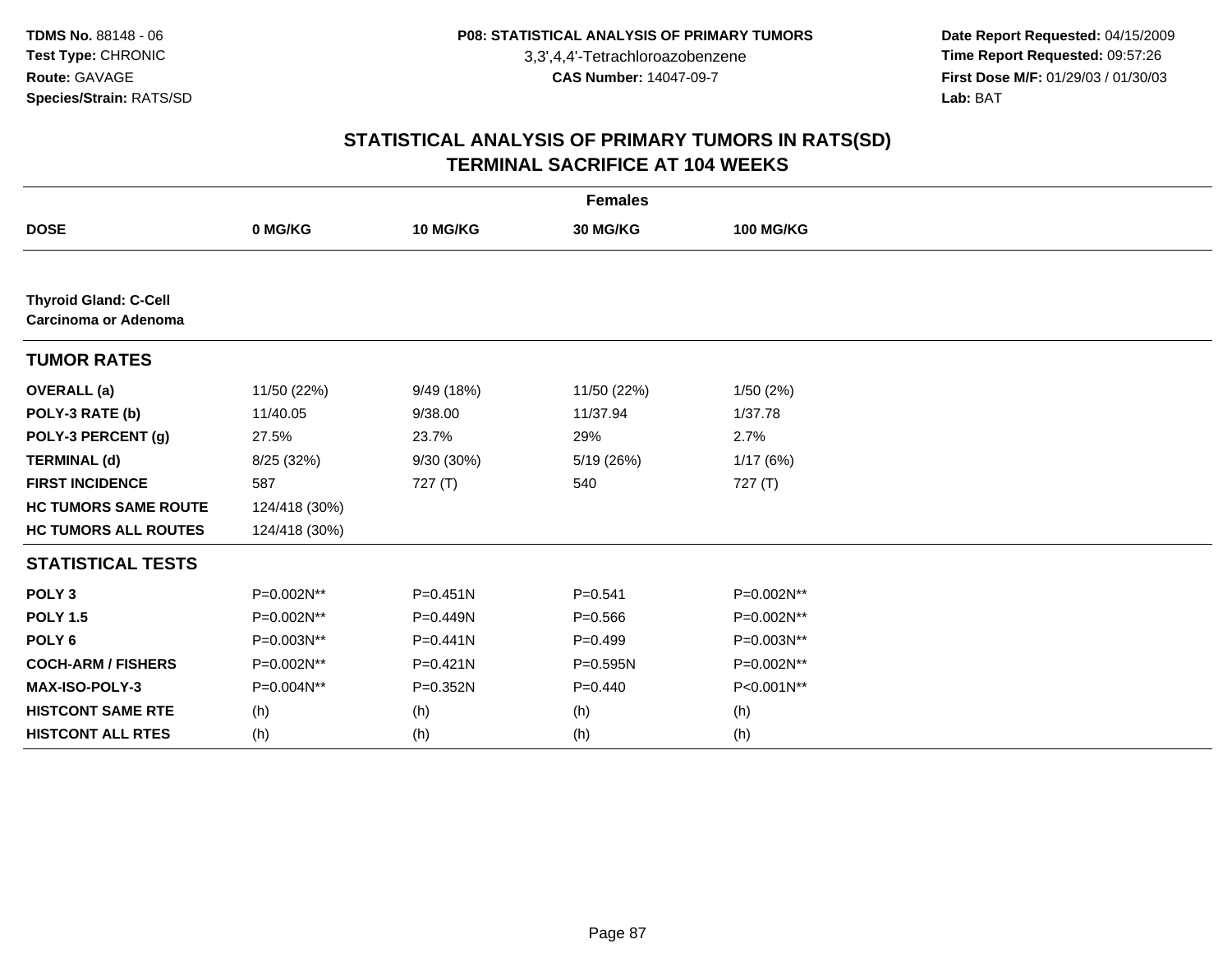**Date Report Requested:** 04/15/2009 **Time Report Requested:** 09:57:26 **First Dose M/F:** 01/29/03 / 01/30/03<br>Lab: BAT **Lab:** BAT

| <b>Females</b>                                       |               |              |              |                  |  |  |  |
|------------------------------------------------------|---------------|--------------|--------------|------------------|--|--|--|
| <b>DOSE</b>                                          | 0 MG/KG       | 10 MG/KG     | 30 MG/KG     | <b>100 MG/KG</b> |  |  |  |
|                                                      |               |              |              |                  |  |  |  |
| <b>Thyroid Gland: C-Cell</b><br>Carcinoma or Adenoma |               |              |              |                  |  |  |  |
| <b>TUMOR RATES</b>                                   |               |              |              |                  |  |  |  |
| <b>OVERALL</b> (a)                                   | 11/50 (22%)   | 9/49 (18%)   | 11/50 (22%)  | 1/50(2%)         |  |  |  |
| POLY-3 RATE (b)                                      | 11/40.05      | 9/38.00      | 11/37.94     | 1/37.78          |  |  |  |
| POLY-3 PERCENT (g)                                   | 27.5%         | 23.7%        | 29%          | 2.7%             |  |  |  |
| <b>TERMINAL (d)</b>                                  | 8/25 (32%)    | 9/30 (30%)   | 5/19 (26%)   | 1/17(6%)         |  |  |  |
| <b>FIRST INCIDENCE</b>                               | 587           | 727(T)       | 540          | 727(T)           |  |  |  |
| <b>HC TUMORS SAME ROUTE</b>                          | 124/418 (30%) |              |              |                  |  |  |  |
| <b>HC TUMORS ALL ROUTES</b>                          | 124/418 (30%) |              |              |                  |  |  |  |
| <b>STATISTICAL TESTS</b>                             |               |              |              |                  |  |  |  |
| POLY <sub>3</sub>                                    | P=0.002N**    | $P = 0.451N$ | $P = 0.541$  | P=0.002N**       |  |  |  |
| <b>POLY 1.5</b>                                      | P=0.002N**    | P=0.449N     | $P = 0.566$  | P=0.002N**       |  |  |  |
| POLY <sub>6</sub>                                    | P=0.003N**    | $P = 0.441N$ | $P=0.499$    | P=0.003N**       |  |  |  |
| <b>COCH-ARM / FISHERS</b>                            | P=0.002N**    | $P = 0.421N$ | $P = 0.595N$ | P=0.002N**       |  |  |  |
| MAX-ISO-POLY-3                                       | P=0.004N**    | P=0.352N     | $P=0.440$    | P<0.001N**       |  |  |  |
| <b>HISTCONT SAME RTE</b>                             | (h)           | (h)          | (h)          | (h)              |  |  |  |
| <b>HISTCONT ALL RTES</b>                             | (h)           | (h)          | (h)          | (h)              |  |  |  |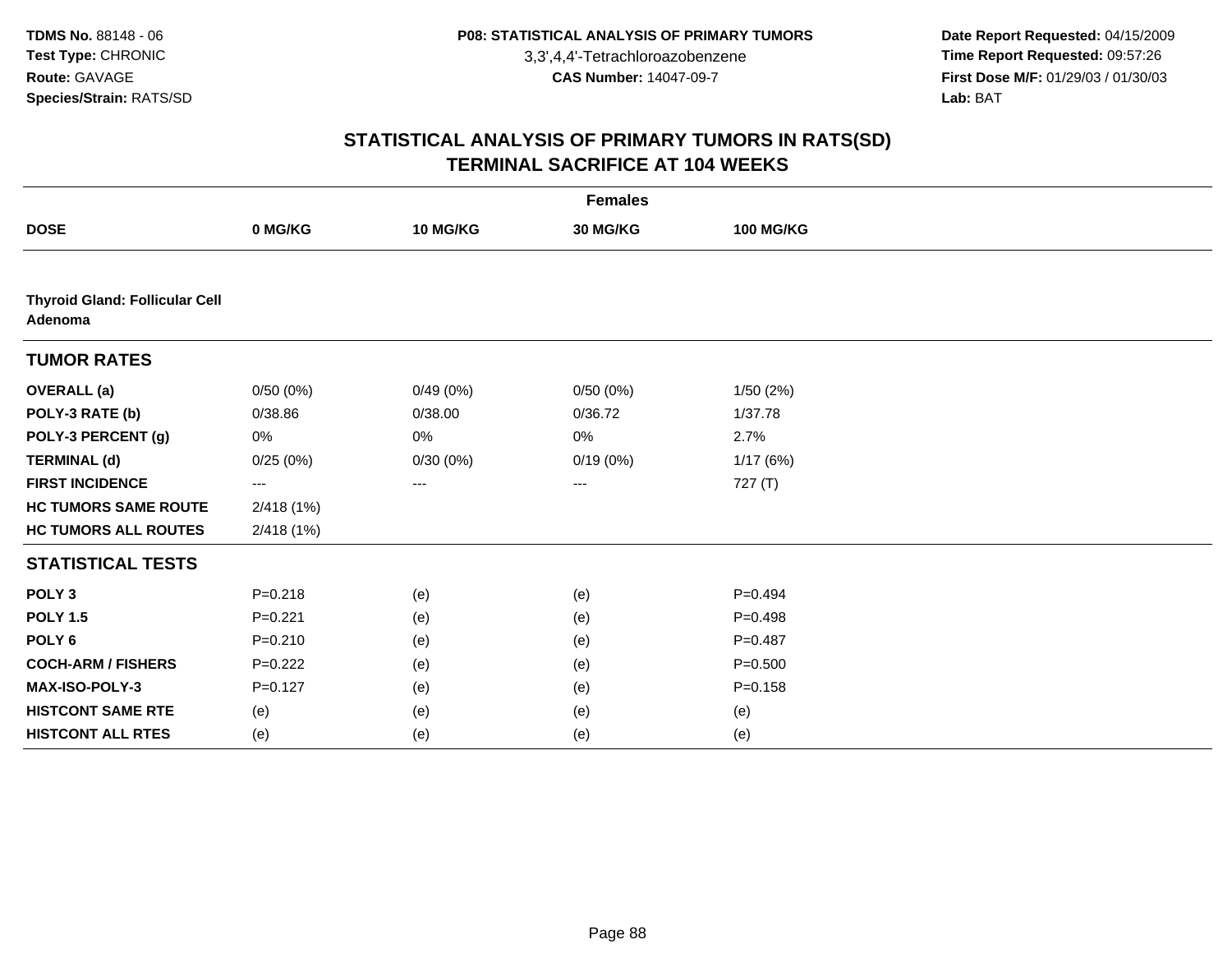**Date Report Requested:** 04/15/2009 **Time Report Requested:** 09:57:26 **First Dose M/F:** 01/29/03 / 01/30/03<br>Lab: BAT **Lab:** BAT

| <b>Females</b>                                   |             |          |          |                  |  |  |  |
|--------------------------------------------------|-------------|----------|----------|------------------|--|--|--|
| <b>DOSE</b>                                      | 0 MG/KG     | 10 MG/KG | 30 MG/KG | <b>100 MG/KG</b> |  |  |  |
|                                                  |             |          |          |                  |  |  |  |
| <b>Thyroid Gland: Follicular Cell</b><br>Adenoma |             |          |          |                  |  |  |  |
| <b>TUMOR RATES</b>                               |             |          |          |                  |  |  |  |
| <b>OVERALL</b> (a)                               | 0/50(0%)    | 0/49(0%) | 0/50(0%) | 1/50(2%)         |  |  |  |
| POLY-3 RATE (b)                                  | 0/38.86     | 0/38.00  | 0/36.72  | 1/37.78          |  |  |  |
| POLY-3 PERCENT (g)                               | 0%          | 0%       | 0%       | 2.7%             |  |  |  |
| <b>TERMINAL (d)</b>                              | 0/25(0%)    | 0/30(0%) | 0/19(0%) | 1/17(6%)         |  |  |  |
| <b>FIRST INCIDENCE</b>                           | ---         | ---      | ---      | 727 (T)          |  |  |  |
| <b>HC TUMORS SAME ROUTE</b>                      | 2/418 (1%)  |          |          |                  |  |  |  |
| <b>HC TUMORS ALL ROUTES</b>                      | 2/418(1%)   |          |          |                  |  |  |  |
| <b>STATISTICAL TESTS</b>                         |             |          |          |                  |  |  |  |
| POLY <sub>3</sub>                                | $P = 0.218$ | (e)      | (e)      | $P=0.494$        |  |  |  |
| <b>POLY 1.5</b>                                  | $P = 0.221$ | (e)      | (e)      | $P=0.498$        |  |  |  |
| POLY <sub>6</sub>                                | $P = 0.210$ | (e)      | (e)      | $P=0.487$        |  |  |  |
| <b>COCH-ARM / FISHERS</b>                        | $P=0.222$   | (e)      | (e)      | $P = 0.500$      |  |  |  |
| MAX-ISO-POLY-3                                   | $P = 0.127$ | (e)      | (e)      | $P = 0.158$      |  |  |  |
| <b>HISTCONT SAME RTE</b>                         | (e)         | (e)      | (e)      | (e)              |  |  |  |
| <b>HISTCONT ALL RTES</b>                         | (e)         | (e)      | (e)      | (e)              |  |  |  |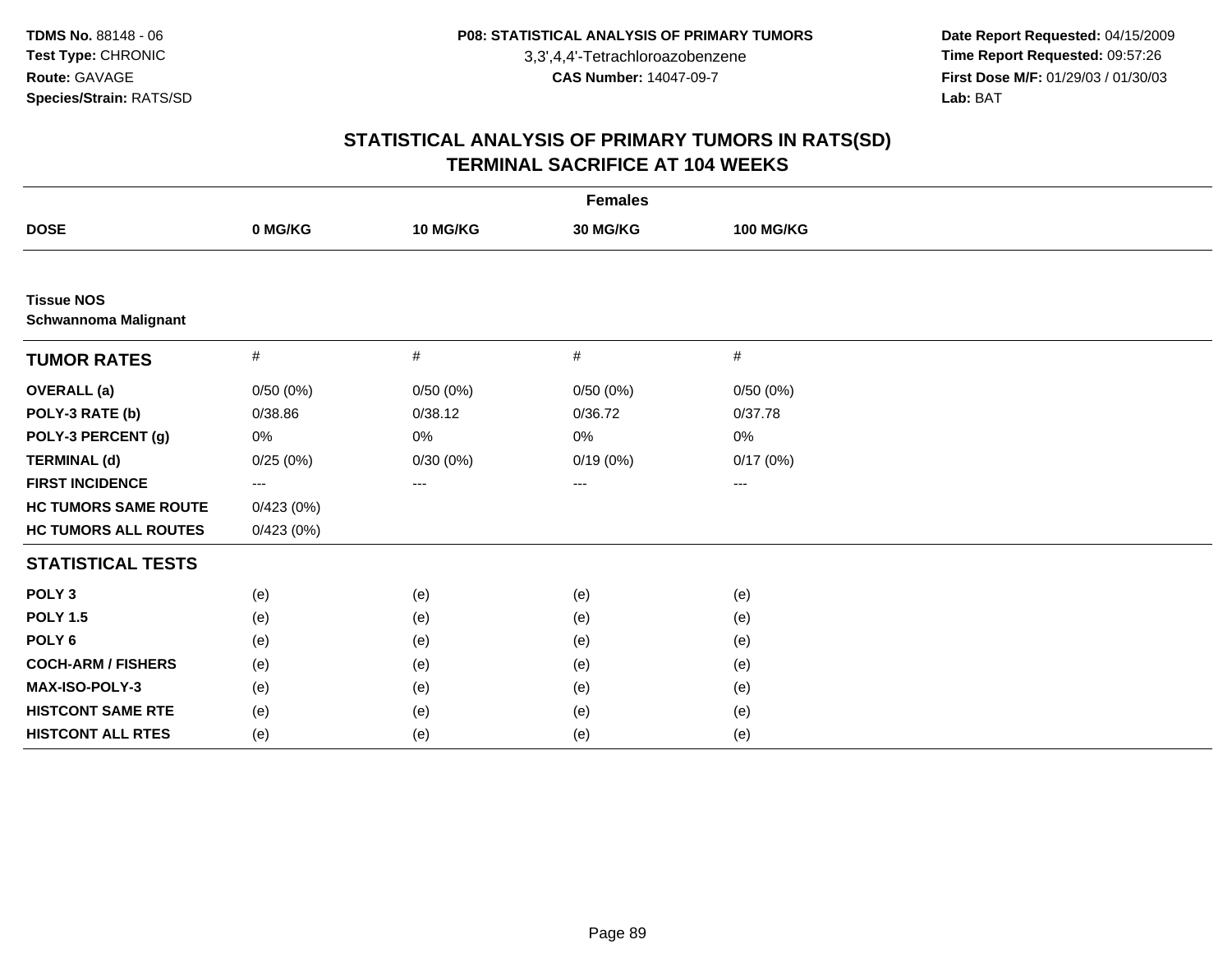**Date Report Requested:** 04/15/2009 **Time Report Requested:** 09:57:26 **First Dose M/F:** 01/29/03 / 01/30/03<br>Lab: BAT **Lab:** BAT

| <b>Females</b>                                   |           |          |          |                  |  |  |  |
|--------------------------------------------------|-----------|----------|----------|------------------|--|--|--|
| <b>DOSE</b>                                      | 0 MG/KG   | 10 MG/KG | 30 MG/KG | <b>100 MG/KG</b> |  |  |  |
|                                                  |           |          |          |                  |  |  |  |
| <b>Tissue NOS</b><br><b>Schwannoma Malignant</b> |           |          |          |                  |  |  |  |
| <b>TUMOR RATES</b>                               | $\#$      | #        | $\#$     | #                |  |  |  |
| <b>OVERALL</b> (a)                               | 0/50(0%)  | 0/50(0%) | 0/50(0%) | 0/50(0%)         |  |  |  |
| POLY-3 RATE (b)                                  | 0/38.86   | 0/38.12  | 0/36.72  | 0/37.78          |  |  |  |
| POLY-3 PERCENT (g)                               | 0%        | $0\%$    | 0%       | 0%               |  |  |  |
| <b>TERMINAL (d)</b>                              | 0/25(0%)  | 0/30(0%) | 0/19(0%) | 0/17(0%)         |  |  |  |
| <b>FIRST INCIDENCE</b>                           | $--$      | ---      | ---      | ---              |  |  |  |
| <b>HC TUMORS SAME ROUTE</b>                      | 0/423(0%) |          |          |                  |  |  |  |
| <b>HC TUMORS ALL ROUTES</b>                      | 0/423(0%) |          |          |                  |  |  |  |
| <b>STATISTICAL TESTS</b>                         |           |          |          |                  |  |  |  |
| POLY <sub>3</sub>                                | (e)       | (e)      | (e)      | (e)              |  |  |  |
| <b>POLY 1.5</b>                                  | (e)       | (e)      | (e)      | (e)              |  |  |  |
| POLY <sub>6</sub>                                | (e)       | (e)      | (e)      | (e)              |  |  |  |
| <b>COCH-ARM / FISHERS</b>                        | (e)       | (e)      | (e)      | (e)              |  |  |  |
| MAX-ISO-POLY-3                                   | (e)       | (e)      | (e)      | (e)              |  |  |  |
| <b>HISTCONT SAME RTE</b>                         | (e)       | (e)      | (e)      | (e)              |  |  |  |
| <b>HISTCONT ALL RTES</b>                         | (e)       | (e)      | (e)      | (e)              |  |  |  |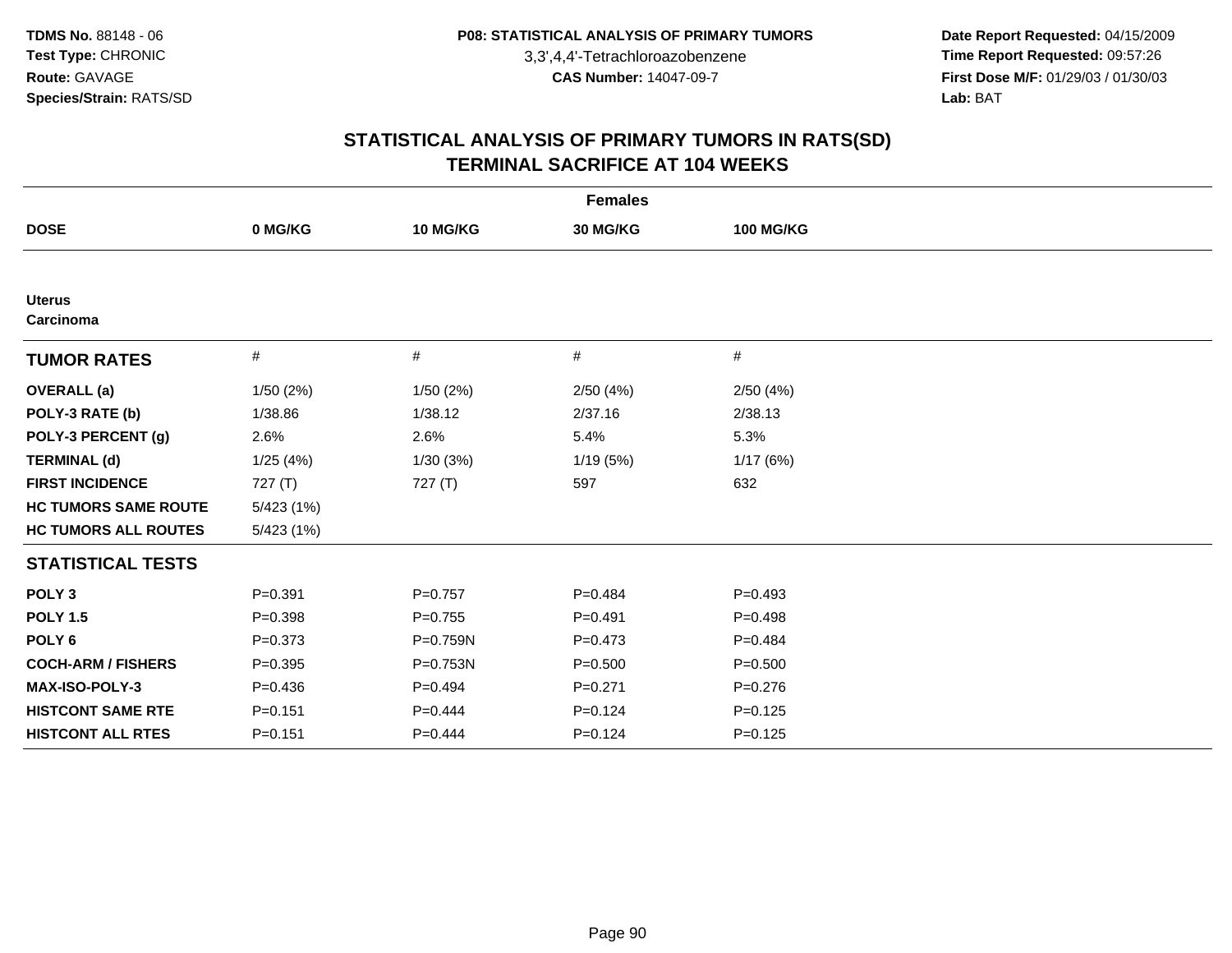**Date Report Requested:** 04/15/2009 **Time Report Requested:** 09:57:26 **First Dose M/F:** 01/29/03 / 01/30/03<br>Lab: BAT **Lab:** BAT

| <b>Females</b>              |             |              |             |                  |  |  |  |
|-----------------------------|-------------|--------------|-------------|------------------|--|--|--|
| <b>DOSE</b>                 | 0 MG/KG     | 10 MG/KG     | 30 MG/KG    | <b>100 MG/KG</b> |  |  |  |
|                             |             |              |             |                  |  |  |  |
| <b>Uterus</b><br>Carcinoma  |             |              |             |                  |  |  |  |
| <b>TUMOR RATES</b>          | $\#$        | $\#$         | #           | #                |  |  |  |
| <b>OVERALL</b> (a)          | 1/50 (2%)   | 1/50 (2%)    | 2/50(4%)    | 2/50(4%)         |  |  |  |
| POLY-3 RATE (b)             | 1/38.86     | 1/38.12      | 2/37.16     | 2/38.13          |  |  |  |
| POLY-3 PERCENT (g)          | 2.6%        | 2.6%         | 5.4%        | 5.3%             |  |  |  |
| <b>TERMINAL (d)</b>         | 1/25(4%)    | 1/30(3%)     | 1/19(5%)    | 1/17(6%)         |  |  |  |
| <b>FIRST INCIDENCE</b>      | 727 (T)     | 727(T)       | 597         | 632              |  |  |  |
| <b>HC TUMORS SAME ROUTE</b> | 5/423 (1%)  |              |             |                  |  |  |  |
| <b>HC TUMORS ALL ROUTES</b> | 5/423(1%)   |              |             |                  |  |  |  |
| <b>STATISTICAL TESTS</b>    |             |              |             |                  |  |  |  |
| POLY <sub>3</sub>           | $P = 0.391$ | $P = 0.757$  | $P=0.484$   | $P=0.493$        |  |  |  |
| <b>POLY 1.5</b>             | $P = 0.398$ | $P=0.755$    | $P=0.491$   | $P=0.498$        |  |  |  |
| POLY <sub>6</sub>           | $P=0.373$   | $P = 0.759N$ | $P=0.473$   | $P=0.484$        |  |  |  |
| <b>COCH-ARM / FISHERS</b>   | $P=0.395$   | $P = 0.753N$ | $P = 0.500$ | $P = 0.500$      |  |  |  |
| MAX-ISO-POLY-3              | $P = 0.436$ | $P=0.494$    | $P = 0.271$ | $P = 0.276$      |  |  |  |
| <b>HISTCONT SAME RTE</b>    | $P = 0.151$ | $P=0.444$    | $P=0.124$   | $P=0.125$        |  |  |  |
| <b>HISTCONT ALL RTES</b>    | $P = 0.151$ | $P=0.444$    | $P=0.124$   | $P = 0.125$      |  |  |  |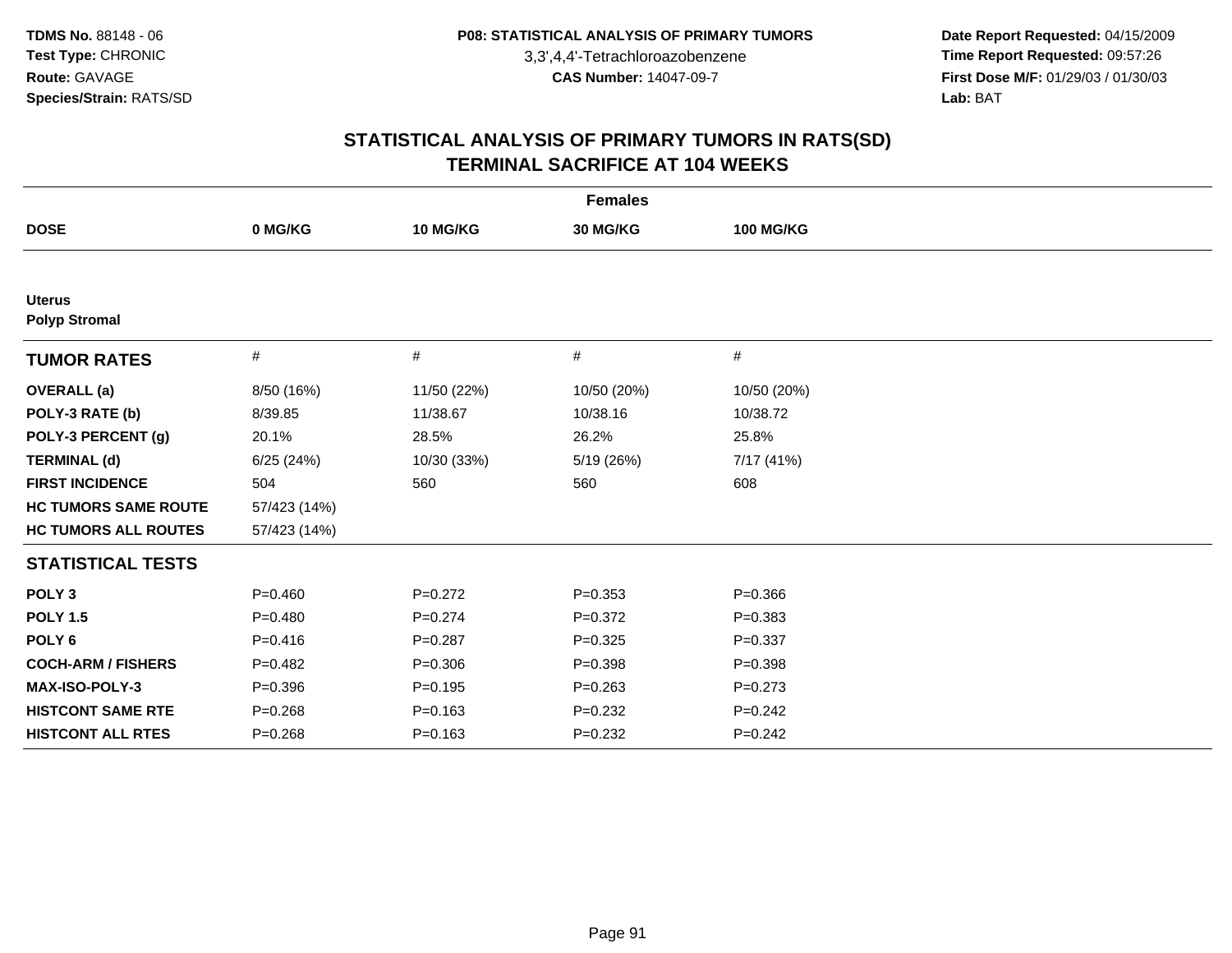**Date Report Requested:** 04/15/2009 **Time Report Requested:** 09:57:26 **First Dose M/F:** 01/29/03 / 01/30/03<br>Lab: BAT **Lab:** BAT

| <b>Females</b>                        |              |             |             |                  |  |  |  |
|---------------------------------------|--------------|-------------|-------------|------------------|--|--|--|
| <b>DOSE</b>                           | 0 MG/KG      | 10 MG/KG    | 30 MG/KG    | <b>100 MG/KG</b> |  |  |  |
|                                       |              |             |             |                  |  |  |  |
| <b>Uterus</b><br><b>Polyp Stromal</b> |              |             |             |                  |  |  |  |
| <b>TUMOR RATES</b>                    | #            | #           | #           | #                |  |  |  |
| <b>OVERALL</b> (a)                    | 8/50 (16%)   | 11/50 (22%) | 10/50 (20%) | 10/50 (20%)      |  |  |  |
| POLY-3 RATE (b)                       | 8/39.85      | 11/38.67    | 10/38.16    | 10/38.72         |  |  |  |
| POLY-3 PERCENT (g)                    | 20.1%        | 28.5%       | 26.2%       | 25.8%            |  |  |  |
| <b>TERMINAL (d)</b>                   | 6/25(24%)    | 10/30 (33%) | 5/19 (26%)  | 7/17 (41%)       |  |  |  |
| <b>FIRST INCIDENCE</b>                | 504          | 560         | 560         | 608              |  |  |  |
| <b>HC TUMORS SAME ROUTE</b>           | 57/423 (14%) |             |             |                  |  |  |  |
| <b>HC TUMORS ALL ROUTES</b>           | 57/423 (14%) |             |             |                  |  |  |  |
| <b>STATISTICAL TESTS</b>              |              |             |             |                  |  |  |  |
| POLY <sub>3</sub>                     | $P = 0.460$  | $P=0.272$   | $P = 0.353$ | $P = 0.366$      |  |  |  |
| <b>POLY 1.5</b>                       | $P = 0.480$  | $P=0.274$   | $P=0.372$   | $P = 0.383$      |  |  |  |
| POLY <sub>6</sub>                     | $P = 0.416$  | $P = 0.287$ | $P=0.325$   | $P = 0.337$      |  |  |  |
| <b>COCH-ARM / FISHERS</b>             | $P = 0.482$  | $P = 0.306$ | $P = 0.398$ | $P = 0.398$      |  |  |  |
| MAX-ISO-POLY-3                        | $P = 0.396$  | $P = 0.195$ | $P = 0.263$ | $P = 0.273$      |  |  |  |
| <b>HISTCONT SAME RTE</b>              | $P = 0.268$  | $P = 0.163$ | $P=0.232$   | $P=0.242$        |  |  |  |
| <b>HISTCONT ALL RTES</b>              | $P = 0.268$  | $P = 0.163$ | $P = 0.232$ | $P=0.242$        |  |  |  |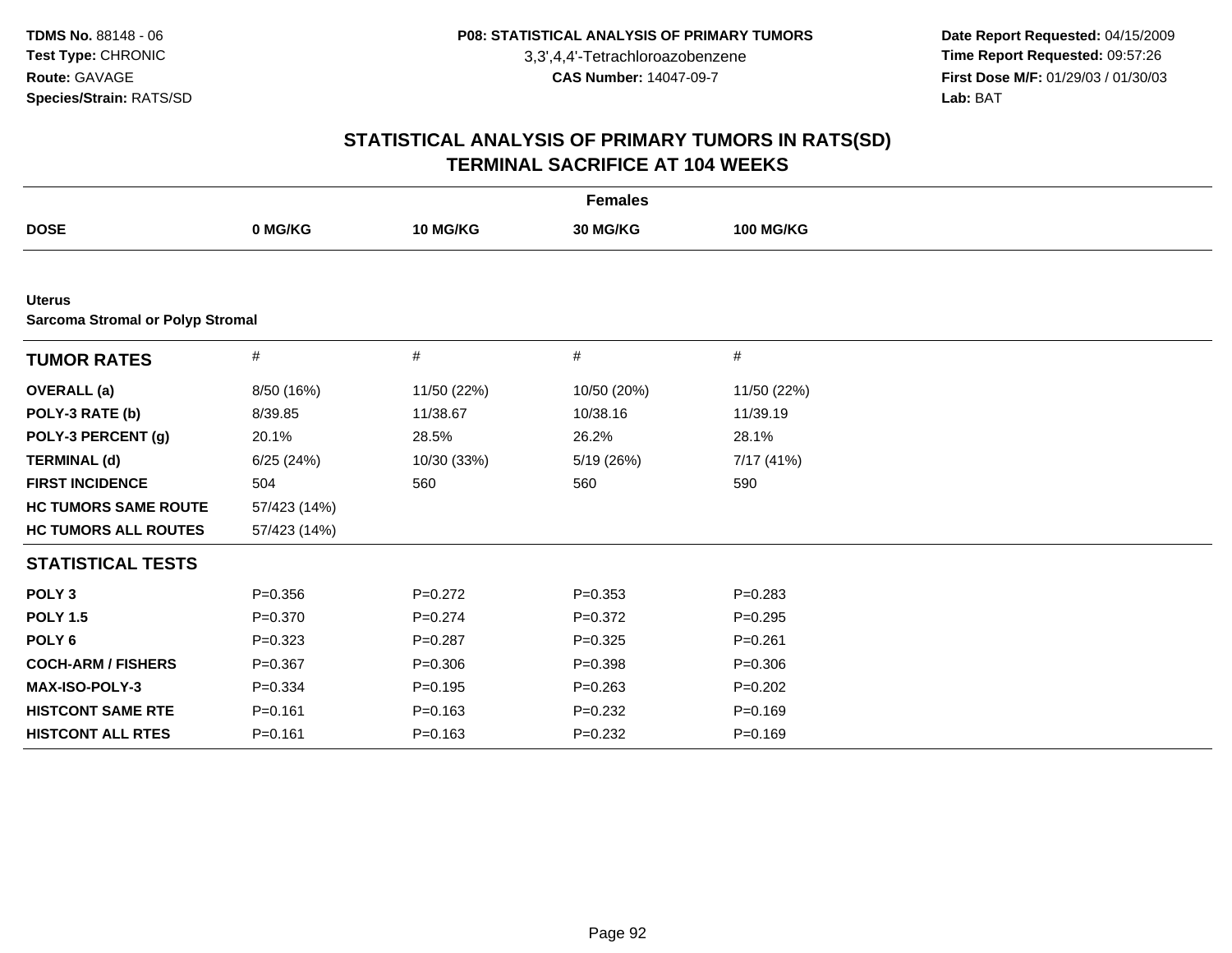**Date Report Requested:** 04/15/2009 **Time Report Requested:** 09:57:26 **First Dose M/F:** 01/29/03 / 01/30/03<br>Lab: BAT **Lab:** BAT

| <b>Females</b>                                           |              |             |             |                  |  |  |  |
|----------------------------------------------------------|--------------|-------------|-------------|------------------|--|--|--|
| <b>DOSE</b>                                              | 0 MG/KG      | 10 MG/KG    | 30 MG/KG    | <b>100 MG/KG</b> |  |  |  |
|                                                          |              |             |             |                  |  |  |  |
| <b>Uterus</b><br><b>Sarcoma Stromal or Polyp Stromal</b> |              |             |             |                  |  |  |  |
| <b>TUMOR RATES</b>                                       | #            | #           | $\#$        | $\#$             |  |  |  |
| <b>OVERALL</b> (a)                                       | 8/50 (16%)   | 11/50 (22%) | 10/50 (20%) | 11/50 (22%)      |  |  |  |
| POLY-3 RATE (b)                                          | 8/39.85      | 11/38.67    | 10/38.16    | 11/39.19         |  |  |  |
| POLY-3 PERCENT (g)                                       | 20.1%        | 28.5%       | 26.2%       | 28.1%            |  |  |  |
| <b>TERMINAL (d)</b>                                      | 6/25(24%)    | 10/30 (33%) | 5/19 (26%)  | 7/17 (41%)       |  |  |  |
| <b>FIRST INCIDENCE</b>                                   | 504          | 560         | 560         | 590              |  |  |  |
| <b>HC TUMORS SAME ROUTE</b>                              | 57/423 (14%) |             |             |                  |  |  |  |
| <b>HC TUMORS ALL ROUTES</b>                              | 57/423 (14%) |             |             |                  |  |  |  |
| <b>STATISTICAL TESTS</b>                                 |              |             |             |                  |  |  |  |
| POLY <sub>3</sub>                                        | $P = 0.356$  | $P=0.272$   | $P = 0.353$ | $P=0.283$        |  |  |  |
| <b>POLY 1.5</b>                                          | $P = 0.370$  | $P = 0.274$ | $P=0.372$   | $P=0.295$        |  |  |  |
| POLY <sub>6</sub>                                        | $P=0.323$    | $P=0.287$   | $P=0.325$   | $P = 0.261$      |  |  |  |
| <b>COCH-ARM / FISHERS</b>                                | $P = 0.367$  | $P = 0.306$ | $P = 0.398$ | $P = 0.306$      |  |  |  |
| MAX-ISO-POLY-3                                           | $P = 0.334$  | $P=0.195$   | $P = 0.263$ | $P=0.202$        |  |  |  |
| <b>HISTCONT SAME RTE</b>                                 | $P = 0.161$  | $P = 0.163$ | $P=0.232$   | $P = 0.169$      |  |  |  |
| <b>HISTCONT ALL RTES</b>                                 | $P = 0.161$  | $P = 0.163$ | $P = 0.232$ | $P = 0.169$      |  |  |  |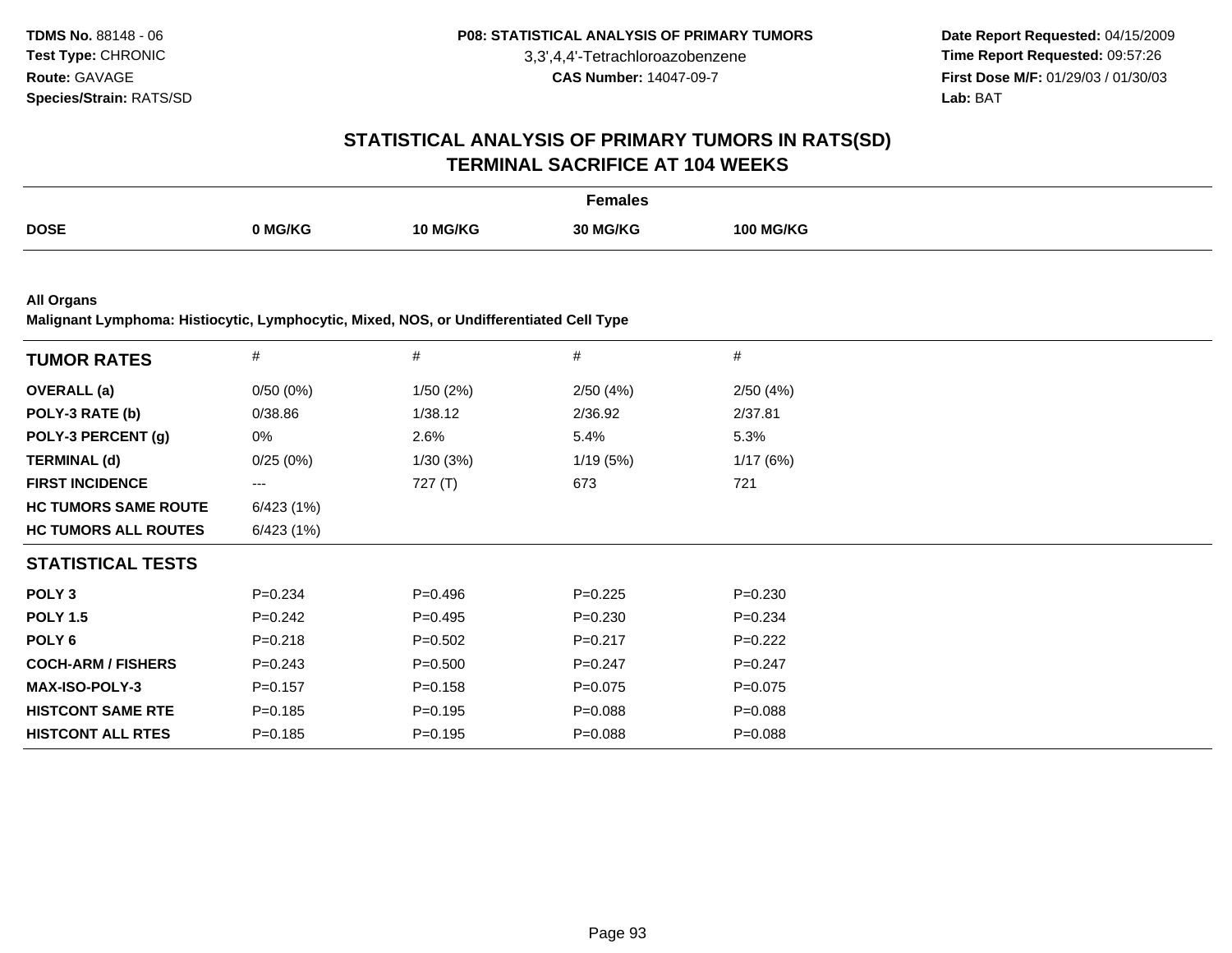**Date Report Requested:** 04/15/2009 **Time Report Requested:** 09:57:26 **First Dose M/F:** 01/29/03 / 01/30/03<br>**Lab:** BAT **Lab:** BAT

#### **STATISTICAL ANALYSIS OF PRIMARY TUMORS IN RATS(SD)TERMINAL SACRIFICE AT 104 WEEKS**

| ን MG/KG<br>10 MG/KG<br>30 MG/KG<br><b>100 MG/KG</b> |             | Females |  |
|-----------------------------------------------------|-------------|---------|--|
|                                                     | <b>DOSE</b> |         |  |

**All Organs**

**Malignant Lymphoma: Histiocytic, Lymphocytic, Mixed, NOS, or Undifferentiated Cell Type**

| <b>TUMOR RATES</b>          | $\#$                   | $\#$        | #           | #           |  |
|-----------------------------|------------------------|-------------|-------------|-------------|--|
| <b>OVERALL (a)</b>          | 0/50(0%)               | 1/50(2%)    | 2/50(4%)    | 2/50(4%)    |  |
| POLY-3 RATE (b)             | 0/38.86                | 1/38.12     | 2/36.92     | 2/37.81     |  |
| POLY-3 PERCENT (g)          | 0%                     | 2.6%        | 5.4%        | 5.3%        |  |
| <b>TERMINAL (d)</b>         | 0/25(0%)               | 1/30(3%)    | 1/19(5%)    | 1/17(6%)    |  |
| <b>FIRST INCIDENCE</b>      | $\qquad \qquad \cdots$ | 727 $(T)$   | 673         | 721         |  |
| <b>HC TUMORS SAME ROUTE</b> | 6/423(1%)              |             |             |             |  |
| <b>HC TUMORS ALL ROUTES</b> | 6/423 (1%)             |             |             |             |  |
| <b>STATISTICAL TESTS</b>    |                        |             |             |             |  |
| POLY <sub>3</sub>           | $P=0.234$              | $P = 0.496$ | $P=0.225$   | $P = 0.230$ |  |
| <b>POLY 1.5</b>             | $P=0.242$              | $P=0.495$   | $P = 0.230$ | $P = 0.234$ |  |
| POLY 6                      | $P = 0.218$            | $P = 0.502$ | $P = 0.217$ | $P=0.222$   |  |
| <b>COCH-ARM / FISHERS</b>   | $P = 0.243$            | $P = 0.500$ | $P = 0.247$ | $P=0.247$   |  |
| <b>MAX-ISO-POLY-3</b>       | $P = 0.157$            | $P = 0.158$ | $P=0.075$   | $P = 0.075$ |  |
| <b>HISTCONT SAME RTE</b>    | $P = 0.185$            | $P=0.195$   | $P = 0.088$ | $P = 0.088$ |  |
| <b>HISTCONT ALL RTES</b>    | $P = 0.185$            | $P=0.195$   | $P = 0.088$ | $P = 0.088$ |  |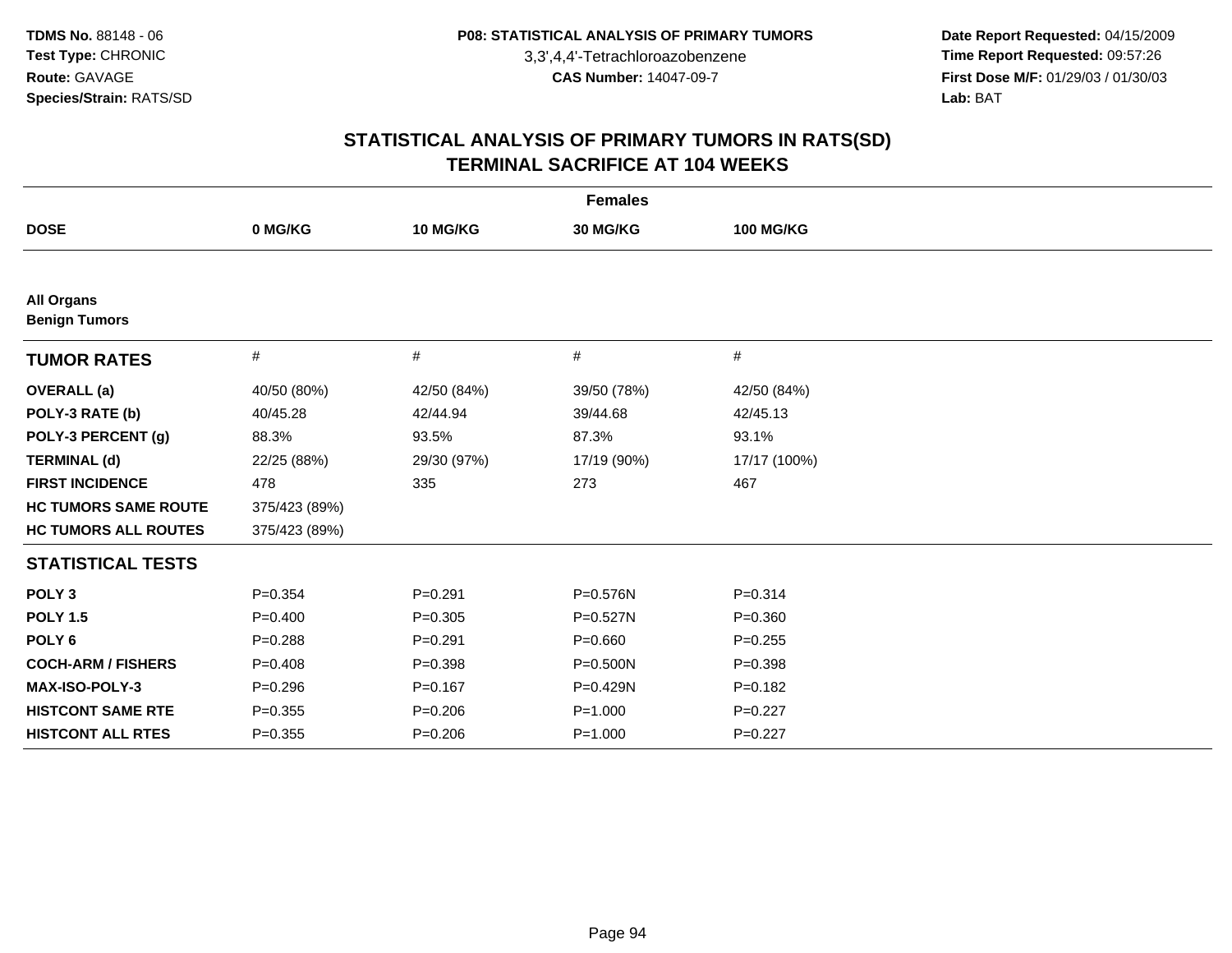**Date Report Requested:** 04/15/2009 **Time Report Requested:** 09:57:26 **First Dose M/F:** 01/29/03 / 01/30/03<br>Lab: BAT **Lab:** BAT

| <b>Females</b>                            |               |             |              |                  |  |
|-------------------------------------------|---------------|-------------|--------------|------------------|--|
| <b>DOSE</b>                               | 0 MG/KG       | 10 MG/KG    | 30 MG/KG     | <b>100 MG/KG</b> |  |
|                                           |               |             |              |                  |  |
| <b>All Organs</b><br><b>Benign Tumors</b> |               |             |              |                  |  |
| <b>TUMOR RATES</b>                        | #             | #           | #            | #                |  |
| <b>OVERALL</b> (a)                        | 40/50 (80%)   | 42/50 (84%) | 39/50 (78%)  | 42/50 (84%)      |  |
| POLY-3 RATE (b)                           | 40/45.28      | 42/44.94    | 39/44.68     | 42/45.13         |  |
| POLY-3 PERCENT (g)                        | 88.3%         | 93.5%       | 87.3%        | 93.1%            |  |
| <b>TERMINAL (d)</b>                       | 22/25 (88%)   | 29/30 (97%) | 17/19 (90%)  | 17/17 (100%)     |  |
| <b>FIRST INCIDENCE</b>                    | 478           | 335         | 273          | 467              |  |
| <b>HC TUMORS SAME ROUTE</b>               | 375/423 (89%) |             |              |                  |  |
| <b>HC TUMORS ALL ROUTES</b>               | 375/423 (89%) |             |              |                  |  |
| <b>STATISTICAL TESTS</b>                  |               |             |              |                  |  |
| POLY <sub>3</sub>                         | $P = 0.354$   | $P = 0.291$ | P=0.576N     | $P = 0.314$      |  |
| <b>POLY 1.5</b>                           | $P = 0.400$   | $P=0.305$   | P=0.527N     | $P = 0.360$      |  |
| POLY <sub>6</sub>                         | $P = 0.288$   | $P=0.291$   | $P = 0.660$  | $P=0.255$        |  |
| <b>COCH-ARM / FISHERS</b>                 | $P = 0.408$   | $P = 0.398$ | $P = 0.500N$ | $P = 0.398$      |  |
| MAX-ISO-POLY-3                            | $P = 0.296$   | $P = 0.167$ | P=0.429N     | $P = 0.182$      |  |
| <b>HISTCONT SAME RTE</b>                  | $P=0.355$     | $P = 0.206$ | $P = 1.000$  | $P=0.227$        |  |
| <b>HISTCONT ALL RTES</b>                  | $P = 0.355$   | $P = 0.206$ | $P = 1.000$  | $P=0.227$        |  |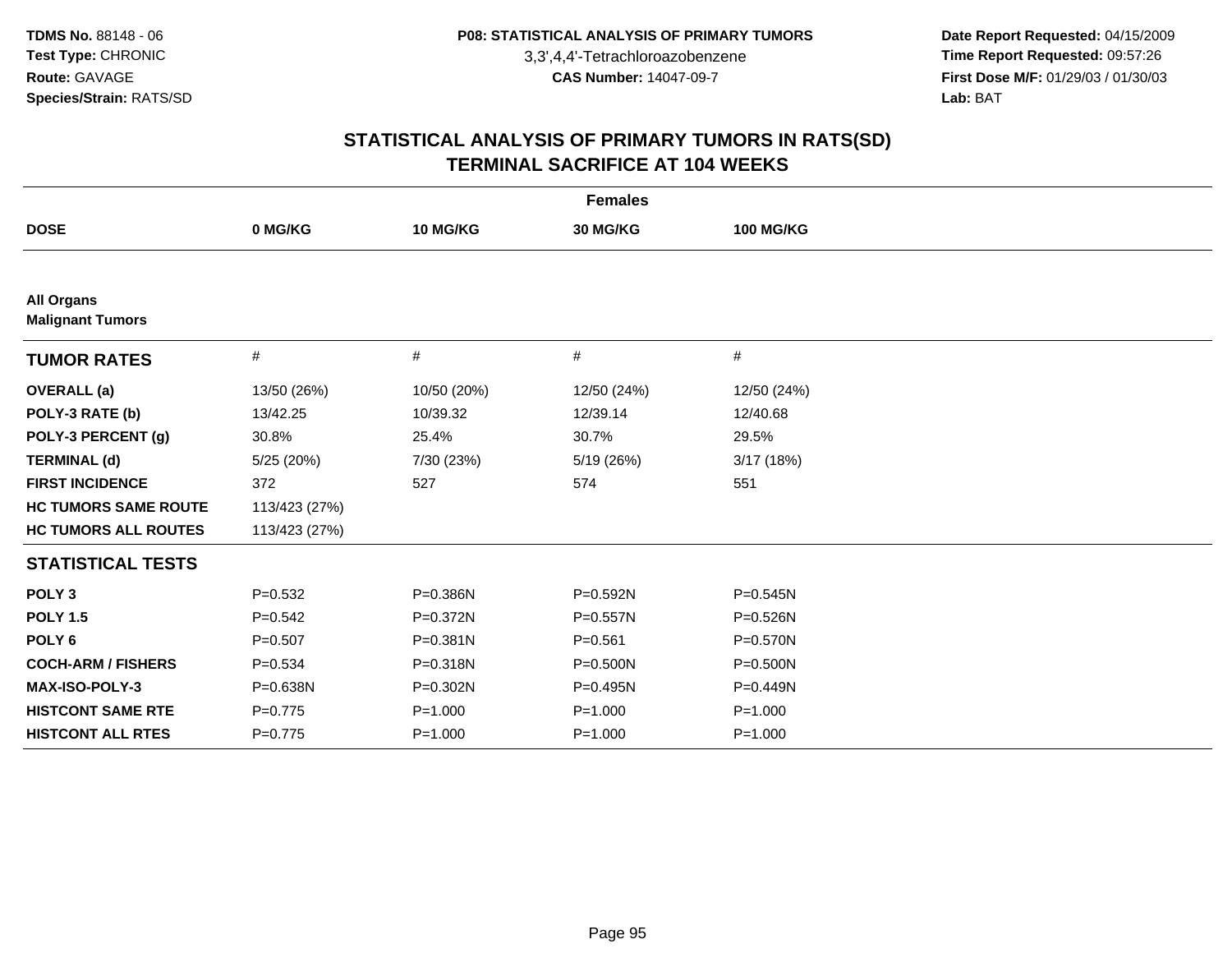**Date Report Requested:** 04/15/2009 **Time Report Requested:** 09:57:26 **First Dose M/F:** 01/29/03 / 01/30/03<br>Lab: BAT **Lab:** BAT

| <b>Females</b>                               |               |              |              |                  |  |
|----------------------------------------------|---------------|--------------|--------------|------------------|--|
| <b>DOSE</b>                                  | 0 MG/KG       | 10 MG/KG     | 30 MG/KG     | <b>100 MG/KG</b> |  |
|                                              |               |              |              |                  |  |
| <b>All Organs</b><br><b>Malignant Tumors</b> |               |              |              |                  |  |
| <b>TUMOR RATES</b>                           | $\#$          | #            | #            | $\#$             |  |
| <b>OVERALL (a)</b>                           | 13/50 (26%)   | 10/50 (20%)  | 12/50 (24%)  | 12/50 (24%)      |  |
| POLY-3 RATE (b)                              | 13/42.25      | 10/39.32     | 12/39.14     | 12/40.68         |  |
| POLY-3 PERCENT (g)                           | 30.8%         | 25.4%        | 30.7%        | 29.5%            |  |
| <b>TERMINAL (d)</b>                          | 5/25 (20%)    | 7/30 (23%)   | 5/19 (26%)   | 3/17(18%)        |  |
| <b>FIRST INCIDENCE</b>                       | 372           | 527          | 574          | 551              |  |
| <b>HC TUMORS SAME ROUTE</b>                  | 113/423 (27%) |              |              |                  |  |
| <b>HC TUMORS ALL ROUTES</b>                  | 113/423 (27%) |              |              |                  |  |
| <b>STATISTICAL TESTS</b>                     |               |              |              |                  |  |
| POLY <sub>3</sub>                            | $P=0.532$     | P=0.386N     | $P = 0.592N$ | $P = 0.545N$     |  |
| <b>POLY 1.5</b>                              | $P=0.542$     | $P = 0.372N$ | $P = 0.557N$ | P=0.526N         |  |
| POLY <sub>6</sub>                            | $P=0.507$     | P=0.381N     | $P = 0.561$  | $P = 0.570N$     |  |
| <b>COCH-ARM / FISHERS</b>                    | $P = 0.534$   | P=0.318N     | $P = 0.500N$ | $P = 0.500N$     |  |
| MAX-ISO-POLY-3                               | P=0.638N      | P=0.302N     | $P = 0.495N$ | P=0.449N         |  |
| <b>HISTCONT SAME RTE</b>                     | $P=0.775$     | $P = 1.000$  | $P = 1.000$  | $P = 1.000$      |  |
| <b>HISTCONT ALL RTES</b>                     | $P=0.775$     | $P = 1.000$  | $P = 1.000$  | $P = 1.000$      |  |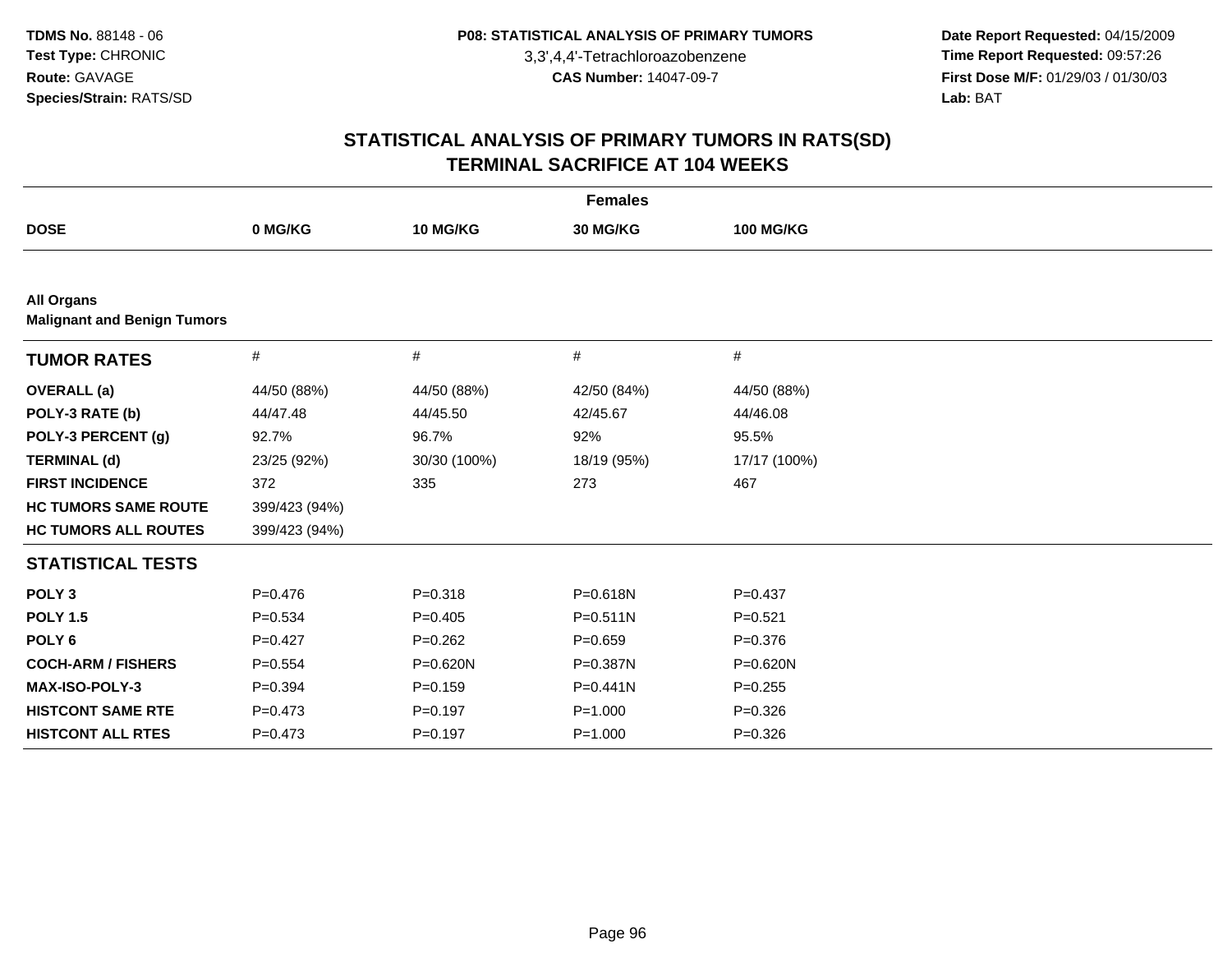**Date Report Requested:** 04/15/2009 **Time Report Requested:** 09:57:26 **First Dose M/F:** 01/29/03 / 01/30/03<br>Lab: BAT **Lab:** BAT

| <b>Females</b>                                          |               |              |              |                  |  |  |
|---------------------------------------------------------|---------------|--------------|--------------|------------------|--|--|
| <b>DOSE</b>                                             | 0 MG/KG       | 10 MG/KG     | 30 MG/KG     | <b>100 MG/KG</b> |  |  |
|                                                         |               |              |              |                  |  |  |
| <b>All Organs</b><br><b>Malignant and Benign Tumors</b> |               |              |              |                  |  |  |
| <b>TUMOR RATES</b>                                      | #             | $\#$         | #            | $\#$             |  |  |
| <b>OVERALL</b> (a)                                      | 44/50 (88%)   | 44/50 (88%)  | 42/50 (84%)  | 44/50 (88%)      |  |  |
| POLY-3 RATE (b)                                         | 44/47.48      | 44/45.50     | 42/45.67     | 44/46.08         |  |  |
| POLY-3 PERCENT (g)                                      | 92.7%         | 96.7%        | 92%          | 95.5%            |  |  |
| <b>TERMINAL (d)</b>                                     | 23/25 (92%)   | 30/30 (100%) | 18/19 (95%)  | 17/17 (100%)     |  |  |
| <b>FIRST INCIDENCE</b>                                  | 372           | 335          | 273          | 467              |  |  |
| <b>HC TUMORS SAME ROUTE</b>                             | 399/423 (94%) |              |              |                  |  |  |
| <b>HC TUMORS ALL ROUTES</b>                             | 399/423 (94%) |              |              |                  |  |  |
| <b>STATISTICAL TESTS</b>                                |               |              |              |                  |  |  |
| POLY <sub>3</sub>                                       | $P = 0.476$   | $P = 0.318$  | P=0.618N     | $P = 0.437$      |  |  |
| <b>POLY 1.5</b>                                         | $P = 0.534$   | $P = 0.405$  | $P = 0.511N$ | $P = 0.521$      |  |  |
| POLY <sub>6</sub>                                       | $P=0.427$     | $P=0.262$    | $P = 0.659$  | $P = 0.376$      |  |  |
| <b>COCH-ARM / FISHERS</b>                               | $P = 0.554$   | P=0.620N     | P=0.387N     | P=0.620N         |  |  |
| MAX-ISO-POLY-3                                          | $P=0.394$     | $P = 0.159$  | $P = 0.441N$ | $P = 0.255$      |  |  |
| <b>HISTCONT SAME RTE</b>                                | $P=0.473$     | $P=0.197$    | $P = 1.000$  | $P = 0.326$      |  |  |
| <b>HISTCONT ALL RTES</b>                                | $P = 0.473$   | $P = 0.197$  | $P = 1.000$  | $P = 0.326$      |  |  |